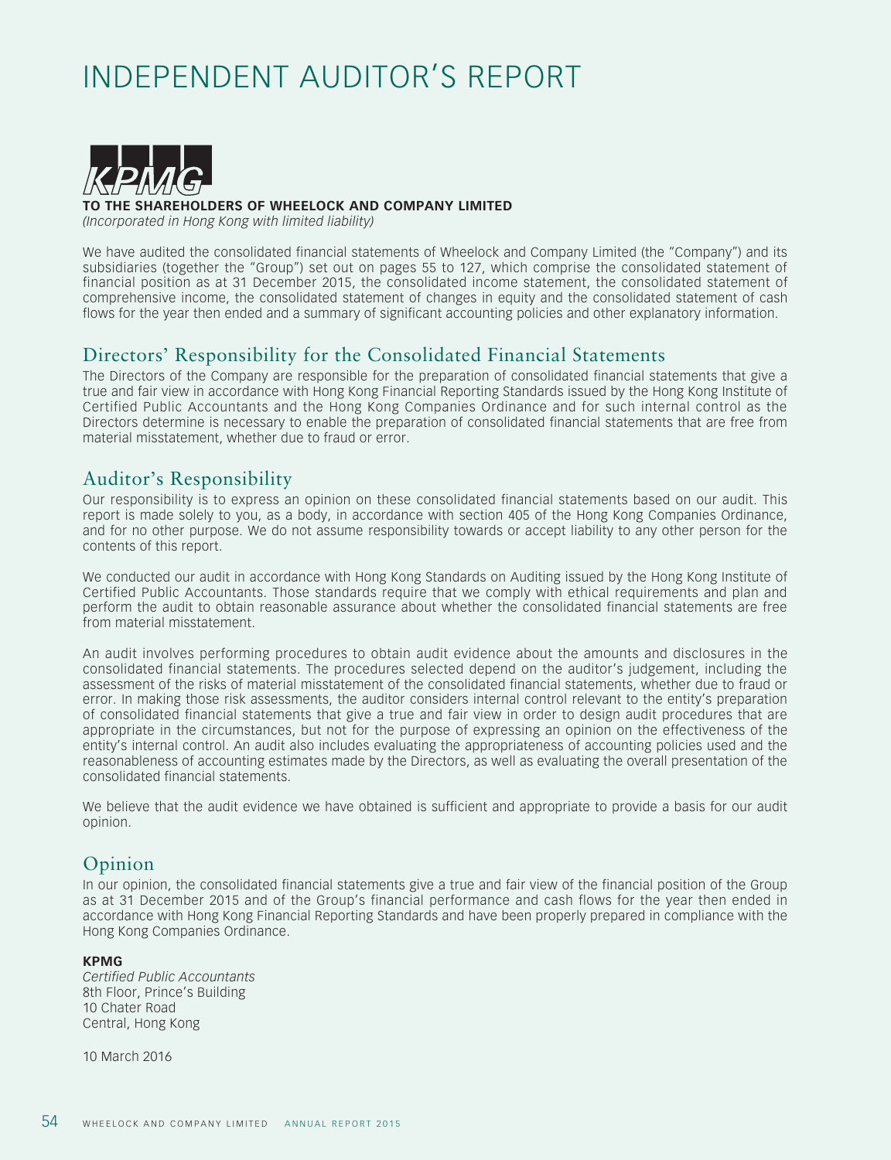# INDEPENDENT AUDITOR'S REPORT



**THE SHAREHOLDERS OF WHEELOCK AND COMPANY LIMITED** 

*(Incorporated in Hong Kong with limited liability)*

We have audited the consolidated financial statements of Wheelock and Company Limited (the "Company") and its subsidiaries (together the "Group") set out on pages 55 to 127, which comprise the consolidated statement of financial position as at 31 December 2015, the consolidated income statement, the consolidated statement of comprehensive income, the consolidated statement of changes in equity and the consolidated statement of cash flows for the year then ended and a summary of significant accounting policies and other explanatory information.

# Directors' Responsibility for the Consolidated Financial Statements

The Directors of the Company are responsible for the preparation of consolidated financial statements that give a true and fair view in accordance with Hong Kong Financial Reporting Standards issued by the Hong Kong Institute of Certified Public Accountants and the Hong Kong Companies Ordinance and for such internal control as the Directors determine is necessary to enable the preparation of consolidated financial statements that are free from material misstatement, whether due to fraud or error.

## Auditor's Responsibility

Our responsibility is to express an opinion on these consolidated financial statements based on our audit. This report is made solely to you, as a body, in accordance with section 405 of the Hong Kong Companies Ordinance, and for no other purpose. We do not assume responsibility towards or accept liability to any other person for the contents of this report.

We conducted our audit in accordance with Hong Kong Standards on Auditing issued by the Hong Kong Institute of Certified Public Accountants. Those standards require that we comply with ethical requirements and plan and perform the audit to obtain reasonable assurance about whether the consolidated financial statements are free from material misstatement.

An audit involves performing procedures to obtain audit evidence about the amounts and disclosures in the consolidated financial statements. The procedures selected depend on the auditor's judgement, including the assessment of the risks of material misstatement of the consolidated financial statements, whether due to fraud or error. In making those risk assessments, the auditor considers internal control relevant to the entity's preparation of consolidated financial statements that give a true and fair view in order to design audit procedures that are appropriate in the circumstances, but not for the purpose of expressing an opinion on the effectiveness of the entity's internal control. An audit also includes evaluating the appropriateness of accounting policies used and the reasonableness of accounting estimates made by the Directors, as well as evaluating the overall presentation of the consolidated financial statements.

We believe that the audit evidence we have obtained is sufficient and appropriate to provide a basis for our audit opinion.

## Opinion

In our opinion, the consolidated financial statements give a true and fair view of the financial position of the Group as at 31 December 2015 and of the Group's financial performance and cash flows for the year then ended in accordance with Hong Kong Financial Reporting Standards and have been properly prepared in compliance with the Hong Kong Companies Ordinance.

#### **KPMG**

*Certified Public Accountants* 8th Floor, Prince's Building 10 Chater Road Central, Hong Kong

10 March 2016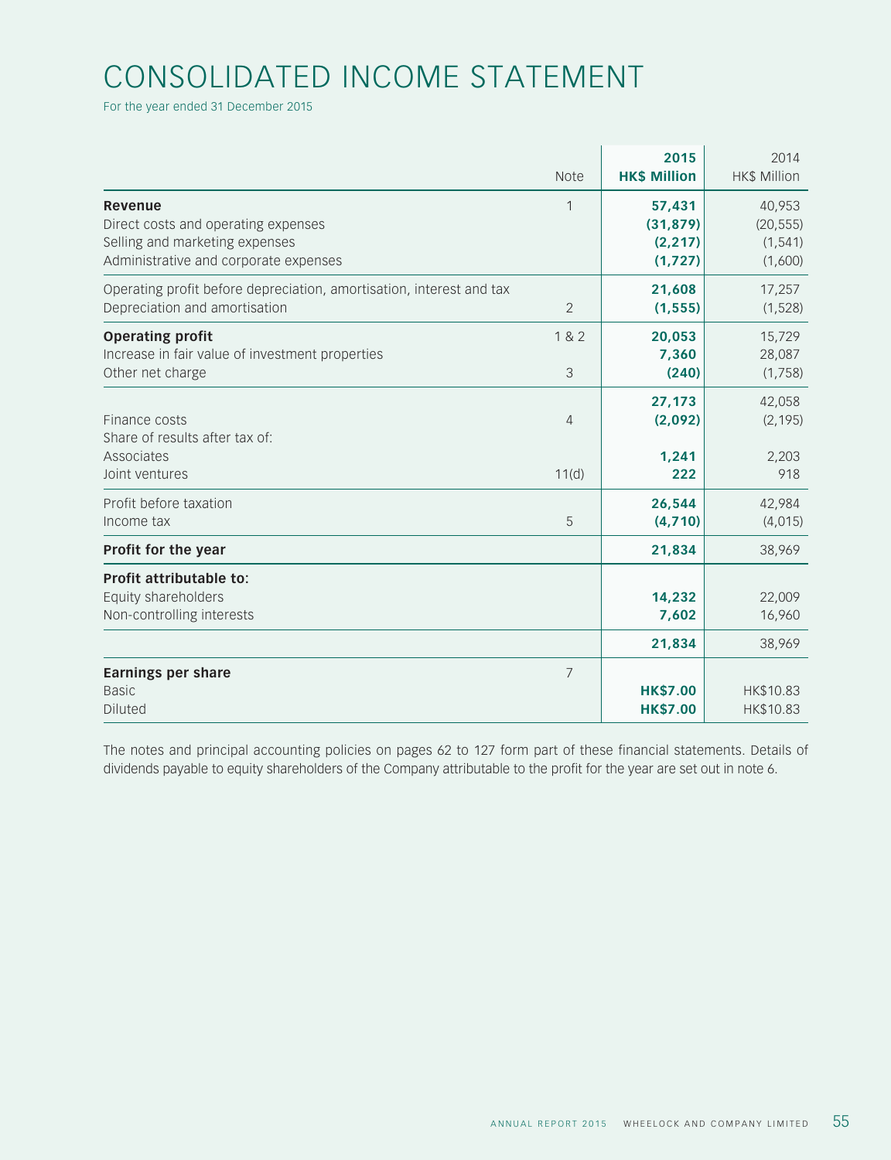# CONSOLIDATED INCOME STATEMENT

For the year ended 31 December 2015

|                                                                                                                           | <b>Note</b>    | 2015<br><b>HK\$ Million</b>                 | 2014<br><b>HK\$ Million</b>                |
|---------------------------------------------------------------------------------------------------------------------------|----------------|---------------------------------------------|--------------------------------------------|
| Revenue<br>Direct costs and operating expenses<br>Selling and marketing expenses<br>Administrative and corporate expenses | 1              | 57,431<br>(31, 879)<br>(2, 217)<br>(1, 727) | 40,953<br>(20, 555)<br>(1, 541)<br>(1,600) |
| Operating profit before depreciation, amortisation, interest and tax<br>Depreciation and amortisation                     | $\overline{2}$ | 21,608<br>(1, 555)                          | 17,257<br>(1, 528)                         |
| <b>Operating profit</b><br>Increase in fair value of investment properties<br>Other net charge                            | 1 & 2<br>3     | 20,053<br>7,360<br>(240)                    | 15,729<br>28,087<br>(1,758)                |
| Finance costs<br>Share of results after tax of:<br>Associates                                                             | $\overline{4}$ | 27,173<br>(2,092)<br>1,241                  | 42,058<br>(2, 195)<br>2,203                |
| Joint ventures<br>Profit before taxation<br>Income tax                                                                    | 11(d)<br>5     | 222<br>26,544<br>(4,710)                    | 918<br>42,984<br>(4,015)                   |
| Profit for the year                                                                                                       |                | 21,834                                      | 38,969                                     |
| Profit attributable to:<br>Equity shareholders<br>Non-controlling interests                                               |                | 14,232<br>7,602<br>21,834                   | 22,009<br>16,960<br>38,969                 |
| <b>Earnings per share</b><br><b>Basic</b><br><b>Diluted</b>                                                               | $\overline{7}$ | <b>HK\$7.00</b><br><b>HK\$7.00</b>          | HK\$10.83<br>HK\$10.83                     |

The notes and principal accounting policies on pages 62 to 127 form part of these financial statements. Details of dividends payable to equity shareholders of the Company attributable to the profit for the year are set out in note 6.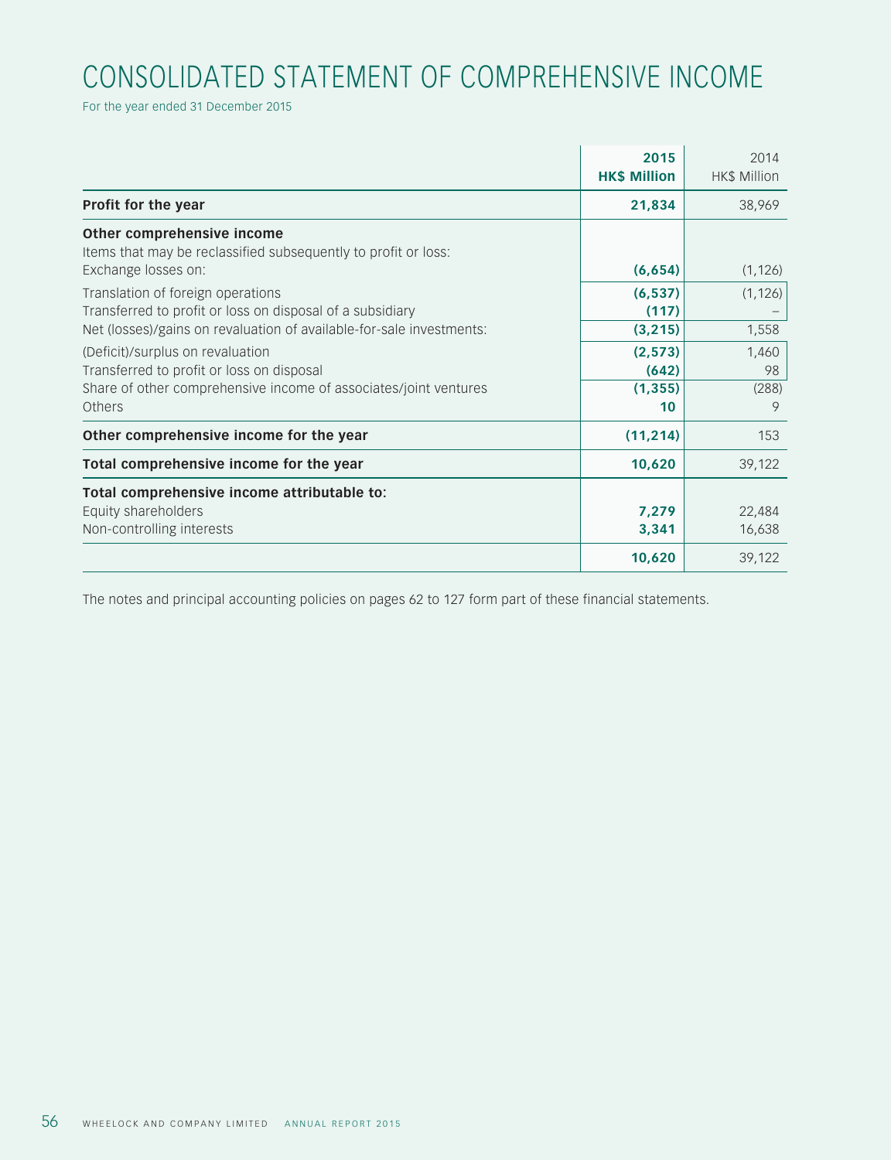# CONSOLIDATED STATEMENT OF COMPREHENSIVE INCOME

For the year ended 31 December 2015

|                                                                                              | 2015<br><b>HK\$ Million</b> | 2014<br><b>HK\$ Million</b> |
|----------------------------------------------------------------------------------------------|-----------------------------|-----------------------------|
| Profit for the year                                                                          | 21,834                      | 38,969                      |
| Other comprehensive income<br>Items that may be reclassified subsequently to profit or loss: |                             |                             |
| Exchange losses on:                                                                          | (6, 654)                    | (1, 126)                    |
| Translation of foreign operations                                                            | (6, 537)                    | (1, 126)                    |
| Transferred to profit or loss on disposal of a subsidiary                                    | (117)                       |                             |
| Net (losses)/gains on revaluation of available-for-sale investments:                         | (3, 215)                    | 1,558                       |
| (Deficit)/surplus on revaluation                                                             | (2, 573)                    | 1,460                       |
| Transferred to profit or loss on disposal                                                    | (642)                       | 98                          |
| Share of other comprehensive income of associates/joint ventures                             | (1, 355)                    | (288)                       |
| Others                                                                                       | 10                          | 9                           |
| Other comprehensive income for the year                                                      | (11, 214)                   | 153                         |
| Total comprehensive income for the year                                                      | 10,620                      | 39,122                      |
| Total comprehensive income attributable to:                                                  |                             |                             |
| Equity shareholders                                                                          | 7,279                       | 22,484                      |
| Non-controlling interests                                                                    | 3,341                       | 16,638                      |
|                                                                                              | 10,620                      | 39,122                      |

The notes and principal accounting policies on pages 62 to 127 form part of these financial statements.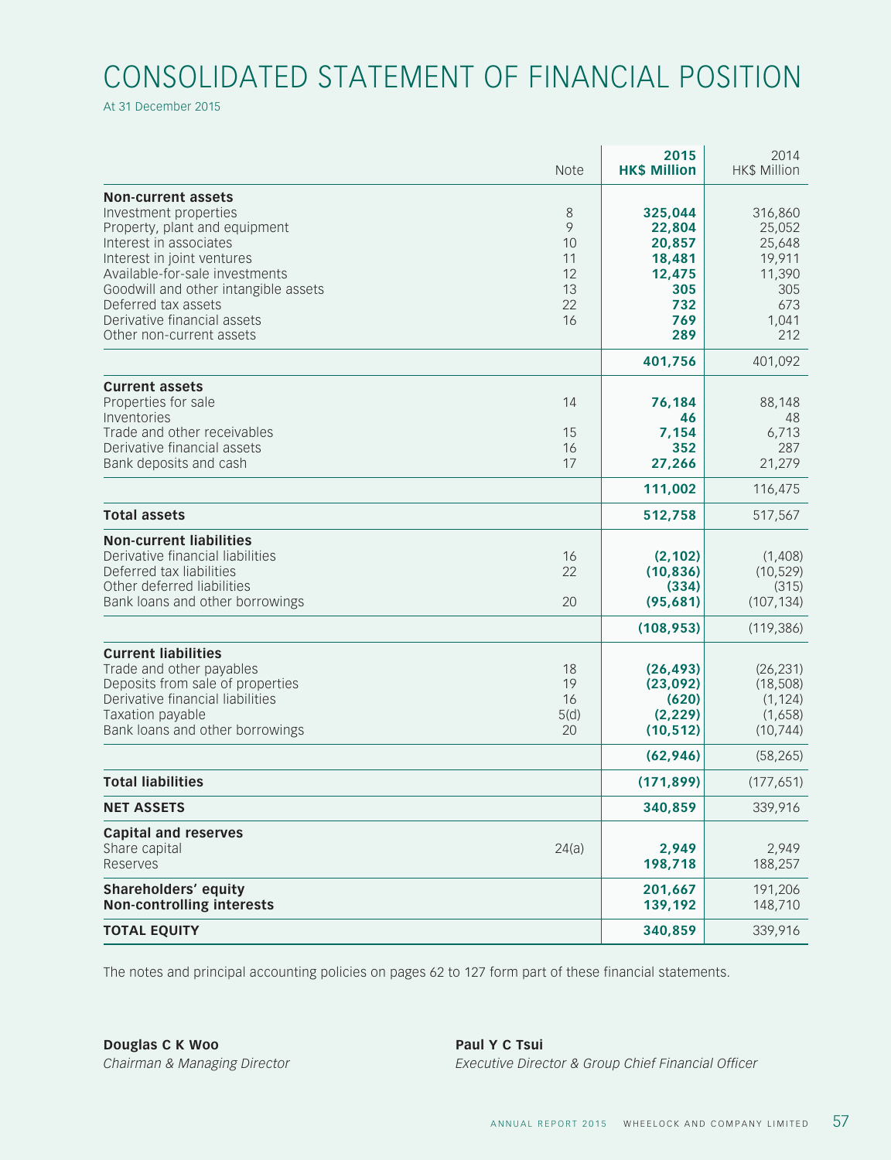# CONSOLIDATED STATEMENT OF FINANCIAL POSITION

At 31 December 2015

|                                                                                                                                                                                                                                                                                                         | <b>Note</b>                                | 2015<br><b>HK\$ Million</b>                                                 | 2014<br><b>HK\$ Million</b>                                                   |
|---------------------------------------------------------------------------------------------------------------------------------------------------------------------------------------------------------------------------------------------------------------------------------------------------------|--------------------------------------------|-----------------------------------------------------------------------------|-------------------------------------------------------------------------------|
| <b>Non-current assets</b><br>Investment properties<br>Property, plant and equipment<br>Interest in associates<br>Interest in joint ventures<br>Available-for-sale investments<br>Goodwill and other intangible assets<br>Deferred tax assets<br>Derivative financial assets<br>Other non-current assets | 8<br>9<br>10<br>11<br>12<br>13<br>22<br>16 | 325,044<br>22,804<br>20,857<br>18,481<br>12,475<br>305<br>732<br>769<br>289 | 316,860<br>25,052<br>25,648<br>19,911<br>11,390<br>305<br>673<br>1,041<br>212 |
|                                                                                                                                                                                                                                                                                                         |                                            | 401,756                                                                     | 401,092                                                                       |
| <b>Current assets</b><br>Properties for sale<br>Inventories<br>Trade and other receivables<br>Derivative financial assets<br>Bank deposits and cash                                                                                                                                                     | 14<br>15<br>16<br>17                       | 76,184<br>46<br>7,154<br>352<br>27,266                                      | 88,148<br>48<br>6,713<br>287<br>21,279                                        |
|                                                                                                                                                                                                                                                                                                         |                                            | 111,002                                                                     | 116,475                                                                       |
| <b>Total assets</b>                                                                                                                                                                                                                                                                                     |                                            | 512,758                                                                     | 517,567                                                                       |
| <b>Non-current liabilities</b><br>Derivative financial liabilities<br>Deferred tax liabilities<br>Other deferred liabilities<br>Bank loans and other borrowings                                                                                                                                         | 16<br>22<br>20                             | (2, 102)<br>(10, 836)<br>(334)<br>(95, 681)                                 | (1,408)<br>(10, 529)<br>(315)<br>(107, 134)                                   |
|                                                                                                                                                                                                                                                                                                         |                                            | (108, 953)                                                                  | (119, 386)                                                                    |
| <b>Current liabilities</b><br>Trade and other payables<br>Deposits from sale of properties<br>Derivative financial liabilities<br>Taxation payable<br>Bank loans and other borrowings                                                                                                                   | 18<br>19<br>16<br>5(d)<br>20               | (26, 493)<br>(23,092)<br>(620)<br>(2, 229)<br>(10, 512)                     | (26, 231)<br>(18, 508)<br>(1, 124)<br>(1,658)<br>(10, 744)                    |
|                                                                                                                                                                                                                                                                                                         |                                            | (62, 946)                                                                   | (58, 265)                                                                     |
| <b>Total liabilities</b>                                                                                                                                                                                                                                                                                |                                            | (171, 899)                                                                  | (177, 651)                                                                    |
| <b>NET ASSETS</b>                                                                                                                                                                                                                                                                                       |                                            | 340,859                                                                     | 339,916                                                                       |
| <b>Capital and reserves</b><br>Share capital<br>Reserves                                                                                                                                                                                                                                                | 24(a)                                      | 2,949<br>198,718                                                            | 2,949<br>188,257                                                              |
| <b>Shareholders' equity</b><br><b>Non-controlling interests</b>                                                                                                                                                                                                                                         |                                            | 201,667<br>139,192                                                          | 191,206<br>148,710                                                            |
| <b>TOTAL EQUITY</b>                                                                                                                                                                                                                                                                                     |                                            | 340,859                                                                     | 339,916                                                                       |

The notes and principal accounting policies on pages 62 to 127 form part of these financial statements.

**Douglas C K Woo Paul Y C Tsui** 

*Chairman & Managing Director Executive Director & Group Chief Financial Officer*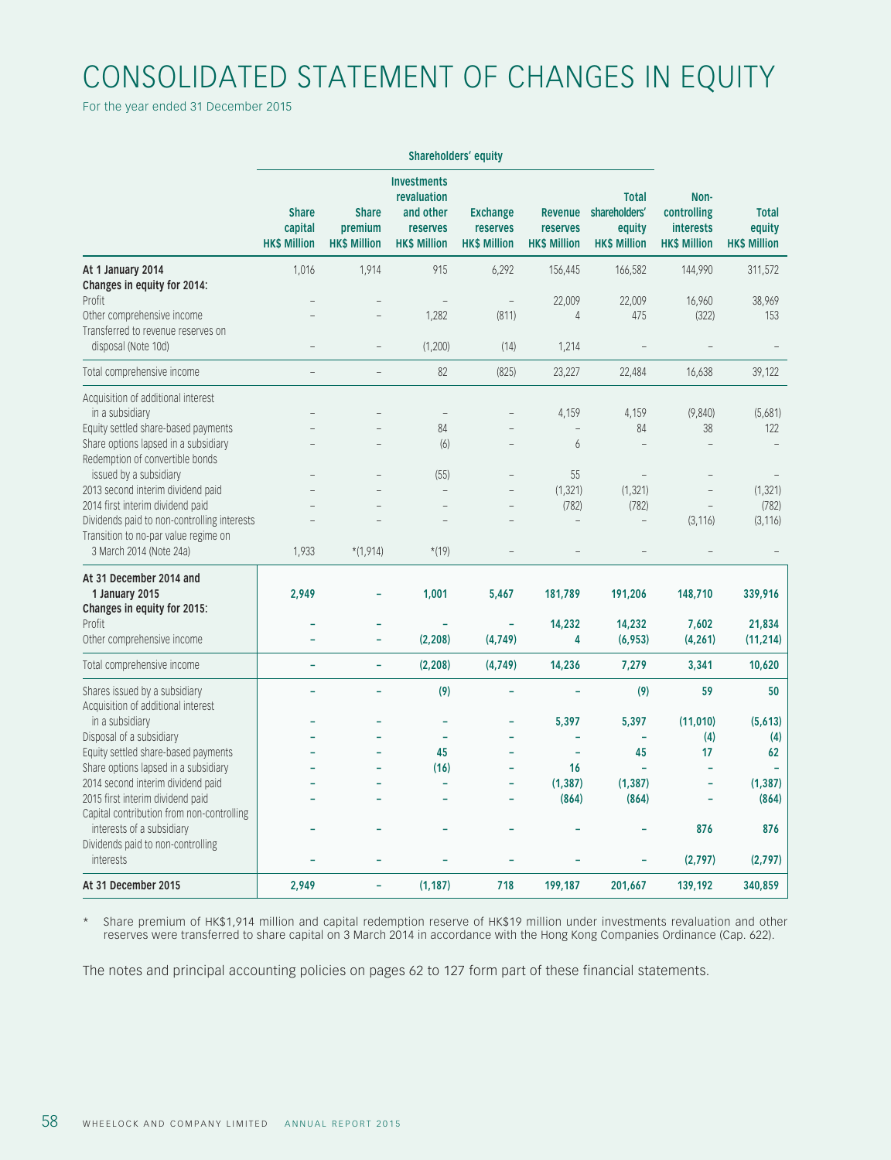# CONSOLIDATED STATEMENT OF CHANGES IN EQUITY

For the year ended 31 December 2015

|                                                                     | Shareholders' equity                           |                                                |                                                                                   |                                                    |                                                   |                                                                |                                                                |                                               |
|---------------------------------------------------------------------|------------------------------------------------|------------------------------------------------|-----------------------------------------------------------------------------------|----------------------------------------------------|---------------------------------------------------|----------------------------------------------------------------|----------------------------------------------------------------|-----------------------------------------------|
|                                                                     | <b>Share</b><br>capital<br><b>HK\$ Million</b> | <b>Share</b><br>premium<br><b>HK\$ Million</b> | <b>Investments</b><br>revaluation<br>and other<br>reserves<br><b>HK\$ Million</b> | <b>Exchange</b><br>reserves<br><b>HK\$ Million</b> | <b>Revenue</b><br>reserves<br><b>HK\$ Million</b> | <b>Total</b><br>shareholders'<br>equity<br><b>HK\$ Million</b> | Non-<br>controlling<br><b>interests</b><br><b>HK\$ Million</b> | <b>Total</b><br>equity<br><b>HK\$ Million</b> |
| At 1 January 2014                                                   | 1,016                                          | 1,914                                          | 915                                                                               | 6,292                                              | 156,445                                           | 166,582                                                        | 144,990                                                        | 311,572                                       |
| Changes in equity for 2014:                                         |                                                |                                                |                                                                                   |                                                    |                                                   |                                                                |                                                                |                                               |
| Profit<br>Other comprehensive income                                |                                                |                                                | 1,282                                                                             | $\qquad \qquad -$<br>(811)                         | 22,009<br>$\overline{4}$                          | 22,009<br>475                                                  | 16,960<br>(322)                                                | 38,969<br>153                                 |
| Transferred to revenue reserves on                                  |                                                |                                                |                                                                                   |                                                    |                                                   |                                                                |                                                                |                                               |
| disposal (Note 10d)                                                 |                                                |                                                | (1,200)                                                                           | (14)                                               | 1,214                                             |                                                                |                                                                |                                               |
| Total comprehensive income                                          |                                                |                                                | 82                                                                                | (825)                                              | 23,227                                            | 22,484                                                         | 16,638                                                         | 39,122                                        |
| Acquisition of additional interest                                  |                                                |                                                |                                                                                   |                                                    |                                                   |                                                                |                                                                |                                               |
| in a subsidiary                                                     |                                                |                                                | $\overline{\phantom{a}}$                                                          |                                                    | 4,159                                             | 4,159                                                          | (9, 840)                                                       | (5,681)                                       |
| Equity settled share-based payments                                 |                                                |                                                | 84                                                                                |                                                    | $\overline{\phantom{0}}$                          | 84                                                             | 38                                                             | 122                                           |
| Share options lapsed in a subsidiary                                |                                                |                                                | (6)                                                                               | $\overline{\phantom{0}}$                           | 6                                                 | $\overline{a}$                                                 |                                                                |                                               |
| Redemption of convertible bonds                                     |                                                |                                                |                                                                                   |                                                    |                                                   |                                                                |                                                                |                                               |
| issued by a subsidiary                                              |                                                |                                                | (55)                                                                              | $\overline{\phantom{0}}$                           | 55                                                | $\qquad \qquad -$                                              |                                                                |                                               |
| 2013 second interim dividend paid                                   |                                                |                                                | $\overline{a}$                                                                    |                                                    | (1, 321)                                          | (1, 321)                                                       |                                                                | (1, 321)                                      |
| 2014 first interim dividend paid                                    |                                                |                                                |                                                                                   |                                                    | (782)                                             | (782)                                                          |                                                                | (782)                                         |
| Dividends paid to non-controlling interests                         |                                                |                                                |                                                                                   |                                                    |                                                   | $\overline{a}$                                                 | (3, 116)                                                       | (3, 116)                                      |
| Transition to no-par value regime on                                |                                                |                                                |                                                                                   |                                                    |                                                   |                                                                |                                                                |                                               |
| 3 March 2014 (Note 24a)                                             | 1,933                                          | $*(1,914)$                                     | $*(19)$                                                                           |                                                    |                                                   |                                                                |                                                                |                                               |
| At 31 December 2014 and                                             |                                                |                                                |                                                                                   |                                                    |                                                   |                                                                |                                                                |                                               |
| 1 January 2015<br>Changes in equity for 2015:                       | 2,949                                          | ÷                                              | 1,001                                                                             | 5,467                                              | 181,789                                           | 191,206                                                        | 148,710                                                        | 339,916                                       |
| Profit                                                              |                                                |                                                |                                                                                   |                                                    | 14,232                                            | 14,232                                                         | 7,602                                                          | 21,834                                        |
| Other comprehensive income                                          |                                                |                                                | (2, 208)                                                                          | (4,749)                                            | 4                                                 | (6,953)                                                        | (4, 261)                                                       | (11, 214)                                     |
| Total comprehensive income                                          |                                                | ÷,                                             | (2, 208)                                                                          | (4,749)                                            | 14,236                                            | 7,279                                                          | 3,341                                                          | 10,620                                        |
|                                                                     |                                                |                                                |                                                                                   |                                                    |                                                   |                                                                |                                                                |                                               |
| Shares issued by a subsidiary<br>Acquisition of additional interest |                                                | $\overline{a}$                                 | (9)                                                                               | L.                                                 |                                                   | (9)                                                            | 59                                                             | 50                                            |
| in a subsidiary                                                     |                                                |                                                |                                                                                   | ۳                                                  | 5,397                                             | 5,397                                                          | (11,010)                                                       | (5,613)                                       |
| Disposal of a subsidiary                                            |                                                |                                                | ۳                                                                                 |                                                    |                                                   |                                                                | (4)                                                            | (4)                                           |
| Equity settled share-based payments                                 |                                                |                                                | 45                                                                                | ÷,                                                 | ٠                                                 | 45                                                             | 17                                                             | 62                                            |
| Share options lapsed in a subsidiary                                |                                                |                                                | (16)                                                                              |                                                    | 16                                                |                                                                |                                                                |                                               |
| 2014 second interim dividend paid                                   |                                                |                                                |                                                                                   | ÷                                                  | (1, 387)                                          | (1, 387)                                                       | ÷                                                              | (1, 387)                                      |
| 2015 first interim dividend paid                                    |                                                |                                                |                                                                                   |                                                    | (864)                                             | (864)                                                          |                                                                | (864)                                         |
| Capital contribution from non-controlling                           |                                                |                                                |                                                                                   |                                                    |                                                   |                                                                |                                                                |                                               |
| interests of a subsidiary                                           |                                                |                                                |                                                                                   |                                                    |                                                   |                                                                | 876                                                            | 876                                           |
| Dividends paid to non-controlling                                   |                                                |                                                |                                                                                   |                                                    |                                                   |                                                                |                                                                |                                               |
| interests                                                           |                                                |                                                |                                                                                   |                                                    |                                                   |                                                                | (2,797)                                                        | (2,797)                                       |
| At 31 December 2015                                                 | 2,949                                          | ÷,                                             | (1, 187)                                                                          | 718                                                | 199,187                                           | 201,667                                                        | 139,192                                                        | 340,859                                       |

\* Share premium of HK\$1,914 million and capital redemption reserve of HK\$19 million under investments revaluation and other reserves were transferred to share capital on 3 March 2014 in accordance with the Hong Kong Companies Ordinance (Cap. 622).

The notes and principal accounting policies on pages 62 to 127 form part of these financial statements.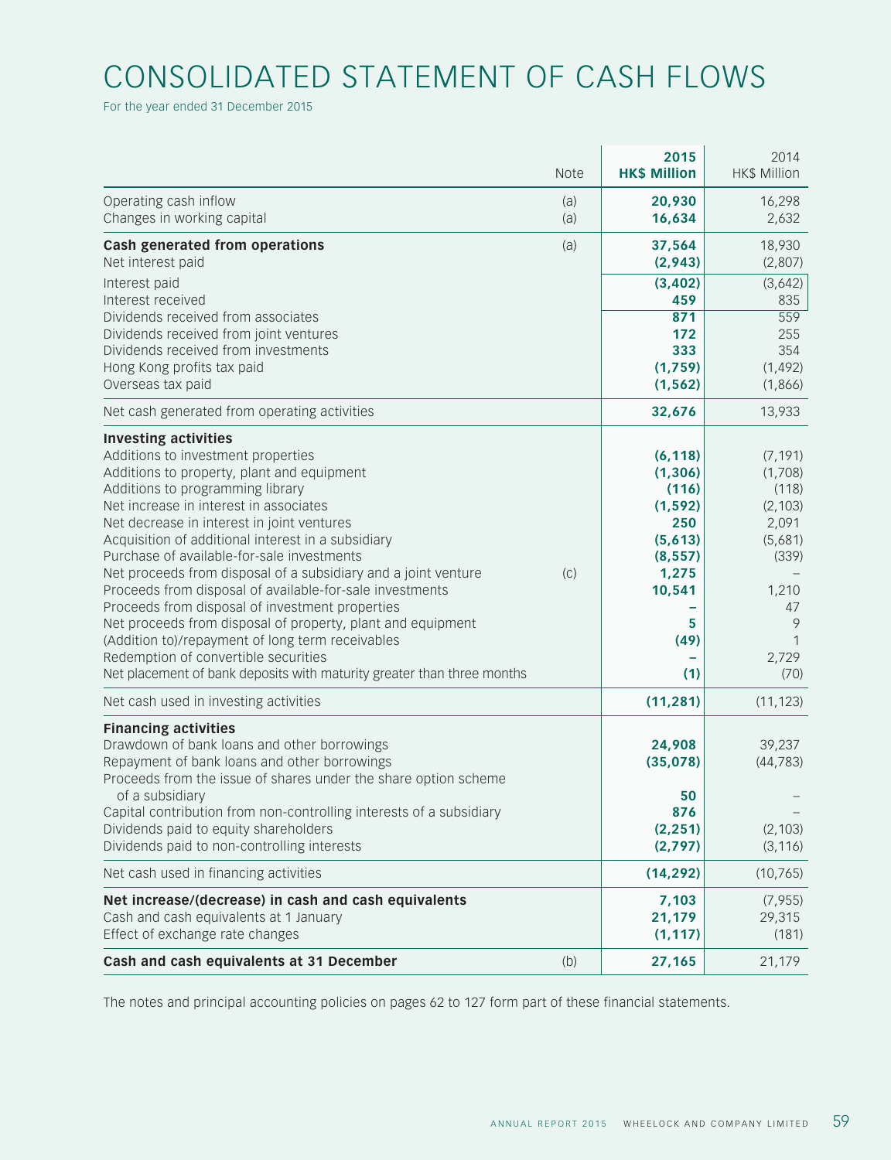# CONSOLIDATED STATEMENT OF CASH FLOWS

For the year ended 31 December 2015

|                                                                                                                                                                                                                                                                                                                                                                                                                                                                                                                                                                                                                                                                                                                                                                       | <b>Note</b> | 2015<br><b>HK\$ Million</b>                                                                                    | 2014<br><b>HK\$ Million</b>                                                                                     |
|-----------------------------------------------------------------------------------------------------------------------------------------------------------------------------------------------------------------------------------------------------------------------------------------------------------------------------------------------------------------------------------------------------------------------------------------------------------------------------------------------------------------------------------------------------------------------------------------------------------------------------------------------------------------------------------------------------------------------------------------------------------------------|-------------|----------------------------------------------------------------------------------------------------------------|-----------------------------------------------------------------------------------------------------------------|
| Operating cash inflow<br>Changes in working capital                                                                                                                                                                                                                                                                                                                                                                                                                                                                                                                                                                                                                                                                                                                   | (a)<br>(a)  | 20,930<br>16,634                                                                                               | 16,298<br>2,632                                                                                                 |
| Cash generated from operations<br>Net interest paid                                                                                                                                                                                                                                                                                                                                                                                                                                                                                                                                                                                                                                                                                                                   | (a)         | 37,564<br>(2, 943)                                                                                             | 18,930<br>(2,807)                                                                                               |
| Interest paid<br>Interest received<br>Dividends received from associates                                                                                                                                                                                                                                                                                                                                                                                                                                                                                                                                                                                                                                                                                              |             | (3, 402)<br>459<br>871                                                                                         | (3,642)<br>835<br>559                                                                                           |
| Dividends received from joint ventures<br>Dividends received from investments<br>Hong Kong profits tax paid<br>Overseas tax paid                                                                                                                                                                                                                                                                                                                                                                                                                                                                                                                                                                                                                                      |             | 172<br>333<br>(1,759)<br>(1, 562)                                                                              | 255<br>354<br>(1, 492)<br>(1,866)                                                                               |
| Net cash generated from operating activities                                                                                                                                                                                                                                                                                                                                                                                                                                                                                                                                                                                                                                                                                                                          |             | 32,676                                                                                                         | 13,933                                                                                                          |
| <b>Investing activities</b><br>Additions to investment properties<br>Additions to property, plant and equipment<br>Additions to programming library<br>Net increase in interest in associates<br>Net decrease in interest in joint ventures<br>Acquisition of additional interest in a subsidiary<br>Purchase of available-for-sale investments<br>Net proceeds from disposal of a subsidiary and a joint venture<br>Proceeds from disposal of available-for-sale investments<br>Proceeds from disposal of investment properties<br>Net proceeds from disposal of property, plant and equipment<br>(Addition to)/repayment of long term receivables<br>Redemption of convertible securities<br>Net placement of bank deposits with maturity greater than three months | (C)         | (6, 118)<br>(1, 306)<br>(116)<br>(1, 592)<br>250<br>(5,613)<br>(8, 557)<br>1,275<br>10,541<br>5<br>(49)<br>(1) | (7, 191)<br>(1,708)<br>(118)<br>(2, 103)<br>2,091<br>(5,681)<br>(339)<br>1,210<br>47<br>9<br>1<br>2,729<br>(70) |
| Net cash used in investing activities                                                                                                                                                                                                                                                                                                                                                                                                                                                                                                                                                                                                                                                                                                                                 |             | (11, 281)                                                                                                      | (11, 123)                                                                                                       |
| <b>Financing activities</b><br>Drawdown of bank loans and other borrowings<br>Repayment of bank loans and other borrowings<br>Proceeds from the issue of shares under the share option scheme<br>of a subsidiary<br>Capital contribution from non-controlling interests of a subsidiary<br>Dividends paid to equity shareholders<br>Dividends paid to non-controlling interests                                                                                                                                                                                                                                                                                                                                                                                       |             | 24,908<br>(35,078)<br>50<br>876<br>(2, 251)<br>(2,797)                                                         | 39,237<br>(44, 783)<br>(2, 103)<br>(3, 116)                                                                     |
| Net cash used in financing activities                                                                                                                                                                                                                                                                                                                                                                                                                                                                                                                                                                                                                                                                                                                                 |             | (14, 292)                                                                                                      | (10, 765)                                                                                                       |
| Net increase/(decrease) in cash and cash equivalents<br>Cash and cash equivalents at 1 January<br>Effect of exchange rate changes                                                                                                                                                                                                                                                                                                                                                                                                                                                                                                                                                                                                                                     |             | 7,103<br>21,179<br>(1, 117)                                                                                    | (7, 955)<br>29,315<br>(181)                                                                                     |
| Cash and cash equivalents at 31 December                                                                                                                                                                                                                                                                                                                                                                                                                                                                                                                                                                                                                                                                                                                              | (b)         | 27,165                                                                                                         | 21,179                                                                                                          |

The notes and principal accounting policies on pages 62 to 127 form part of these financial statements.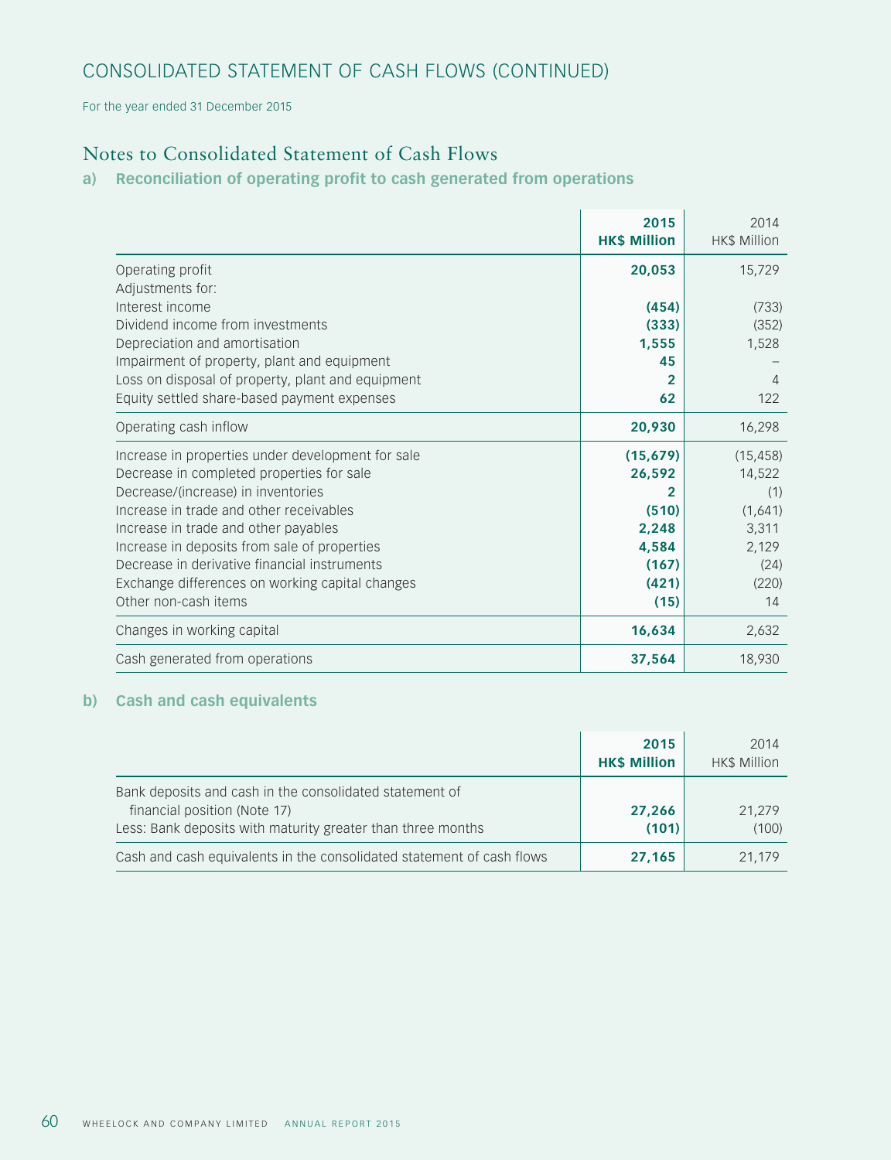# CONSOLIDATED STATEMENT OF CASH FLOWS (CONTINUED)

For the year ended 31 December 2015

# Notes to Consolidated Statement of Cash Flows

## **a) Reconciliation of operating profit to cash generated from operations**

|                                                   | 2015<br><b>HK\$ Million</b> | 2014<br><b>HK\$ Million</b> |
|---------------------------------------------------|-----------------------------|-----------------------------|
| Operating profit                                  | 20,053                      | 15,729                      |
| Adjustments for:                                  |                             |                             |
| Interest income                                   | (454)                       | (733)                       |
| Dividend income from investments                  | (333)                       | (352)                       |
| Depreciation and amortisation                     | 1,555                       | 1,528                       |
| Impairment of property, plant and equipment       | 45                          |                             |
| Loss on disposal of property, plant and equipment | $\mathbf{2}$                | 4                           |
| Equity settled share-based payment expenses       | 62                          | 122                         |
| Operating cash inflow                             | 20,930                      | 16,298                      |
| Increase in properties under development for sale | (15, 679)                   | (15, 458)                   |
| Decrease in completed properties for sale         | 26,592                      | 14,522                      |
| Decrease/(increase) in inventories                | 2                           | (1)                         |
| Increase in trade and other receivables           | (510)                       | (1,641)                     |
| Increase in trade and other payables              | 2,248                       | 3,311                       |
| Increase in deposits from sale of properties      | 4,584                       | 2,129                       |
| Decrease in derivative financial instruments      | (167)                       | (24)                        |
| Exchange differences on working capital changes   | (421)                       | (220)                       |
| Other non-cash items                              | (15)                        | 14                          |
| Changes in working capital                        | 16,634                      | 2,632                       |
| Cash generated from operations                    | 37,564                      | 18,930                      |

## **b) Cash and cash equivalents**

|                                                                                                                                                        | 2015<br><b>HK\$ Million</b> | 2014<br><b>HK\$ Million</b> |
|--------------------------------------------------------------------------------------------------------------------------------------------------------|-----------------------------|-----------------------------|
| Bank deposits and cash in the consolidated statement of<br>financial position (Note 17)<br>Less: Bank deposits with maturity greater than three months | 27,266<br>(101)             | 21.279<br>(100)             |
| Cash and cash equivalents in the consolidated statement of cash flows                                                                                  | 27,165                      | 21.179                      |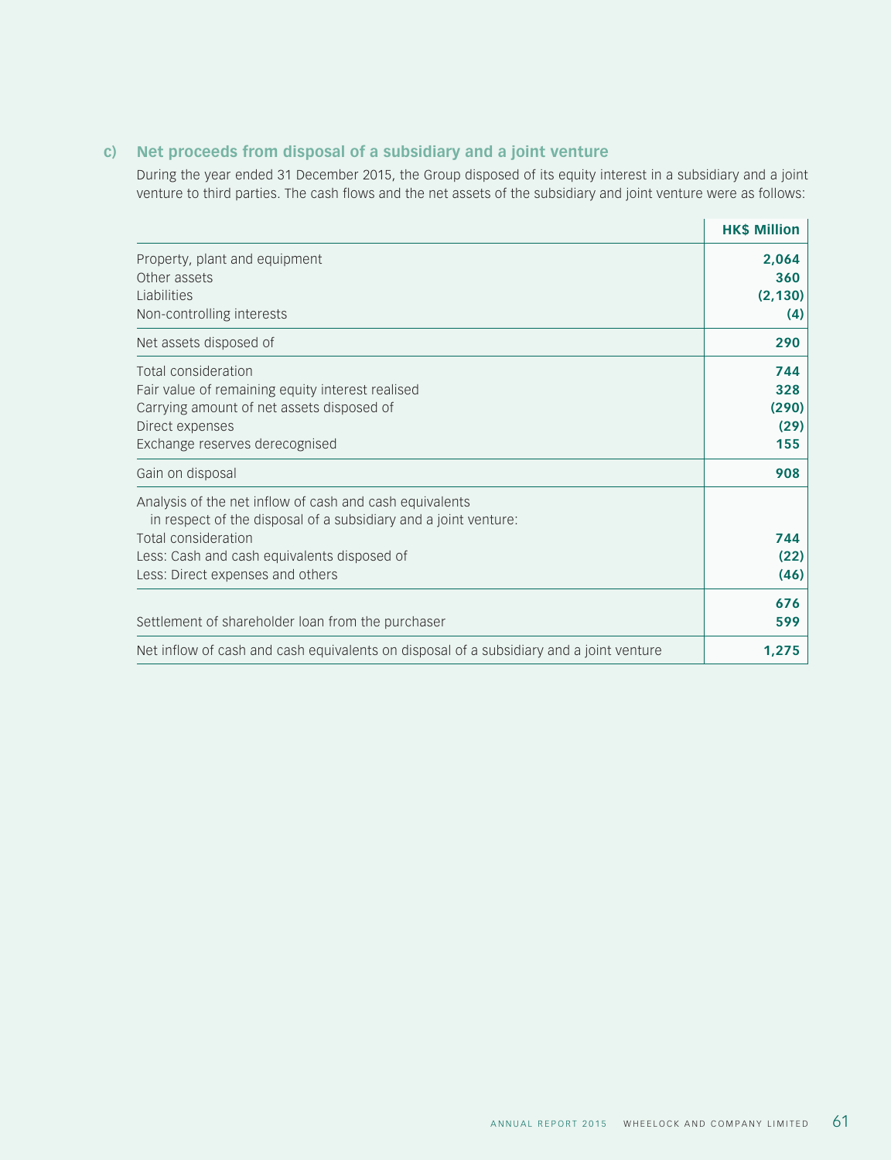## **c) Net proceeds from disposal of a subsidiary and a joint venture**

During the year ended 31 December 2015, the Group disposed of its equity interest in a subsidiary and a joint venture to third parties. The cash flows and the net assets of the subsidiary and joint venture were as follows:

|                                                                                                                                                                                                                                      | <b>HK\$ Million</b>                |
|--------------------------------------------------------------------------------------------------------------------------------------------------------------------------------------------------------------------------------------|------------------------------------|
| Property, plant and equipment<br>Other assets<br>Liabilities<br>Non-controlling interests                                                                                                                                            | 2,064<br>360<br>(2, 130)<br>(4)    |
| Net assets disposed of                                                                                                                                                                                                               | 290                                |
| Total consideration<br>Fair value of remaining equity interest realised<br>Carrying amount of net assets disposed of<br>Direct expenses<br>Exchange reserves derecognised                                                            | 744<br>328<br>(290)<br>(29)<br>155 |
| Gain on disposal                                                                                                                                                                                                                     | 908                                |
| Analysis of the net inflow of cash and cash equivalents<br>in respect of the disposal of a subsidiary and a joint venture:<br>Total consideration<br>Less: Cash and cash equivalents disposed of<br>Less: Direct expenses and others | 744<br>(22)<br>(46)                |
| Settlement of shareholder loan from the purchaser                                                                                                                                                                                    | 676<br>599                         |
| Net inflow of cash and cash equivalents on disposal of a subsidiary and a joint venture                                                                                                                                              | 1,275                              |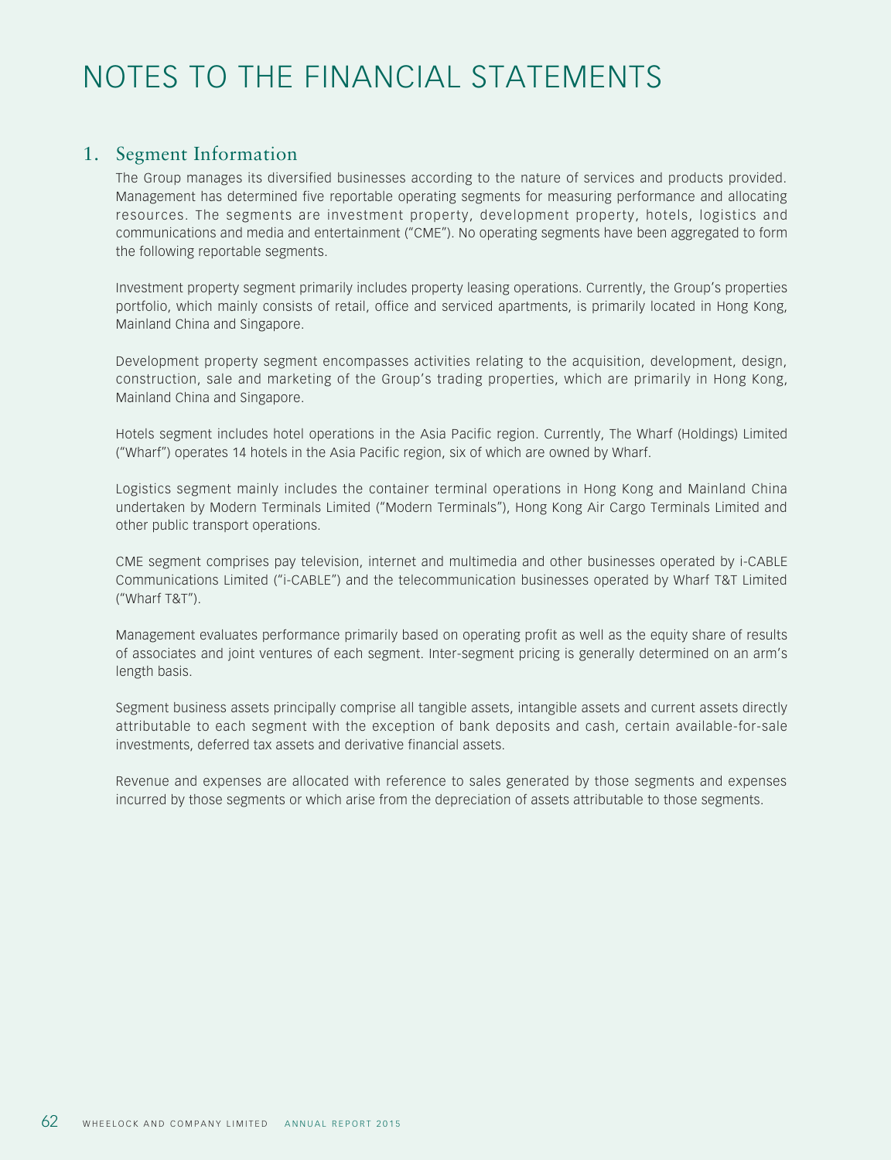# NOTES TO THE FINANCIAL STATEMENTS

## 1. Segment Information

The Group manages its diversified businesses according to the nature of services and products provided. Management has determined five reportable operating segments for measuring performance and allocating resources. The segments are investment property, development property, hotels, logistics and communications and media and entertainment ("CME"). No operating segments have been aggregated to form the following reportable segments.

Investment property segment primarily includes property leasing operations. Currently, the Group's properties portfolio, which mainly consists of retail, office and serviced apartments, is primarily located in Hong Kong, Mainland China and Singapore.

Development property segment encompasses activities relating to the acquisition, development, design, construction, sale and marketing of the Group's trading properties, which are primarily in Hong Kong, Mainland China and Singapore.

Hotels segment includes hotel operations in the Asia Pacific region. Currently, The Wharf (Holdings) Limited ("Wharf") operates 14 hotels in the Asia Pacific region, six of which are owned by Wharf.

Logistics segment mainly includes the container terminal operations in Hong Kong and Mainland China undertaken by Modern Terminals Limited ("Modern Terminals"), Hong Kong Air Cargo Terminals Limited and other public transport operations.

CME segment comprises pay television, internet and multimedia and other businesses operated by i-CABLE Communications Limited ("i-CABLE") and the telecommunication businesses operated by Wharf T&T Limited ("Wharf T&T").

Management evaluates performance primarily based on operating profit as well as the equity share of results of associates and joint ventures of each segment. Inter-segment pricing is generally determined on an arm's length basis.

Segment business assets principally comprise all tangible assets, intangible assets and current assets directly attributable to each segment with the exception of bank deposits and cash, certain available-for-sale investments, deferred tax assets and derivative financial assets.

Revenue and expenses are allocated with reference to sales generated by those segments and expenses incurred by those segments or which arise from the depreciation of assets attributable to those segments.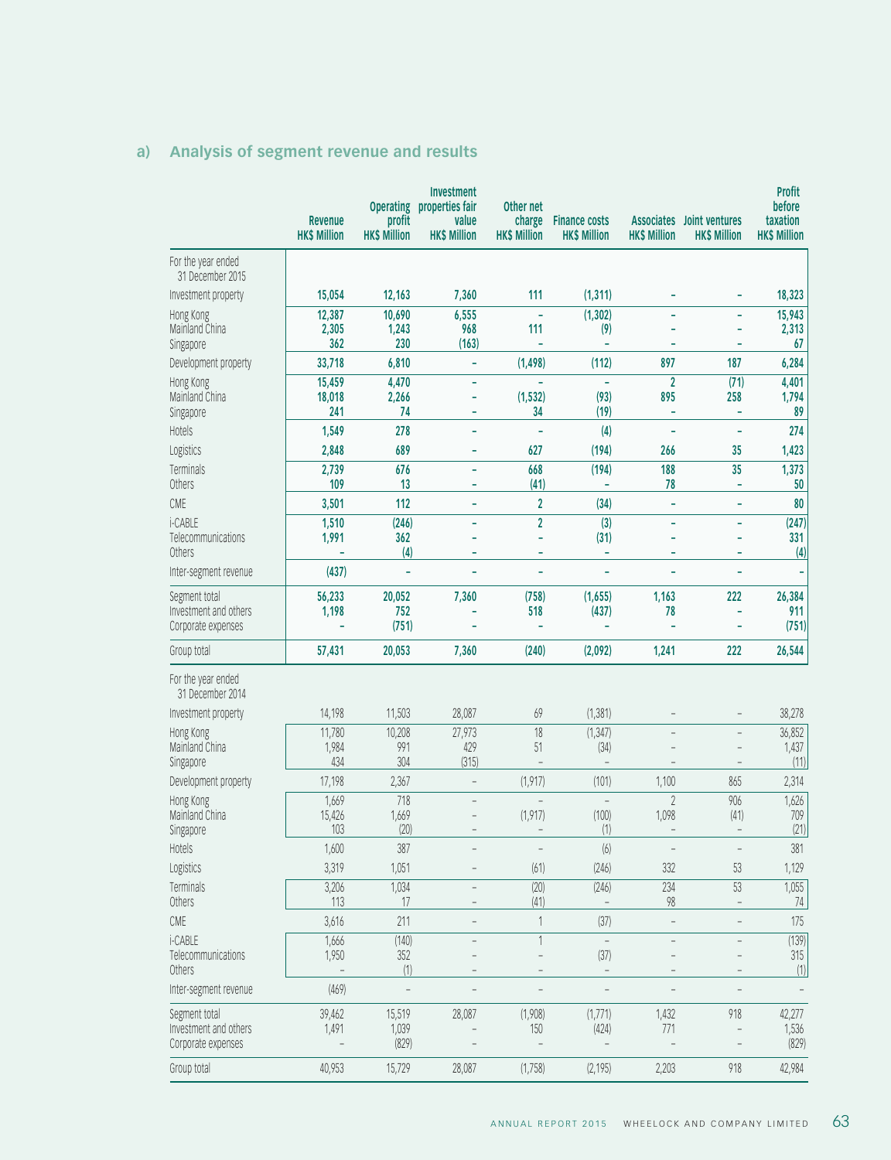|                                        | Revenue<br><b>HK\$ Million</b> | <b>Operating</b><br>profit<br><b>HK\$ Million</b> | <b>Investment</b><br>properties fair<br>value<br><b>HK\$ Million</b> | Other net<br>charge<br><b>HK\$ Million</b> | <b>Finance costs</b><br><b>HK\$ Million</b> | <b>HK\$ Million</b>      | Associates Joint ventures<br><b>HK\$ Million</b> | <b>Profit</b><br>before<br>taxation<br><b>HK\$ Million</b> |
|----------------------------------------|--------------------------------|---------------------------------------------------|----------------------------------------------------------------------|--------------------------------------------|---------------------------------------------|--------------------------|--------------------------------------------------|------------------------------------------------------------|
| For the year ended<br>31 December 2015 |                                |                                                   |                                                                      |                                            |                                             |                          |                                                  |                                                            |
| Investment property                    | 15,054                         | 12,163                                            | 7,360                                                                | 111                                        | (1, 311)                                    |                          |                                                  | 18,323                                                     |
| Hong Kong                              | 12,387                         | 10,690                                            | 6,555                                                                | ÷,                                         | (1, 302)                                    | ÷                        |                                                  | 15,943                                                     |
| Mainland China<br>Singapore            | 2,305<br>362                   | 1,243<br>230                                      | 968<br>(163)                                                         | 111<br>÷,                                  | (9)<br>÷,                                   |                          |                                                  | 2,313<br>67                                                |
| Development property                   | 33,718                         | 6,810                                             | ÷,                                                                   | (1, 498)                                   | (112)                                       | 897                      | 187                                              | 6,284                                                      |
| Hong Kong                              | 15,459                         | 4,470                                             | ÷                                                                    |                                            | $\overline{\phantom{a}}$                    | $\overline{2}$           | (71)                                             | 4,401                                                      |
| Mainland China                         | 18,018                         | 2,266                                             | ÷,                                                                   | (1, 532)                                   | (93)                                        | 895                      | 258                                              | 1,794                                                      |
| Singapore                              | 241                            | 74                                                | ÷                                                                    | 34                                         | (19)                                        | ÷                        | ÷,                                               | 89                                                         |
| Hotels                                 | 1,549<br>2,848                 | 278<br>689                                        | ÷,<br>÷                                                              | L,<br>627                                  | (4)<br>(194)                                | ÷,                       | L,<br>35                                         | 274<br>1,423                                               |
| Logistics<br>Terminals                 | 2,739                          | 676                                               | ÷,                                                                   | 668                                        | (194)                                       | 266<br>188               | 35                                               | 1,373                                                      |
| Others                                 | 109                            | 13                                                | ÷                                                                    | (41)                                       | ÷,                                          | 78                       | L,                                               | 50                                                         |
| CME                                    | 3,501                          | 112                                               |                                                                      | $\overline{\mathbf{2}}$                    | (34)                                        | ÷,                       | L,                                               | 80                                                         |
| i-CABLE                                | 1,510                          | (246)                                             | ÷,                                                                   | $\overline{2}$                             | $\overline{(3)}$                            | ÷,                       | ÷                                                | (247)                                                      |
| Telecommunications<br>Others           | 1,991                          | 362                                               | ÷                                                                    | ä,<br>÷                                    | (31)<br>÷,                                  | ÷<br>÷                   | ÷<br>÷                                           | 331                                                        |
| Inter-segment revenue                  | (437)                          | (4)<br>L,                                         | L,                                                                   | ÷,                                         | ÷,                                          | L,                       | $\overline{a}$                                   | (4)<br>÷,                                                  |
| Segment total                          | 56,233                         | 20,052                                            | 7,360                                                                | (758)                                      | (1,655)                                     | 1,163                    | 222                                              | 26,384                                                     |
| Investment and others                  | 1,198                          | 752                                               |                                                                      | 518                                        | (437)                                       | 78                       |                                                  | 911                                                        |
| Corporate expenses                     |                                | (751)                                             |                                                                      | $\overline{\phantom{a}}$                   | $\overline{\phantom{a}}$                    | ÷,                       |                                                  | (751)                                                      |
| Group total                            | 57,431                         | 20,053                                            | 7,360                                                                | (240)                                      | (2,092)                                     | 1,241                    | 222                                              | 26,544                                                     |
| For the year ended<br>31 December 2014 |                                |                                                   |                                                                      |                                            |                                             |                          |                                                  |                                                            |
| Investment property                    | 14,198                         | 11,503                                            | 28,087                                                               | 69                                         | (1, 381)                                    |                          |                                                  | 38,278                                                     |
| Hong Kong                              | 11,780                         | 10,208                                            | 27,973                                                               | 18                                         | (1, 347)                                    |                          |                                                  | 36,852                                                     |
| Mainland China<br>Singapore            | 1,984<br>434                   | 991<br>304                                        | 429<br>(315)                                                         | 51                                         | (34)<br>$\qquad \qquad -$                   |                          |                                                  | 1,437<br>(11)                                              |
| Development property                   | 17,198                         | 2,367                                             | $\overline{\phantom{a}}$                                             | (1, 917)                                   | (101)                                       | 1,100                    | 865                                              | 2,314                                                      |
| Hong Kong                              | 1,669                          | 718                                               | $\overline{a}$                                                       | $\overline{a}$                             | $\bar{a}$                                   | $\overline{2}$           | 906                                              | 1,626                                                      |
| Mainland China                         | 15,426                         | 1,669                                             |                                                                      | (1, 917)                                   | (100)                                       | 1,098                    | (41)                                             | 709                                                        |
| Singapore                              | 103                            | (20)                                              |                                                                      |                                            | (1)                                         |                          | $\overline{\phantom{0}}$                         | (21)                                                       |
| Hotels                                 | 1,600                          | 387                                               |                                                                      | $\qquad \qquad -$                          | (6)                                         | $\overline{\phantom{0}}$ | $\qquad \qquad -$                                | 381                                                        |
| Logistics                              | 3,319                          | 1,051                                             |                                                                      | (61)                                       | (246)                                       | 332                      | 53                                               | 1,129                                                      |
| Terminals<br>Others                    | 3,206<br>113                   | 1,034<br>17                                       |                                                                      | (20)<br>(41)                               | (246)                                       | 234<br>98                | 53                                               | 1,055<br>74                                                |
| CME                                    | 3,616                          | 211                                               |                                                                      | 1                                          | (37)                                        | $\overline{\phantom{0}}$ |                                                  | 175                                                        |
| i-CABLE                                | 1,666                          | (140)                                             | $\overline{a}$                                                       | 1                                          | $\qquad \qquad -$                           | $\overline{a}$           | $\overline{a}$                                   | (139)                                                      |
| Telecommunications                     | 1,950                          | 352                                               |                                                                      |                                            | (37)                                        | $\overline{\phantom{0}}$ |                                                  | 315                                                        |
| Others                                 |                                | (1)                                               |                                                                      |                                            | $\qquad \qquad -$                           |                          |                                                  | (1)                                                        |
| Inter-segment revenue                  | (469)                          | $\qquad \qquad -$                                 |                                                                      |                                            |                                             |                          |                                                  | $\qquad \qquad -$                                          |
| Segment total<br>Investment and others | 39,462<br>1,491                | 15,519<br>1,039                                   | 28,087                                                               | (1,908)                                    | (1,771)<br>(424)                            | 1,432                    | 918                                              | 42,277<br>1,536                                            |
| Corporate expenses                     |                                | (829)                                             |                                                                      | 150                                        |                                             | 771                      |                                                  | (829)                                                      |
| Group total                            | 40,953                         | 15,729                                            | 28,087                                                               | (1,758)                                    | (2, 195)                                    | 2,203                    | 918                                              | 42,984                                                     |

# **a) Analysis of segment revenue and results**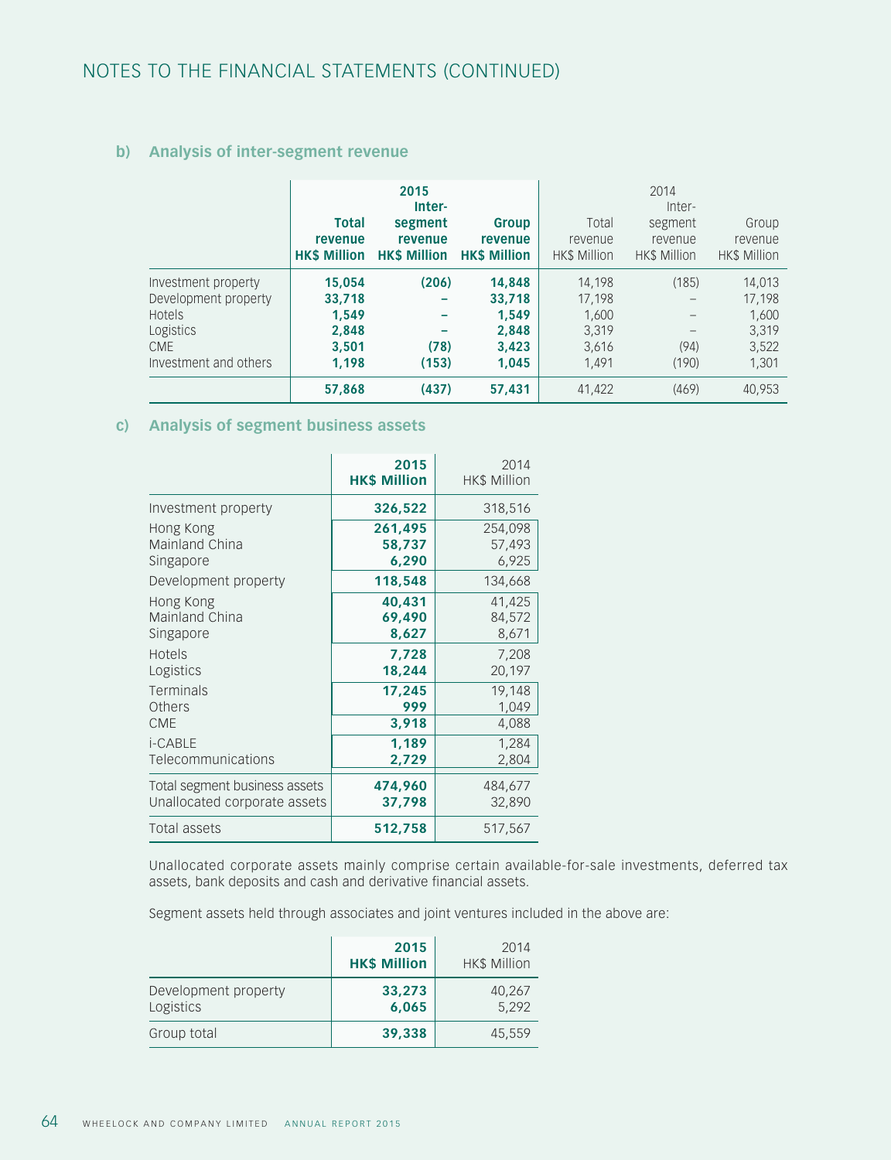## **b) Analysis of inter-segment revenue**

|                                                                                                           | <b>Total</b><br>revenue<br><b>HK\$ Million</b>       | 2015<br>Inter-<br>segment<br>revenue<br><b>HK\$ Million</b> | Group<br>revenue<br><b>HKS Million</b>               | Total<br>revenue<br><b>HK\$ Million</b>              | 2014<br>Inter-<br>segment<br>revenue<br><b>HK\$ Million</b> | Group<br>revenue<br><b>HK\$ Million</b>              |
|-----------------------------------------------------------------------------------------------------------|------------------------------------------------------|-------------------------------------------------------------|------------------------------------------------------|------------------------------------------------------|-------------------------------------------------------------|------------------------------------------------------|
| Investment property<br>Development property<br>Hotels<br>Logistics<br><b>CME</b><br>Investment and others | 15,054<br>33,718<br>1.549<br>2.848<br>3.501<br>1.198 | (206)<br>(78)<br>(153)                                      | 14,848<br>33,718<br>1.549<br>2,848<br>3,423<br>1.045 | 14,198<br>17,198<br>1,600<br>3,319<br>3,616<br>1,491 | (185)<br>(94)<br>(190)                                      | 14,013<br>17.198<br>1,600<br>3,319<br>3,522<br>1,301 |
|                                                                                                           | 57,868                                               | (437)                                                       | 57,431                                               | 41,422                                               | (469)                                                       | 40.953                                               |

#### **c) Analysis of segment business assets**

|                               | 2015<br><b>HK\$ Million</b> | 2014<br><b>HK\$ Million</b> |
|-------------------------------|-----------------------------|-----------------------------|
| Investment property           | 326,522                     | 318,516                     |
| Hong Kong                     | 261,495                     | 254,098                     |
| Mainland China                | 58,737                      | 57,493                      |
| Singapore                     | 6,290                       | 6,925                       |
| Development property          | 118,548                     | 134,668                     |
| Hong Kong                     | 40,431                      | 41,425                      |
| Mainland China                | 69,490                      | 84,572                      |
| Singapore                     | 8,627                       | 8,671                       |
| Hotels                        | 7,728                       | 7,208                       |
| Logistics                     | 18,244                      | 20,197                      |
| Terminals                     | 17,245                      | 19,148                      |
| Others                        | 999                         | 1,049                       |
| <b>CME</b>                    | 3.918                       | 4,088                       |
| i-CABLE                       | 1,189                       | 1,284                       |
| Telecommunications            | 2,729                       | 2,804                       |
| Total segment business assets | 474,960                     | 484,677                     |
| Unallocated corporate assets  | 37,798                      | 32,890                      |
| Total assets                  | 512,758                     | 517,567                     |

Unallocated corporate assets mainly comprise certain available-for-sale investments, deferred tax assets, bank deposits and cash and derivative financial assets.

Segment assets held through associates and joint ventures included in the above are:

|                                   | 2015<br><b>HK\$ Million</b> | 2014<br><b>HK\$ Million</b> |
|-----------------------------------|-----------------------------|-----------------------------|
| Development property<br>Logistics | 33,273<br>6,065             | 40,267<br>5,292             |
| Group total                       | 39,338                      | 45,559                      |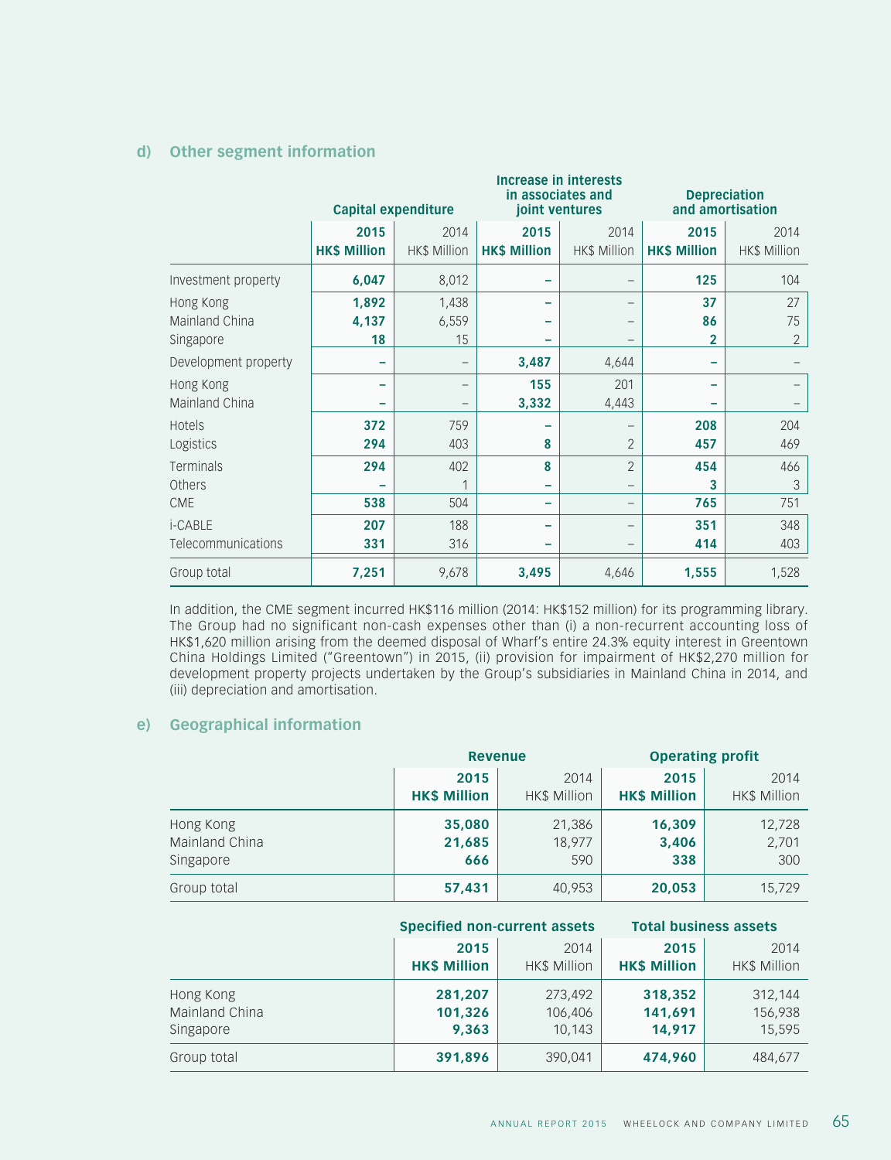### **d) Other segment information**

|                                          | <b>Increase in interests</b><br>in associates and<br><b>Capital expenditure</b><br>joint ventures |                             |                             |                             |                             | <b>Depreciation</b><br>and amortisation |  |
|------------------------------------------|---------------------------------------------------------------------------------------------------|-----------------------------|-----------------------------|-----------------------------|-----------------------------|-----------------------------------------|--|
|                                          | 2015<br><b>HK\$ Million</b>                                                                       | 2014<br><b>HK\$ Million</b> | 2015<br><b>HK\$ Million</b> | 2014<br><b>HK\$ Million</b> | 2015<br><b>HK\$ Million</b> | 2014<br><b>HK\$ Million</b>             |  |
| Investment property                      | 6,047                                                                                             | 8,012                       | -                           |                             | 125                         | 104                                     |  |
| Hong Kong<br>Mainland China<br>Singapore | 1,892<br>4,137<br>18                                                                              | 1,438<br>6,559<br>15        | -                           | -                           | 37<br>86<br>$\overline{2}$  | 27<br>75<br>$\overline{2}$              |  |
| Development property                     |                                                                                                   |                             | 3,487                       | 4,644                       | -                           |                                         |  |
| Hong Kong<br>Mainland China              |                                                                                                   | -                           | 155<br>3,332                | 201<br>4,443                |                             |                                         |  |
| Hotels<br>Logistics                      | 372<br>294                                                                                        | 759<br>403                  | 8                           | $\overline{2}$              | 208<br>457                  | 204<br>469                              |  |
| Terminals<br>Others                      | 294                                                                                               | 402<br>1                    | 8<br>-                      | $\overline{2}$<br>—         | 454<br>3                    | 466<br>$\mathcal{S}$                    |  |
| <b>CME</b>                               | 538                                                                                               | 504                         | -                           | -                           | 765                         | 751                                     |  |
| i-CABLE<br>Telecommunications            | 207<br>331                                                                                        | 188<br>316                  | -                           | —                           | 351<br>414                  | 348<br>403                              |  |
| Group total                              | 7,251                                                                                             | 9,678                       | 3,495                       | 4,646                       | 1,555                       | 1,528                                   |  |

In addition, the CME segment incurred HK\$116 million (2014: HK\$152 million) for its programming library. The Group had no significant non-cash expenses other than (i) a non-recurrent accounting loss of HK\$1,620 million arising from the deemed disposal of Wharf's entire 24.3% equity interest in Greentown China Holdings Limited ("Greentown") in 2015, (ii) provision for impairment of HK\$2,270 million for development property projects undertaken by the Group's subsidiaries in Mainland China in 2014, and (iii) depreciation and amortisation.

### **e) Geographical information**

|                |                     | <b>Revenue</b>      | <b>Operating profit</b> |                     |
|----------------|---------------------|---------------------|-------------------------|---------------------|
|                | 2015                | 2014                | 2015                    | 2014                |
|                | <b>HK\$ Million</b> | <b>HK\$ Million</b> | <b>HK\$ Million</b>     | <b>HK\$ Million</b> |
| Hong Kong      | 35,080              | 21,386              | 16,309                  | 12,728              |
| Mainland China | 21,685              | 18.977              | 3,406                   | 2,701               |
| Singapore      | 666                 | 590                 | 338                     | 300                 |
| Group total    | 57,431              | 40,953              | 20,053                  | 15,729              |

|                | <b>Specified non-current assets</b> |                     | <b>Total business assets</b> |                     |  |
|----------------|-------------------------------------|---------------------|------------------------------|---------------------|--|
|                | 2015                                | 2014                | 2015                         | 2014                |  |
|                | <b>HK\$ Million</b>                 | <b>HK\$ Million</b> | <b>HK\$ Million</b>          | <b>HK\$ Million</b> |  |
| Hong Kong      | 281,207                             | 273.492             | 318,352                      | 312,144             |  |
| Mainland China | 101,326                             | 106,406             | 141,691                      | 156,938             |  |
| Singapore      | 9,363                               | 10,143              | 14,917                       | 15,595              |  |
| Group total    | 391,896                             | 390,041             | 474,960                      | 484,677             |  |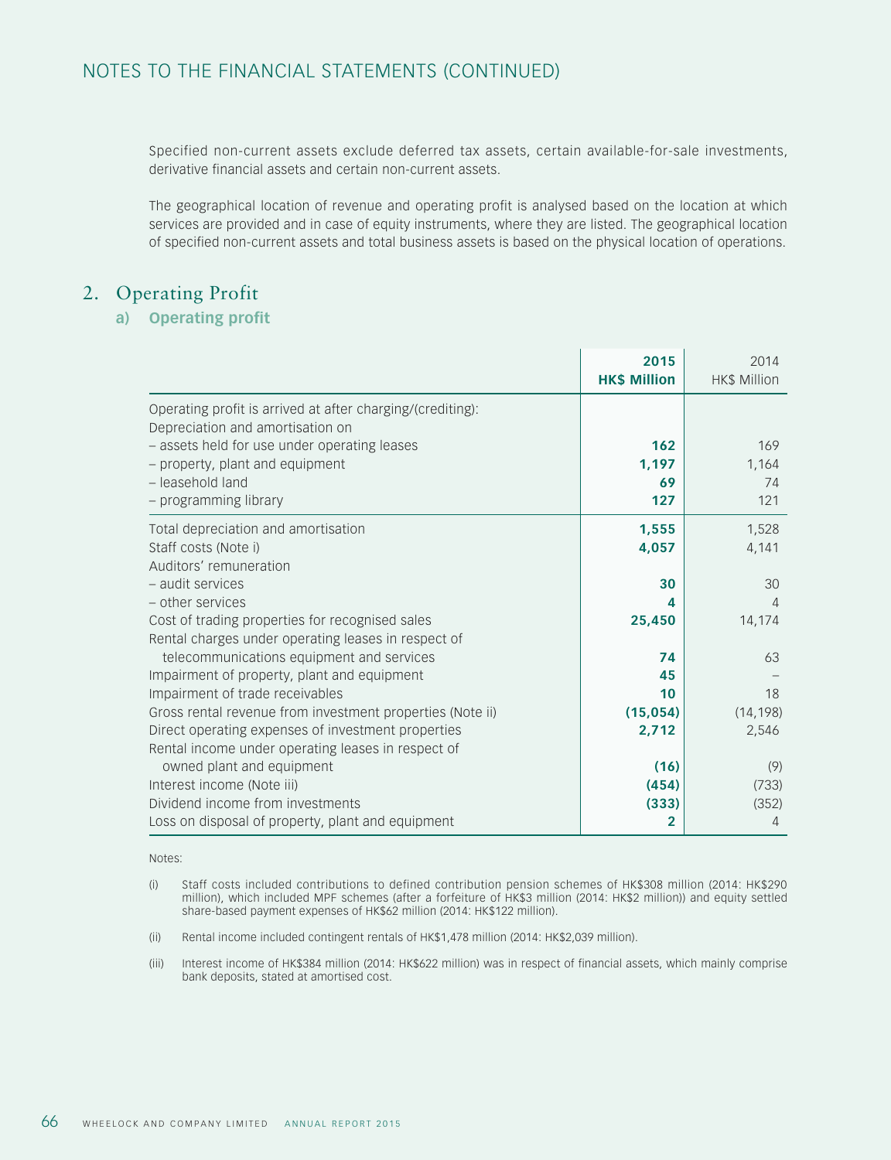Specified non-current assets exclude deferred tax assets, certain available-for-sale investments, derivative financial assets and certain non-current assets.

The geographical location of revenue and operating profit is analysed based on the location at which services are provided and in case of equity instruments, where they are listed. The geographical location of specified non-current assets and total business assets is based on the physical location of operations.

## 2. Operating Profit

### **a) Operating profit**

|                                                            | 2015<br><b>HK\$ Million</b> | 2014<br>HK\$ Million |
|------------------------------------------------------------|-----------------------------|----------------------|
| Operating profit is arrived at after charging/(crediting): |                             |                      |
| Depreciation and amortisation on                           |                             |                      |
| - assets held for use under operating leases               | 162                         | 169                  |
| - property, plant and equipment                            | 1,197                       | 1,164                |
| - leasehold land                                           | 69                          | 74                   |
| - programming library                                      | 127                         | 121                  |
| Total depreciation and amortisation                        | 1,555                       | 1,528                |
| Staff costs (Note i)                                       | 4,057                       | 4,141                |
| Auditors' remuneration                                     |                             |                      |
| - audit services                                           | 30                          | 30                   |
| - other services                                           | 4                           | $\overline{4}$       |
| Cost of trading properties for recognised sales            | 25,450                      | 14,174               |
| Rental charges under operating leases in respect of        |                             |                      |
| telecommunications equipment and services                  | 74                          | 63                   |
| Impairment of property, plant and equipment                | 45                          |                      |
| Impairment of trade receivables                            | 10                          | 18                   |
| Gross rental revenue from investment properties (Note ii)  | (15,054)                    | (14, 198)            |
| Direct operating expenses of investment properties         | 2,712                       | 2,546                |
| Rental income under operating leases in respect of         |                             |                      |
| owned plant and equipment                                  | (16)                        | (9)                  |
| Interest income (Note iii)                                 | (454)                       | (733)                |
| Dividend income from investments                           | (333)                       | (352)                |
| Loss on disposal of property, plant and equipment          | 2                           | 4                    |

#### Notes:

- (i) Staff costs included contributions to defined contribution pension schemes of HK\$308 million (2014: HK\$290 million), which included MPF schemes (after a forfeiture of HK\$3 million (2014: HK\$2 million)) and equity settled share-based payment expenses of HK\$62 million (2014: HK\$122 million).
- (ii) Rental income included contingent rentals of HK\$1,478 million (2014: HK\$2,039 million).
- (iii) Interest income of HK\$384 million (2014: HK\$622 million) was in respect of financial assets, which mainly comprise bank deposits, stated at amortised cost.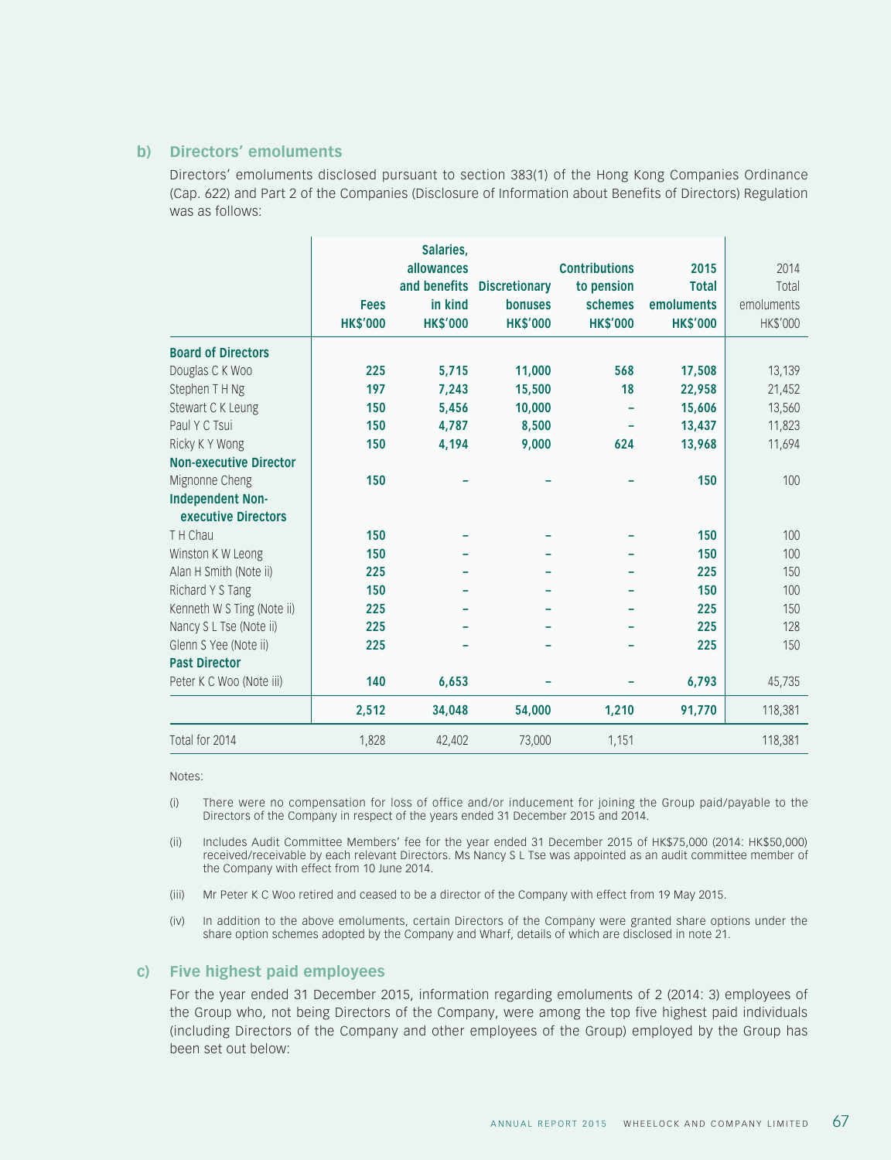#### **b) Directors' emoluments**

Directors' emoluments disclosed pursuant to section 383(1) of the Hong Kong Companies Ordinance (Cap. 622) and Part 2 of the Companies (Disclosure of Information about Benefits of Directors) Regulation was as follows:

|                               |                 | Salaries,       |                            |                      |                 |            |
|-------------------------------|-----------------|-----------------|----------------------------|----------------------|-----------------|------------|
|                               |                 | allowances      |                            | <b>Contributions</b> | 2015            | 2014       |
|                               |                 |                 | and benefits Discretionary | to pension           | <b>Total</b>    | Total      |
|                               | <b>Fees</b>     | in kind         | <b>bonuses</b>             | schemes              | emoluments      | emoluments |
|                               | <b>HK\$'000</b> | <b>HK\$'000</b> | <b>HK\$'000</b>            | <b>HK\$'000</b>      | <b>HK\$'000</b> | HK\$'000   |
| <b>Board of Directors</b>     |                 |                 |                            |                      |                 |            |
| Douglas C K Woo               | 225             | 5.715           | 11,000                     | 568                  | 17,508          | 13,139     |
| Stephen T H Ng                | 197             | 7,243           | 15,500                     | 18                   | 22,958          | 21,452     |
| Stewart C K Leung             | 150             | 5,456           | 10,000                     |                      | 15,606          | 13,560     |
| Paul Y C Tsui                 | 150             | 4,787           | 8,500                      |                      | 13,437          | 11,823     |
| Ricky K Y Wong                | 150             | 4,194           | 9,000                      | 624                  | 13,968          | 11,694     |
| <b>Non-executive Director</b> |                 |                 |                            |                      |                 |            |
| Mignonne Cheng                | 150             |                 |                            |                      | 150             | 100        |
| <b>Independent Non-</b>       |                 |                 |                            |                      |                 |            |
| executive Directors           |                 |                 |                            |                      |                 |            |
| T H Chau                      | 150             |                 |                            |                      | 150             | 100        |
| Winston K W Leong             | 150             |                 |                            |                      | 150             | 100        |
| Alan H Smith (Note ii)        | 225             |                 |                            |                      | 225             | 150        |
| Richard Y S Tang              | 150             |                 |                            |                      | 150             | 100        |
| Kenneth W S Ting (Note ii)    | 225             |                 |                            |                      | 225             | 150        |
| Nancy S L Tse (Note ii)       | 225             |                 |                            |                      | 225             | 128        |
| Glenn S Yee (Note ii)         | 225             |                 |                            |                      | 225             | 150        |
| <b>Past Director</b>          |                 |                 |                            |                      |                 |            |
| Peter K C Woo (Note iii)      | 140             | 6,653           |                            |                      | 6,793           | 45,735     |
|                               | 2,512           | 34,048          | 54,000                     | 1,210                | 91,770          | 118,381    |
| Total for 2014                | 1,828           | 42,402          | 73,000                     | 1,151                |                 | 118,381    |

Notes:

- (i) There were no compensation for loss of office and/or inducement for joining the Group paid/payable to the Directors of the Company in respect of the years ended 31 December 2015 and 2014.
- (ii) Includes Audit Committee Members' fee for the year ended 31 December 2015 of HK\$75,000 (2014: HK\$50,000) received/receivable by each relevant Directors. Ms Nancy S L Tse was appointed as an audit committee member of the Company with effect from 10 June 2014.
- (iii) Mr Peter K C Woo retired and ceased to be a director of the Company with effect from 19 May 2015.
- (iv) In addition to the above emoluments, certain Directors of the Company were granted share options under the share option schemes adopted by the Company and Wharf, details of which are disclosed in note 21.

#### **c) Five highest paid employees**

For the year ended 31 December 2015, information regarding emoluments of 2 (2014: 3) employees of the Group who, not being Directors of the Company, were among the top five highest paid individuals (including Directors of the Company and other employees of the Group) employed by the Group has been set out below: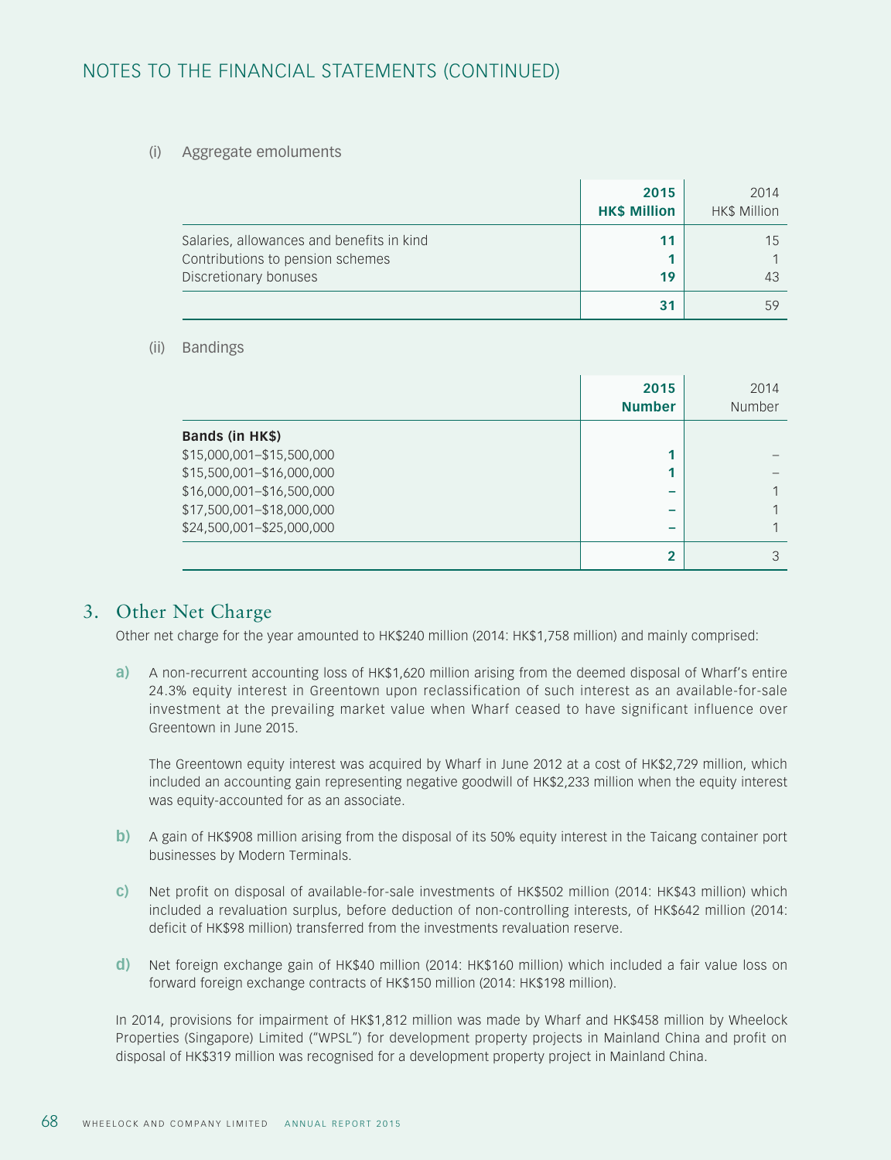#### (i) Aggregate emoluments

|                                                                                                        | 2015<br><b>HK\$ Million</b> | 2014<br><b>HK\$ Million</b> |
|--------------------------------------------------------------------------------------------------------|-----------------------------|-----------------------------|
| Salaries, allowances and benefits in kind<br>Contributions to pension schemes<br>Discretionary bonuses | 11<br>19                    | 15<br>43                    |
|                                                                                                        | 31                          | 59                          |

#### (ii) Bandings

|                           | 2015<br><b>Number</b> | 2014<br>Number |
|---------------------------|-----------------------|----------------|
| Bands (in HK\$)           |                       |                |
| \$15,000,001-\$15,500,000 |                       |                |
| \$15,500,001-\$16,000,000 |                       |                |
| \$16,000,001-\$16,500,000 |                       |                |
| \$17,500,001-\$18,000,000 | -                     |                |
| \$24,500,001-\$25,000,000 |                       |                |
|                           | $\overline{2}$        |                |

### 3. Other Net Charge

Other net charge for the year amounted to HK\$240 million (2014: HK\$1,758 million) and mainly comprised:

**a)** A non-recurrent accounting loss of HK\$1,620 million arising from the deemed disposal of Wharf's entire 24.3% equity interest in Greentown upon reclassification of such interest as an available-for-sale investment at the prevailing market value when Wharf ceased to have significant influence over Greentown in June 2015.

The Greentown equity interest was acquired by Wharf in June 2012 at a cost of HK\$2,729 million, which included an accounting gain representing negative goodwill of HK\$2,233 million when the equity interest was equity-accounted for as an associate.

- **b)** A gain of HK\$908 million arising from the disposal of its 50% equity interest in the Taicang container port businesses by Modern Terminals.
- **c)** Net profit on disposal of available-for-sale investments of HK\$502 million (2014: HK\$43 million) which included a revaluation surplus, before deduction of non-controlling interests, of HK\$642 million (2014: deficit of HK\$98 million) transferred from the investments revaluation reserve.
- **d)** Net foreign exchange gain of HK\$40 million (2014: HK\$160 million) which included a fair value loss on forward foreign exchange contracts of HK\$150 million (2014: HK\$198 million).

In 2014, provisions for impairment of HK\$1,812 million was made by Wharf and HK\$458 million by Wheelock Properties (Singapore) Limited ("WPSL") for development property projects in Mainland China and profit on disposal of HK\$319 million was recognised for a development property project in Mainland China.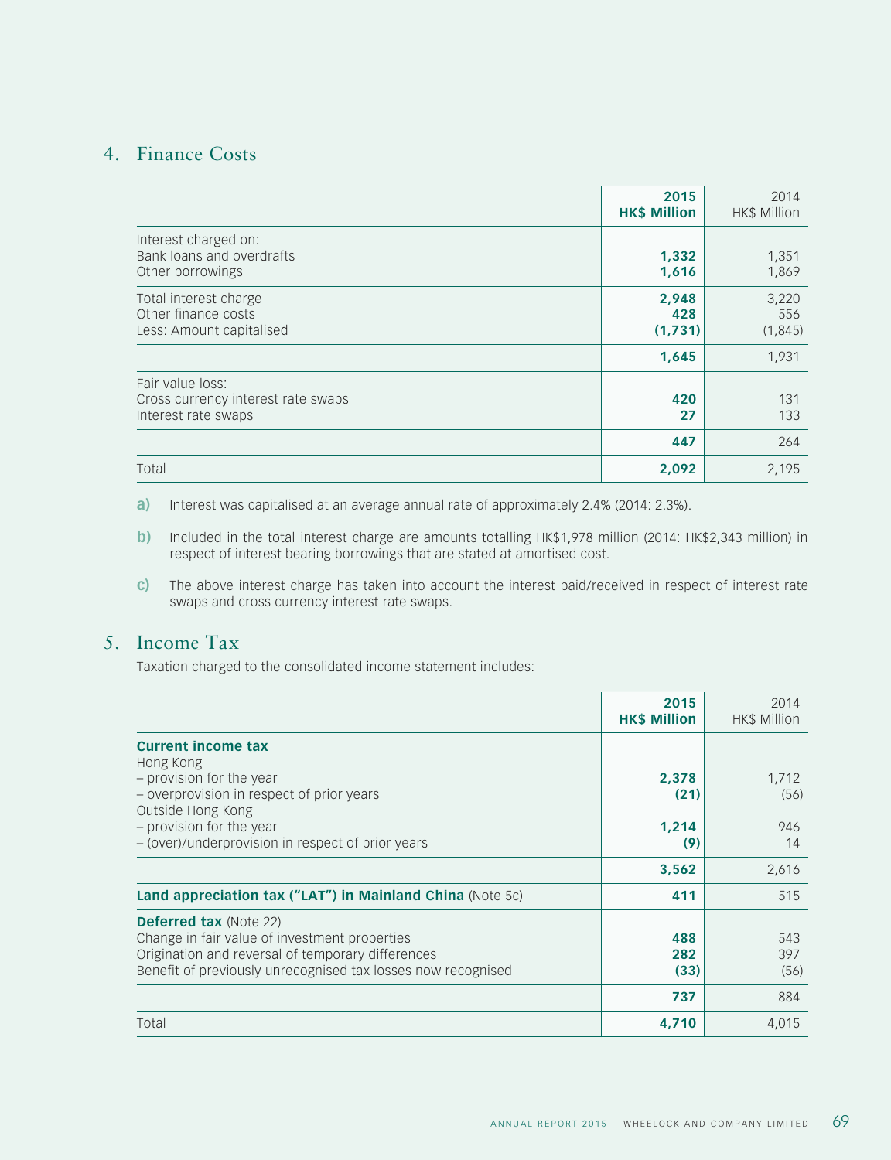## 4. Finance Costs

|                                                                               | 2015<br><b>HK\$ Million</b> | 2014<br>HK\$ Million     |
|-------------------------------------------------------------------------------|-----------------------------|--------------------------|
| Interest charged on:<br>Bank loans and overdrafts<br>Other borrowings         | 1,332<br>1,616              | 1,351<br>1,869           |
| Total interest charge<br>Other finance costs<br>Less: Amount capitalised      | 2,948<br>428<br>(1,731)     | 3,220<br>556<br>(1, 845) |
|                                                                               | 1,645                       | 1,931                    |
| Fair value loss:<br>Cross currency interest rate swaps<br>Interest rate swaps | 420<br>27                   | 131<br>133               |
|                                                                               | 447                         | 264                      |
| Total                                                                         | 2,092                       | 2,195                    |

**a)** Interest was capitalised at an average annual rate of approximately 2.4% (2014: 2.3%).

- **b)** Included in the total interest charge are amounts totalling HK\$1,978 million (2014: HK\$2,343 million) in respect of interest bearing borrowings that are stated at amortised cost.
- **c)** The above interest charge has taken into account the interest paid/received in respect of interest rate swaps and cross currency interest rate swaps.

## 5. Income Tax

Taxation charged to the consolidated income statement includes:

|                                                                                                                                                                                                     | 2015<br><b>HK\$ Million</b> | 2014<br>HK\$ Million |
|-----------------------------------------------------------------------------------------------------------------------------------------------------------------------------------------------------|-----------------------------|----------------------|
| <b>Current income tax</b>                                                                                                                                                                           |                             |                      |
| Hong Kong<br>- provision for the year<br>- overprovision in respect of prior years<br>Outside Hong Kong                                                                                             | 2,378<br>(21)               | 1,712<br>(56)        |
| - provision for the year<br>- (over)/underprovision in respect of prior years                                                                                                                       | 1,214<br>(9)                | 946<br>14            |
|                                                                                                                                                                                                     | 3,562                       | 2,616                |
| Land appreciation tax ("LAT") in Mainland China (Note 5c)                                                                                                                                           | 411                         | 515                  |
| <b>Deferred tax (Note 22)</b><br>Change in fair value of investment properties<br>Origination and reversal of temporary differences<br>Benefit of previously unrecognised tax losses now recognised | 488<br>282<br>(33)          | 543<br>397<br>(56)   |
|                                                                                                                                                                                                     | 737                         | 884                  |
| Total                                                                                                                                                                                               | 4,710                       | 4,015                |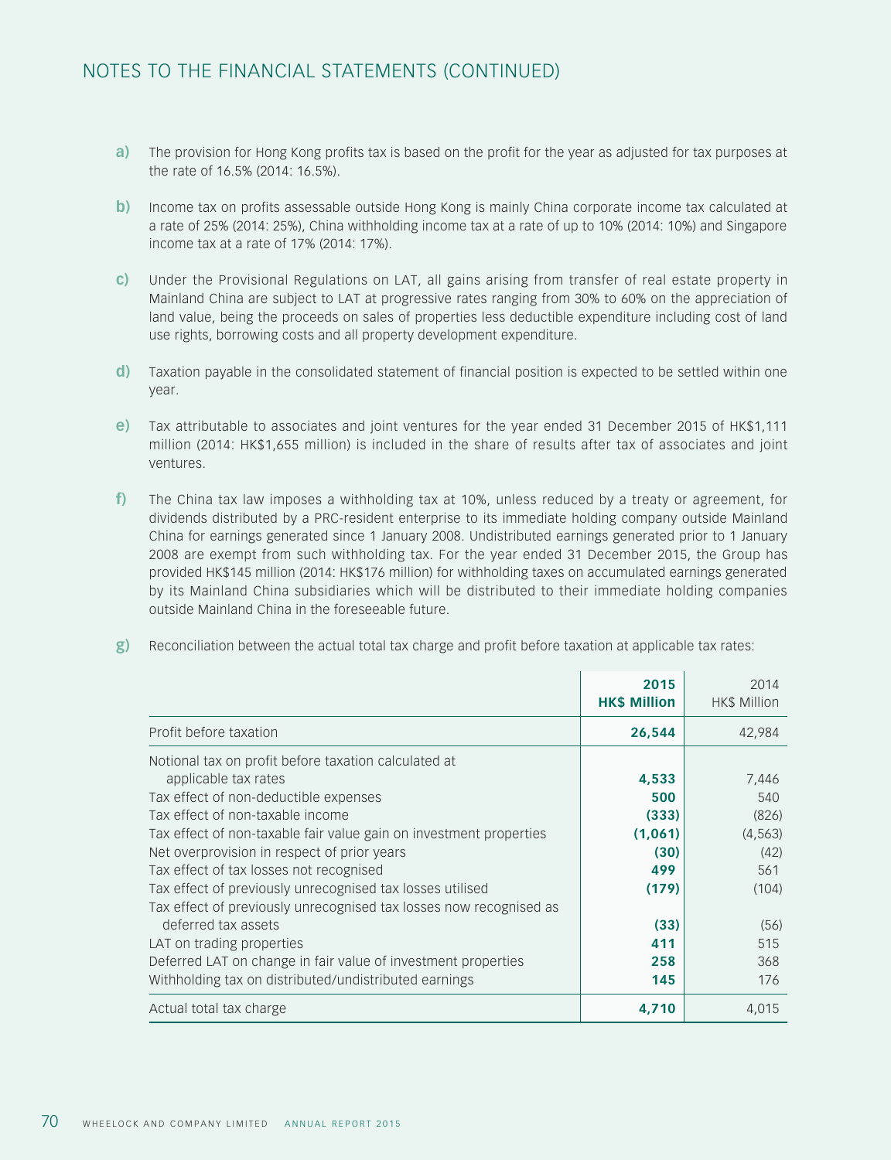- **a)** The provision for Hong Kong profits tax is based on the profit for the year as adjusted for tax purposes at the rate of 16.5% (2014: 16.5%).
- **b)** Income tax on profits assessable outside Hong Kong is mainly China corporate income tax calculated at a rate of 25% (2014: 25%), China withholding income tax at a rate of up to 10% (2014: 10%) and Singapore income tax at a rate of 17% (2014: 17%).
- **c)** Under the Provisional Regulations on LAT, all gains arising from transfer of real estate property in Mainland China are subject to LAT at progressive rates ranging from 30% to 60% on the appreciation of land value, being the proceeds on sales of properties less deductible expenditure including cost of land use rights, borrowing costs and all property development expenditure.
- **d)** Taxation payable in the consolidated statement of financial position is expected to be settled within one year.
- **e)** Tax attributable to associates and joint ventures for the year ended 31 December 2015 of HK\$1,111 million (2014: HK\$1,655 million) is included in the share of results after tax of associates and joint ventures.
- **f)** The China tax law imposes a withholding tax at 10%, unless reduced by a treaty or agreement, for dividends distributed by a PRC-resident enterprise to its immediate holding company outside Mainland China for earnings generated since 1 January 2008. Undistributed earnings generated prior to 1 January 2008 are exempt from such withholding tax. For the year ended 31 December 2015, the Group has provided HK\$145 million (2014: HK\$176 million) for withholding taxes on accumulated earnings generated by its Mainland China subsidiaries which will be distributed to their immediate holding companies outside Mainland China in the foreseeable future.
- **g)** Reconciliation between the actual total tax charge and profit before taxation at applicable tax rates:

|                                                                    | 2015<br><b>HK\$ Million</b> | 2014<br>HK\$ Million |
|--------------------------------------------------------------------|-----------------------------|----------------------|
| Profit before taxation                                             | 26,544                      | 42,984               |
| Notional tax on profit before taxation calculated at               |                             |                      |
| applicable tax rates                                               | 4,533                       | 7,446                |
| Tax effect of non-deductible expenses                              | 500                         | 540                  |
| Tax effect of non-taxable income                                   | (333)                       | (826)                |
| Tax effect of non-taxable fair value gain on investment properties | (1,061)                     | (4, 563)             |
| Net overprovision in respect of prior years                        | (30)                        | (42)                 |
| Tax effect of tax losses not recognised                            | 499                         | 561                  |
| Tax effect of previously unrecognised tax losses utilised          | (179)                       | (104)                |
| Tax effect of previously unrecognised tax losses now recognised as |                             |                      |
| deferred tax assets                                                | (33)                        | (56)                 |
| LAT on trading properties                                          | 411                         | 515                  |
| Deferred LAT on change in fair value of investment properties      | 258                         | 368                  |
| Withholding tax on distributed/undistributed earnings              | 145                         | 176                  |
| Actual total tax charge                                            | 4,710                       | 4,015                |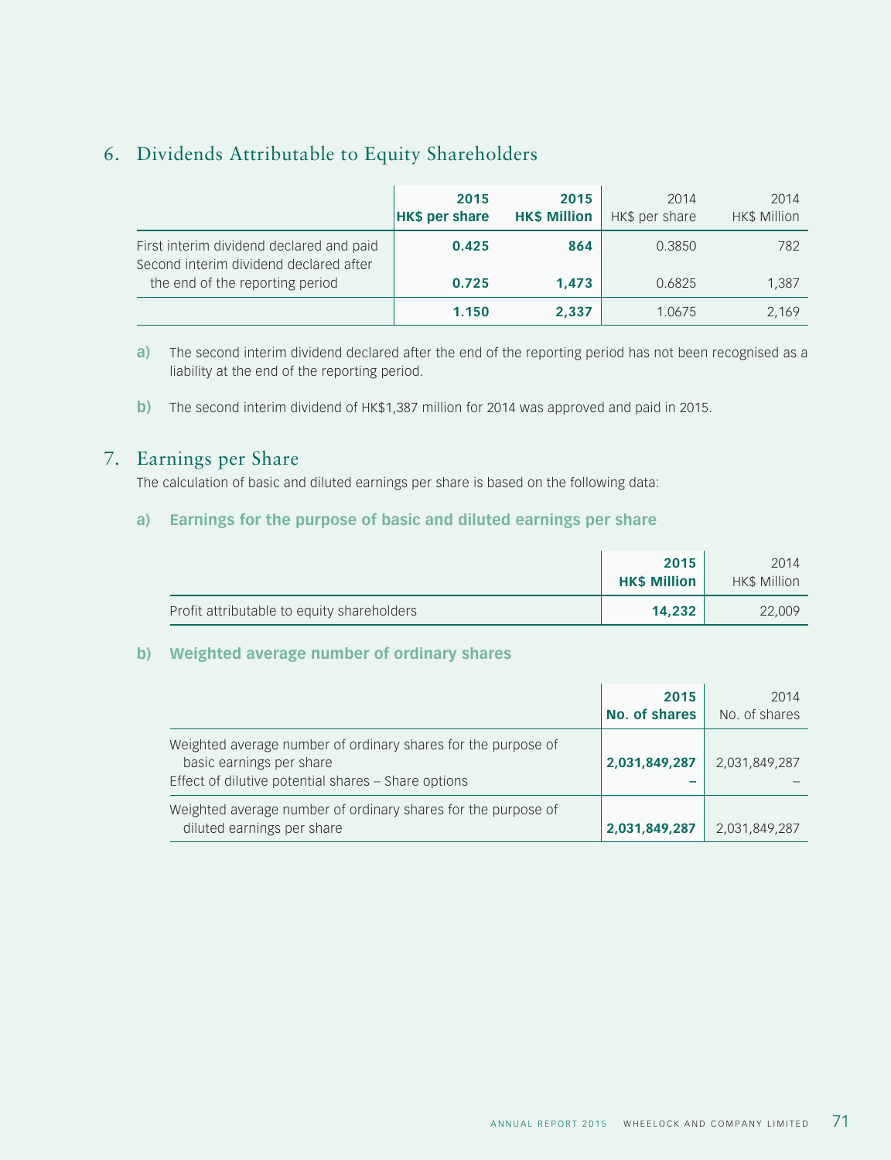# 6. Dividends Attributable to Equity Shareholders

|                                                                                    | 2015<br><b>HK\$ per share</b> | 2015<br><b>HK\$ Million</b> | 2014<br>HK\$ per share | 2014<br><b>HK\$ Million</b> |
|------------------------------------------------------------------------------------|-------------------------------|-----------------------------|------------------------|-----------------------------|
| First interim dividend declared and paid<br>Second interim dividend declared after | 0.425                         | 864                         | 0.3850                 | 782                         |
| the end of the reporting period                                                    | 0.725                         | 1.473                       | 0.6825                 | 1,387                       |
|                                                                                    | 1.150                         | 2,337                       | 1.0675                 | 2,169                       |

**a)** The second interim dividend declared after the end of the reporting period has not been recognised as a liability at the end of the reporting period.

**b**) The second interim dividend of HK\$1,387 million for 2014 was approved and paid in 2015.

## 7. Earnings per Share

The calculation of basic and diluted earnings per share is based on the following data:

### **a) Earnings for the purpose of basic and diluted earnings per share**

|                                            | 2015<br><b>HKS Million</b> | 2014<br><b>HKS Million</b> |
|--------------------------------------------|----------------------------|----------------------------|
| Profit attributable to equity shareholders | 14.232                     | 22,009                     |

### **b) Weighted average number of ordinary shares**

|                                                                                                                                                  | 2015<br>No. of shares | 2014<br>No. of shares |
|--------------------------------------------------------------------------------------------------------------------------------------------------|-----------------------|-----------------------|
| Weighted average number of ordinary shares for the purpose of<br>basic earnings per share<br>Effect of dilutive potential shares - Share options | 2,031,849,287         | 2,031,849,287         |
| Weighted average number of ordinary shares for the purpose of<br>diluted earnings per share                                                      | 2,031,849,287         | 2,031,849,287         |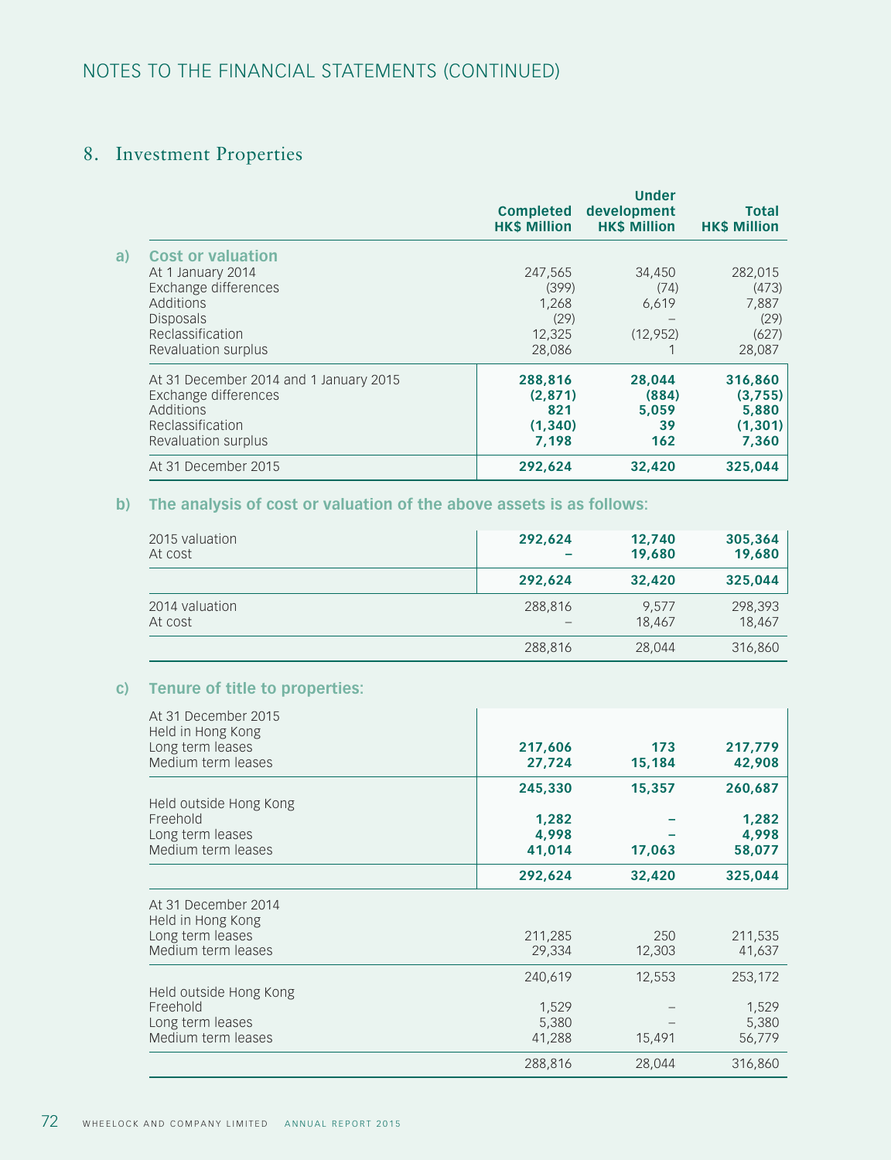# 8. Investment Properties

|                                                                                                                        | <b>Completed</b><br><b>HK\$ Million</b>        | <b>Under</b><br>development<br><b>HK\$ Million</b> | <b>Total</b><br><b>HK\$ Million</b>              |
|------------------------------------------------------------------------------------------------------------------------|------------------------------------------------|----------------------------------------------------|--------------------------------------------------|
| a)<br><b>Cost or valuation</b><br>At 1 January 2014                                                                    | 247,565                                        | 34,450                                             | 282,015                                          |
| Exchange differences                                                                                                   | (399)                                          | (74)                                               | (473)                                            |
| Additions                                                                                                              | 1,268                                          | 6,619                                              | 7,887                                            |
| <b>Disposals</b>                                                                                                       | (29)                                           |                                                    | (29)                                             |
| Reclassification<br>Revaluation surplus                                                                                | 12,325<br>28,086                               | (12, 952)                                          | (627)<br>28,087                                  |
| At 31 December 2014 and 1 January 2015<br>Exchange differences<br>Additions<br>Reclassification<br>Revaluation surplus | 288,816<br>(2,871)<br>821<br>(1, 340)<br>7,198 | 28,044<br>(884)<br>5.059<br>39<br>162              | 316,860<br>(3,755)<br>5,880<br>(1, 301)<br>7,360 |
| At 31 December 2015                                                                                                    | 292,624                                        | 32,420                                             | 325,044                                          |

## **b) The analysis of cost or valuation of the above assets is as follows:**

| 2015 valuation | 292,624 | 12,740 | 305,364 |
|----------------|---------|--------|---------|
| At cost        |         | 19,680 | 19,680  |
|                | 292.624 | 32,420 | 325,044 |
| 2014 valuation | 288,816 | 9.577  | 298,393 |
| At cost        |         | 18,467 | 18,467  |
|                | 288,816 | 28,044 | 316,860 |

## **c) Tenure of title to properties:**

| At 31 December 2015<br>Held in Hong Kong |         |        |         |
|------------------------------------------|---------|--------|---------|
| Long term leases                         | 217,606 | 173    | 217,779 |
| Medium term leases                       | 27,724  | 15,184 | 42,908  |
|                                          | 245,330 | 15,357 | 260,687 |
| Held outside Hong Kong                   |         |        |         |
| Freehold                                 | 1,282   |        | 1,282   |
| Long term leases                         | 4,998   |        | 4,998   |
| Medium term leases                       | 41,014  | 17,063 | 58,077  |
|                                          | 292,624 | 32,420 | 325,044 |
| At 31 December 2014<br>Held in Hong Kong |         |        |         |
| Long term leases                         | 211,285 | 250    | 211,535 |
| Medium term leases                       | 29,334  | 12,303 | 41,637  |
|                                          | 240,619 | 12,553 | 253,172 |
| Held outside Hong Kong                   |         |        |         |
| Freehold                                 | 1,529   |        | 1,529   |
| Long term leases                         | 5,380   |        | 5,380   |
| Medium term leases                       | 41,288  | 15,491 | 56,779  |
|                                          | 288,816 | 28,044 | 316,860 |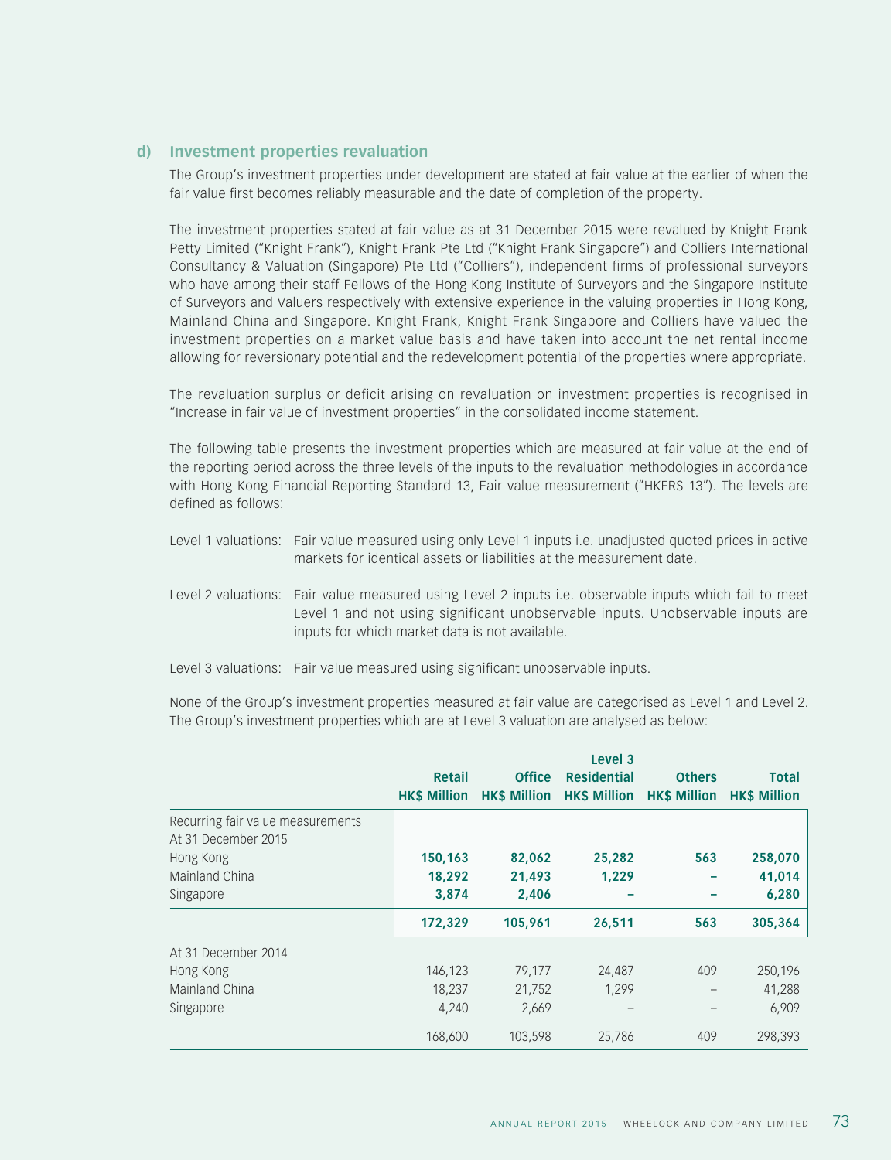#### **d) Investment properties revaluation**

The Group's investment properties under development are stated at fair value at the earlier of when the fair value first becomes reliably measurable and the date of completion of the property.

The investment properties stated at fair value as at 31 December 2015 were revalued by Knight Frank Petty Limited ("Knight Frank"), Knight Frank Pte Ltd ("Knight Frank Singapore") and Colliers International Consultancy & Valuation (Singapore) Pte Ltd ("Colliers"), independent firms of professional surveyors who have among their staff Fellows of the Hong Kong Institute of Surveyors and the Singapore Institute of Surveyors and Valuers respectively with extensive experience in the valuing properties in Hong Kong, Mainland China and Singapore. Knight Frank, Knight Frank Singapore and Colliers have valued the investment properties on a market value basis and have taken into account the net rental income allowing for reversionary potential and the redevelopment potential of the properties where appropriate.

The revaluation surplus or deficit arising on revaluation on investment properties is recognised in "Increase in fair value of investment properties" in the consolidated income statement.

The following table presents the investment properties which are measured at fair value at the end of the reporting period across the three levels of the inputs to the revaluation methodologies in accordance with Hong Kong Financial Reporting Standard 13, Fair value measurement ("HKFRS 13"). The levels are defined as follows:

- Level 1 valuations: Fair value measured using only Level 1 inputs i.e. unadjusted quoted prices in active markets for identical assets or liabilities at the measurement date.
- Level 2 valuations: Fair value measured using Level 2 inputs i.e. observable inputs which fail to meet Level 1 and not using significant unobservable inputs. Unobservable inputs are inputs for which market data is not available.
- Level 3 valuations: Fair value measured using significant unobservable inputs.

None of the Group's investment properties measured at fair value are categorised as Level 1 and Level 2. The Group's investment properties which are at Level 3 valuation are analysed as below:

|                                   | Retail              | <b>Office</b>       | Level 3<br><b>Residential</b>                 | <b>Others</b> | <b>Total</b> |
|-----------------------------------|---------------------|---------------------|-----------------------------------------------|---------------|--------------|
|                                   | <b>HK\$ Million</b> | <b>HK\$ Million</b> | <b>HK\$ Million HK\$ Million HK\$ Million</b> |               |              |
| Recurring fair value measurements |                     |                     |                                               |               |              |
| At 31 December 2015               |                     |                     |                                               |               |              |
| Hong Kong                         | 150,163             | 82,062              | 25,282                                        | 563           | 258,070      |
| Mainland China                    | 18,292              | 21,493              | 1,229                                         |               | 41,014       |
| Singapore                         | 3,874               | 2,406               |                                               |               | 6,280        |
|                                   | 172,329             | 105,961             | 26,511                                        | 563           | 305,364      |
| At 31 December 2014               |                     |                     |                                               |               |              |
| Hong Kong                         | 146,123             | 79,177              | 24,487                                        | 409           | 250,196      |
| Mainland China                    | 18,237              | 21,752              | 1.299                                         |               | 41,288       |
| Singapore                         | 4,240               | 2,669               |                                               |               | 6,909        |
|                                   | 168,600             | 103,598             | 25,786                                        | 409           | 298,393      |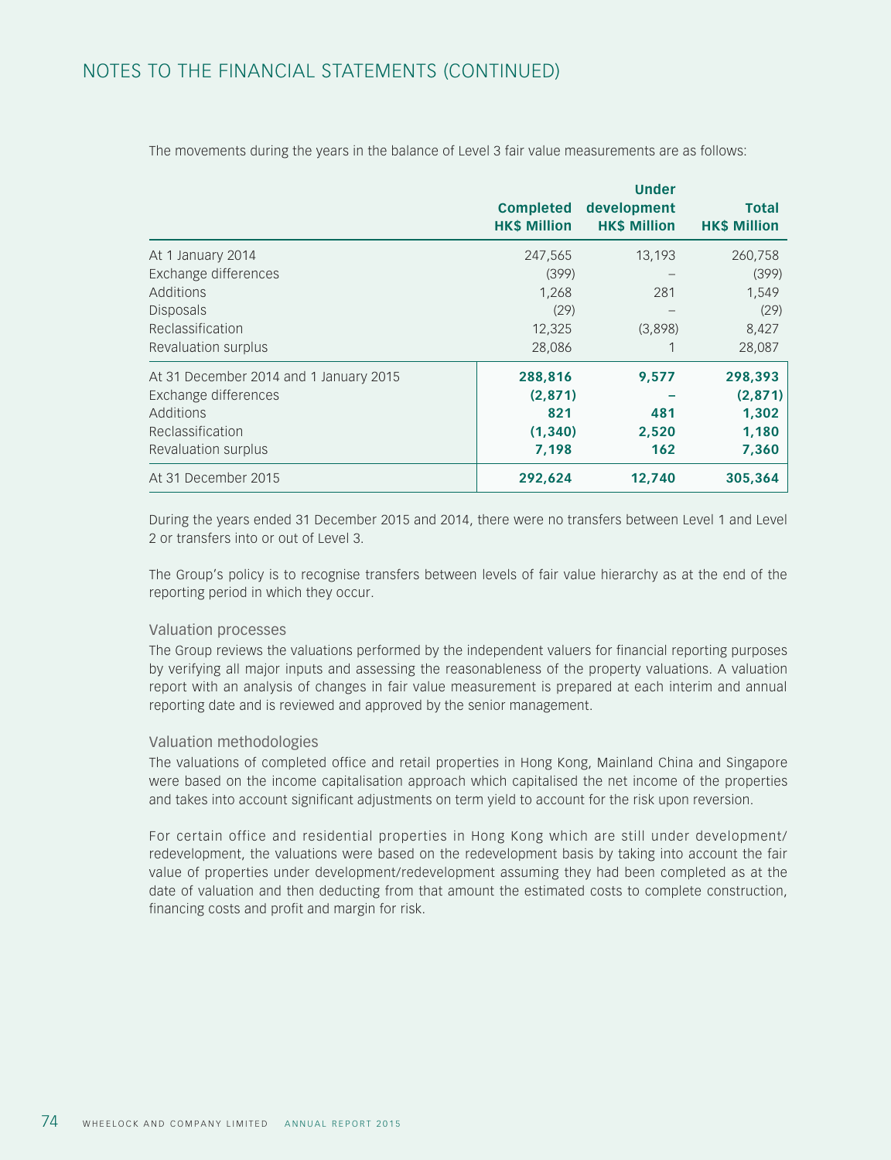|                                        | <b>Completed</b><br><b>HK\$ Million</b> | <b>Under</b><br>development<br><b>HK\$ Million</b> | <b>Total</b><br><b>HK\$ Million</b> |
|----------------------------------------|-----------------------------------------|----------------------------------------------------|-------------------------------------|
| At 1 January 2014                      | 247,565                                 | 13,193                                             | 260,758                             |
| Exchange differences                   | (399)                                   |                                                    | (399)                               |
| Additions                              | 1,268                                   | 281                                                | 1,549                               |
| Disposals                              | (29)                                    |                                                    | (29)                                |
| Reclassification                       | 12,325                                  | (3,898)                                            | 8,427                               |
| Revaluation surplus                    | 28,086                                  |                                                    | 28,087                              |
| At 31 December 2014 and 1 January 2015 | 288,816                                 | 9,577                                              | 298,393                             |
| Exchange differences                   | (2, 871)                                |                                                    | (2,871)                             |
| Additions                              | 821                                     | 481                                                | 1,302                               |
| Reclassification                       | (1, 340)                                | 2,520                                              | 1,180                               |
| Revaluation surplus                    | 7,198                                   | 162                                                | 7,360                               |
| At 31 December 2015                    | 292,624                                 | 12,740                                             | 305,364                             |

The movements during the years in the balance of Level 3 fair value measurements are as follows:

During the years ended 31 December 2015 and 2014, there were no transfers between Level 1 and Level 2 or transfers into or out of Level 3.

The Group's policy is to recognise transfers between levels of fair value hierarchy as at the end of the reporting period in which they occur.

#### Valuation processes

The Group reviews the valuations performed by the independent valuers for financial reporting purposes by verifying all major inputs and assessing the reasonableness of the property valuations. A valuation report with an analysis of changes in fair value measurement is prepared at each interim and annual reporting date and is reviewed and approved by the senior management.

#### Valuation methodologies

The valuations of completed office and retail properties in Hong Kong, Mainland China and Singapore were based on the income capitalisation approach which capitalised the net income of the properties and takes into account significant adjustments on term yield to account for the risk upon reversion.

For certain office and residential properties in Hong Kong which are still under development/ redevelopment, the valuations were based on the redevelopment basis by taking into account the fair value of properties under development/redevelopment assuming they had been completed as at the date of valuation and then deducting from that amount the estimated costs to complete construction, financing costs and profit and margin for risk.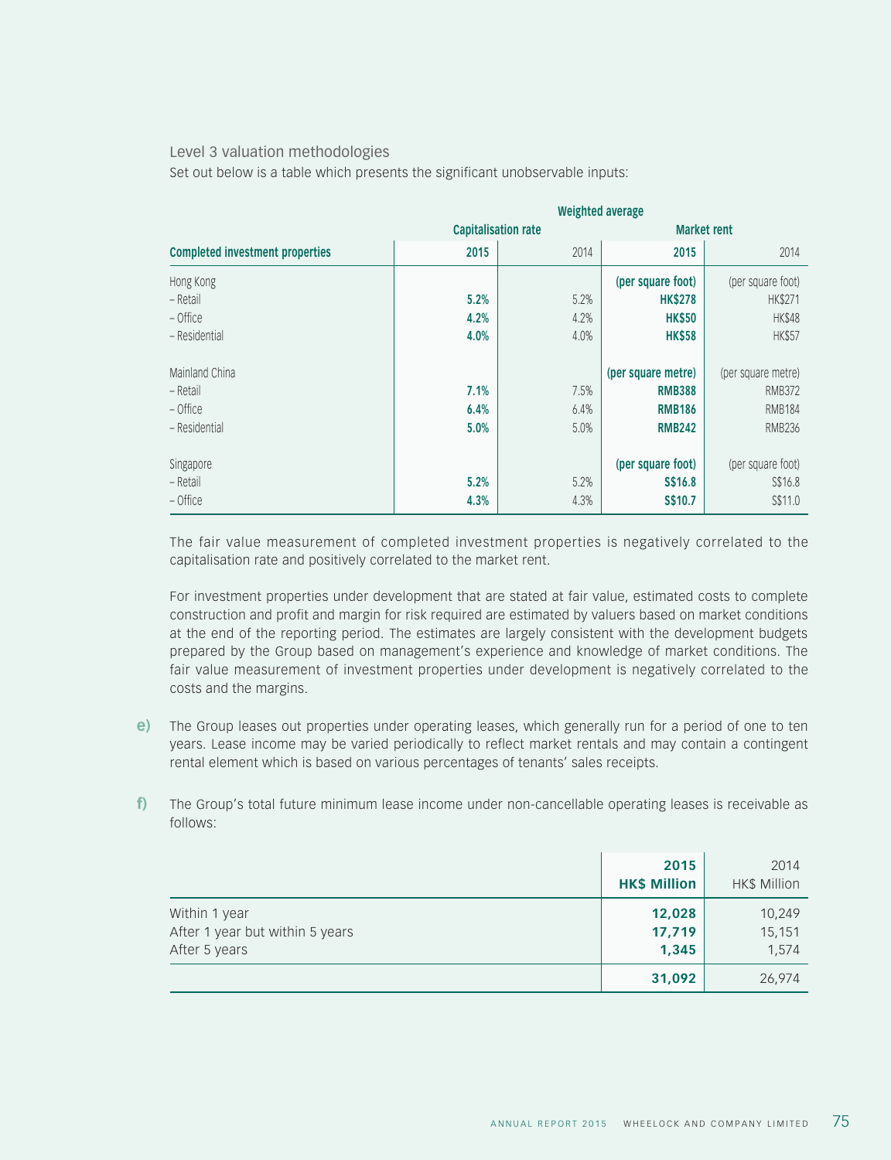#### Level 3 valuation methodologies

Set out below is a table which presents the significant unobservable inputs:

|                                        | <b>Weighted average</b> |                            |                    |                    |
|----------------------------------------|-------------------------|----------------------------|--------------------|--------------------|
|                                        |                         | <b>Capitalisation rate</b> |                    | <b>Market rent</b> |
| <b>Completed investment properties</b> | 2015                    | 2014                       | 2015               | 2014               |
| Hong Kong                              |                         |                            | (per square foot)  | (per square foot)  |
| – Retail                               | 5.2%                    | 5.2%                       | <b>HK\$278</b>     | <b>HK\$271</b>     |
| - Office                               | 4.2%                    | 4.2%                       | <b>HK\$50</b>      | <b>HK\$48</b>      |
| - Residential                          | 4.0%                    | 4.0%                       | <b>HK\$58</b>      | <b>HK\$57</b>      |
| Mainland China                         |                         |                            | (per square metre) | (per square metre) |
| – Retail                               | 7.1%                    | 7.5%                       | <b>RMB388</b>      | <b>RMB372</b>      |
| - Office                               | 6.4%                    | 6.4%                       | <b>RMB186</b>      | <b>RMB184</b>      |
| - Residential                          | 5.0%                    | 5.0%                       | <b>RMB242</b>      | <b>RMB236</b>      |
| Singapore                              |                         |                            | (per square foot)  | (per square foot)  |
| – Retail                               | 5.2%                    | 5.2%                       | S\$16.8            | S\$16.8            |
| - Office                               | 4.3%                    | 4.3%                       | S\$10.7            | S\$11.0            |

The fair value measurement of completed investment properties is negatively correlated to the capitalisation rate and positively correlated to the market rent.

For investment properties under development that are stated at fair value, estimated costs to complete construction and profit and margin for risk required are estimated by valuers based on market conditions at the end of the reporting period. The estimates are largely consistent with the development budgets prepared by the Group based on management's experience and knowledge of market conditions. The fair value measurement of investment properties under development is negatively correlated to the costs and the margins.

- **e)** The Group leases out properties under operating leases, which generally run for a period of one to ten years. Lease income may be varied periodically to reflect market rentals and may contain a contingent rental element which is based on various percentages of tenants' sales receipts.
- **f)** The Group's total future minimum lease income under non-cancellable operating leases is receivable as follows:

|                                                                   | 2015<br><b>HK\$ Million</b> | 2014<br>HK\$ Million      |
|-------------------------------------------------------------------|-----------------------------|---------------------------|
| Within 1 year<br>After 1 year but within 5 years<br>After 5 years | 12,028<br>17,719<br>1,345   | 10,249<br>15,151<br>1,574 |
|                                                                   | 31,092                      | 26,974                    |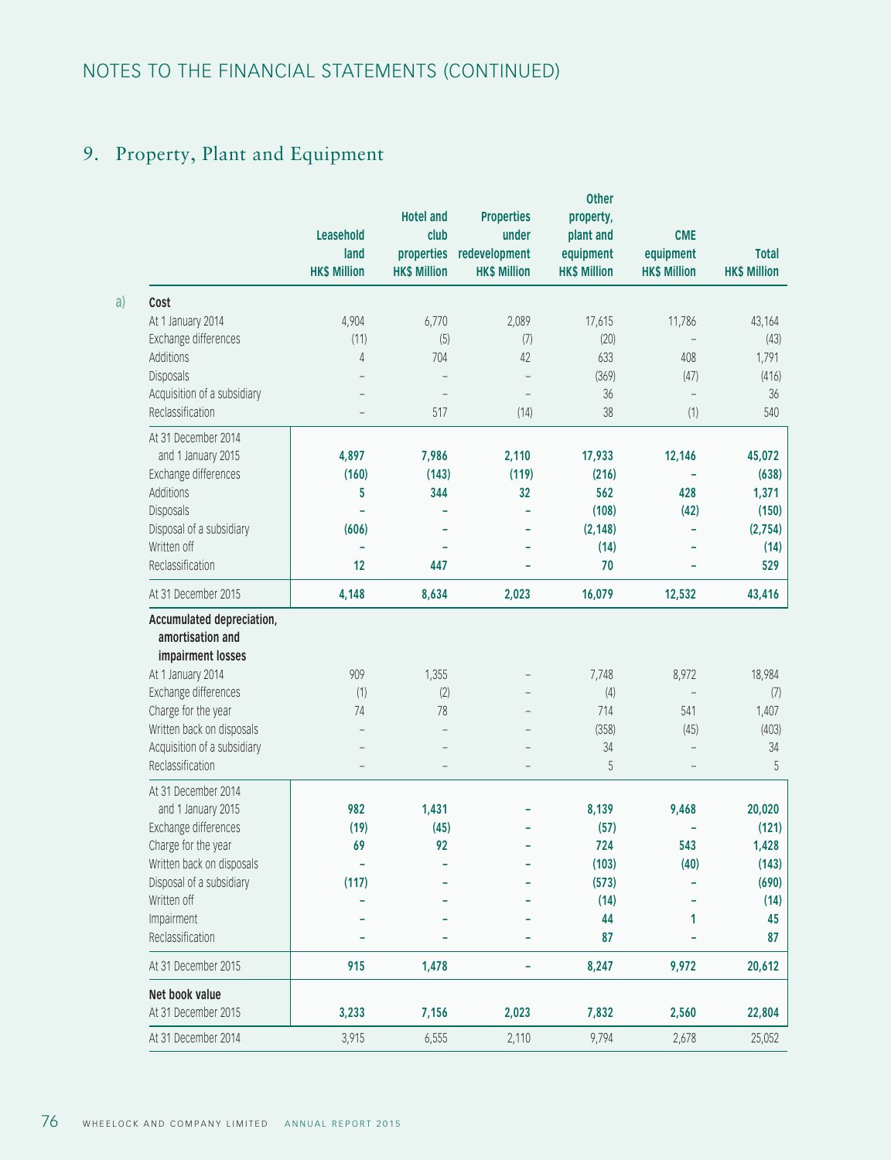# 9. Property, Plant and Equipment

|                                                                                                                                                                                                                        | Leasehold<br>land<br><b>HK\$ Million</b> | <b>Hotel and</b><br>club<br>properties<br><b>HK\$ Million</b> | <b>Properties</b><br>under<br>redevelopment<br><b>HK\$ Million</b> | <b>Other</b><br>property,<br>plant and<br>equipment<br><b>HK\$ Million</b> | <b>CME</b><br>equipment<br><b>HK\$ Million</b> | <b>Total</b><br><b>HK\$ Million</b>        |
|------------------------------------------------------------------------------------------------------------------------------------------------------------------------------------------------------------------------|------------------------------------------|---------------------------------------------------------------|--------------------------------------------------------------------|----------------------------------------------------------------------------|------------------------------------------------|--------------------------------------------|
| Cost                                                                                                                                                                                                                   |                                          |                                                               |                                                                    |                                                                            |                                                |                                            |
| At 1 January 2014                                                                                                                                                                                                      | 4,904                                    | 6,770                                                         | 2,089                                                              | 17,615                                                                     | 11,786                                         | 43,164                                     |
| Exchange differences                                                                                                                                                                                                   | (11)                                     | (5)                                                           | (7)                                                                | (20)                                                                       |                                                | (43)                                       |
| Additions                                                                                                                                                                                                              | 4                                        | 704                                                           | 42                                                                 | 633                                                                        | 408                                            | 1,791                                      |
| Disposals                                                                                                                                                                                                              |                                          |                                                               |                                                                    | (369)                                                                      | (47)                                           | (416)                                      |
| Acquisition of a subsidiary                                                                                                                                                                                            |                                          |                                                               |                                                                    | 36                                                                         | $\overline{a}$                                 | 36                                         |
| Reclassification                                                                                                                                                                                                       |                                          | 517                                                           | (14)                                                               | 38                                                                         | (1)                                            | 540                                        |
| At 31 December 2014                                                                                                                                                                                                    |                                          |                                                               |                                                                    |                                                                            |                                                |                                            |
| and 1 January 2015                                                                                                                                                                                                     | 4,897                                    | 7,986                                                         | 2,110                                                              | 17,933                                                                     | 12,146                                         | 45,072                                     |
| Exchange differences                                                                                                                                                                                                   | (160)                                    | (143)                                                         | (119)                                                              | (216)                                                                      |                                                | (638)                                      |
| Additions                                                                                                                                                                                                              | 5                                        | 344                                                           | 32                                                                 | 562                                                                        | 428                                            | 1,371                                      |
| Disposals                                                                                                                                                                                                              |                                          |                                                               |                                                                    | (108)                                                                      | (42)                                           | (150)                                      |
| Disposal of a subsidiary                                                                                                                                                                                               | (606)                                    |                                                               |                                                                    | (2, 148)                                                                   | L                                              | (2,754)                                    |
| Written off                                                                                                                                                                                                            |                                          |                                                               |                                                                    | (14)                                                                       |                                                | (14)                                       |
| Reclassification                                                                                                                                                                                                       | 12                                       | 447                                                           |                                                                    | 70                                                                         |                                                | 529                                        |
| At 31 December 2015                                                                                                                                                                                                    | 4,148                                    | 8,634                                                         | 2,023                                                              | 16,079                                                                     | 12,532                                         | 43,416                                     |
| Accumulated depreciation,<br>amortisation and<br>impairment losses<br>At 1 January 2014<br>Exchange differences<br>Charge for the year<br>Written back on disposals<br>Acquisition of a subsidiary<br>Reclassification | 909<br>(1)<br>74                         | 1,355<br>(2)<br>78                                            |                                                                    | 7,748<br>(4)<br>714<br>(358)<br>34<br>5                                    | 8,972<br>541<br>(45)<br>÷                      | 18,984<br>(7)<br>1,407<br>(403)<br>34<br>5 |
| At 31 December 2014                                                                                                                                                                                                    |                                          |                                                               |                                                                    |                                                                            |                                                |                                            |
| and 1 January 2015                                                                                                                                                                                                     | 982                                      | 1,431                                                         |                                                                    | 8,139                                                                      | 9,468                                          | 20,020                                     |
| Exchange differences                                                                                                                                                                                                   | (19)                                     | (45)                                                          |                                                                    | (57)                                                                       |                                                | (121)                                      |
| Charge for the year                                                                                                                                                                                                    | 69                                       | 92                                                            |                                                                    | 724                                                                        | 543                                            | 1,428                                      |
| Written back on disposals                                                                                                                                                                                              | ۰                                        |                                                               |                                                                    | (103)                                                                      | (40)                                           | (143)                                      |
| Disposal of a subsidiary                                                                                                                                                                                               | (117)                                    |                                                               |                                                                    | (573)                                                                      |                                                | (690)                                      |
| Written off                                                                                                                                                                                                            |                                          |                                                               |                                                                    | (14)                                                                       |                                                | (14)                                       |
| Impairment<br>Reclassification                                                                                                                                                                                         |                                          |                                                               |                                                                    | 44<br>87                                                                   | 1                                              | 45<br>87                                   |
| At 31 December 2015                                                                                                                                                                                                    | 915                                      | 1,478                                                         |                                                                    | 8,247                                                                      | 9,972                                          | 20,612                                     |
| Net book value                                                                                                                                                                                                         |                                          |                                                               |                                                                    |                                                                            |                                                |                                            |
| At 31 December 2015                                                                                                                                                                                                    | 3,233                                    | 7,156                                                         | 2,023                                                              | 7,832                                                                      | 2,560                                          | 22,804                                     |
| At 31 December 2014                                                                                                                                                                                                    | 3,915                                    | 6,555                                                         | 2,110                                                              | 9,794                                                                      | 2,678                                          | 25,052                                     |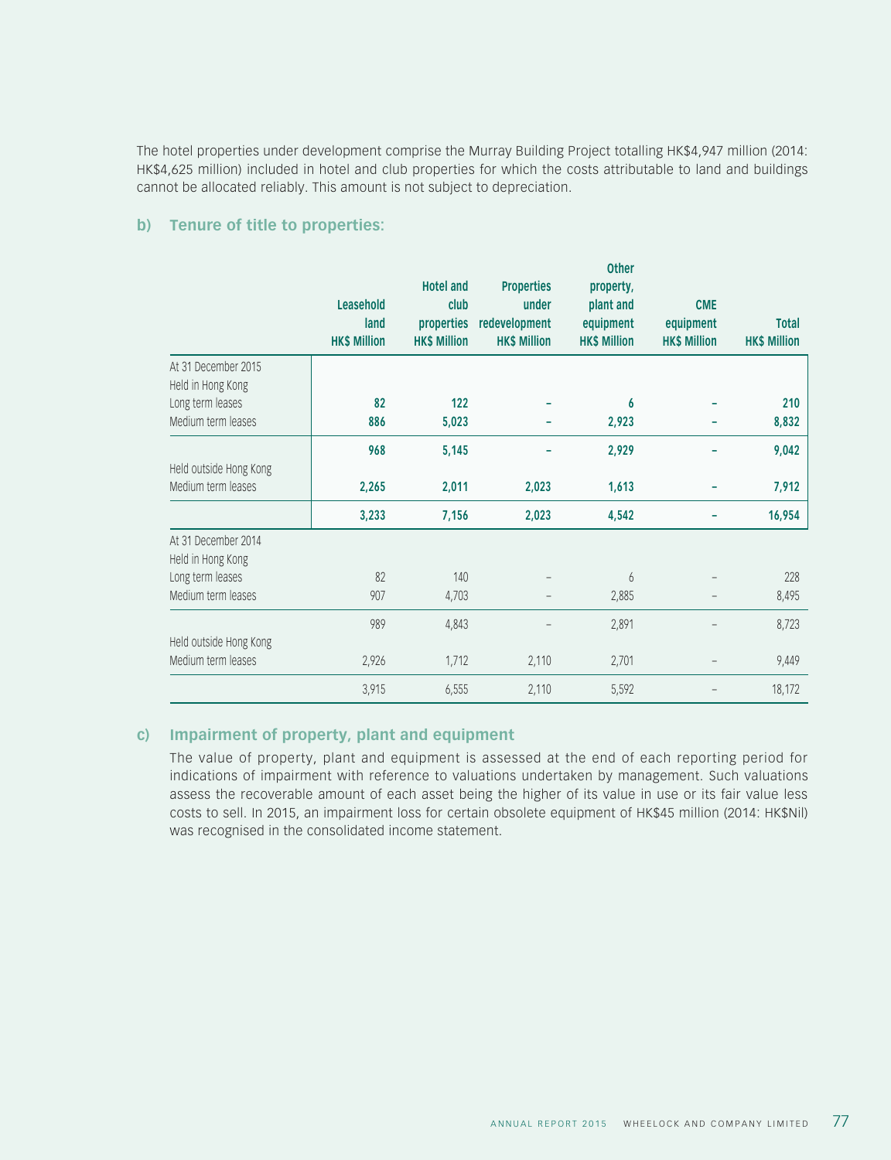The hotel properties under development comprise the Murray Building Project totalling HK\$4,947 million (2014: HK\$4,625 million) included in hotel and club properties for which the costs attributable to land and buildings cannot be allocated reliably. This amount is not subject to depreciation.

#### **b) Tenure of title to properties:**

|                        | Leasehold<br>land<br><b>HK\$ Million</b> | <b>Hotel and</b><br>club<br>properties<br><b>HK\$ Million</b> | <b>Properties</b><br>under<br>redevelopment<br><b>HK\$ Million</b> | other<br>property,<br>plant and<br>equipment<br><b>HK\$ Million</b> | <b>CME</b><br>equipment<br><b>HK\$ Million</b> | <b>Total</b><br><b>HK\$ Million</b> |
|------------------------|------------------------------------------|---------------------------------------------------------------|--------------------------------------------------------------------|---------------------------------------------------------------------|------------------------------------------------|-------------------------------------|
| At 31 December 2015    |                                          |                                                               |                                                                    |                                                                     |                                                |                                     |
| Held in Hong Kong      |                                          |                                                               |                                                                    |                                                                     |                                                |                                     |
| Long term leases       | 82                                       | 122                                                           |                                                                    | 6                                                                   |                                                | 210                                 |
| Medium term leases     | 886                                      | 5,023                                                         |                                                                    | 2,923                                                               |                                                | 8,832                               |
|                        | 968                                      | 5,145                                                         |                                                                    | 2,929                                                               |                                                | 9,042                               |
| Held outside Hong Kong |                                          |                                                               |                                                                    |                                                                     |                                                |                                     |
| Medium term leases     | 2,265                                    | 2,011                                                         | 2,023                                                              | 1,613                                                               |                                                | 7,912                               |
|                        | 3,233                                    | 7,156                                                         | 2,023                                                              | 4,542                                                               |                                                | 16,954                              |
| At 31 December 2014    |                                          |                                                               |                                                                    |                                                                     |                                                |                                     |
| Held in Hong Kong      |                                          |                                                               |                                                                    |                                                                     |                                                |                                     |
| Long term leases       | 82                                       | 140                                                           |                                                                    | 6                                                                   |                                                | 228                                 |
| Medium term leases     | 907                                      | 4,703                                                         |                                                                    | 2,885                                                               |                                                | 8,495                               |
|                        | 989                                      | 4,843                                                         |                                                                    | 2,891                                                               |                                                | 8,723                               |
| Held outside Hong Kong |                                          |                                                               |                                                                    |                                                                     |                                                |                                     |
| Medium term leases     | 2,926                                    | 1,712                                                         | 2,110                                                              | 2,701                                                               |                                                | 9,449                               |
|                        | 3,915                                    | 6,555                                                         | 2,110                                                              | 5,592                                                               |                                                | 18,172                              |

#### **c) Impairment of property, plant and equipment**

The value of property, plant and equipment is assessed at the end of each reporting period for indications of impairment with reference to valuations undertaken by management. Such valuations assess the recoverable amount of each asset being the higher of its value in use or its fair value less costs to sell. In 2015, an impairment loss for certain obsolete equipment of HK\$45 million (2014: HK\$Nil) was recognised in the consolidated income statement.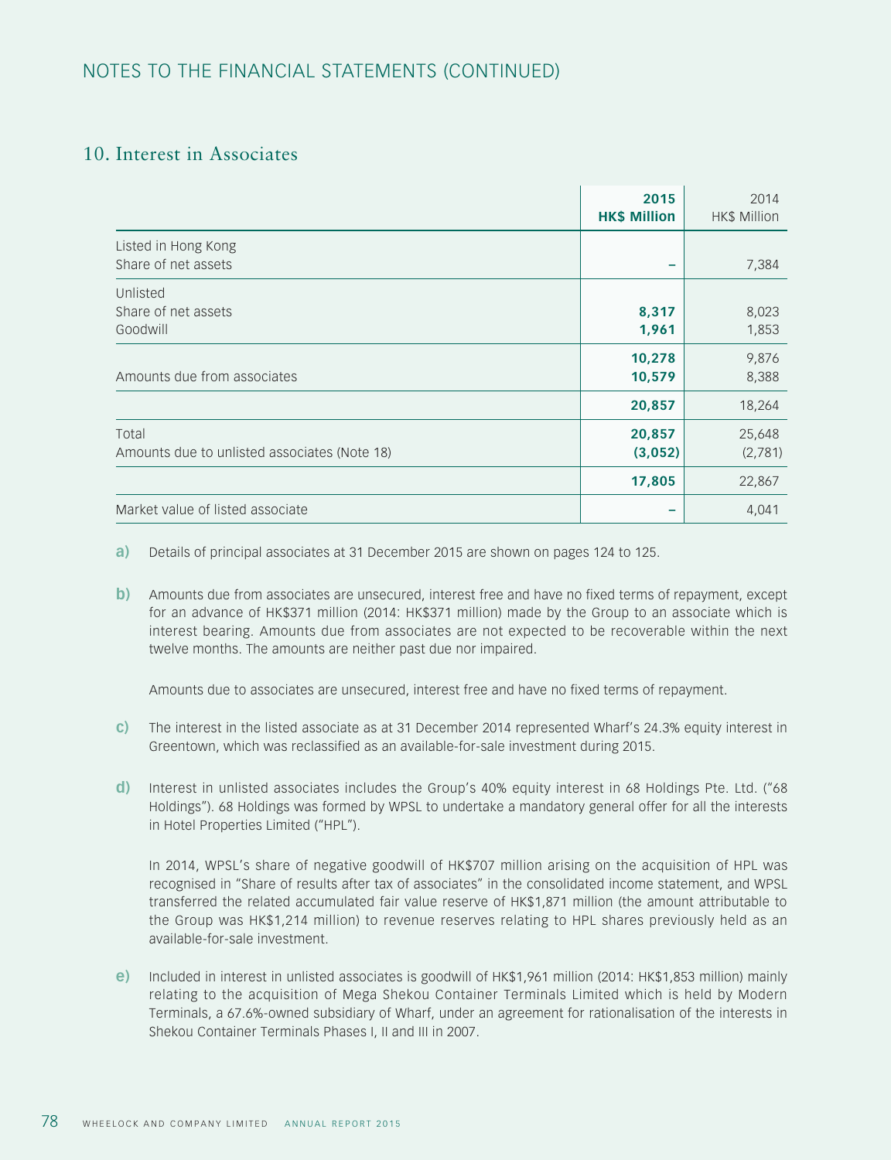## 10. Interest in Associates

|                                                       | 2015<br><b>HK\$ Million</b> | 2014<br><b>HK\$ Million</b> |
|-------------------------------------------------------|-----------------------------|-----------------------------|
| Listed in Hong Kong<br>Share of net assets            |                             | 7,384                       |
| Unlisted<br>Share of net assets<br>Goodwill           | 8,317<br>1,961              | 8,023<br>1,853              |
| Amounts due from associates                           | 10,278<br>10,579            | 9,876<br>8,388              |
|                                                       | 20,857                      | 18,264                      |
| Total<br>Amounts due to unlisted associates (Note 18) | 20,857<br>(3,052)           | 25,648<br>(2,781)           |
|                                                       | 17,805                      | 22,867                      |
| Market value of listed associate                      |                             | 4,041                       |

**a)** Details of principal associates at 31 December 2015 are shown on pages 124 to 125.

**b**) Amounts due from associates are unsecured, interest free and have no fixed terms of repayment, except for an advance of HK\$371 million (2014: HK\$371 million) made by the Group to an associate which is interest bearing. Amounts due from associates are not expected to be recoverable within the next twelve months. The amounts are neither past due nor impaired.

Amounts due to associates are unsecured, interest free and have no fixed terms of repayment.

- **c)** The interest in the listed associate as at 31 December 2014 represented Wharf's 24.3% equity interest in Greentown, which was reclassified as an available-for-sale investment during 2015.
- **d)** Interest in unlisted associates includes the Group's 40% equity interest in 68 Holdings Pte. Ltd. ("68 Holdings"). 68 Holdings was formed by WPSL to undertake a mandatory general offer for all the interests in Hotel Properties Limited ("HPL").

In 2014, WPSL's share of negative goodwill of HK\$707 million arising on the acquisition of HPL was recognised in "Share of results after tax of associates" in the consolidated income statement, and WPSL transferred the related accumulated fair value reserve of HK\$1,871 million (the amount attributable to the Group was HK\$1,214 million) to revenue reserves relating to HPL shares previously held as an available-for-sale investment.

**e)** Included in interest in unlisted associates is goodwill of HK\$1,961 million (2014: HK\$1,853 million) mainly relating to the acquisition of Mega Shekou Container Terminals Limited which is held by Modern Terminals, a 67.6%-owned subsidiary of Wharf, under an agreement for rationalisation of the interests in Shekou Container Terminals Phases I, II and III in 2007.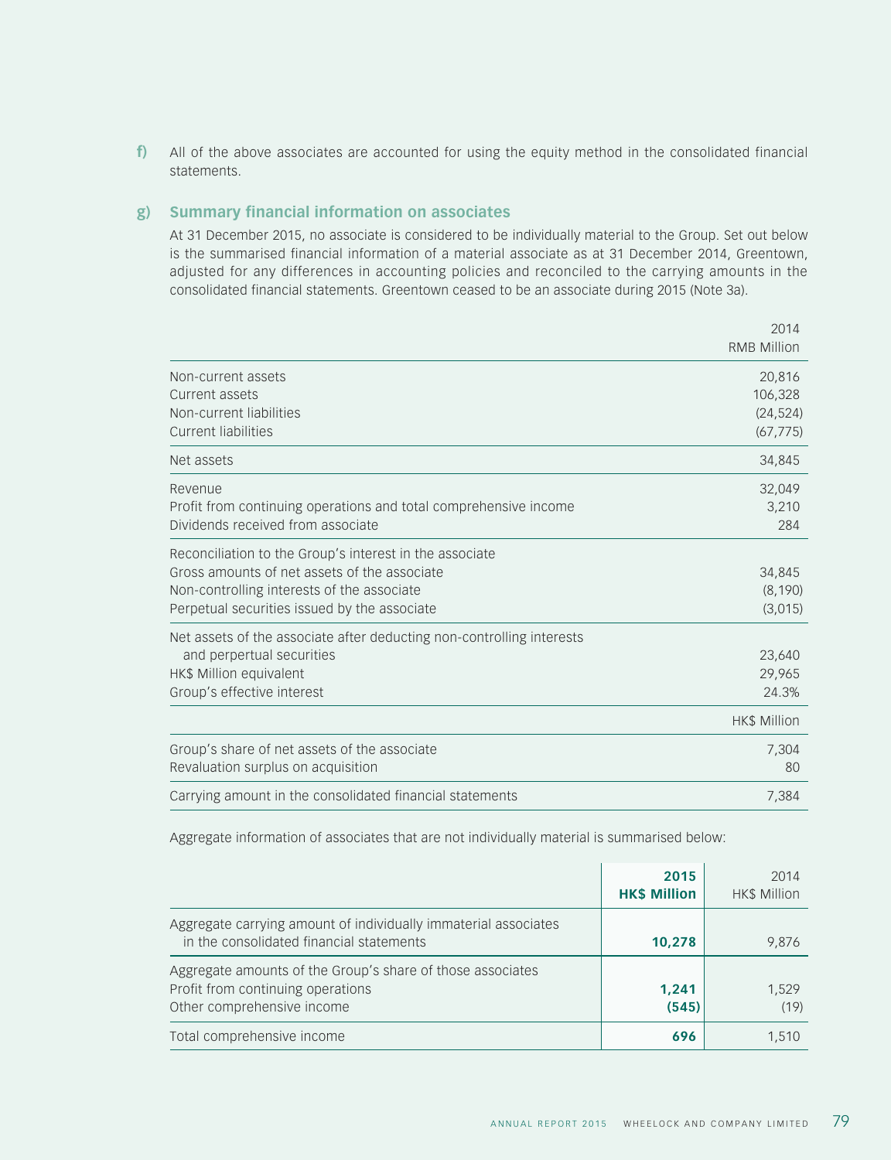**f)** All of the above associates are accounted for using the equity method in the consolidated financial statements.

#### **g) Summary financial information on associates**

At 31 December 2015, no associate is considered to be individually material to the Group. Set out below is the summarised financial information of a material associate as at 31 December 2014, Greentown, adjusted for any differences in accounting policies and reconciled to the carrying amounts in the consolidated financial statements. Greentown ceased to be an associate during 2015 (Note 3a).

|                                                                                                                                                                                                       | 2014<br><b>RMB Million</b>                  |
|-------------------------------------------------------------------------------------------------------------------------------------------------------------------------------------------------------|---------------------------------------------|
| Non-current assets<br>Current assets<br>Non-current liabilities<br><b>Current liabilities</b>                                                                                                         | 20,816<br>106,328<br>(24, 524)<br>(67, 775) |
| Net assets                                                                                                                                                                                            | 34,845                                      |
| Revenue<br>Profit from continuing operations and total comprehensive income<br>Dividends received from associate                                                                                      | 32,049<br>3,210<br>284                      |
| Reconciliation to the Group's interest in the associate<br>Gross amounts of net assets of the associate<br>Non-controlling interests of the associate<br>Perpetual securities issued by the associate | 34,845<br>(8, 190)<br>(3,015)               |
| Net assets of the associate after deducting non-controlling interests<br>and perpertual securities<br>HK\$ Million equivalent<br>Group's effective interest                                           | 23,640<br>29,965<br>24.3%                   |
|                                                                                                                                                                                                       | HK\$ Million                                |
| Group's share of net assets of the associate<br>Revaluation surplus on acquisition                                                                                                                    | 7,304<br>80                                 |
| Carrying amount in the consolidated financial statements                                                                                                                                              | 7,384                                       |

Aggregate information of associates that are not individually material is summarised below:

|                                                                                                                               | 2015<br><b>HK\$ Million</b> | 2014<br><b>HK\$ Million</b> |
|-------------------------------------------------------------------------------------------------------------------------------|-----------------------------|-----------------------------|
| Aggregate carrying amount of individually immaterial associates<br>in the consolidated financial statements                   | 10,278                      | 9,876                       |
| Aggregate amounts of the Group's share of those associates<br>Profit from continuing operations<br>Other comprehensive income | 1,241<br>(545)              | 1,529<br>(19)               |
| Total comprehensive income                                                                                                    | 696                         | 1.510                       |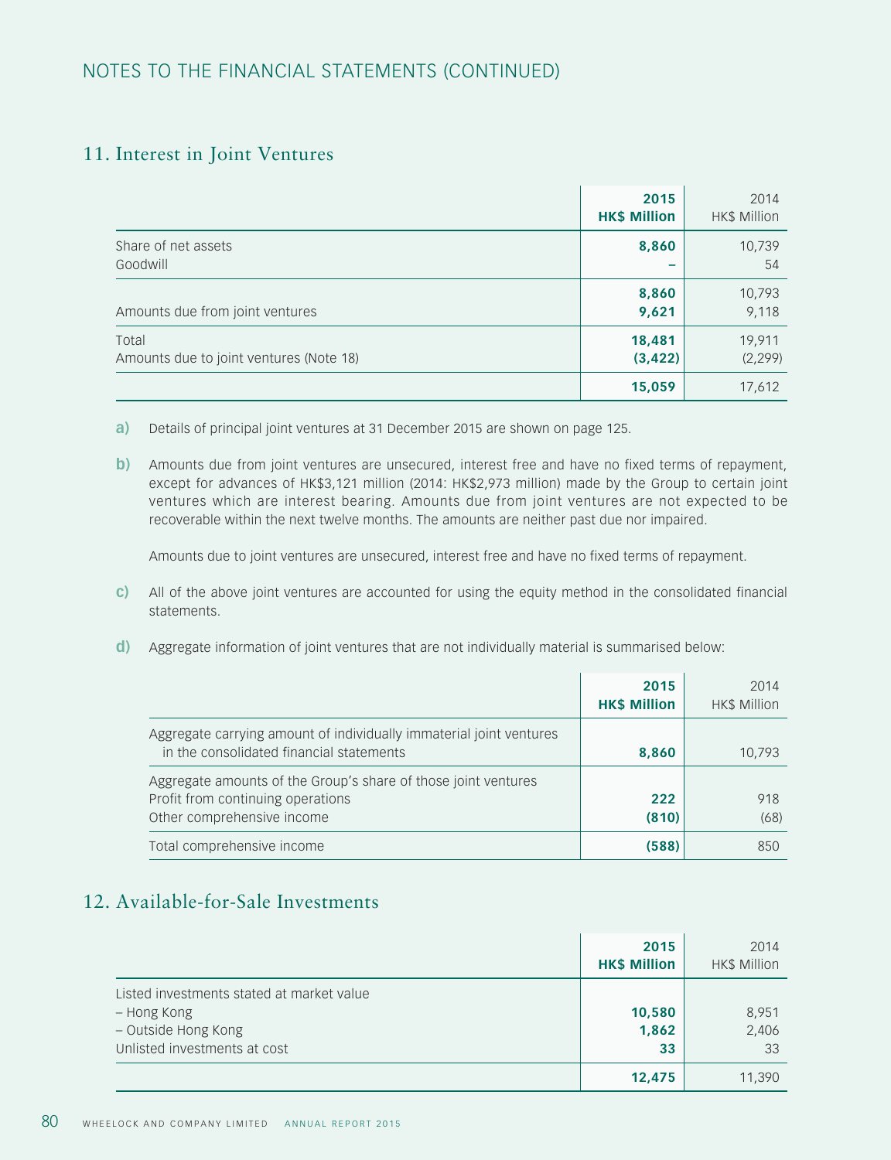## 11. Interest in Joint Ventures

|                                                  | 2015<br><b>HK\$ Million</b> | 2014<br><b>HK\$ Million</b> |
|--------------------------------------------------|-----------------------------|-----------------------------|
| Share of net assets<br>Goodwill                  | 8,860                       | 10,739<br>54                |
| Amounts due from joint ventures                  | 8,860<br>9,621              | 10,793<br>9,118             |
| Total<br>Amounts due to joint ventures (Note 18) | 18,481<br>(3, 422)          | 19,911<br>(2, 299)          |
|                                                  | 15,059                      | 17,612                      |

**a)** Details of principal joint ventures at 31 December 2015 are shown on page 125.

**b**) Amounts due from joint ventures are unsecured, interest free and have no fixed terms of repayment, except for advances of HK\$3,121 million (2014: HK\$2,973 million) made by the Group to certain joint ventures which are interest bearing. Amounts due from joint ventures are not expected to be recoverable within the next twelve months. The amounts are neither past due nor impaired.

Amounts due to joint ventures are unsecured, interest free and have no fixed terms of repayment.

- **c)** All of the above joint ventures are accounted for using the equity method in the consolidated financial statements.
- **d)** Aggregate information of joint ventures that are not individually material is summarised below:

|                                                                                                                                   | 2015<br><b>HK\$ Million</b> | 2014<br><b>HK\$ Million</b> |
|-----------------------------------------------------------------------------------------------------------------------------------|-----------------------------|-----------------------------|
| Aggregate carrying amount of individually immaterial joint ventures<br>in the consolidated financial statements                   | 8,860                       | 10,793                      |
| Aggregate amounts of the Group's share of those joint ventures<br>Profit from continuing operations<br>Other comprehensive income | 222<br>(810)                | 918<br>(68)                 |
| Total comprehensive income                                                                                                        | (588)                       | 850                         |

# 12. Available-for-Sale Investments

|                                                                                                                 | 2015<br><b>HK\$ Million</b> | 2014<br><b>HK\$ Million</b> |
|-----------------------------------------------------------------------------------------------------------------|-----------------------------|-----------------------------|
| Listed investments stated at market value<br>– Hong Kong<br>- Outside Hong Kong<br>Unlisted investments at cost | 10,580<br>1,862<br>33       | 8,951<br>2,406<br>33        |
|                                                                                                                 | 12,475                      | 11,390                      |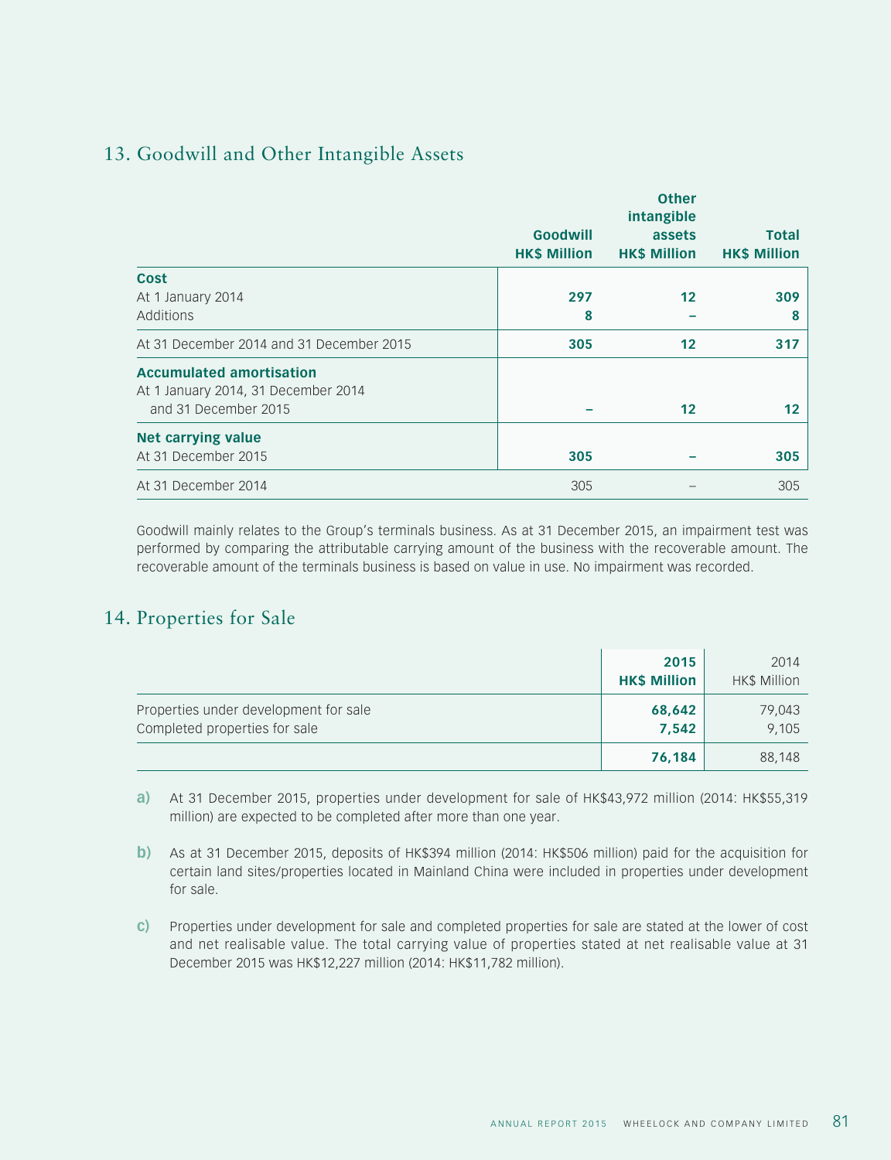# 13. Goodwill and Other Intangible Assets

|                                                                                                |                                 | <b>Other</b><br>intangible    |                                     |
|------------------------------------------------------------------------------------------------|---------------------------------|-------------------------------|-------------------------------------|
|                                                                                                | Goodwill<br><b>HK\$ Million</b> | assets<br><b>HK\$ Million</b> | <b>Total</b><br><b>HK\$ Million</b> |
| Cost<br>At 1 January 2014<br>Additions                                                         | 297<br>8                        | 12                            | 309<br>8                            |
| At 31 December 2014 and 31 December 2015                                                       | 305                             | $12 \overline{ }$             | 317                                 |
| <b>Accumulated amortisation</b><br>At 1 January 2014, 31 December 2014<br>and 31 December 2015 |                                 | $12 \overline{ }$             | 12                                  |
| <b>Net carrying value</b><br>At 31 December 2015                                               | 305                             |                               | 305                                 |
| At 31 December 2014                                                                            | 305                             |                               | 305                                 |

Goodwill mainly relates to the Group's terminals business. As at 31 December 2015, an impairment test was performed by comparing the attributable carrying amount of the business with the recoverable amount. The recoverable amount of the terminals business is based on value in use. No impairment was recorded.

# 14. Properties for Sale

|                                                                        | 2015<br><b>HK\$ Million</b> | 2014<br>HK\$ Million |
|------------------------------------------------------------------------|-----------------------------|----------------------|
| Properties under development for sale<br>Completed properties for sale | 68,642<br>7,542             | 79,043<br>9,105      |
|                                                                        | 76,184                      | 88,148               |

**a)** At 31 December 2015, properties under development for sale of HK\$43,972 million (2014: HK\$55,319 million) are expected to be completed after more than one year.

- **b)** As at 31 December 2015, deposits of HK\$394 million (2014: HK\$506 million) paid for the acquisition for certain land sites/properties located in Mainland China were included in properties under development for sale.
- **c)** Properties under development for sale and completed properties for sale are stated at the lower of cost and net realisable value. The total carrying value of properties stated at net realisable value at 31 December 2015 was HK\$12,227 million (2014: HK\$11,782 million).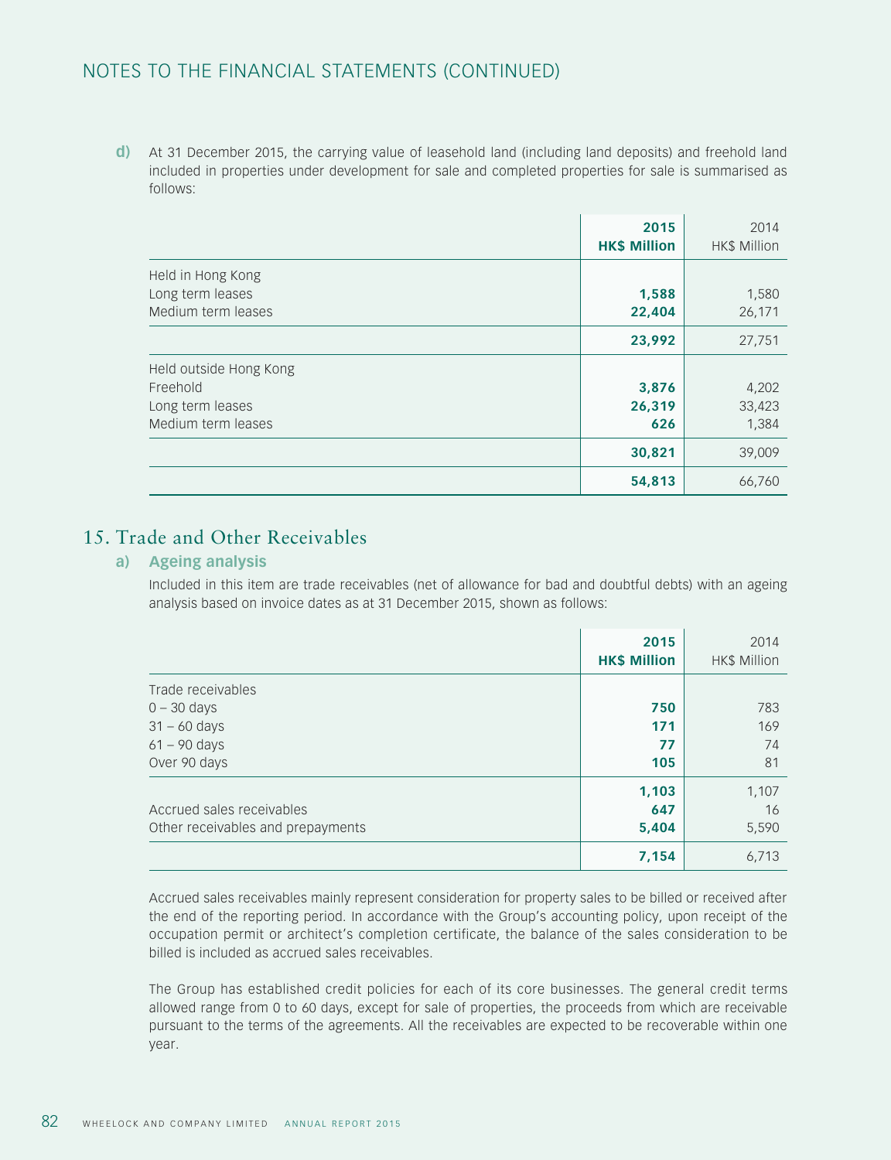**d)** At 31 December 2015, the carrying value of leasehold land (including land deposits) and freehold land included in properties under development for sale and completed properties for sale is summarised as follows:

|                                                                              | 2015<br><b>HK\$ Million</b> | 2014<br>HK\$ Million     |
|------------------------------------------------------------------------------|-----------------------------|--------------------------|
| Held in Hong Kong<br>Long term leases<br>Medium term leases                  | 1,588<br>22,404             | 1,580<br>26,171          |
|                                                                              | 23,992                      | 27,751                   |
| Held outside Hong Kong<br>Freehold<br>Long term leases<br>Medium term leases | 3,876<br>26,319<br>626      | 4,202<br>33,423<br>1,384 |
|                                                                              | 30,821                      | 39,009                   |
|                                                                              | 54,813                      | 66,760                   |

# 15. Trade and Other Receivables

#### **a) Ageing analysis**

Included in this item are trade receivables (net of allowance for bad and doubtful debts) with an ageing analysis based on invoice dates as at 31 December 2015, shown as follows:

|                                   | 2015<br><b>HK\$ Million</b> | 2014<br>HK\$ Million |
|-----------------------------------|-----------------------------|----------------------|
| Trade receivables                 |                             |                      |
| $0 - 30$ days                     | 750                         | 783                  |
| $31 - 60$ days                    | 171                         | 169                  |
| $61 - 90$ days                    | 77                          | 74                   |
| Over 90 days                      | 105                         | 81                   |
|                                   | 1,103                       | 1,107                |
| Accrued sales receivables         | 647                         | 16                   |
| Other receivables and prepayments | 5,404                       | 5,590                |
|                                   | 7,154                       | 6,713                |

Accrued sales receivables mainly represent consideration for property sales to be billed or received after the end of the reporting period. In accordance with the Group's accounting policy, upon receipt of the occupation permit or architect's completion certificate, the balance of the sales consideration to be billed is included as accrued sales receivables.

The Group has established credit policies for each of its core businesses. The general credit terms allowed range from 0 to 60 days, except for sale of properties, the proceeds from which are receivable pursuant to the terms of the agreements. All the receivables are expected to be recoverable within one year.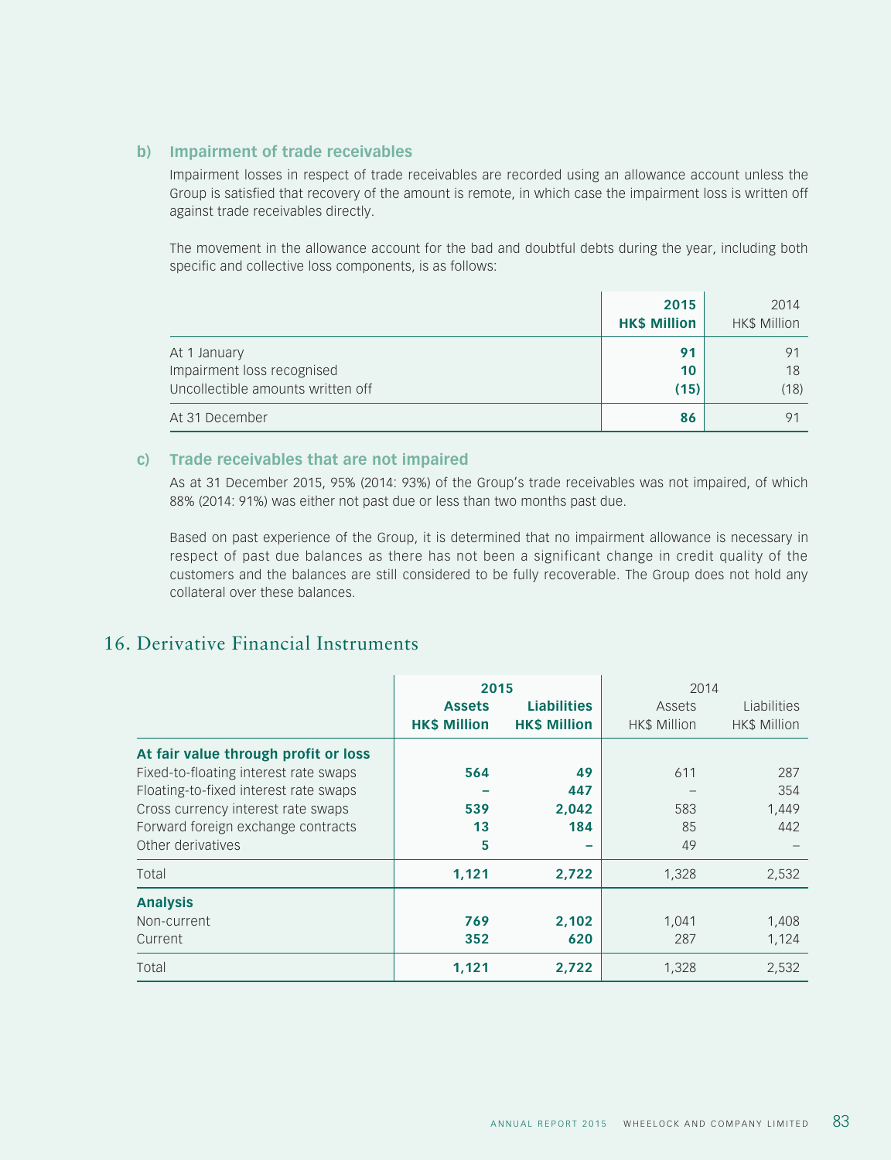#### **b) Impairment of trade receivables**

Impairment losses in respect of trade receivables are recorded using an allowance account unless the Group is satisfied that recovery of the amount is remote, in which case the impairment loss is written off against trade receivables directly.

The movement in the allowance account for the bad and doubtful debts during the year, including both specific and collective loss components, is as follows:

|                                                                                 | 2015<br><b>HK\$ Million</b> | 2014<br>HK\$ Million |
|---------------------------------------------------------------------------------|-----------------------------|----------------------|
| At 1 January<br>Impairment loss recognised<br>Uncollectible amounts written off | 91<br>10<br>(15)            | . Q1<br>18<br>(18)   |
| At 31 December                                                                  | 86                          | 91                   |

#### **c) Trade receivables that are not impaired**

As at 31 December 2015, 95% (2014: 93%) of the Group's trade receivables was not impaired, of which 88% (2014: 91%) was either not past due or less than two months past due.

Based on past experience of the Group, it is determined that no impairment allowance is necessary in respect of past due balances as there has not been a significant change in credit quality of the customers and the balances are still considered to be fully recoverable. The Group does not hold any collateral over these balances.

# 16. Derivative Financial Instruments

|                                       | 2015                |                          | 2014                |              |
|---------------------------------------|---------------------|--------------------------|---------------------|--------------|
|                                       | <b>Assets</b>       | <b>Liabilities</b>       | Assets              | Liabilities  |
|                                       | <b>HK\$ Million</b> | <b>HK\$ Million</b>      | <b>HK\$ Million</b> | HK\$ Million |
| At fair value through profit or loss  |                     |                          |                     |              |
| Fixed-to-floating interest rate swaps | 564                 | 49                       | 611                 | 287          |
| Floating-to-fixed interest rate swaps |                     | 447                      |                     | 354          |
| Cross currency interest rate swaps    | 539                 | 2.042                    | 583                 | 1,449        |
| Forward foreign exchange contracts    | 13                  | 184                      | 85                  | 442          |
| Other derivatives                     | 5                   | $\overline{\phantom{0}}$ | 49                  |              |
| Total                                 | 1,121               | 2,722                    | 1,328               | 2,532        |
| <b>Analysis</b>                       |                     |                          |                     |              |
| Non-current                           | 769                 | 2,102                    | 1,041               | 1,408        |
| Current                               | 352                 | 620                      | 287                 | 1,124        |
| Total                                 | 1,121               | 2,722                    | 1,328               | 2,532        |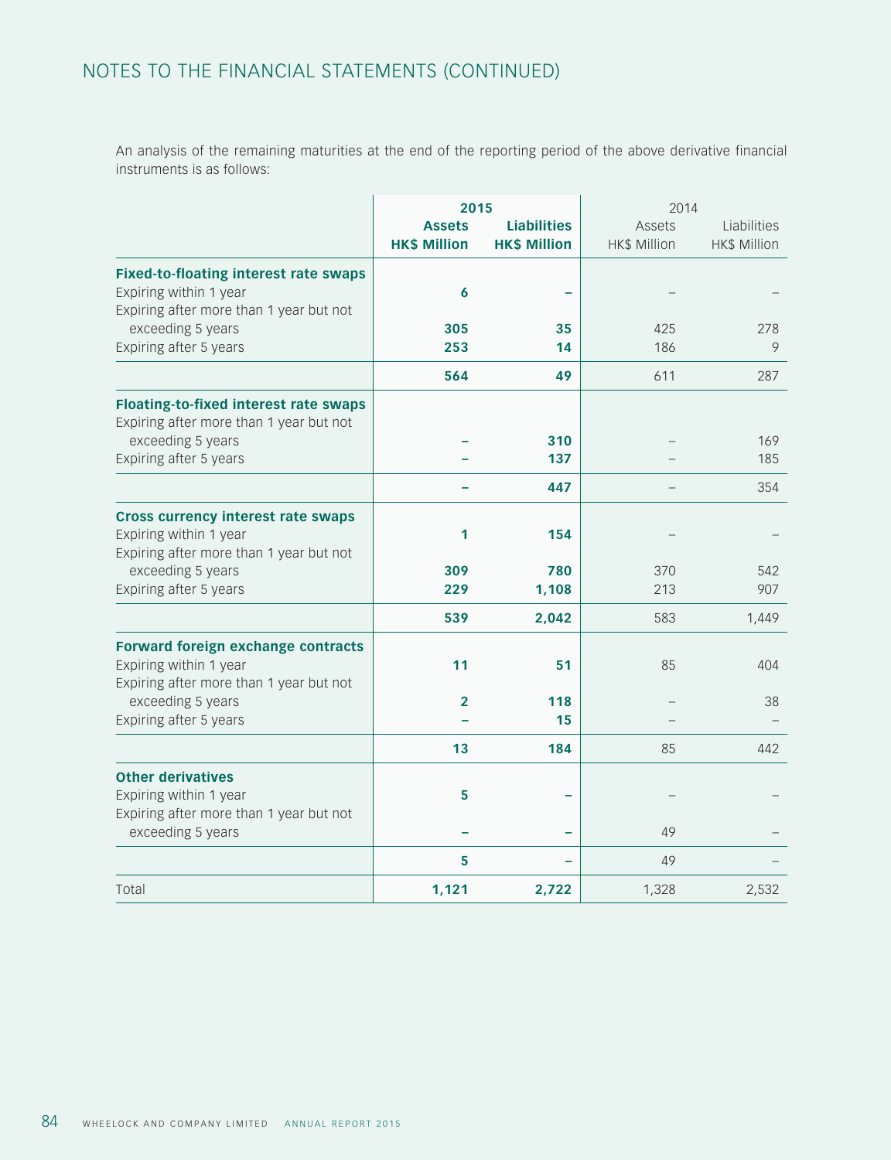An analysis of the remaining maturities at the end of the reporting period of the above derivative financial instruments is as follows:

|                                                                                                                   | 2015                                 |                                           | 2014                                 |                                    |
|-------------------------------------------------------------------------------------------------------------------|--------------------------------------|-------------------------------------------|--------------------------------------|------------------------------------|
|                                                                                                                   | <b>Assets</b><br><b>HK\$ Million</b> | <b>Liabilities</b><br><b>HK\$ Million</b> | <b>Assets</b><br><b>HK\$ Million</b> | Liabilities<br><b>HK\$ Million</b> |
| <b>Fixed-to-floating interest rate swaps</b><br>Expiring within 1 year<br>Expiring after more than 1 year but not | 6                                    |                                           |                                      |                                    |
| exceeding 5 years<br>Expiring after 5 years                                                                       | 305<br>253                           | 35<br>14                                  | 425<br>186                           | 278<br>9                           |
|                                                                                                                   | 564                                  | 49                                        | 611                                  | 287                                |
| <b>Floating-to-fixed interest rate swaps</b><br>Expiring after more than 1 year but not<br>exceeding 5 years      |                                      | 310                                       |                                      | 169                                |
| Expiring after 5 years                                                                                            |                                      | 137<br>447                                |                                      | 185<br>354                         |
| <b>Cross currency interest rate swaps</b><br>Expiring within 1 year<br>Expiring after more than 1 year but not    | 1                                    | 154                                       |                                      |                                    |
| exceeding 5 years<br>Expiring after 5 years                                                                       | 309<br>229                           | 780<br>1,108                              | 370<br>213                           | 542<br>907                         |
|                                                                                                                   | 539                                  | 2,042                                     | 583                                  | 1,449                              |
| <b>Forward foreign exchange contracts</b><br>Expiring within 1 year<br>Expiring after more than 1 year but not    | 11                                   | 51                                        | 85                                   | 404                                |
| exceeding 5 years<br>Expiring after 5 years                                                                       | $\overline{2}$                       | 118<br>15                                 |                                      | 38                                 |
|                                                                                                                   | 13                                   | 184                                       | 85                                   | 442                                |
| <b>Other derivatives</b><br>Expiring within 1 year<br>Expiring after more than 1 year but not                     | 5                                    |                                           |                                      |                                    |
| exceeding 5 years                                                                                                 |                                      |                                           | 49                                   |                                    |
|                                                                                                                   | 5                                    |                                           | 49                                   |                                    |
| Total                                                                                                             | 1,121                                | 2,722                                     | 1,328                                | 2,532                              |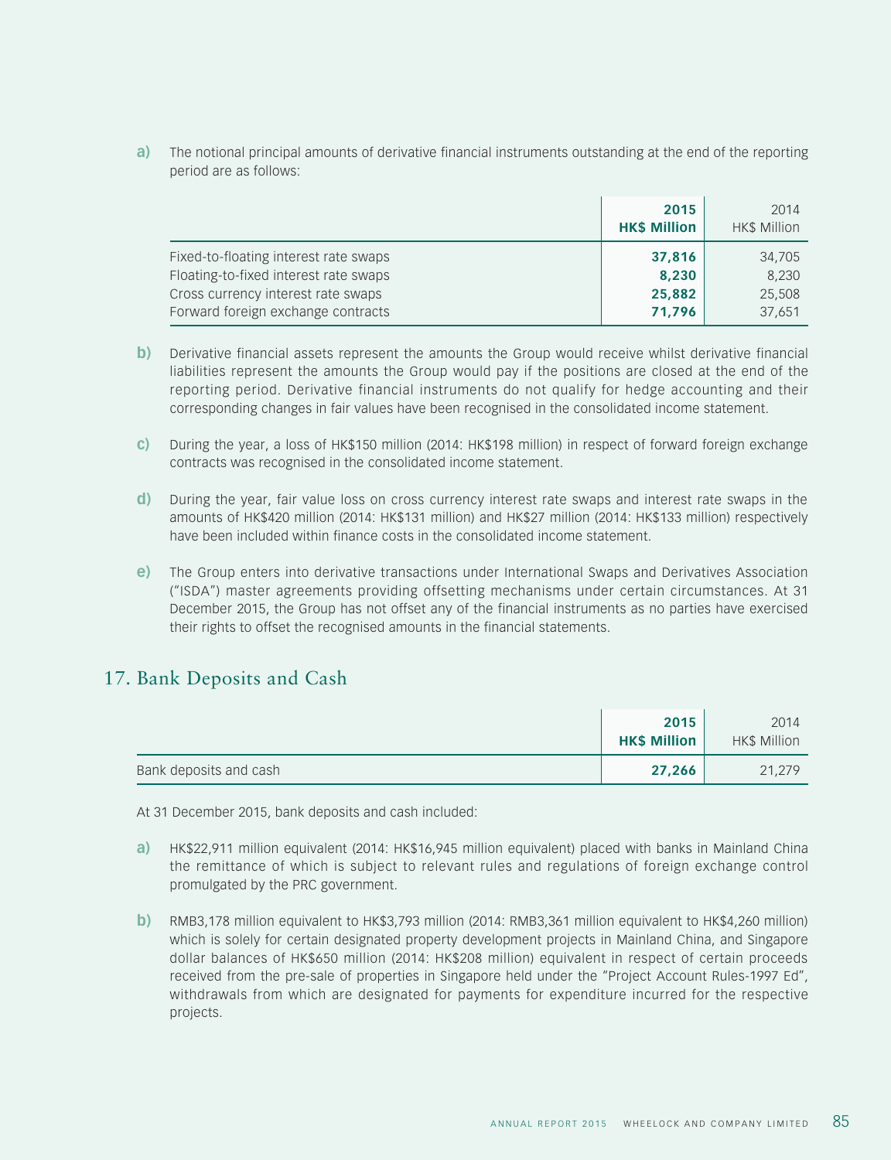**a)** The notional principal amounts of derivative financial instruments outstanding at the end of the reporting period are as follows:

|                                       | 2015<br><b>HK\$ Million</b> | 2014<br>HK\$ Million |
|---------------------------------------|-----------------------------|----------------------|
| Fixed-to-floating interest rate swaps | 37,816                      | 34,705               |
| Floating-to-fixed interest rate swaps | 8,230                       | 8,230                |
| Cross currency interest rate swaps    | 25,882                      | 25,508               |
| Forward foreign exchange contracts    | 71,796                      | 37,651               |

- **b)** Derivative financial assets represent the amounts the Group would receive whilst derivative financial liabilities represent the amounts the Group would pay if the positions are closed at the end of the reporting period. Derivative financial instruments do not qualify for hedge accounting and their corresponding changes in fair values have been recognised in the consolidated income statement.
- **c)** During the year, a loss of HK\$150 million (2014: HK\$198 million) in respect of forward foreign exchange contracts was recognised in the consolidated income statement.
- **d)** During the year, fair value loss on cross currency interest rate swaps and interest rate swaps in the amounts of HK\$420 million (2014: HK\$131 million) and HK\$27 million (2014: HK\$133 million) respectively have been included within finance costs in the consolidated income statement.
- **e)** The Group enters into derivative transactions under International Swaps and Derivatives Association ("ISDA") master agreements providing offsetting mechanisms under certain circumstances. At 31 December 2015, the Group has not offset any of the financial instruments as no parties have exercised their rights to offset the recognised amounts in the financial statements.

## 17. Bank Deposits and Cash

|                        | 2015<br><b>HK\$ Million</b> | 2014<br>HK\$ Million |
|------------------------|-----------------------------|----------------------|
| Bank deposits and cash | 27,266                      | 21,279               |

At 31 December 2015, bank deposits and cash included:

- **a)** HK\$22,911 million equivalent (2014: HK\$16,945 million equivalent) placed with banks in Mainland China the remittance of which is subject to relevant rules and regulations of foreign exchange control promulgated by the PRC government.
- **b)** RMB3,178 million equivalent to HK\$3,793 million (2014: RMB3,361 million equivalent to HK\$4,260 million) which is solely for certain designated property development projects in Mainland China, and Singapore dollar balances of HK\$650 million (2014: HK\$208 million) equivalent in respect of certain proceeds received from the pre-sale of properties in Singapore held under the "Project Account Rules-1997 Ed", withdrawals from which are designated for payments for expenditure incurred for the respective projects.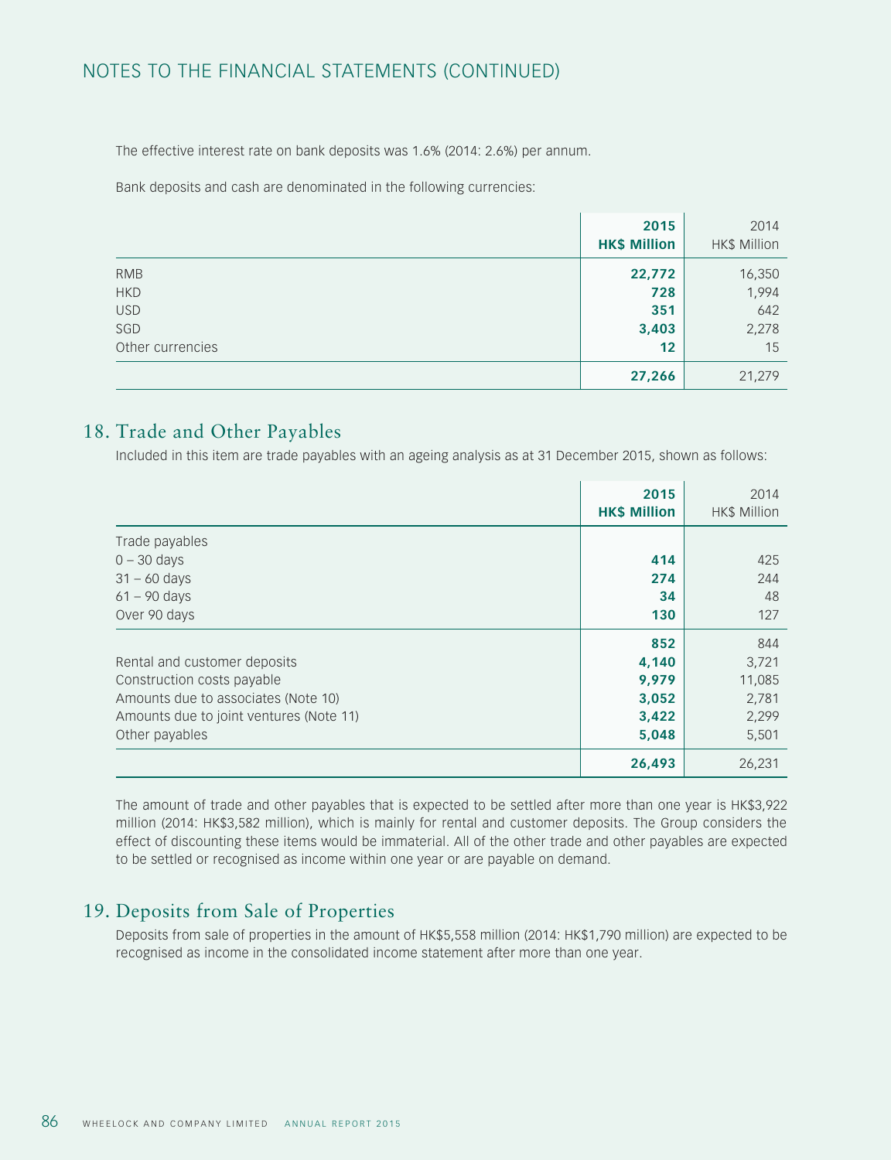The effective interest rate on bank deposits was 1.6% (2014: 2.6%) per annum.

Bank deposits and cash are denominated in the following currencies:

|                  | 2015<br><b>HK\$ Million</b> | 2014<br>HK\$ Million |
|------------------|-----------------------------|----------------------|
| <b>RMB</b>       | 22,772                      | 16,350               |
| <b>HKD</b>       | 728                         | 1,994                |
| <b>USD</b>       | 351                         | 642                  |
| SGD              | 3,403                       | 2,278                |
| Other currencies | 12                          | 15                   |
|                  | 27,266                      | 21,279               |

## 18. Trade and Other Payables

Included in this item are trade payables with an ageing analysis as at 31 December 2015, shown as follows:

|                                         | 2015<br><b>HK\$ Million</b> | 2014<br><b>HK\$ Million</b> |
|-----------------------------------------|-----------------------------|-----------------------------|
| Trade payables                          |                             |                             |
| $0 - 30$ days                           | 414                         | 425                         |
| $31 - 60$ days                          | 274                         | 244                         |
| $61 - 90$ days                          | 34                          | 48                          |
| Over 90 days                            | 130                         | 127                         |
|                                         | 852                         | 844                         |
| Rental and customer deposits            | 4,140                       | 3,721                       |
| Construction costs payable              | 9,979                       | 11,085                      |
| Amounts due to associates (Note 10)     | 3,052                       | 2,781                       |
| Amounts due to joint ventures (Note 11) | 3,422                       | 2,299                       |
| Other payables                          | 5,048                       | 5,501                       |
|                                         | 26,493                      | 26,231                      |

The amount of trade and other payables that is expected to be settled after more than one year is HK\$3,922 million (2014: HK\$3,582 million), which is mainly for rental and customer deposits. The Group considers the effect of discounting these items would be immaterial. All of the other trade and other payables are expected to be settled or recognised as income within one year or are payable on demand.

## 19. Deposits from Sale of Properties

Deposits from sale of properties in the amount of HK\$5,558 million (2014: HK\$1,790 million) are expected to be recognised as income in the consolidated income statement after more than one year.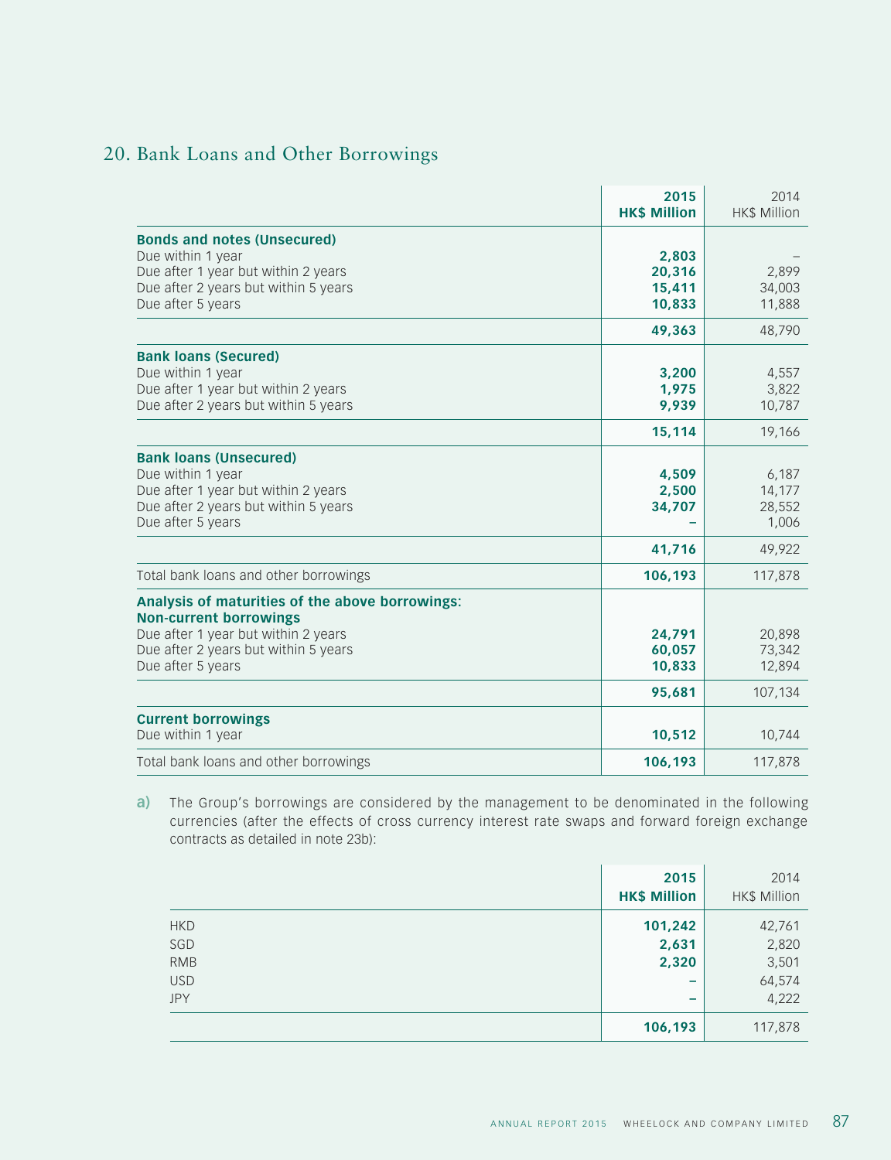# 20. Bank Loans and Other Borrowings

|                                                                                                                                                                                      | 2015<br><b>HK\$ Million</b>          | 2014<br><b>HK\$ Million</b>           |
|--------------------------------------------------------------------------------------------------------------------------------------------------------------------------------------|--------------------------------------|---------------------------------------|
| <b>Bonds and notes (Unsecured)</b><br>Due within 1 year<br>Due after 1 year but within 2 years<br>Due after 2 years but within 5 years<br>Due after 5 years                          | 2,803<br>20,316<br>15,411<br>10,833  | 2,899<br>34,003<br>11,888             |
|                                                                                                                                                                                      | 49,363                               | 48,790                                |
| <b>Bank loans (Secured)</b><br>Due within 1 year<br>Due after 1 year but within 2 years<br>Due after 2 years but within 5 years                                                      | 3,200<br>1,975<br>9,939              | 4,557<br>3,822<br>10,787              |
|                                                                                                                                                                                      | 15,114                               | 19,166                                |
| <b>Bank loans (Unsecured)</b><br>Due within 1 year<br>Due after 1 year but within 2 years<br>Due after 2 years but within 5 years<br>Due after 5 years                               | 4,509<br>2,500<br>34,707             | 6,187<br>14,177<br>28,552<br>1,006    |
|                                                                                                                                                                                      | 41,716                               | 49,922                                |
| Total bank loans and other borrowings                                                                                                                                                | 106,193                              | 117,878                               |
| Analysis of maturities of the above borrowings:<br><b>Non-current borrowings</b><br>Due after 1 year but within 2 years<br>Due after 2 years but within 5 years<br>Due after 5 years | 24,791<br>60,057<br>10,833<br>95,681 | 20,898<br>73,342<br>12,894<br>107,134 |
| <b>Current borrowings</b><br>Due within 1 year                                                                                                                                       | 10,512                               | 10,744                                |
| Total bank loans and other borrowings                                                                                                                                                | 106,193                              | 117,878                               |

**a)** The Group's borrowings are considered by the management to be denominated in the following currencies (after the effects of cross currency interest rate swaps and forward foreign exchange contracts as detailed in note 23b):

|            | 2015<br><b>HK\$ Million</b> | 2014<br>HK\$ Million |
|------------|-----------------------------|----------------------|
| <b>HKD</b> | 101,242                     | 42,761               |
| SGD        | 2,631                       | 2,820                |
| <b>RMB</b> | 2,320                       | 3,501                |
| <b>USD</b> | $\overline{\phantom{a}}$    | 64,574               |
| <b>JPY</b> | $\overline{\phantom{a}}$    | 4,222                |
|            | 106,193                     | 117,878              |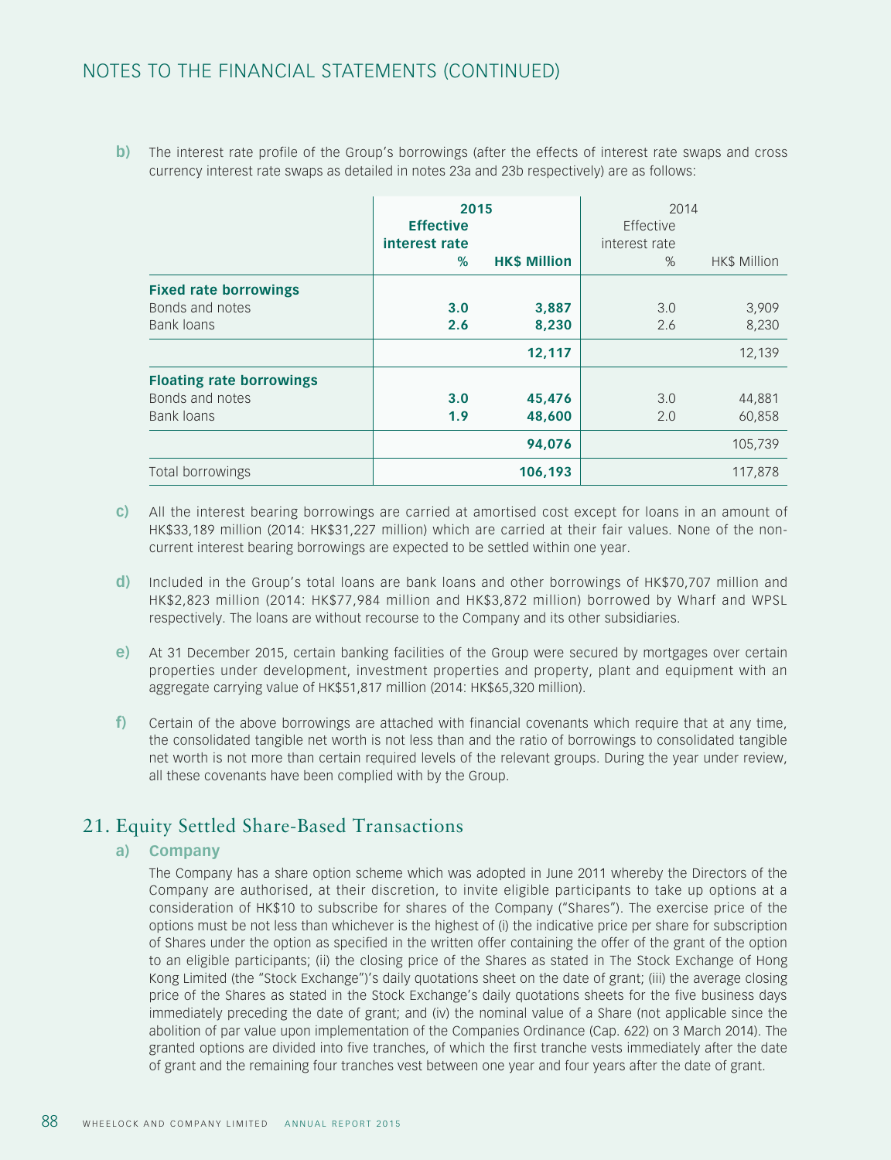**b**) The interest rate profile of the Group's borrowings (after the effects of interest rate swaps and cross currency interest rate swaps as detailed in notes 23a and 23b respectively) are as follows:

|                                                               | 2015<br><b>Effective</b><br>interest rate<br>$\%$ | <b>HK\$ Million</b> | 2014<br>Effective<br>interest rate<br>$\%$ | HK\$ Million     |
|---------------------------------------------------------------|---------------------------------------------------|---------------------|--------------------------------------------|------------------|
| <b>Fixed rate borrowings</b><br>Bonds and notes<br>Bank loans | 3.0<br>2.6                                        | 3,887<br>8,230      | 3.0<br>2.6                                 | 3,909<br>8,230   |
| <b>Floating rate borrowings</b>                               |                                                   | 12,117              |                                            | 12,139           |
| Bonds and notes<br>Bank loans                                 | 3.0<br>1.9                                        | 45,476<br>48,600    | 3.0<br>2.0                                 | 44,881<br>60,858 |
|                                                               |                                                   | 94,076              |                                            | 105,739          |
| Total borrowings                                              |                                                   | 106,193             |                                            | 117,878          |

- **c)** All the interest bearing borrowings are carried at amortised cost except for loans in an amount of HK\$33,189 million (2014: HK\$31,227 million) which are carried at their fair values. None of the noncurrent interest bearing borrowings are expected to be settled within one year.
- **d)** Included in the Group's total loans are bank loans and other borrowings of HK\$70,707 million and HK\$2,823 million (2014: HK\$77,984 million and HK\$3,872 million) borrowed by Wharf and WPSL respectively. The loans are without recourse to the Company and its other subsidiaries.
- **e)** At 31 December 2015, certain banking facilities of the Group were secured by mortgages over certain properties under development, investment properties and property, plant and equipment with an aggregate carrying value of HK\$51,817 million (2014: HK\$65,320 million).
- **f)** Certain of the above borrowings are attached with financial covenants which require that at any time, the consolidated tangible net worth is not less than and the ratio of borrowings to consolidated tangible net worth is not more than certain required levels of the relevant groups. During the year under review, all these covenants have been complied with by the Group.

## 21. Equity Settled Share-Based Transactions

#### **a) Company**

The Company has a share option scheme which was adopted in June 2011 whereby the Directors of the Company are authorised, at their discretion, to invite eligible participants to take up options at a consideration of HK\$10 to subscribe for shares of the Company ("Shares"). The exercise price of the options must be not less than whichever is the highest of (i) the indicative price per share for subscription of Shares under the option as specified in the written offer containing the offer of the grant of the option to an eligible participants; (ii) the closing price of the Shares as stated in The Stock Exchange of Hong Kong Limited (the "Stock Exchange")'s daily quotations sheet on the date of grant; (iii) the average closing price of the Shares as stated in the Stock Exchange's daily quotations sheets for the five business days immediately preceding the date of grant; and (iv) the nominal value of a Share (not applicable since the abolition of par value upon implementation of the Companies Ordinance (Cap. 622) on 3 March 2014). The granted options are divided into five tranches, of which the first tranche vests immediately after the date of grant and the remaining four tranches vest between one year and four years after the date of grant.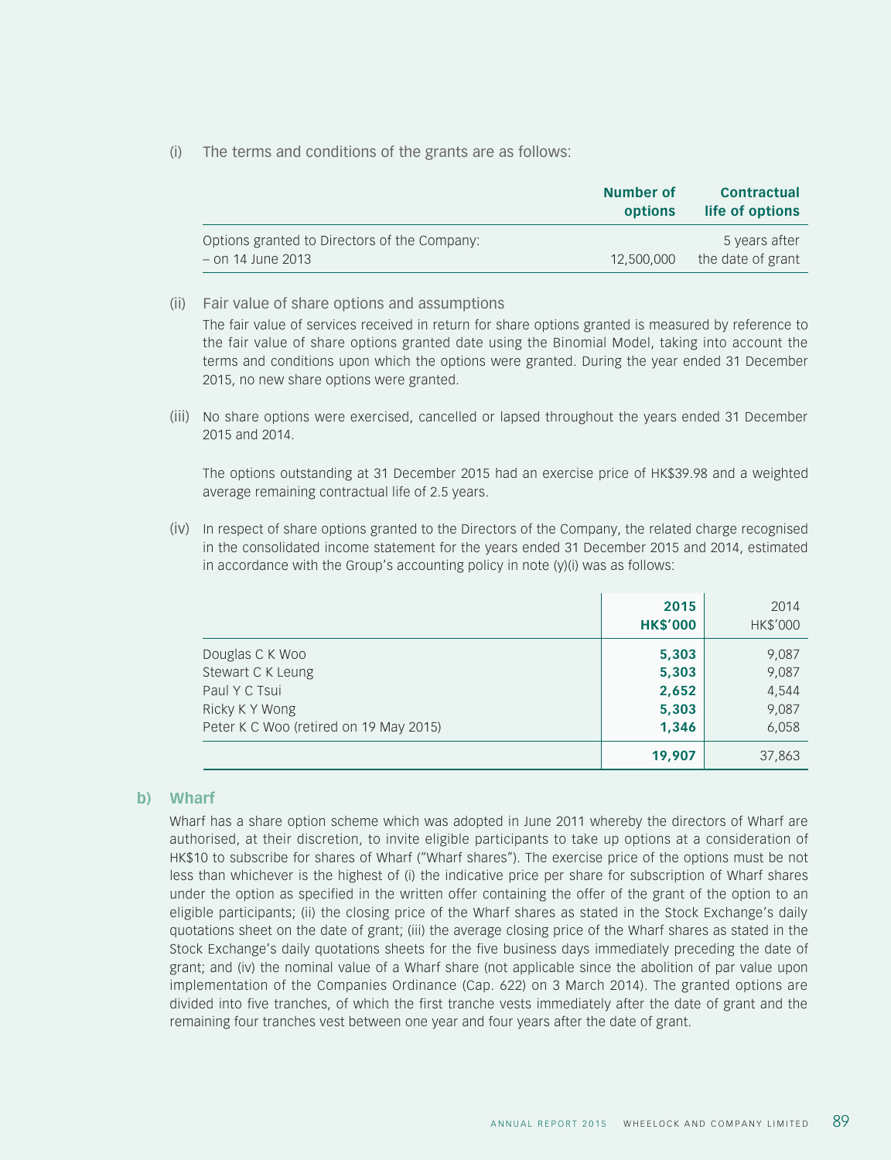(i) The terms and conditions of the grants are as follows:

|                                                                   | Number of<br>options | <b>Contractual</b><br>life of options |
|-------------------------------------------------------------------|----------------------|---------------------------------------|
| Options granted to Directors of the Company:<br>– on 14 June 2013 | 12,500,000           | 5 years after<br>the date of grant    |

(ii) Fair value of share options and assumptions

The fair value of services received in return for share options granted is measured by reference to the fair value of share options granted date using the Binomial Model, taking into account the terms and conditions upon which the options were granted. During the year ended 31 December 2015, no new share options were granted.

(iii) No share options were exercised, cancelled or lapsed throughout the years ended 31 December 2015 and 2014.

The options outstanding at 31 December 2015 had an exercise price of HK\$39.98 and a weighted average remaining contractual life of 2.5 years.

(iv) In respect of share options granted to the Directors of the Company, the related charge recognised in the consolidated income statement for the years ended 31 December 2015 and 2014, estimated in accordance with the Group's accounting policy in note (y)(i) was as follows:

|                                        | 2015<br><b>HK\$'000</b> | 2014<br>HK\$'000 |
|----------------------------------------|-------------------------|------------------|
| Douglas C K Woo                        | 5,303                   | 9,087            |
| Stewart C K Leung                      | 5,303                   | 9,087            |
| Paul Y C Tsui                          | 2,652                   | 4,544            |
| Ricky K Y Wong                         | 5,303                   | 9,087            |
| Peter K C Woo (retired on 19 May 2015) | 1,346                   | 6,058            |
|                                        | 19,907                  | 37,863           |

#### **b) Wharf**

Wharf has a share option scheme which was adopted in June 2011 whereby the directors of Wharf are authorised, at their discretion, to invite eligible participants to take up options at a consideration of HK\$10 to subscribe for shares of Wharf ("Wharf shares"). The exercise price of the options must be not less than whichever is the highest of (i) the indicative price per share for subscription of Wharf shares under the option as specified in the written offer containing the offer of the grant of the option to an eligible participants; (ii) the closing price of the Wharf shares as stated in the Stock Exchange's daily quotations sheet on the date of grant; (iii) the average closing price of the Wharf shares as stated in the Stock Exchange's daily quotations sheets for the five business days immediately preceding the date of grant; and (iv) the nominal value of a Wharf share (not applicable since the abolition of par value upon implementation of the Companies Ordinance (Cap. 622) on 3 March 2014). The granted options are divided into five tranches, of which the first tranche vests immediately after the date of grant and the remaining four tranches vest between one year and four years after the date of grant.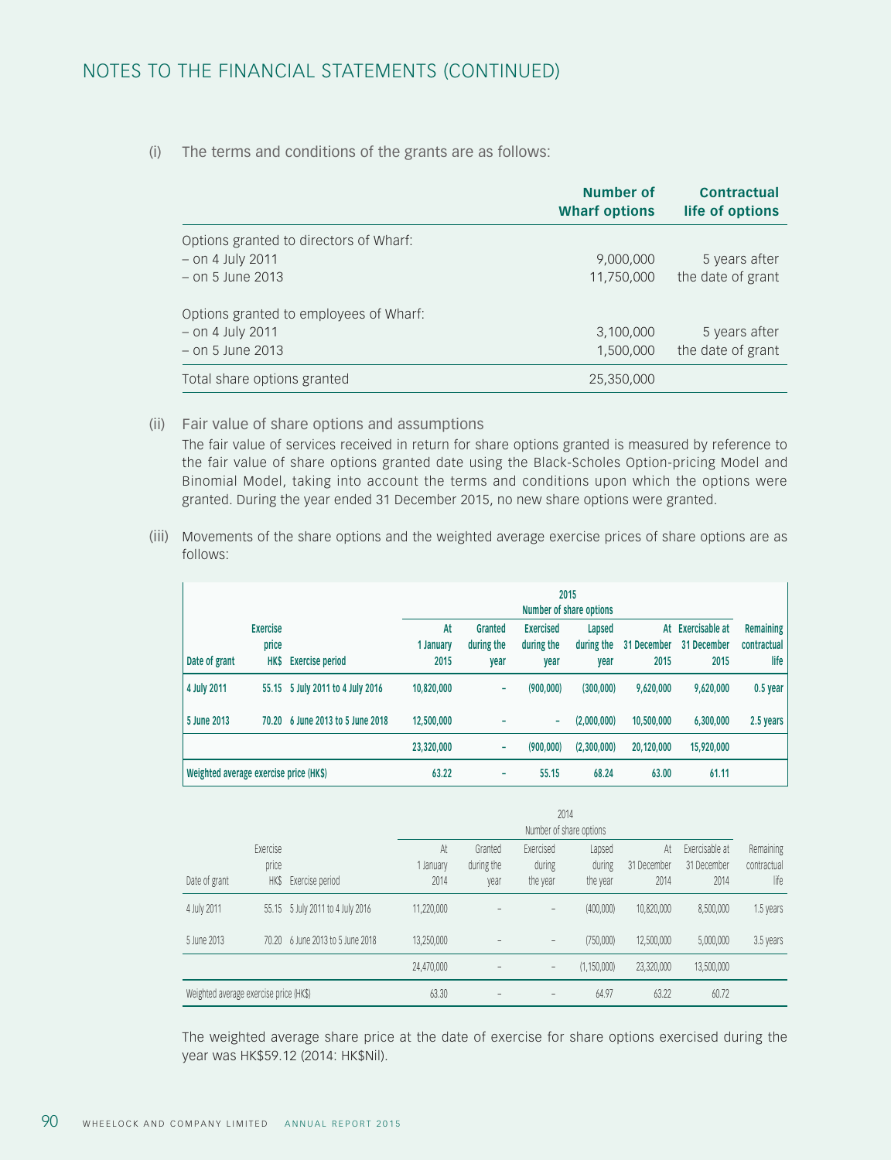## NOTES TO THE FINANCIAL STATEMENTS (CONTINUED)

(i) The terms and conditions of the grants are as follows:

|                                        | <b>Number of</b><br><b>Wharf options</b> | <b>Contractual</b><br>life of options |
|----------------------------------------|------------------------------------------|---------------------------------------|
| Options granted to directors of Wharf: |                                          |                                       |
| $-$ on 4 July 2011                     | 9,000,000                                | 5 years after                         |
| $-$ on 5 June 2013                     | 11,750,000                               | the date of grant                     |
| Options granted to employees of Wharf: |                                          |                                       |
| $-$ on 4 July 2011                     | 3,100,000                                | 5 years after                         |
| $-$ on 5 June 2013                     | 1,500,000                                | the date of grant                     |
| Total share options granted            | 25,350,000                               |                                       |

(ii) Fair value of share options and assumptions

The fair value of services received in return for share options granted is measured by reference to the fair value of share options granted date using the Black-Scholes Option-pricing Model and Binomial Model, taking into account the terms and conditions upon which the options were granted. During the year ended 31 December 2015, no new share options were granted.

(iii) Movements of the share options and the weighted average exercise prices of share options are as follows:

|                                        |                                         |                                  |                         | 2015<br>Number of share options |                                        |                              |                           |                                       |                                         |  |  |
|----------------------------------------|-----------------------------------------|----------------------------------|-------------------------|---------------------------------|----------------------------------------|------------------------------|---------------------------|---------------------------------------|-----------------------------------------|--|--|
| Date of grant                          | <b>Exercise</b><br>price<br><b>HK\$</b> | <b>Exercise period</b>           | At<br>1 January<br>2015 | Granted<br>during the<br>year   | <b>Exercised</b><br>during the<br>year | Lapsed<br>during the<br>vear | At<br>31 December<br>2015 | Exercisable at<br>31 December<br>2015 | <b>Remaining</b><br>contractual<br>life |  |  |
| 4 July 2011                            |                                         | 55.15 5 July 2011 to 4 July 2016 | 10,820,000              | ۰                               | (900,000)                              | (300,000)                    | 9,620,000                 | 9,620,000                             | 0.5 year                                |  |  |
| 5 June 2013                            | 70.20                                   | 6 June 2013 to 5 June 2018       | 12,500,000              |                                 | ۰                                      | (2,000,000)                  | 10,500,000                | 6,300,000                             | 2.5 years                               |  |  |
|                                        |                                         |                                  | 23,320,000              | ۰                               | (900,000)                              | (2,300,000)                  | 20,120,000                | 15,920,000                            |                                         |  |  |
| Weighted average exercise price (HK\$) |                                         |                                  | 63.22                   | ۰                               | 55.15                                  | 68.24                        | 63.00                     | 61.11                                 |                                         |  |  |

|                                        |                                  |                            |                         | 2014<br>Number of share options |                                 |                              |                           |                                       |                                  |  |  |
|----------------------------------------|----------------------------------|----------------------------|-------------------------|---------------------------------|---------------------------------|------------------------------|---------------------------|---------------------------------------|----------------------------------|--|--|
| Date of grant                          | Exercise<br>price<br><b>HK\$</b> | Exercise period            | At<br>1 January<br>2014 | Granted<br>during the<br>year   | Exercised<br>during<br>the year | Lapsed<br>during<br>the year | At<br>31 December<br>2014 | Exercisable at<br>31 December<br>2014 | Remaining<br>contractual<br>life |  |  |
| 4 July 2011                            | 55.15                            | 5 July 2011 to 4 July 2016 | 11.220.000              |                                 |                                 | (400,000)                    | 10,820,000                | 8,500,000                             | 1.5 years                        |  |  |
| 5 June 2013                            | 70.20                            | 6 June 2013 to 5 June 2018 | 13,250,000              |                                 |                                 | (750,000)                    | 12,500,000                | 5,000,000                             | 3.5 years                        |  |  |
|                                        |                                  |                            | 24,470,000              |                                 | $-$                             | (1, 150, 000)                | 23,320,000                | 13,500,000                            |                                  |  |  |
| Weighted average exercise price (HK\$) |                                  |                            | 63.30                   |                                 |                                 | 64.97                        | 63.22                     | 60.72                                 |                                  |  |  |

The weighted average share price at the date of exercise for share options exercised during the year was HK\$59.12 (2014: HK\$Nil).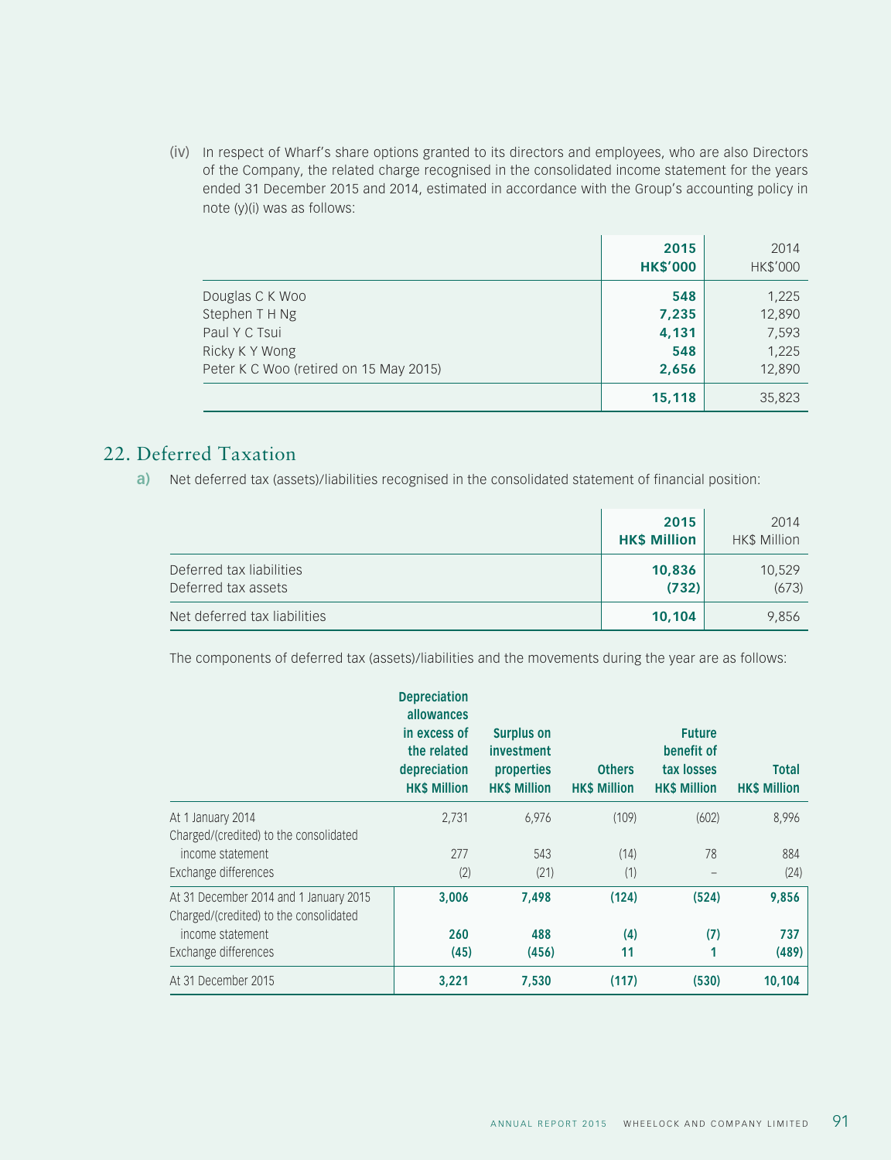(iv) In respect of Wharf's share options granted to its directors and employees, who are also Directors of the Company, the related charge recognised in the consolidated income statement for the years ended 31 December 2015 and 2014, estimated in accordance with the Group's accounting policy in note (y)(i) was as follows:

|                                        | 2015<br><b>HK\$'000</b> | 2014<br>HK\$'000 |
|----------------------------------------|-------------------------|------------------|
| Douglas C K Woo                        | 548                     | 1,225            |
| Stephen T H Ng                         | 7,235                   | 12,890           |
| Paul Y C Tsui                          | 4,131                   | 7,593            |
| Ricky K Y Wong                         | 548                     | 1,225            |
| Peter K C Woo (retired on 15 May 2015) | 2,656                   | 12,890           |
|                                        | 15,118                  | 35,823           |

## 22. Deferred Taxation

**a)** Net deferred tax (assets)/liabilities recognised in the consolidated statement of financial position:

|                                                 | 2015<br><b>HK\$ Million</b> | 2014<br>HK\$ Million |
|-------------------------------------------------|-----------------------------|----------------------|
| Deferred tax liabilities<br>Deferred tax assets | 10,836<br>(732)             | 10,529<br>(673)      |
| Net deferred tax liabilities                    | 10,104                      | 9,856                |

The components of deferred tax (assets)/liabilities and the movements during the year are as follows:

|                                                                                  | <b>Depreciation</b><br>allowances<br>in excess of<br>the related<br>depreciation<br><b>HK\$ Million</b> | <b>Surplus on</b><br>investment<br>properties<br><b>HK\$ Million</b> | <b>Others</b><br><b>HK\$ Million</b> | <b>Future</b><br>benefit of<br>tax losses<br><b>HK\$ Million</b> | <b>Total</b><br><b>HK\$ Million</b> |
|----------------------------------------------------------------------------------|---------------------------------------------------------------------------------------------------------|----------------------------------------------------------------------|--------------------------------------|------------------------------------------------------------------|-------------------------------------|
| At 1 January 2014<br>Charged/(credited) to the consolidated                      | 2,731                                                                                                   | 6,976                                                                | (109)                                | (602)                                                            | 8,996                               |
| income statement                                                                 | 277                                                                                                     | 543                                                                  | (14)                                 | 78                                                               | 884                                 |
| Exchange differences                                                             | (2)                                                                                                     | (21)                                                                 | (1)                                  |                                                                  | (24)                                |
| At 31 December 2014 and 1 January 2015<br>Charged/(credited) to the consolidated | 3.006                                                                                                   | 7,498                                                                | (124)                                | (524)                                                            | 9,856                               |
| income statement                                                                 | 260                                                                                                     | 488                                                                  | (4)                                  | (7)                                                              | 737                                 |
| Exchange differences                                                             | (45)                                                                                                    | (456)                                                                | 11                                   | 1                                                                | (489)                               |
| At 31 December 2015                                                              | 3,221                                                                                                   | 7,530                                                                | (117)                                | (530)                                                            | 10,104                              |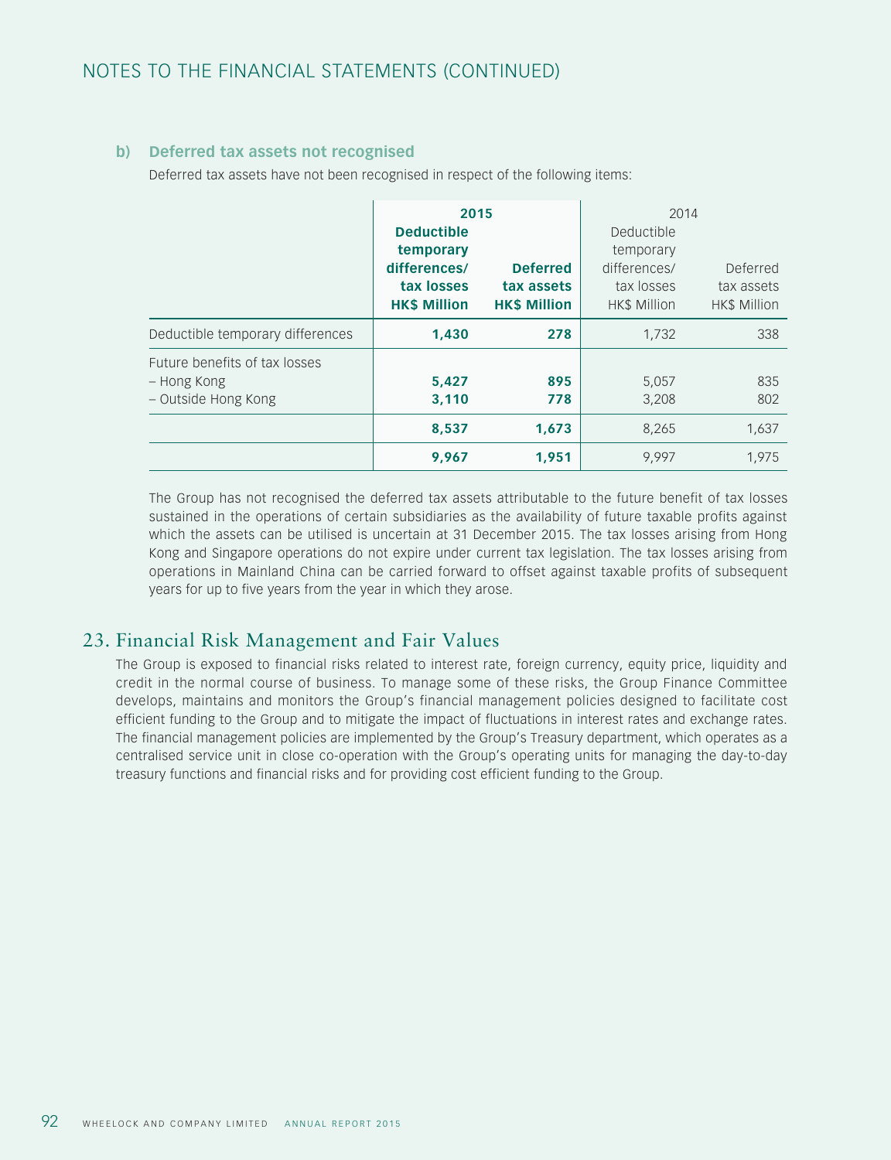## **b) Deferred tax assets not recognised**

Deferred tax assets have not been recognised in respect of the following items:

|                                                                     | 2015<br><b>Deductible</b><br>temporary<br>differences/<br>tax losses<br><b>HK\$ Million</b> | <b>Deferred</b><br>tax assets<br><b>HK\$ Million</b> | 2014<br>Deductible<br>temporary<br>differences/<br>tax losses<br>HK\$ Million | Deferred<br>tax assets<br>HK\$ Million |
|---------------------------------------------------------------------|---------------------------------------------------------------------------------------------|------------------------------------------------------|-------------------------------------------------------------------------------|----------------------------------------|
| Deductible temporary differences                                    | 1.430                                                                                       | 278                                                  | 1,732                                                                         | 338                                    |
| Future benefits of tax losses<br>– Hong Kong<br>– Outside Hong Kong | 5,427<br>3,110                                                                              | 895<br>778                                           | 5,057<br>3,208                                                                | 835<br>802                             |
|                                                                     | 8,537                                                                                       | 1,673                                                | 8,265                                                                         | 1,637                                  |
|                                                                     | 9,967                                                                                       | 1,951                                                | 9,997                                                                         | 1,975                                  |

The Group has not recognised the deferred tax assets attributable to the future benefit of tax losses sustained in the operations of certain subsidiaries as the availability of future taxable profits against which the assets can be utilised is uncertain at 31 December 2015. The tax losses arising from Hong Kong and Singapore operations do not expire under current tax legislation. The tax losses arising from operations in Mainland China can be carried forward to offset against taxable profits of subsequent years for up to five years from the year in which they arose.

## 23. Financial Risk Management and Fair Values

The Group is exposed to financial risks related to interest rate, foreign currency, equity price, liquidity and credit in the normal course of business. To manage some of these risks, the Group Finance Committee develops, maintains and monitors the Group's financial management policies designed to facilitate cost efficient funding to the Group and to mitigate the impact of fluctuations in interest rates and exchange rates. The financial management policies are implemented by the Group's Treasury department, which operates as a centralised service unit in close co-operation with the Group's operating units for managing the day-to-day treasury functions and financial risks and for providing cost efficient funding to the Group.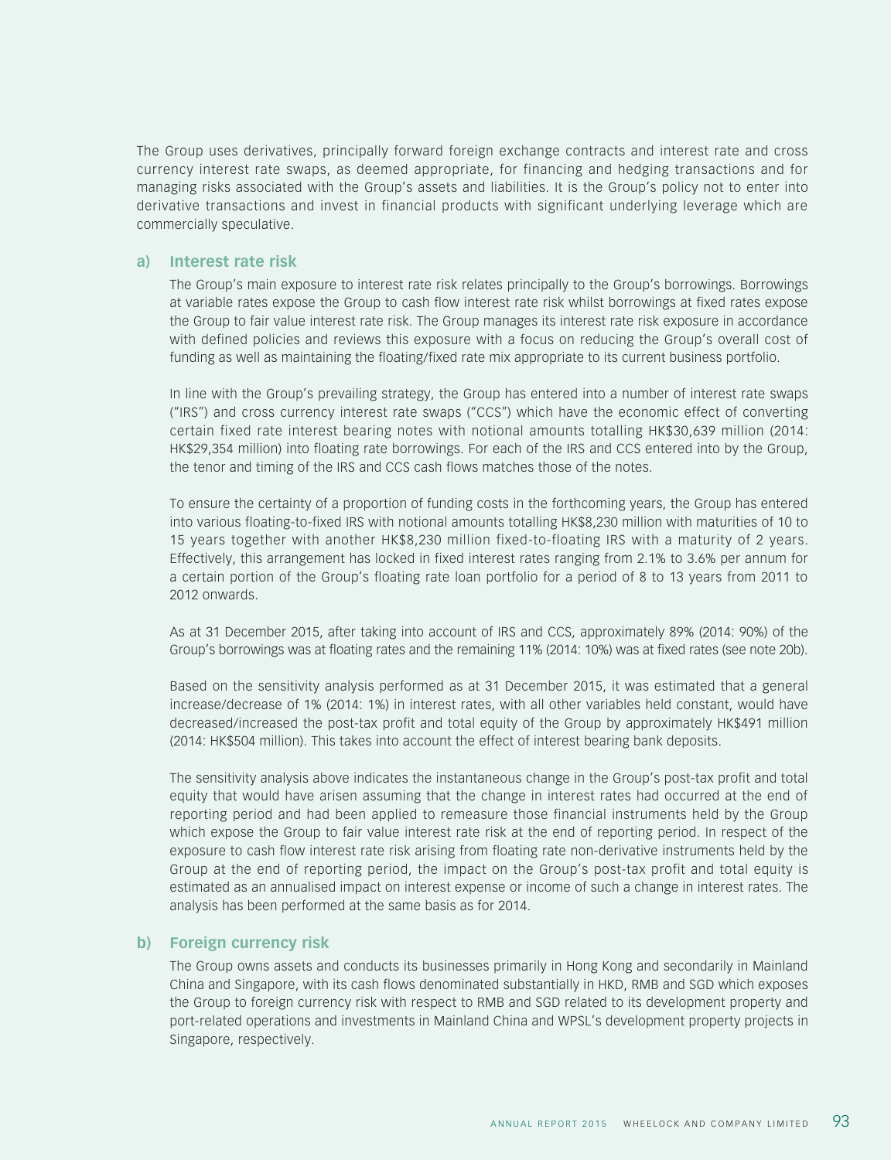The Group uses derivatives, principally forward foreign exchange contracts and interest rate and cross currency interest rate swaps, as deemed appropriate, for financing and hedging transactions and for managing risks associated with the Group's assets and liabilities. It is the Group's policy not to enter into derivative transactions and invest in financial products with significant underlying leverage which are commercially speculative.

#### **a) Interest rate risk**

The Group's main exposure to interest rate risk relates principally to the Group's borrowings. Borrowings at variable rates expose the Group to cash flow interest rate risk whilst borrowings at fixed rates expose the Group to fair value interest rate risk. The Group manages its interest rate risk exposure in accordance with defined policies and reviews this exposure with a focus on reducing the Group's overall cost of funding as well as maintaining the floating/fixed rate mix appropriate to its current business portfolio.

In line with the Group's prevailing strategy, the Group has entered into a number of interest rate swaps ("IRS") and cross currency interest rate swaps ("CCS") which have the economic effect of converting certain fixed rate interest bearing notes with notional amounts totalling HK\$30,639 million (2014: HK\$29,354 million) into floating rate borrowings. For each of the IRS and CCS entered into by the Group, the tenor and timing of the IRS and CCS cash flows matches those of the notes.

To ensure the certainty of a proportion of funding costs in the forthcoming years, the Group has entered into various floating-to-fixed IRS with notional amounts totalling HK\$8,230 million with maturities of 10 to 15 years together with another HK\$8,230 million fixed-to-floating IRS with a maturity of 2 years. Effectively, this arrangement has locked in fixed interest rates ranging from 2.1% to 3.6% per annum for a certain portion of the Group's floating rate loan portfolio for a period of 8 to 13 years from 2011 to 2012 onwards.

As at 31 December 2015, after taking into account of IRS and CCS, approximately 89% (2014: 90%) of the Group's borrowings was at floating rates and the remaining 11% (2014: 10%) was at fixed rates (see note 20b).

Based on the sensitivity analysis performed as at 31 December 2015, it was estimated that a general increase/decrease of 1% (2014: 1%) in interest rates, with all other variables held constant, would have decreased/increased the post-tax profit and total equity of the Group by approximately HK\$491 million (2014: HK\$504 million). This takes into account the effect of interest bearing bank deposits.

The sensitivity analysis above indicates the instantaneous change in the Group's post-tax profit and total equity that would have arisen assuming that the change in interest rates had occurred at the end of reporting period and had been applied to remeasure those financial instruments held by the Group which expose the Group to fair value interest rate risk at the end of reporting period. In respect of the exposure to cash flow interest rate risk arising from floating rate non-derivative instruments held by the Group at the end of reporting period, the impact on the Group's post-tax profit and total equity is estimated as an annualised impact on interest expense or income of such a change in interest rates. The analysis has been performed at the same basis as for 2014.

#### **b) Foreign currency risk**

The Group owns assets and conducts its businesses primarily in Hong Kong and secondarily in Mainland China and Singapore, with its cash flows denominated substantially in HKD, RMB and SGD which exposes the Group to foreign currency risk with respect to RMB and SGD related to its development property and port-related operations and investments in Mainland China and WPSL's development property projects in Singapore, respectively.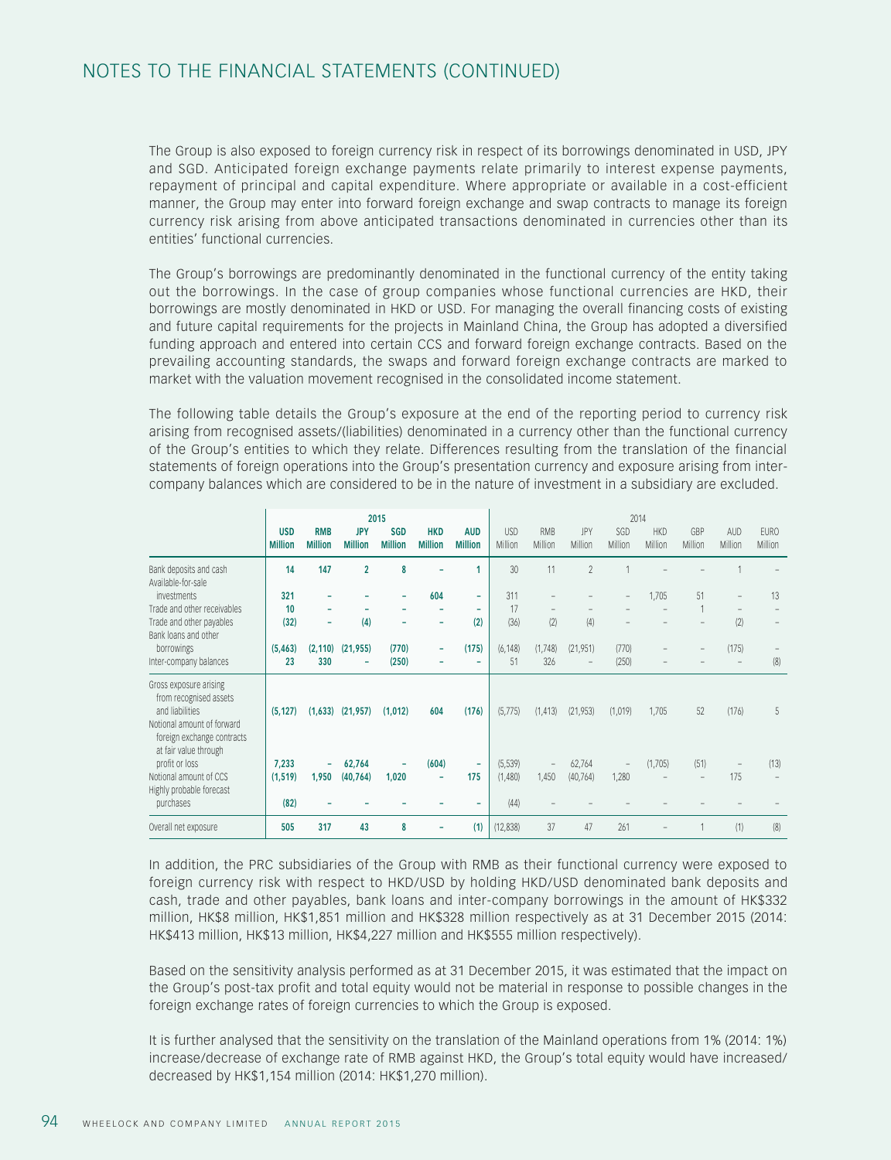## NOTES TO THE FINANCIAL STATEMENTS (CONTINUED)

The Group is also exposed to foreign currency risk in respect of its borrowings denominated in USD, JPY and SGD. Anticipated foreign exchange payments relate primarily to interest expense payments, repayment of principal and capital expenditure. Where appropriate or available in a cost-efficient manner, the Group may enter into forward foreign exchange and swap contracts to manage its foreign currency risk arising from above anticipated transactions denominated in currencies other than its entities' functional currencies.

The Group's borrowings are predominantly denominated in the functional currency of the entity taking out the borrowings. In the case of group companies whose functional currencies are HKD, their borrowings are mostly denominated in HKD or USD. For managing the overall financing costs of existing and future capital requirements for the projects in Mainland China, the Group has adopted a diversified funding approach and entered into certain CCS and forward foreign exchange contracts. Based on the prevailing accounting standards, the swaps and forward foreign exchange contracts are marked to market with the valuation movement recognised in the consolidated income statement.

The following table details the Group's exposure at the end of the reporting period to currency risk arising from recognised assets/(liabilities) denominated in a currency other than the functional currency of the Group's entities to which they relate. Differences resulting from the translation of the financial statements of foreign operations into the Group's presentation currency and exposure arising from intercompany balances which are considered to be in the nature of investment in a subsidiary are excluded.

|                                                                                                                                 |                              |                              |                              | 2015                         |                              |                              | 2014                  |                          |                |                          |                       |                |                |                        |
|---------------------------------------------------------------------------------------------------------------------------------|------------------------------|------------------------------|------------------------------|------------------------------|------------------------------|------------------------------|-----------------------|--------------------------|----------------|--------------------------|-----------------------|----------------|----------------|------------------------|
|                                                                                                                                 | <b>USD</b><br><b>Million</b> | <b>RMB</b><br><b>Million</b> | <b>JPY</b><br><b>Million</b> | <b>SGD</b><br><b>Million</b> | <b>HKD</b><br><b>Million</b> | <b>AUD</b><br><b>Million</b> | <b>USD</b><br>Million | <b>RMB</b><br>Million    | JPY<br>Million | SGD<br>Million           | <b>HKD</b><br>Million | GBP<br>Million | AUD<br>Million | <b>EURO</b><br>Million |
| Bank deposits and cash<br>Available-for-sale                                                                                    | 14                           | 147                          | $\overline{2}$               | 8                            |                              | 1                            | 30                    | 11                       | $\overline{2}$ |                          |                       |                |                |                        |
| investments                                                                                                                     | 321                          | ۰                            |                              | ۰                            | 604                          | ٠                            | 311                   |                          |                | $\qquad \qquad -$        | 1,705                 | 51             |                | 13                     |
| Trade and other receivables                                                                                                     | 10                           | ۰                            |                              |                              |                              | ۰                            | 17                    |                          |                |                          |                       |                |                |                        |
| Trade and other payables                                                                                                        | (32)                         | ۰                            | (4)                          | ۰                            | ۰                            | (2)                          | (36)                  | (2)                      | (4)            |                          |                       |                | (2)            |                        |
| Bank loans and other                                                                                                            |                              |                              |                              |                              |                              |                              |                       |                          |                |                          |                       |                |                |                        |
| borrowings                                                                                                                      | (5, 463)                     | (2, 110)                     | (21, 955)                    | (770)                        | ۰                            | (175)                        | (6, 148)              | (1,748)                  | (21, 951)      | (770)                    |                       |                | (175)          |                        |
| Inter-company balances                                                                                                          | 23                           | 330                          | ۰                            | (250)                        | ۰                            | ٠                            | 51                    | 326                      |                | (250)                    |                       |                |                | (8)                    |
| Gross exposure arising<br>from recognised assets<br>and liabilities<br>Notional amount of forward<br>foreign exchange contracts | (5, 127)                     |                              | $(1,633)$ $(21,957)$         | (1,012)                      | 604                          | (176)                        | (5,775)               | (1, 413)                 | (21, 953)      | (1,019)                  | 1,705                 | 52             | (176)          | 5                      |
| at fair value through                                                                                                           |                              |                              |                              |                              |                              |                              |                       |                          |                |                          |                       |                |                |                        |
| profit or loss                                                                                                                  | 7,233                        | ۰                            | 62,764                       |                              | (604)                        | $\overline{\phantom{a}}$     | (5, 539)              | $\overline{\phantom{a}}$ | 62,764         | $\overline{\phantom{a}}$ | (1,705)               | (51)           |                | (13)                   |
| Notional amount of CCS                                                                                                          | (1, 519)                     | 1,950                        | (40, 764)                    | 1,020                        | ۰                            | 175                          | (1,480)               | 1,450                    | (40, 764)      | 1,280                    |                       |                | 175            |                        |
| Highly probable forecast<br>purchases                                                                                           | (82)                         |                              |                              |                              |                              | ٠                            | (44)                  |                          |                |                          |                       |                |                |                        |
| Overall net exposure                                                                                                            | 505                          | 317                          | 43                           | 8                            | ۰                            | (1)                          | (12, 838)             | 37                       | 47             | 261                      | $\qquad \qquad -$     |                | (1)            | (8)                    |

In addition, the PRC subsidiaries of the Group with RMB as their functional currency were exposed to foreign currency risk with respect to HKD/USD by holding HKD/USD denominated bank deposits and cash, trade and other payables, bank loans and inter-company borrowings in the amount of HK\$332 million, HK\$8 million, HK\$1,851 million and HK\$328 million respectively as at 31 December 2015 (2014: HK\$413 million, HK\$13 million, HK\$4,227 million and HK\$555 million respectively).

Based on the sensitivity analysis performed as at 31 December 2015, it was estimated that the impact on the Group's post-tax profit and total equity would not be material in response to possible changes in the foreign exchange rates of foreign currencies to which the Group is exposed.

It is further analysed that the sensitivity on the translation of the Mainland operations from 1% (2014: 1%) increase/decrease of exchange rate of RMB against HKD, the Group's total equity would have increased/ decreased by HK\$1,154 million (2014: HK\$1,270 million).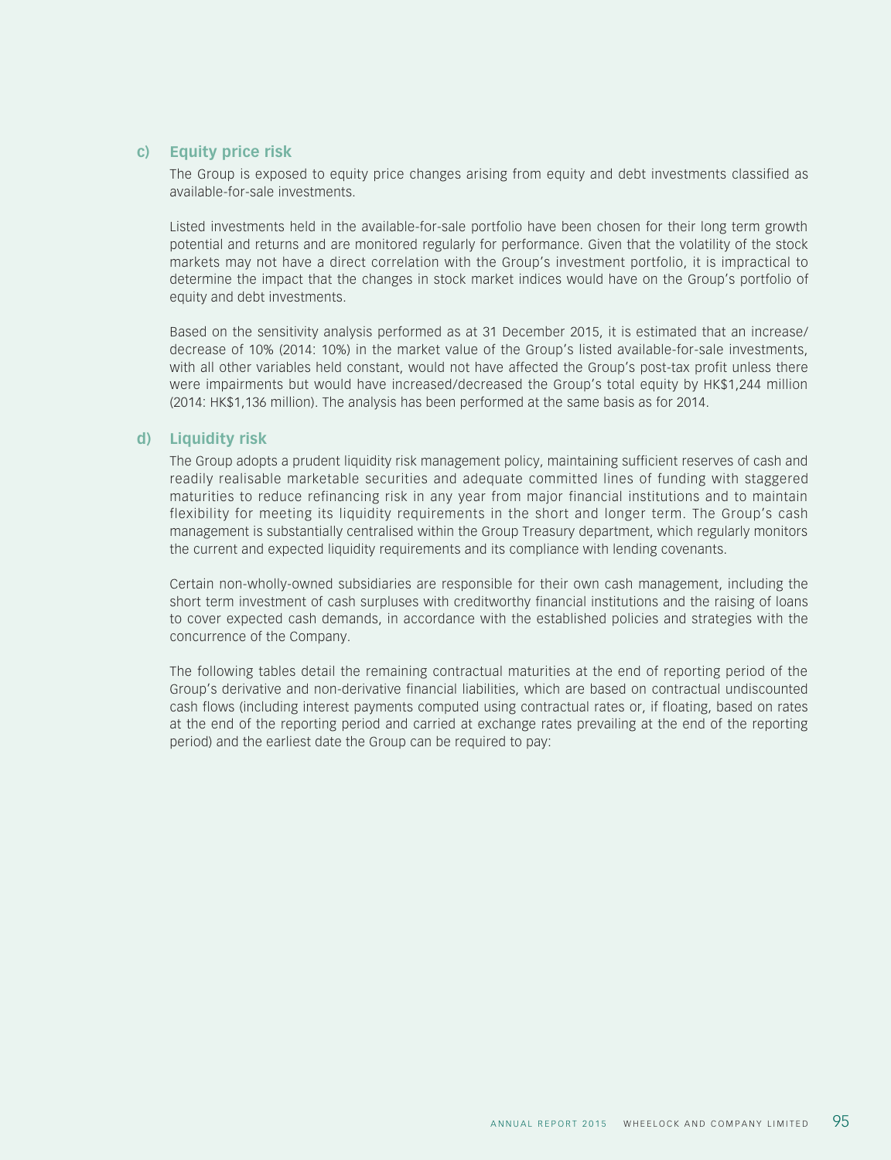#### **c) Equity price risk**

The Group is exposed to equity price changes arising from equity and debt investments classified as available-for-sale investments.

Listed investments held in the available-for-sale portfolio have been chosen for their long term growth potential and returns and are monitored regularly for performance. Given that the volatility of the stock markets may not have a direct correlation with the Group's investment portfolio, it is impractical to determine the impact that the changes in stock market indices would have on the Group's portfolio of equity and debt investments.

Based on the sensitivity analysis performed as at 31 December 2015, it is estimated that an increase/ decrease of 10% (2014: 10%) in the market value of the Group's listed available-for-sale investments, with all other variables held constant, would not have affected the Group's post-tax profit unless there were impairments but would have increased/decreased the Group's total equity by HK\$1,244 million (2014: HK\$1,136 million). The analysis has been performed at the same basis as for 2014.

#### **d) Liquidity risk**

The Group adopts a prudent liquidity risk management policy, maintaining sufficient reserves of cash and readily realisable marketable securities and adequate committed lines of funding with staggered maturities to reduce refinancing risk in any year from major financial institutions and to maintain flexibility for meeting its liquidity requirements in the short and longer term. The Group's cash management is substantially centralised within the Group Treasury department, which regularly monitors the current and expected liquidity requirements and its compliance with lending covenants.

Certain non-wholly-owned subsidiaries are responsible for their own cash management, including the short term investment of cash surpluses with creditworthy financial institutions and the raising of loans to cover expected cash demands, in accordance with the established policies and strategies with the concurrence of the Company.

The following tables detail the remaining contractual maturities at the end of reporting period of the Group's derivative and non-derivative financial liabilities, which are based on contractual undiscounted cash flows (including interest payments computed using contractual rates or, if floating, based on rates at the end of the reporting period and carried at exchange rates prevailing at the end of the reporting period) and the earliest date the Group can be required to pay: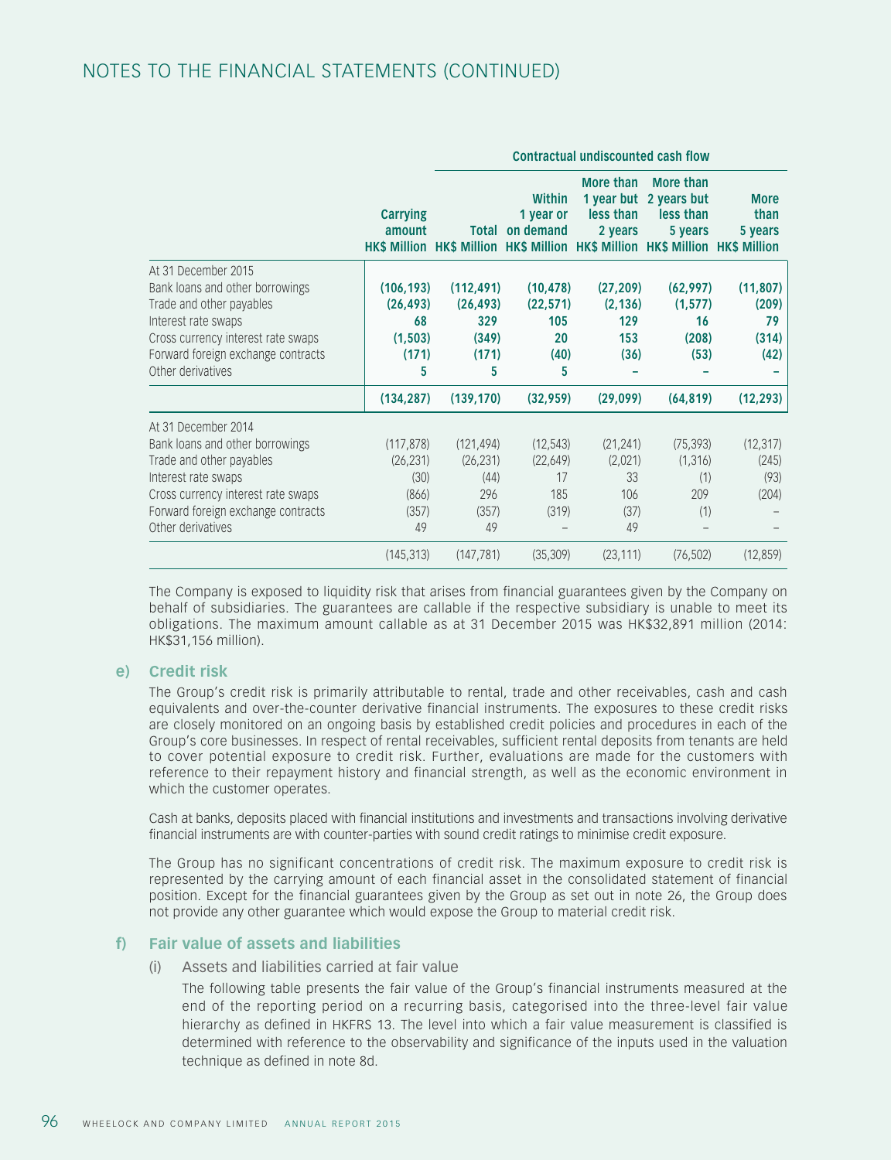## NOTES TO THE FINANCIAL STATEMENTS (CONTINUED)

|                                                                                                                                                                                                            |                                                         | <b>Contractual undiscounted cash flow</b>                                                     |                                                  |                                                 |                                                             |                                           |  |  |
|------------------------------------------------------------------------------------------------------------------------------------------------------------------------------------------------------------|---------------------------------------------------------|-----------------------------------------------------------------------------------------------|--------------------------------------------------|-------------------------------------------------|-------------------------------------------------------------|-------------------------------------------|--|--|
|                                                                                                                                                                                                            | <b>Carrying</b><br>amount                               | <b>Total</b><br>HK\$ Million HK\$ Million HK\$ Million HK\$ Million HK\$ Million HK\$ Million | Within<br>1 year or<br>on demand                 | More than<br>less than<br>2 years               | More than<br>1 year but 2 years but<br>less than<br>5 years | <b>More</b><br>than<br>5 years            |  |  |
| At 31 December 2015<br>Bank loans and other borrowings<br>Trade and other payables<br>Interest rate swaps<br>Cross currency interest rate swaps<br>Forward foreign exchange contracts<br>Other derivatives | (106, 193)<br>(26, 493)<br>68<br>(1, 503)<br>(171)<br>5 | (112, 491)<br>(26, 493)<br>329<br>(349)<br>(171)<br>5                                         | (10, 478)<br>(22, 571)<br>105<br>20<br>(40)<br>5 | (27, 209)<br>(2, 136)<br>129<br>153<br>(36)     | (62, 997)<br>(1, 577)<br>16<br>(208)<br>(53)                | (11, 807)<br>(209)<br>79<br>(314)<br>(42) |  |  |
|                                                                                                                                                                                                            | (134, 287)                                              | (139, 170)                                                                                    | (32, 959)                                        | (29,099)                                        | (64, 819)                                                   | (12, 293)                                 |  |  |
| At 31 December 2014<br>Bank loans and other borrowings<br>Trade and other payables<br>Interest rate swaps<br>Cross currency interest rate swaps<br>Forward foreign exchange contracts<br>Other derivatives | (117, 878)<br>(26, 231)<br>(30)<br>(866)<br>(357)<br>49 | (121, 494)<br>(26, 231)<br>(44)<br>296<br>(357)<br>49                                         | (12, 543)<br>(22,649)<br>17<br>185<br>(319)      | (21, 241)<br>(2,021)<br>33<br>106<br>(37)<br>49 | (75, 393)<br>(1, 316)<br>(1)<br>209<br>(1)                  | (12, 317)<br>(245)<br>(93)<br>(204)       |  |  |
|                                                                                                                                                                                                            | (145, 313)                                              | (147, 781)                                                                                    | (35, 309)                                        | (23, 111)                                       | (76, 502)                                                   | (12, 859)                                 |  |  |

The Company is exposed to liquidity risk that arises from financial guarantees given by the Company on behalf of subsidiaries. The guarantees are callable if the respective subsidiary is unable to meet its obligations. The maximum amount callable as at 31 December 2015 was HK\$32,891 million (2014: HK\$31,156 million).

#### **e) Credit risk**

The Group's credit risk is primarily attributable to rental, trade and other receivables, cash and cash equivalents and over-the-counter derivative financial instruments. The exposures to these credit risks are closely monitored on an ongoing basis by established credit policies and procedures in each of the Group's core businesses. In respect of rental receivables, sufficient rental deposits from tenants are held to cover potential exposure to credit risk. Further, evaluations are made for the customers with reference to their repayment history and financial strength, as well as the economic environment in which the customer operates.

Cash at banks, deposits placed with financial institutions and investments and transactions involving derivative financial instruments are with counter-parties with sound credit ratings to minimise credit exposure.

The Group has no significant concentrations of credit risk. The maximum exposure to credit risk is represented by the carrying amount of each financial asset in the consolidated statement of financial position. Except for the financial guarantees given by the Group as set out in note 26, the Group does not provide any other guarantee which would expose the Group to material credit risk.

#### **f) Fair value of assets and liabilities**

#### (i) Assets and liabilities carried at fair value

The following table presents the fair value of the Group's financial instruments measured at the end of the reporting period on a recurring basis, categorised into the three-level fair value hierarchy as defined in HKFRS 13. The level into which a fair value measurement is classified is determined with reference to the observability and significance of the inputs used in the valuation technique as defined in note 8d.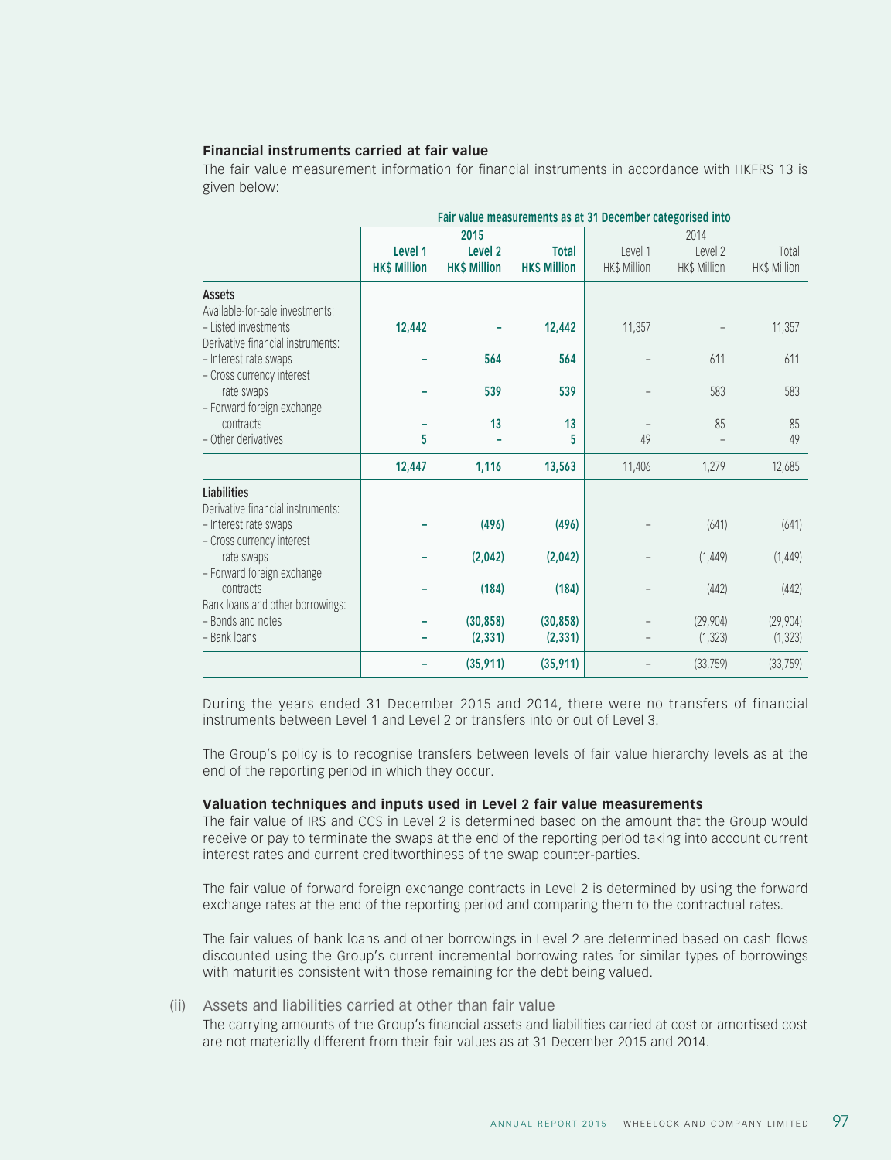#### **Financial instruments carried at fair value**

The fair value measurement information for financial instruments in accordance with HKFRS 13 is given below:

|                                                                                                               |                                |                                                   |                                     | Fair value measurements as at 31 December categorised into |                                 |                              |
|---------------------------------------------------------------------------------------------------------------|--------------------------------|---------------------------------------------------|-------------------------------------|------------------------------------------------------------|---------------------------------|------------------------------|
|                                                                                                               | Level 1<br><b>HK\$ Million</b> | 2015<br>Level <sub>2</sub><br><b>HK\$ Million</b> | <b>Total</b><br><b>HK\$ Million</b> | Level 1<br>HK\$ Million                                    | 2014<br>Level 2<br>HK\$ Million | Total<br><b>HK\$ Million</b> |
| <b>Assets</b><br>Available-for-sale investments:<br>- Listed investments<br>Derivative financial instruments: | 12,442                         |                                                   | 12,442                              | 11,357                                                     |                                 | 11,357                       |
| - Interest rate swaps<br>- Cross currency interest<br>rate swaps                                              |                                | 564<br>539                                        | 564<br>539                          |                                                            | 611<br>583                      | 611<br>583                   |
| - Forward foreign exchange<br>contracts<br>- Other derivatives                                                | 5                              | 13                                                | 13<br>5                             | 49                                                         | 85                              | 85<br>49                     |
|                                                                                                               | 12,447                         | 1,116                                             | 13,563                              | 11,406                                                     | 1,279                           | 12,685                       |
| Liabilities<br>Derivative financial instruments:<br>- Interest rate swaps                                     |                                | (496)                                             | (496)                               |                                                            | (641)                           | (641)                        |
| - Cross currency interest<br>rate swaps<br>- Forward foreign exchange                                         |                                | (2,042)                                           | (2,042)                             |                                                            | (1, 449)                        | (1, 449)                     |
| contracts<br>Bank loans and other borrowings:                                                                 |                                | (184)                                             | (184)                               |                                                            | (442)                           | (442)                        |
| - Bonds and notes<br>- Bank loans                                                                             |                                | (30, 858)<br>(2, 331)                             | (30, 858)<br>(2, 331)               |                                                            | (29,904)<br>(1, 323)            | (29,904)<br>(1, 323)         |
|                                                                                                               |                                | (35, 911)                                         | (35, 911)                           |                                                            | (33, 759)                       | (33, 759)                    |

During the years ended 31 December 2015 and 2014, there were no transfers of financial instruments between Level 1 and Level 2 or transfers into or out of Level 3.

The Group's policy is to recognise transfers between levels of fair value hierarchy levels as at the end of the reporting period in which they occur.

#### **Valuation techniques and inputs used in Level 2 fair value measurements**

The fair value of IRS and CCS in Level 2 is determined based on the amount that the Group would receive or pay to terminate the swaps at the end of the reporting period taking into account current interest rates and current creditworthiness of the swap counter-parties.

The fair value of forward foreign exchange contracts in Level 2 is determined by using the forward exchange rates at the end of the reporting period and comparing them to the contractual rates.

The fair values of bank loans and other borrowings in Level 2 are determined based on cash flows discounted using the Group's current incremental borrowing rates for similar types of borrowings with maturities consistent with those remaining for the debt being valued.

#### (ii) Assets and liabilities carried at other than fair value

The carrying amounts of the Group's financial assets and liabilities carried at cost or amortised cost are not materially different from their fair values as at 31 December 2015 and 2014.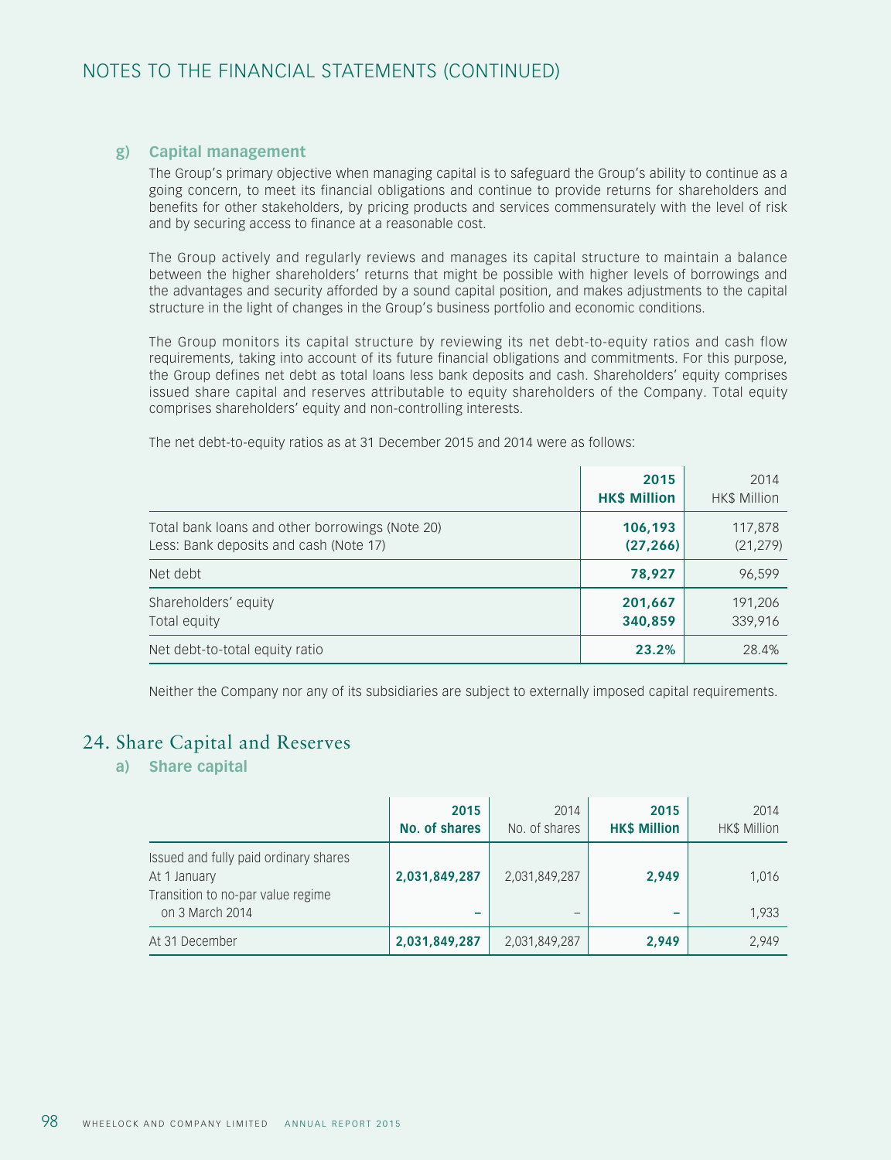#### **g) Capital management**

The Group's primary objective when managing capital is to safeguard the Group's ability to continue as a going concern, to meet its financial obligations and continue to provide returns for shareholders and benefits for other stakeholders, by pricing products and services commensurately with the level of risk and by securing access to finance at a reasonable cost.

The Group actively and regularly reviews and manages its capital structure to maintain a balance between the higher shareholders' returns that might be possible with higher levels of borrowings and the advantages and security afforded by a sound capital position, and makes adjustments to the capital structure in the light of changes in the Group's business portfolio and economic conditions.

The Group monitors its capital structure by reviewing its net debt-to-equity ratios and cash flow requirements, taking into account of its future financial obligations and commitments. For this purpose, the Group defines net debt as total loans less bank deposits and cash. Shareholders' equity comprises issued share capital and reserves attributable to equity shareholders of the Company. Total equity comprises shareholders' equity and non-controlling interests.

|                                                                                           | 2015<br><b>HK\$ Million</b> | 2014<br>HK\$ Million |
|-------------------------------------------------------------------------------------------|-----------------------------|----------------------|
| Total bank loans and other borrowings (Note 20)<br>Less: Bank deposits and cash (Note 17) | 106,193<br>(27, 266)        | 117,878<br>(21, 279) |
| Net debt                                                                                  | 78,927                      | 96,599               |
| Shareholders' equity<br>Total equity                                                      | 201,667<br>340,859          | 191,206<br>339,916   |
| Net debt-to-total equity ratio                                                            | 23.2%                       | 28.4%                |

The net debt-to-equity ratios as at 31 December 2015 and 2014 were as follows:

Neither the Company nor any of its subsidiaries are subject to externally imposed capital requirements.

## 24. Share Capital and Reserves

## **a) Share capital**

|                                                                                                               | 2015<br><b>No. of shares</b> | 2014<br>No. of shares | 2015<br><b>HK\$ Million</b> | 2014<br><b>HK\$ Million</b> |
|---------------------------------------------------------------------------------------------------------------|------------------------------|-----------------------|-----------------------------|-----------------------------|
| Issued and fully paid ordinary shares<br>At 1 January<br>Transition to no-par value regime<br>on 3 March 2014 | 2,031,849,287<br>-           | 2,031,849,287<br>—    | 2,949                       | 1,016<br>1,933              |
| At 31 December                                                                                                | 2,031,849,287                | 2,031,849,287         | 2,949                       | 2,949                       |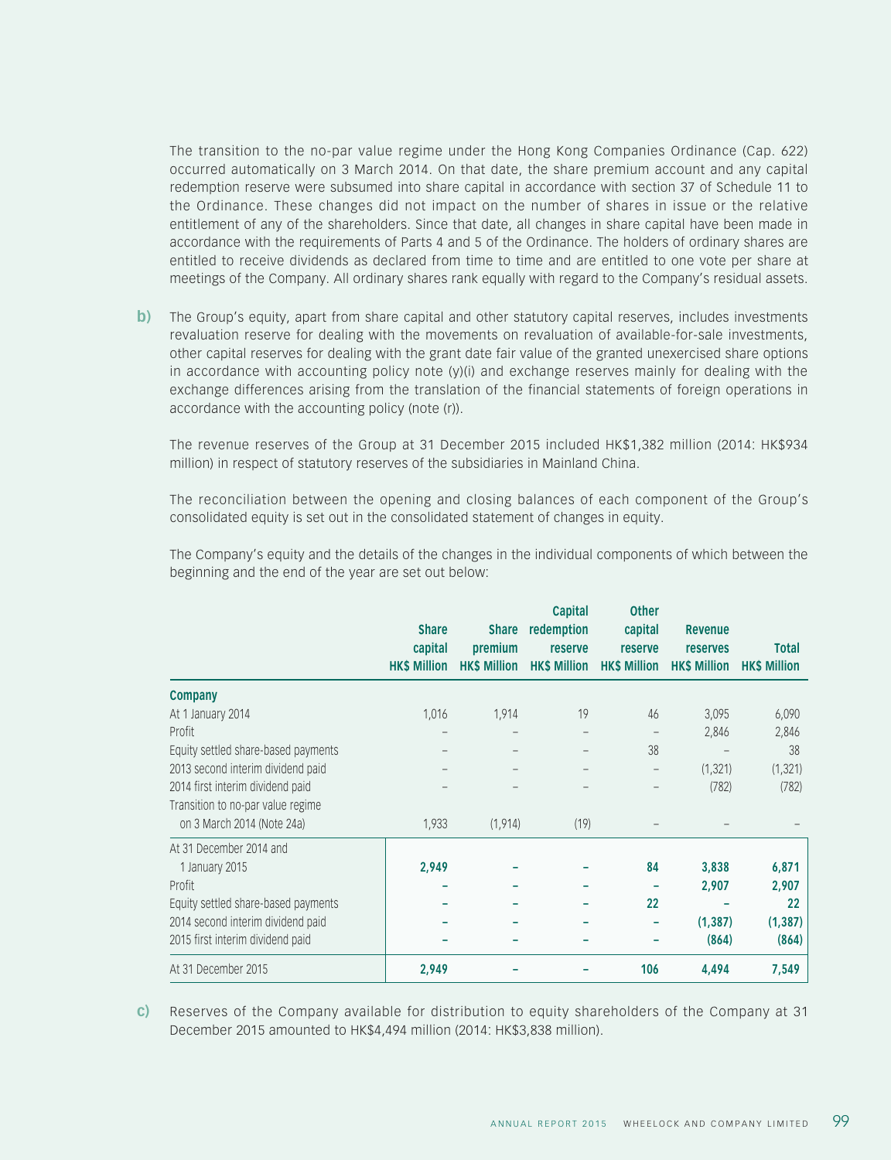The transition to the no-par value regime under the Hong Kong Companies Ordinance (Cap. 622) occurred automatically on 3 March 2014. On that date, the share premium account and any capital redemption reserve were subsumed into share capital in accordance with section 37 of Schedule 11 to the Ordinance. These changes did not impact on the number of shares in issue or the relative entitlement of any of the shareholders. Since that date, all changes in share capital have been made in accordance with the requirements of Parts 4 and 5 of the Ordinance. The holders of ordinary shares are entitled to receive dividends as declared from time to time and are entitled to one vote per share at meetings of the Company. All ordinary shares rank equally with regard to the Company's residual assets.

**b**) The Group's equity, apart from share capital and other statutory capital reserves, includes investments revaluation reserve for dealing with the movements on revaluation of available-for-sale investments, other capital reserves for dealing with the grant date fair value of the granted unexercised share options in accordance with accounting policy note  $(y)(i)$  and exchange reserves mainly for dealing with the exchange differences arising from the translation of the financial statements of foreign operations in accordance with the accounting policy (note (r)).

The revenue reserves of the Group at 31 December 2015 included HK\$1,382 million (2014: HK\$934 million) in respect of statutory reserves of the subsidiaries in Mainland China.

The reconciliation between the opening and closing balances of each component of the Group's consolidated equity is set out in the consolidated statement of changes in equity.

The Company's equity and the details of the changes in the individual components of which between the beginning and the end of the year are set out below:

|                                     | <b>Share</b><br>capital<br><b>HK\$ Million</b> | <b>Share</b><br>premium<br><b>HK\$ Million</b> | <b>Capital</b><br>redemption<br>reserve<br><b>HK\$ Million</b> | <b>Other</b><br>capital<br><b>reserve</b><br><b>HK\$ Million</b> | <b>Revenue</b><br><b>reserves</b><br><b>HK\$ Million</b> | <b>Total</b><br><b>HK\$ Million</b> |
|-------------------------------------|------------------------------------------------|------------------------------------------------|----------------------------------------------------------------|------------------------------------------------------------------|----------------------------------------------------------|-------------------------------------|
|                                     |                                                |                                                |                                                                |                                                                  |                                                          |                                     |
| <b>Company</b>                      |                                                |                                                |                                                                |                                                                  |                                                          |                                     |
| At 1 January 2014                   | 1,016                                          | 1,914                                          | 19                                                             | 46                                                               | 3,095                                                    | 6,090                               |
| Profit                              |                                                |                                                |                                                                |                                                                  | 2,846                                                    | 2,846                               |
| Equity settled share-based payments |                                                |                                                |                                                                | 38                                                               |                                                          | 38                                  |
| 2013 second interim dividend paid   |                                                |                                                |                                                                |                                                                  | (1, 321)                                                 | (1, 321)                            |
| 2014 first interim dividend paid    |                                                |                                                |                                                                |                                                                  | (782)                                                    | (782)                               |
| Transition to no-par value regime   |                                                |                                                |                                                                |                                                                  |                                                          |                                     |
| on 3 March 2014 (Note 24a)          | 1,933                                          | (1, 914)                                       | (19)                                                           |                                                                  |                                                          |                                     |
| At 31 December 2014 and             |                                                |                                                |                                                                |                                                                  |                                                          |                                     |
| 1 January 2015                      | 2,949                                          |                                                |                                                                | 84                                                               | 3,838                                                    | 6,871                               |
| Profit                              |                                                |                                                |                                                                |                                                                  | 2,907                                                    | 2,907                               |
| Equity settled share-based payments |                                                |                                                |                                                                | 22                                                               |                                                          | 22                                  |
| 2014 second interim dividend paid   |                                                |                                                |                                                                |                                                                  | (1, 387)                                                 | (1, 387)                            |
| 2015 first interim dividend paid    |                                                |                                                |                                                                |                                                                  | (864)                                                    | (864)                               |
| At 31 December 2015                 | 2,949                                          |                                                |                                                                | 106                                                              | 4,494                                                    | 7,549                               |

**c)** Reserves of the Company available for distribution to equity shareholders of the Company at 31 December 2015 amounted to HK\$4,494 million (2014: HK\$3,838 million).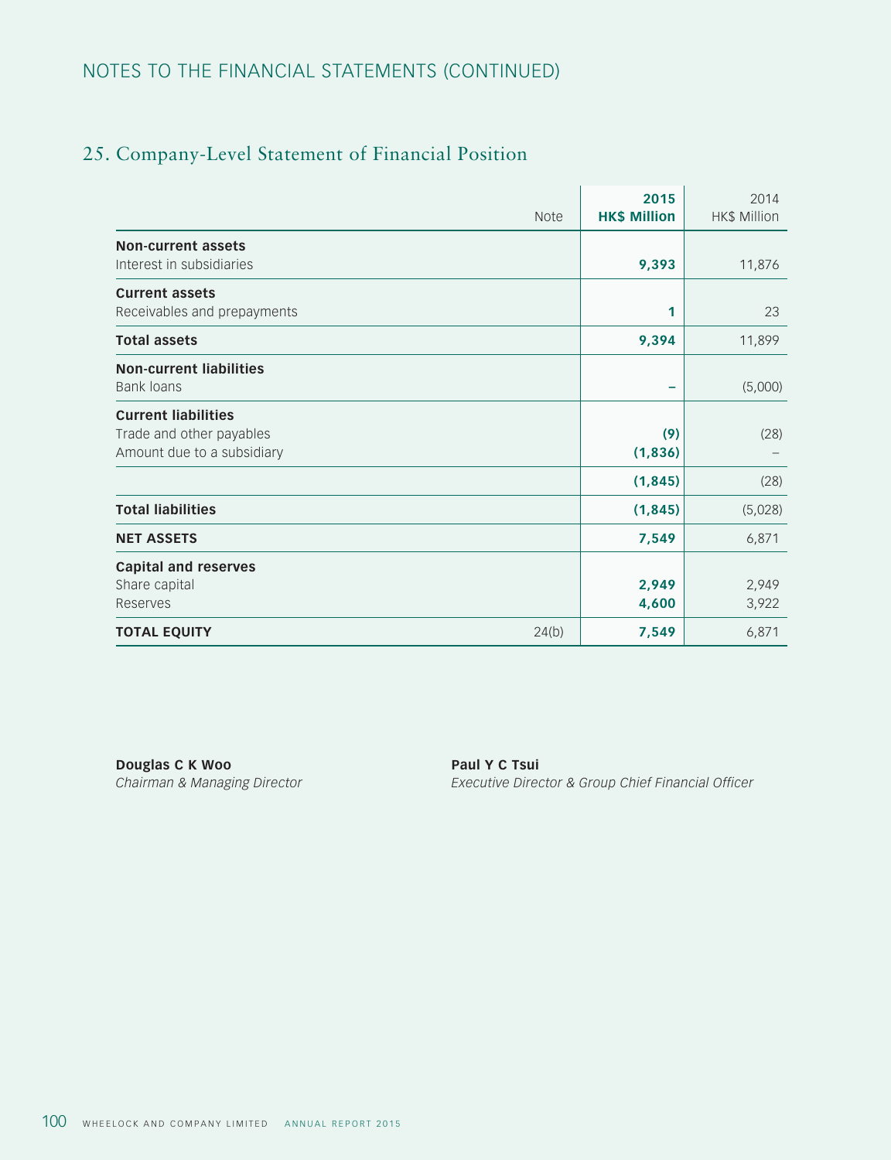## NOTES TO THE FINANCIAL STATEMENTS (CONTINUED)

# 25. Company-Level Statement of Financial Position

|                                                                                      | <b>Note</b> | 2015<br><b>HK\$ Million</b> | 2014<br><b>HK\$ Million</b> |
|--------------------------------------------------------------------------------------|-------------|-----------------------------|-----------------------------|
| <b>Non-current assets</b><br>Interest in subsidiaries                                |             | 9,393                       | 11,876                      |
| <b>Current assets</b><br>Receivables and prepayments                                 |             | 1                           | 23                          |
| <b>Total assets</b>                                                                  |             | 9,394                       | 11,899                      |
| <b>Non-current liabilities</b><br><b>Bank loans</b>                                  |             |                             | (5,000)                     |
| <b>Current liabilities</b><br>Trade and other payables<br>Amount due to a subsidiary |             | (9)<br>(1, 836)             | (28)                        |
|                                                                                      |             | (1, 845)                    | (28)                        |
| <b>Total liabilities</b>                                                             |             | (1, 845)                    | (5,028)                     |
| <b>NET ASSETS</b>                                                                    |             | 7,549                       | 6,871                       |
| <b>Capital and reserves</b><br>Share capital<br>Reserves                             |             | 2,949<br>4,600              | 2,949<br>3,922              |
| <b>TOTAL EQUITY</b>                                                                  | 24(b)       | 7,549                       | 6,871                       |

**Douglas C K Woo Paul Y C Tsui** 

*Chairman & Managing Director Executive Director & Group Chief Financial Officer*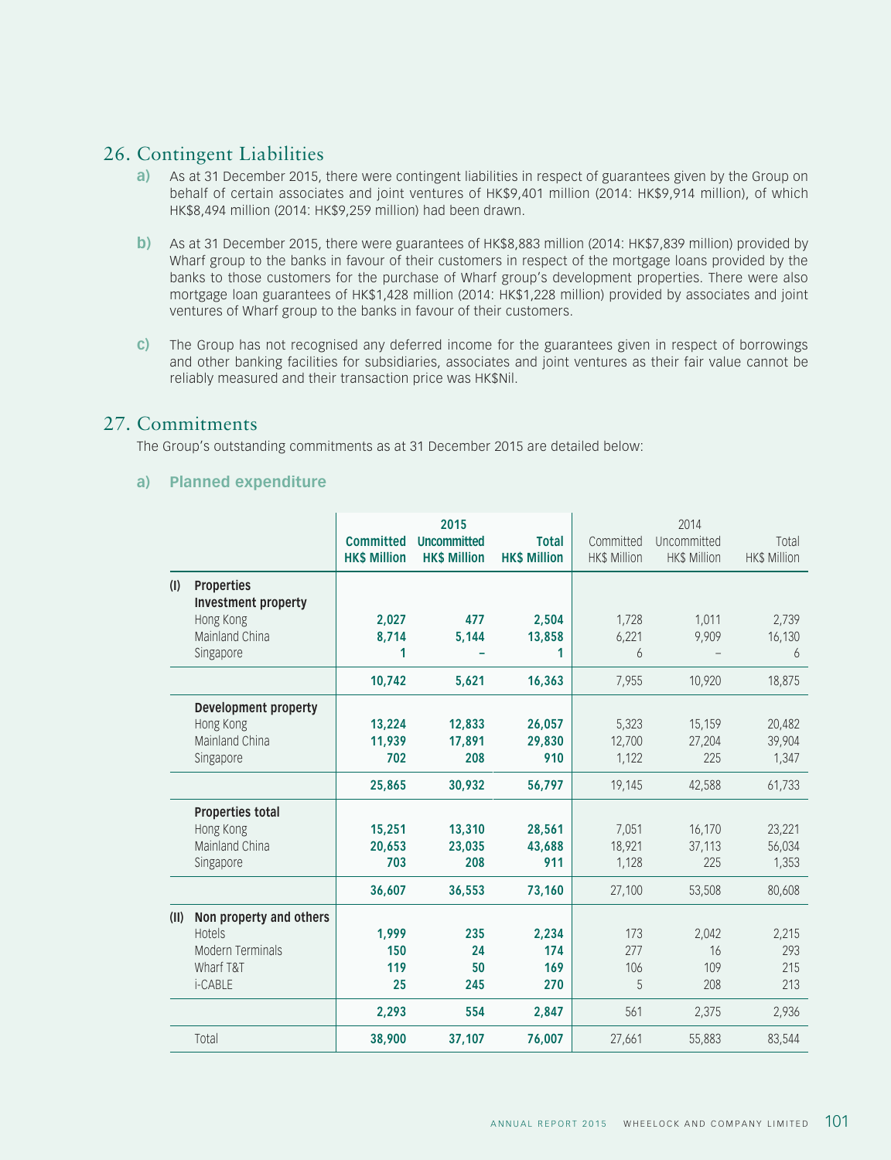## 26. Contingent Liabilities

- **a)** As at 31 December 2015, there were contingent liabilities in respect of guarantees given by the Group on behalf of certain associates and joint ventures of HK\$9,401 million (2014: HK\$9,914 million), of which HK\$8,494 million (2014: HK\$9,259 million) had been drawn.
- **b)** As at 31 December 2015, there were guarantees of HK\$8,883 million (2014: HK\$7,839 million) provided by Wharf group to the banks in favour of their customers in respect of the mortgage loans provided by the banks to those customers for the purchase of Wharf group's development properties. There were also mortgage loan guarantees of HK\$1,428 million (2014: HK\$1,228 million) provided by associates and joint ventures of Wharf group to the banks in favour of their customers.
- **c)** The Group has not recognised any deferred income for the guarantees given in respect of borrowings and other banking facilities for subsidiaries, associates and joint ventures as their fair value cannot be reliably measured and their transaction price was HK\$Nil.

## 27. Commitments

The Group's outstanding commitments as at 31 December 2015 are detailed below:

## **a) Planned expenditure**

|      |                                                 | <b>Committed</b><br><b>HK\$ Million</b> | 2015<br><b>Uncommitted</b><br><b>HK\$ Million</b> | <b>Total</b><br><b>HK\$ Million</b> | Committed<br>HK\$ Million | 2014<br>Uncommitted<br><b>HK\$ Million</b> | Total<br><b>HK\$ Million</b> |
|------|-------------------------------------------------|-----------------------------------------|---------------------------------------------------|-------------------------------------|---------------------------|--------------------------------------------|------------------------------|
| (1)  | <b>Properties</b><br><b>Investment property</b> |                                         |                                                   |                                     |                           |                                            |                              |
|      | Hong Kong<br>Mainland China                     | 2,027<br>8.714                          | 477                                               | 2,504                               | 1,728                     | 1,011                                      | 2,739                        |
|      |                                                 | 1                                       | 5,144                                             | 13,858<br>1                         | 6,221<br>6                | 9,909                                      | 16,130                       |
|      | Singapore                                       |                                         |                                                   |                                     |                           |                                            | 6                            |
|      |                                                 | 10,742                                  | 5.621                                             | 16,363                              | 7,955                     | 10,920                                     | 18,875                       |
|      | Development property                            |                                         |                                                   |                                     |                           |                                            |                              |
|      | Hong Kong                                       | 13.224                                  | 12,833                                            | 26,057                              | 5,323                     | 15,159                                     | 20,482                       |
|      | Mainland China                                  | 11.939                                  | 17,891                                            | 29,830                              | 12,700                    | 27,204                                     | 39,904                       |
|      | Singapore                                       | 702                                     | 208                                               | 910                                 | 1,122                     | 225                                        | 1,347                        |
|      |                                                 | 25,865                                  | 30,932                                            | 56,797                              | 19,145                    | 42,588                                     | 61,733                       |
|      | <b>Properties total</b>                         |                                         |                                                   |                                     |                           |                                            |                              |
|      | Hong Kong                                       | 15,251                                  | 13,310                                            | 28,561                              | 7,051                     | 16,170                                     | 23,221                       |
|      | Mainland China                                  | 20.653                                  | 23,035                                            | 43,688                              | 18,921                    | 37,113                                     | 56,034                       |
|      | Singapore                                       | 703                                     | 208                                               | 911                                 | 1,128                     | 225                                        | 1,353                        |
|      |                                                 | 36,607                                  | 36,553                                            | 73,160                              | 27,100                    | 53,508                                     | 80,608                       |
| (II) | Non property and others                         |                                         |                                                   |                                     |                           |                                            |                              |
|      | <b>Hotels</b>                                   | 1.999                                   | 235                                               | 2,234                               | 173                       | 2,042                                      | 2,215                        |
|      | <b>Modern Terminals</b>                         | 150                                     | 24                                                | 174                                 | 277                       | 16                                         | 293                          |
|      | Wharf T&T                                       | 119                                     | 50                                                | 169                                 | 106                       | 109                                        | 215                          |
|      | i-CABLE                                         | 25                                      | 245                                               | 270                                 | 5                         | 208                                        | 213                          |
|      |                                                 | 2,293                                   | 554                                               | 2,847                               | 561                       | 2,375                                      | 2,936                        |
|      | Total                                           | 38,900                                  | 37,107                                            | 76,007                              | 27,661                    | 55,883                                     | 83,544                       |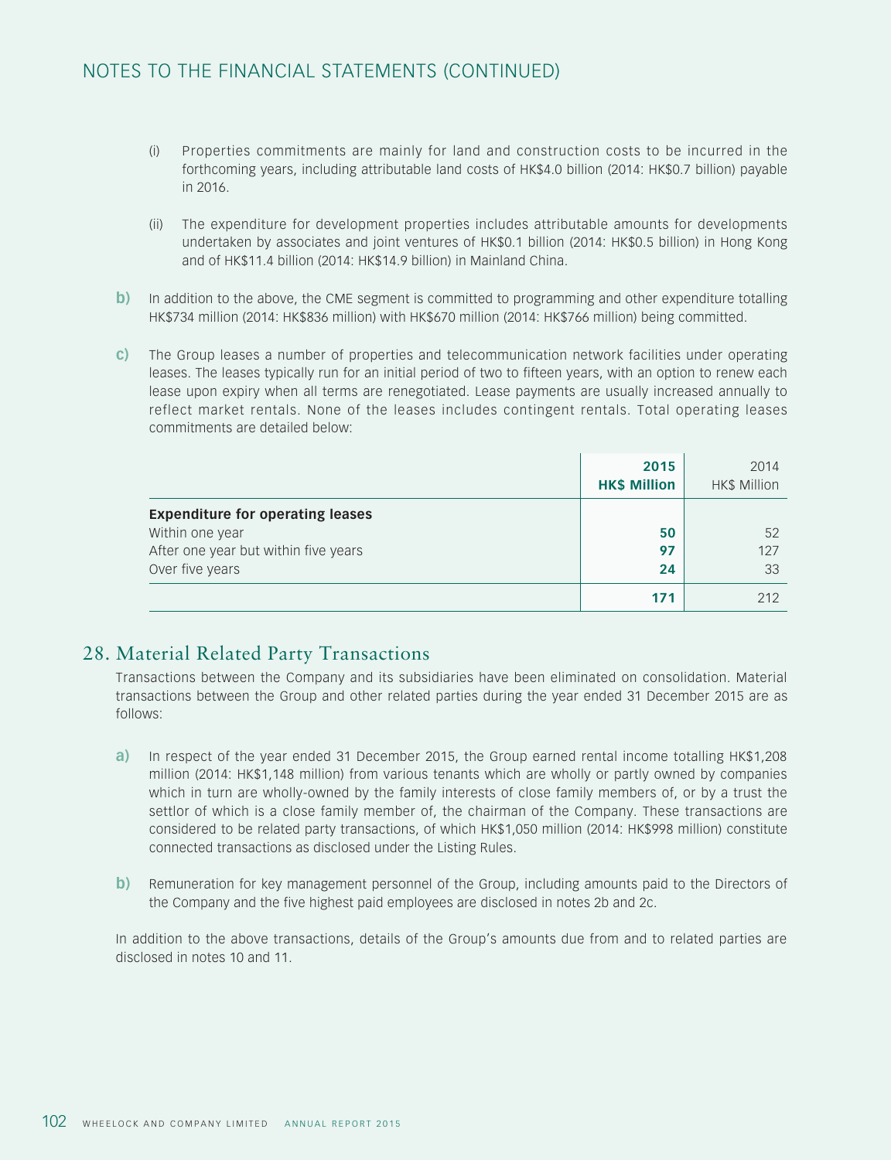## NOTES TO THE FINANCIAL STATEMENTS (CONTINUED)

- (i) Properties commitments are mainly for land and construction costs to be incurred in the forthcoming years, including attributable land costs of HK\$4.0 billion (2014: HK\$0.7 billion) payable in 2016.
- (ii) The expenditure for development properties includes attributable amounts for developments undertaken by associates and joint ventures of HK\$0.1 billion (2014: HK\$0.5 billion) in Hong Kong and of HK\$11.4 billion (2014: HK\$14.9 billion) in Mainland China.
- **b**) In addition to the above, the CME segment is committed to programming and other expenditure totalling HK\$734 million (2014: HK\$836 million) with HK\$670 million (2014: HK\$766 million) being committed.
- **c)** The Group leases a number of properties and telecommunication network facilities under operating leases. The leases typically run for an initial period of two to fifteen years, with an option to renew each lease upon expiry when all terms are renegotiated. Lease payments are usually increased annually to reflect market rentals. None of the leases includes contingent rentals. Total operating leases commitments are detailed below:

|                                                                                                                       | 2015<br><b>HK\$ Million</b> | 2014<br><b>HK\$ Million</b> |
|-----------------------------------------------------------------------------------------------------------------------|-----------------------------|-----------------------------|
| <b>Expenditure for operating leases</b><br>Within one year<br>After one year but within five years<br>Over five years | 50<br>97<br>24              | 52<br>127<br>33             |
|                                                                                                                       | 171                         | 212                         |

## 28. Material Related Party Transactions

Transactions between the Company and its subsidiaries have been eliminated on consolidation. Material transactions between the Group and other related parties during the year ended 31 December 2015 are as follows:

- **a)** In respect of the year ended 31 December 2015, the Group earned rental income totalling HK\$1,208 million (2014: HK\$1,148 million) from various tenants which are wholly or partly owned by companies which in turn are wholly-owned by the family interests of close family members of, or by a trust the settlor of which is a close family member of, the chairman of the Company. These transactions are considered to be related party transactions, of which HK\$1,050 million (2014: HK\$998 million) constitute connected transactions as disclosed under the Listing Rules.
- **b**) Remuneration for key management personnel of the Group, including amounts paid to the Directors of the Company and the five highest paid employees are disclosed in notes 2b and 2c.

In addition to the above transactions, details of the Group's amounts due from and to related parties are disclosed in notes 10 and 11.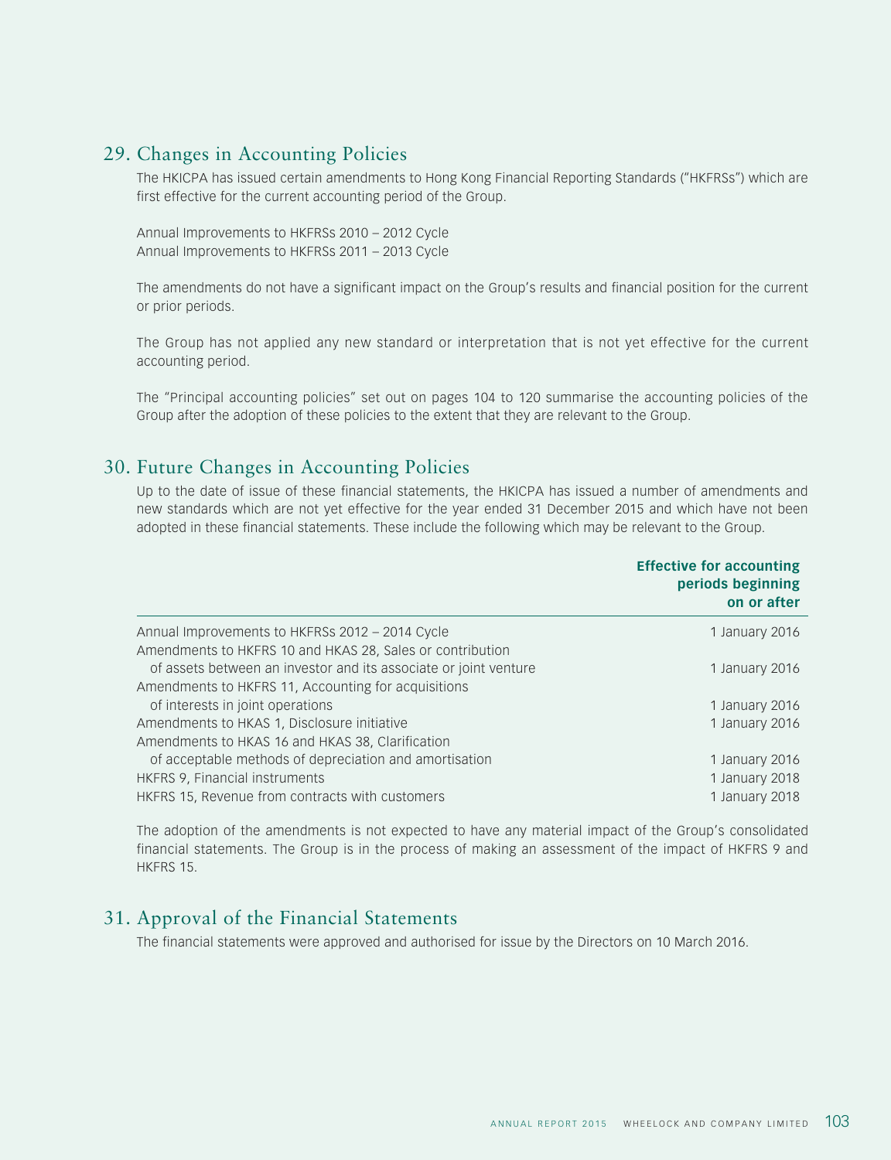## 29. Changes in Accounting Policies

The HKICPA has issued certain amendments to Hong Kong Financial Reporting Standards ("HKFRSs") which are first effective for the current accounting period of the Group.

Annual Improvements to HKFRSs 2010 – 2012 Cycle Annual Improvements to HKFRSs 2011 – 2013 Cycle

The amendments do not have a significant impact on the Group's results and financial position for the current or prior periods.

The Group has not applied any new standard or interpretation that is not yet effective for the current accounting period.

The "Principal accounting policies" set out on pages 104 to 120 summarise the accounting policies of the Group after the adoption of these policies to the extent that they are relevant to the Group.

## 30. Future Changes in Accounting Policies

Up to the date of issue of these financial statements, the HKICPA has issued a number of amendments and new standards which are not yet effective for the year ended 31 December 2015 and which have not been adopted in these financial statements. These include the following which may be relevant to the Group.

|                                                                  | <b>Effective for accounting</b><br>periods beginning<br>on or after |
|------------------------------------------------------------------|---------------------------------------------------------------------|
| Annual Improvements to HKFRSs 2012 - 2014 Cycle                  | 1 January 2016                                                      |
| Amendments to HKFRS 10 and HKAS 28, Sales or contribution        |                                                                     |
| of assets between an investor and its associate or joint venture | 1 January 2016                                                      |
| Amendments to HKFRS 11, Accounting for acquisitions              |                                                                     |
| of interests in joint operations                                 | 1 January 2016                                                      |
| Amendments to HKAS 1, Disclosure initiative                      | 1 January 2016                                                      |
| Amendments to HKAS 16 and HKAS 38, Clarification                 |                                                                     |
| of acceptable methods of depreciation and amortisation           | 1 January 2016                                                      |
| HKFRS 9, Financial instruments                                   | 1 January 2018                                                      |
| HKFRS 15, Revenue from contracts with customers                  | 1 January 2018                                                      |

The adoption of the amendments is not expected to have any material impact of the Group's consolidated financial statements. The Group is in the process of making an assessment of the impact of HKFRS 9 and HKFRS 15.

## 31. Approval of the Financial Statements

The financial statements were approved and authorised for issue by the Directors on 10 March 2016.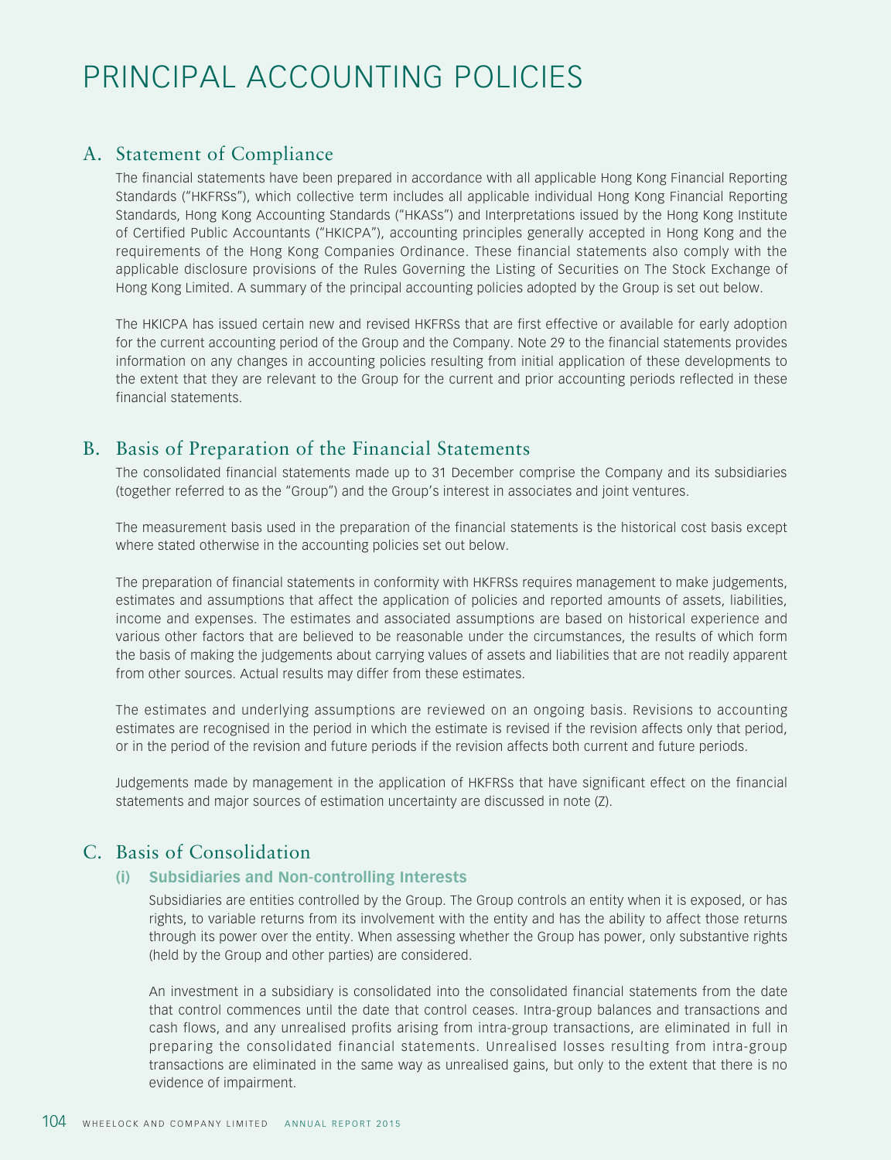# PRINCIPAL ACCOUNTING POLICIES

## A. Statement of Compliance

The financial statements have been prepared in accordance with all applicable Hong Kong Financial Reporting Standards ("HKFRSs"), which collective term includes all applicable individual Hong Kong Financial Reporting Standards, Hong Kong Accounting Standards ("HKASs") and Interpretations issued by the Hong Kong Institute of Certified Public Accountants ("HKICPA"), accounting principles generally accepted in Hong Kong and the requirements of the Hong Kong Companies Ordinance. These financial statements also comply with the applicable disclosure provisions of the Rules Governing the Listing of Securities on The Stock Exchange of Hong Kong Limited. A summary of the principal accounting policies adopted by the Group is set out below.

The HKICPA has issued certain new and revised HKFRSs that are first effective or available for early adoption for the current accounting period of the Group and the Company. Note 29 to the financial statements provides information on any changes in accounting policies resulting from initial application of these developments to the extent that they are relevant to the Group for the current and prior accounting periods reflected in these financial statements.

## B. Basis of Preparation of the Financial Statements

The consolidated financial statements made up to 31 December comprise the Company and its subsidiaries (together referred to as the "Group") and the Group's interest in associates and joint ventures.

The measurement basis used in the preparation of the financial statements is the historical cost basis except where stated otherwise in the accounting policies set out below.

The preparation of financial statements in conformity with HKFRSs requires management to make judgements, estimates and assumptions that affect the application of policies and reported amounts of assets, liabilities, income and expenses. The estimates and associated assumptions are based on historical experience and various other factors that are believed to be reasonable under the circumstances, the results of which form the basis of making the judgements about carrying values of assets and liabilities that are not readily apparent from other sources. Actual results may differ from these estimates.

The estimates and underlying assumptions are reviewed on an ongoing basis. Revisions to accounting estimates are recognised in the period in which the estimate is revised if the revision affects only that period, or in the period of the revision and future periods if the revision affects both current and future periods.

Judgements made by management in the application of HKFRSs that have significant effect on the financial statements and major sources of estimation uncertainty are discussed in note (Z).

## C. Basis of Consolidation

## **(i) Subsidiaries and Non-controlling Interests**

Subsidiaries are entities controlled by the Group. The Group controls an entity when it is exposed, or has rights, to variable returns from its involvement with the entity and has the ability to affect those returns through its power over the entity. When assessing whether the Group has power, only substantive rights (held by the Group and other parties) are considered.

An investment in a subsidiary is consolidated into the consolidated financial statements from the date that control commences until the date that control ceases. Intra-group balances and transactions and cash flows, and any unrealised profits arising from intra-group transactions, are eliminated in full in preparing the consolidated financial statements. Unrealised losses resulting from intra-group transactions are eliminated in the same way as unrealised gains, but only to the extent that there is no evidence of impairment.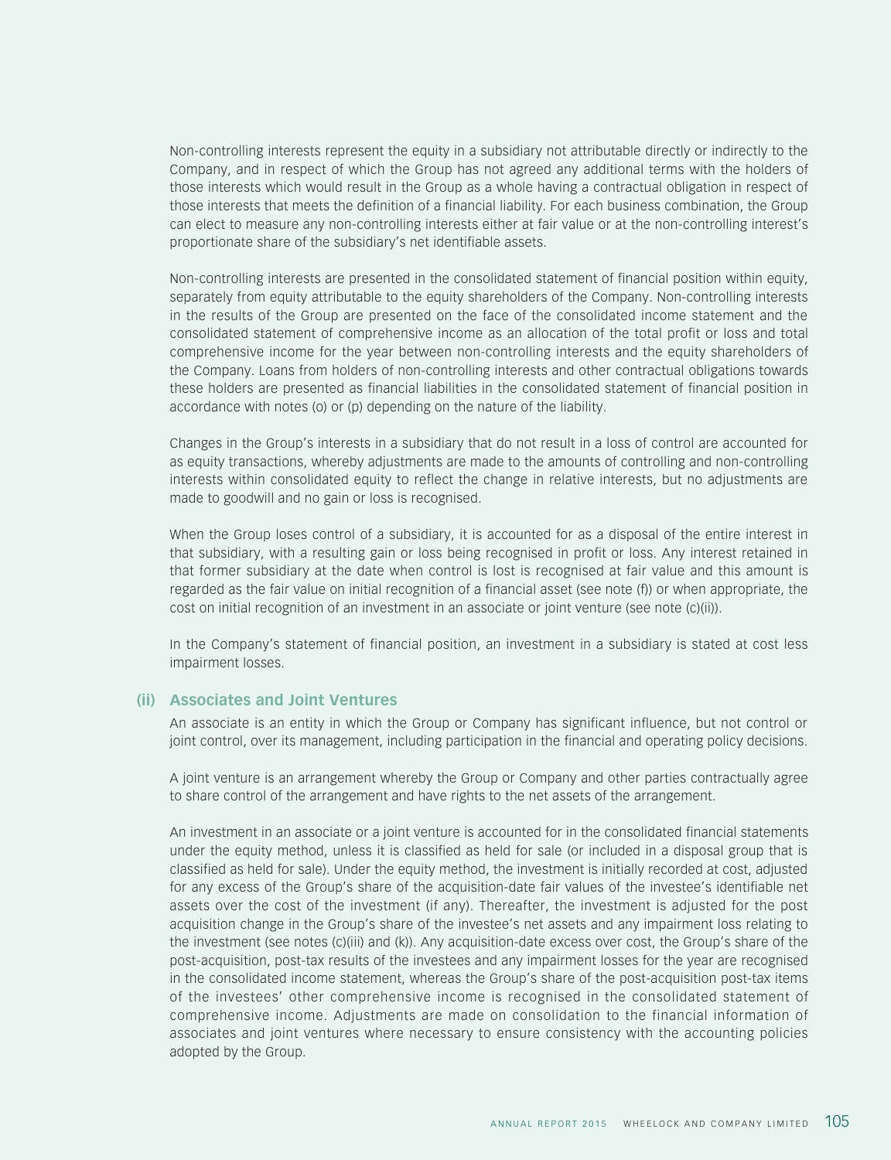Non-controlling interests represent the equity in a subsidiary not attributable directly or indirectly to the Company, and in respect of which the Group has not agreed any additional terms with the holders of those interests which would result in the Group as a whole having a contractual obligation in respect of those interests that meets the definition of a financial liability. For each business combination, the Group can elect to measure any non-controlling interests either at fair value or at the non-controlling interest's proportionate share of the subsidiary's net identifiable assets.

Non-controlling interests are presented in the consolidated statement of financial position within equity, separately from equity attributable to the equity shareholders of the Company. Non-controlling interests in the results of the Group are presented on the face of the consolidated income statement and the consolidated statement of comprehensive income as an allocation of the total profit or loss and total comprehensive income for the year between non-controlling interests and the equity shareholders of the Company. Loans from holders of non-controlling interests and other contractual obligations towards these holders are presented as financial liabilities in the consolidated statement of financial position in accordance with notes (o) or (p) depending on the nature of the liability.

Changes in the Group's interests in a subsidiary that do not result in a loss of control are accounted for as equity transactions, whereby adjustments are made to the amounts of controlling and non-controlling interests within consolidated equity to reflect the change in relative interests, but no adjustments are made to goodwill and no gain or loss is recognised.

When the Group loses control of a subsidiary, it is accounted for as a disposal of the entire interest in that subsidiary, with a resulting gain or loss being recognised in profit or loss. Any interest retained in that former subsidiary at the date when control is lost is recognised at fair value and this amount is regarded as the fair value on initial recognition of a financial asset (see note (f)) or when appropriate, the cost on initial recognition of an investment in an associate or joint venture (see note (c)(ii)).

In the Company's statement of financial position, an investment in a subsidiary is stated at cost less impairment losses.

#### **(ii) Associates and Joint Ventures**

An associate is an entity in which the Group or Company has significant influence, but not control or joint control, over its management, including participation in the financial and operating policy decisions.

A joint venture is an arrangement whereby the Group or Company and other parties contractually agree to share control of the arrangement and have rights to the net assets of the arrangement.

An investment in an associate or a joint venture is accounted for in the consolidated financial statements under the equity method, unless it is classified as held for sale (or included in a disposal group that is classified as held for sale). Under the equity method, the investment is initially recorded at cost, adjusted for any excess of the Group's share of the acquisition-date fair values of the investee's identifiable net assets over the cost of the investment (if any). Thereafter, the investment is adjusted for the post acquisition change in the Group's share of the investee's net assets and any impairment loss relating to the investment (see notes (c)(iii) and (k)). Any acquisition-date excess over cost, the Group's share of the post-acquisition, post-tax results of the investees and any impairment losses for the year are recognised in the consolidated income statement, whereas the Group's share of the post-acquisition post-tax items of the investees' other comprehensive income is recognised in the consolidated statement of comprehensive income. Adjustments are made on consolidation to the financial information of associates and joint ventures where necessary to ensure consistency with the accounting policies adopted by the Group.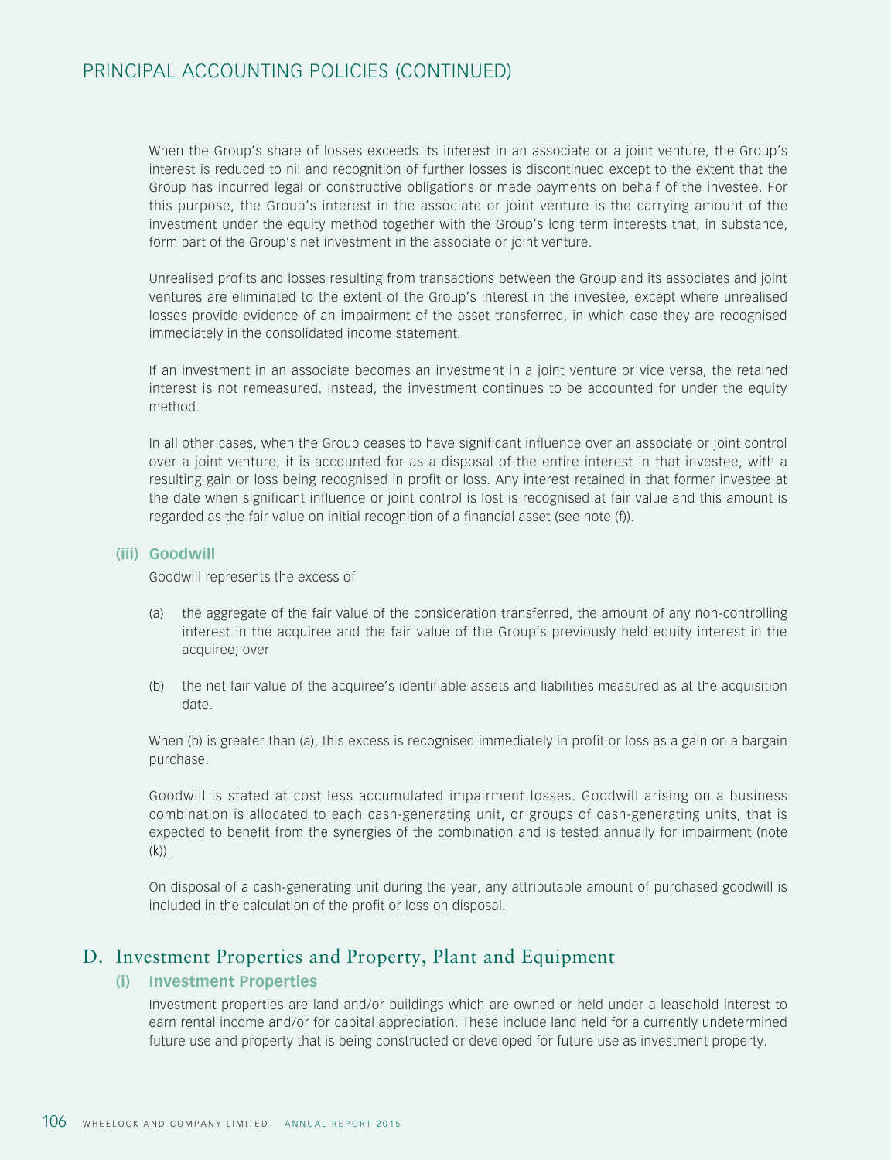## PRINCIPAL ACCOUNTING POLICIES (CONTINUED)

When the Group's share of losses exceeds its interest in an associate or a joint venture, the Group's interest is reduced to nil and recognition of further losses is discontinued except to the extent that the Group has incurred legal or constructive obligations or made payments on behalf of the investee. For this purpose, the Group's interest in the associate or joint venture is the carrying amount of the investment under the equity method together with the Group's long term interests that, in substance, form part of the Group's net investment in the associate or joint venture.

Unrealised profits and losses resulting from transactions between the Group and its associates and joint ventures are eliminated to the extent of the Group's interest in the investee, except where unrealised losses provide evidence of an impairment of the asset transferred, in which case they are recognised immediately in the consolidated income statement.

If an investment in an associate becomes an investment in a joint venture or vice versa, the retained interest is not remeasured. Instead, the investment continues to be accounted for under the equity method.

In all other cases, when the Group ceases to have significant influence over an associate or joint control over a joint venture, it is accounted for as a disposal of the entire interest in that investee, with a resulting gain or loss being recognised in profit or loss. Any interest retained in that former investee at the date when significant influence or joint control is lost is recognised at fair value and this amount is regarded as the fair value on initial recognition of a financial asset (see note (f)).

#### **(iii) Goodwill**

Goodwill represents the excess of

- (a) the aggregate of the fair value of the consideration transferred, the amount of any non-controlling interest in the acquiree and the fair value of the Group's previously held equity interest in the acquiree; over
- (b) the net fair value of the acquiree's identifiable assets and liabilities measured as at the acquisition date.

When (b) is greater than (a), this excess is recognised immediately in profit or loss as a gain on a bargain purchase.

Goodwill is stated at cost less accumulated impairment losses. Goodwill arising on a business combination is allocated to each cash-generating unit, or groups of cash-generating units, that is expected to benefit from the synergies of the combination and is tested annually for impairment (note  $(k)$ ).

On disposal of a cash-generating unit during the year, any attributable amount of purchased goodwill is included in the calculation of the profit or loss on disposal.

## D. Investment Properties and Property, Plant and Equipment

## **(i) Investment Properties**

Investment properties are land and/or buildings which are owned or held under a leasehold interest to earn rental income and/or for capital appreciation. These include land held for a currently undetermined future use and property that is being constructed or developed for future use as investment property.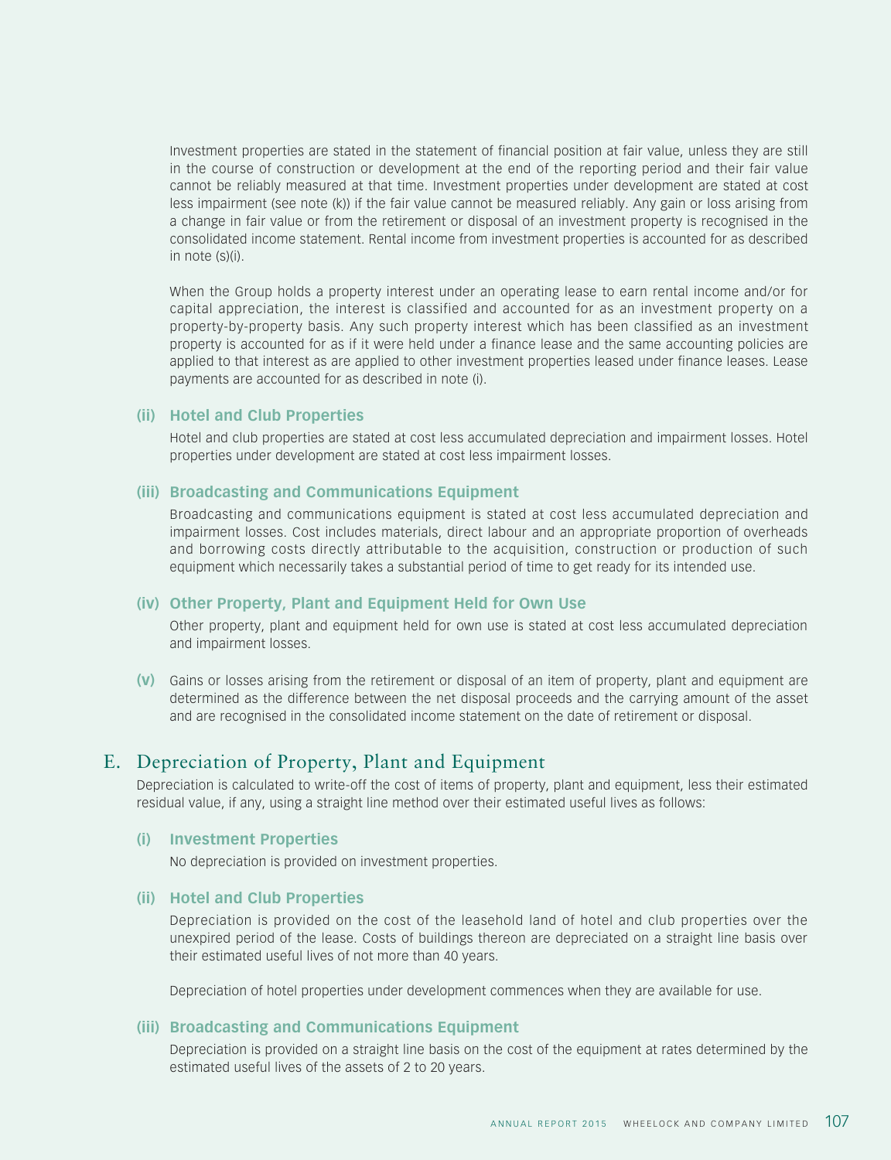Investment properties are stated in the statement of financial position at fair value, unless they are still in the course of construction or development at the end of the reporting period and their fair value cannot be reliably measured at that time. Investment properties under development are stated at cost less impairment (see note (k)) if the fair value cannot be measured reliably. Any gain or loss arising from a change in fair value or from the retirement or disposal of an investment property is recognised in the consolidated income statement. Rental income from investment properties is accounted for as described in note (s)(i).

When the Group holds a property interest under an operating lease to earn rental income and/or for capital appreciation, the interest is classified and accounted for as an investment property on a property-by-property basis. Any such property interest which has been classified as an investment property is accounted for as if it were held under a finance lease and the same accounting policies are applied to that interest as are applied to other investment properties leased under finance leases. Lease payments are accounted for as described in note (i).

#### **(ii) Hotel and Club Properties**

Hotel and club properties are stated at cost less accumulated depreciation and impairment losses. Hotel properties under development are stated at cost less impairment losses.

#### **(iii) Broadcasting and Communications Equipment**

Broadcasting and communications equipment is stated at cost less accumulated depreciation and impairment losses. Cost includes materials, direct labour and an appropriate proportion of overheads and borrowing costs directly attributable to the acquisition, construction or production of such equipment which necessarily takes a substantial period of time to get ready for its intended use.

#### **(iv) Other Property, Plant and Equipment Held for Own Use**

Other property, plant and equipment held for own use is stated at cost less accumulated depreciation and impairment losses.

**(v)** Gains or losses arising from the retirement or disposal of an item of property, plant and equipment are determined as the difference between the net disposal proceeds and the carrying amount of the asset and are recognised in the consolidated income statement on the date of retirement or disposal.

## E. Depreciation of Property, Plant and Equipment

Depreciation is calculated to write-off the cost of items of property, plant and equipment, less their estimated residual value, if any, using a straight line method over their estimated useful lives as follows:

#### **(i) Investment Properties**

No depreciation is provided on investment properties.

#### **(ii) Hotel and Club Properties**

Depreciation is provided on the cost of the leasehold land of hotel and club properties over the unexpired period of the lease. Costs of buildings thereon are depreciated on a straight line basis over their estimated useful lives of not more than 40 years.

Depreciation of hotel properties under development commences when they are available for use.

#### **(iii) Broadcasting and Communications Equipment**

Depreciation is provided on a straight line basis on the cost of the equipment at rates determined by the estimated useful lives of the assets of 2 to 20 years.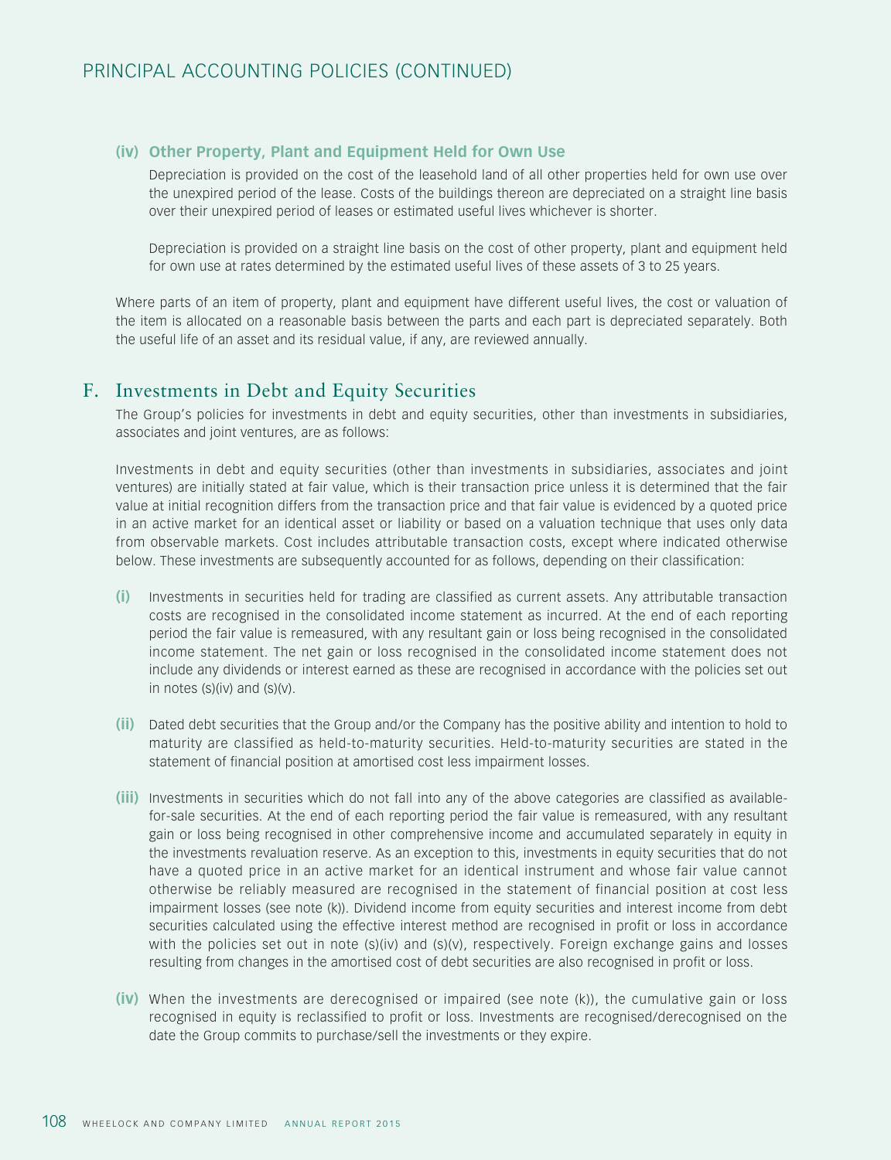## **(iv) Other Property, Plant and Equipment Held for Own Use**

Depreciation is provided on the cost of the leasehold land of all other properties held for own use over the unexpired period of the lease. Costs of the buildings thereon are depreciated on a straight line basis over their unexpired period of leases or estimated useful lives whichever is shorter.

Depreciation is provided on a straight line basis on the cost of other property, plant and equipment held for own use at rates determined by the estimated useful lives of these assets of 3 to 25 years.

Where parts of an item of property, plant and equipment have different useful lives, the cost or valuation of the item is allocated on a reasonable basis between the parts and each part is depreciated separately. Both the useful life of an asset and its residual value, if any, are reviewed annually.

## F. Investments in Debt and Equity Securities

The Group's policies for investments in debt and equity securities, other than investments in subsidiaries, associates and joint ventures, are as follows:

Investments in debt and equity securities (other than investments in subsidiaries, associates and joint ventures) are initially stated at fair value, which is their transaction price unless it is determined that the fair value at initial recognition differs from the transaction price and that fair value is evidenced by a quoted price in an active market for an identical asset or liability or based on a valuation technique that uses only data from observable markets. Cost includes attributable transaction costs, except where indicated otherwise below. These investments are subsequently accounted for as follows, depending on their classification:

- **(i)** Investments in securities held for trading are classified as current assets. Any attributable transaction costs are recognised in the consolidated income statement as incurred. At the end of each reporting period the fair value is remeasured, with any resultant gain or loss being recognised in the consolidated income statement. The net gain or loss recognised in the consolidated income statement does not include any dividends or interest earned as these are recognised in accordance with the policies set out in notes  $(s)(iv)$  and  $(s)(v)$ .
- **(ii)** Dated debt securities that the Group and/or the Company has the positive ability and intention to hold to maturity are classified as held-to-maturity securities. Held-to-maturity securities are stated in the statement of financial position at amortised cost less impairment losses.
- **(iii)** Investments in securities which do not fall into any of the above categories are classified as availablefor-sale securities. At the end of each reporting period the fair value is remeasured, with any resultant gain or loss being recognised in other comprehensive income and accumulated separately in equity in the investments revaluation reserve. As an exception to this, investments in equity securities that do not have a quoted price in an active market for an identical instrument and whose fair value cannot otherwise be reliably measured are recognised in the statement of financial position at cost less impairment losses (see note (k)). Dividend income from equity securities and interest income from debt securities calculated using the effective interest method are recognised in profit or loss in accordance with the policies set out in note (s)(iv) and (s)(v), respectively. Foreign exchange gains and losses resulting from changes in the amortised cost of debt securities are also recognised in profit or loss.
- **(iv)** When the investments are derecognised or impaired (see note (k)), the cumulative gain or loss recognised in equity is reclassified to profit or loss. Investments are recognised/derecognised on the date the Group commits to purchase/sell the investments or they expire.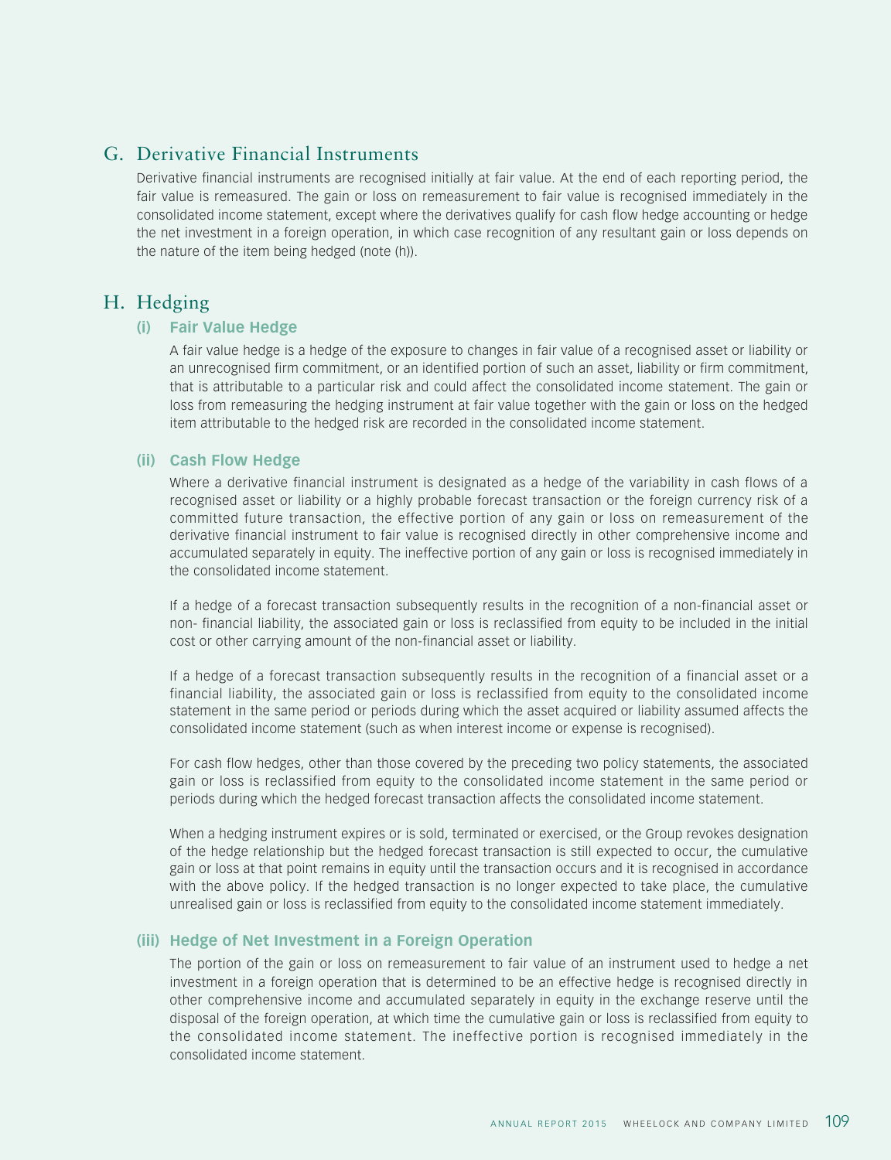## G. Derivative Financial Instruments

Derivative financial instruments are recognised initially at fair value. At the end of each reporting period, the fair value is remeasured. The gain or loss on remeasurement to fair value is recognised immediately in the consolidated income statement, except where the derivatives qualify for cash flow hedge accounting or hedge the net investment in a foreign operation, in which case recognition of any resultant gain or loss depends on the nature of the item being hedged (note (h)).

## H. Hedging

#### **(i) Fair Value Hedge**

A fair value hedge is a hedge of the exposure to changes in fair value of a recognised asset or liability or an unrecognised firm commitment, or an identified portion of such an asset, liability or firm commitment, that is attributable to a particular risk and could affect the consolidated income statement. The gain or loss from remeasuring the hedging instrument at fair value together with the gain or loss on the hedged item attributable to the hedged risk are recorded in the consolidated income statement.

#### **(ii) Cash Flow Hedge**

Where a derivative financial instrument is designated as a hedge of the variability in cash flows of a recognised asset or liability or a highly probable forecast transaction or the foreign currency risk of a committed future transaction, the effective portion of any gain or loss on remeasurement of the derivative financial instrument to fair value is recognised directly in other comprehensive income and accumulated separately in equity. The ineffective portion of any gain or loss is recognised immediately in the consolidated income statement.

If a hedge of a forecast transaction subsequently results in the recognition of a non-financial asset or non- financial liability, the associated gain or loss is reclassified from equity to be included in the initial cost or other carrying amount of the non-financial asset or liability.

If a hedge of a forecast transaction subsequently results in the recognition of a financial asset or a financial liability, the associated gain or loss is reclassified from equity to the consolidated income statement in the same period or periods during which the asset acquired or liability assumed affects the consolidated income statement (such as when interest income or expense is recognised).

For cash flow hedges, other than those covered by the preceding two policy statements, the associated gain or loss is reclassified from equity to the consolidated income statement in the same period or periods during which the hedged forecast transaction affects the consolidated income statement.

When a hedging instrument expires or is sold, terminated or exercised, or the Group revokes designation of the hedge relationship but the hedged forecast transaction is still expected to occur, the cumulative gain or loss at that point remains in equity until the transaction occurs and it is recognised in accordance with the above policy. If the hedged transaction is no longer expected to take place, the cumulative unrealised gain or loss is reclassified from equity to the consolidated income statement immediately.

## **(iii) Hedge of Net Investment in a Foreign Operation**

The portion of the gain or loss on remeasurement to fair value of an instrument used to hedge a net investment in a foreign operation that is determined to be an effective hedge is recognised directly in other comprehensive income and accumulated separately in equity in the exchange reserve until the disposal of the foreign operation, at which time the cumulative gain or loss is reclassified from equity to the consolidated income statement. The ineffective portion is recognised immediately in the consolidated income statement.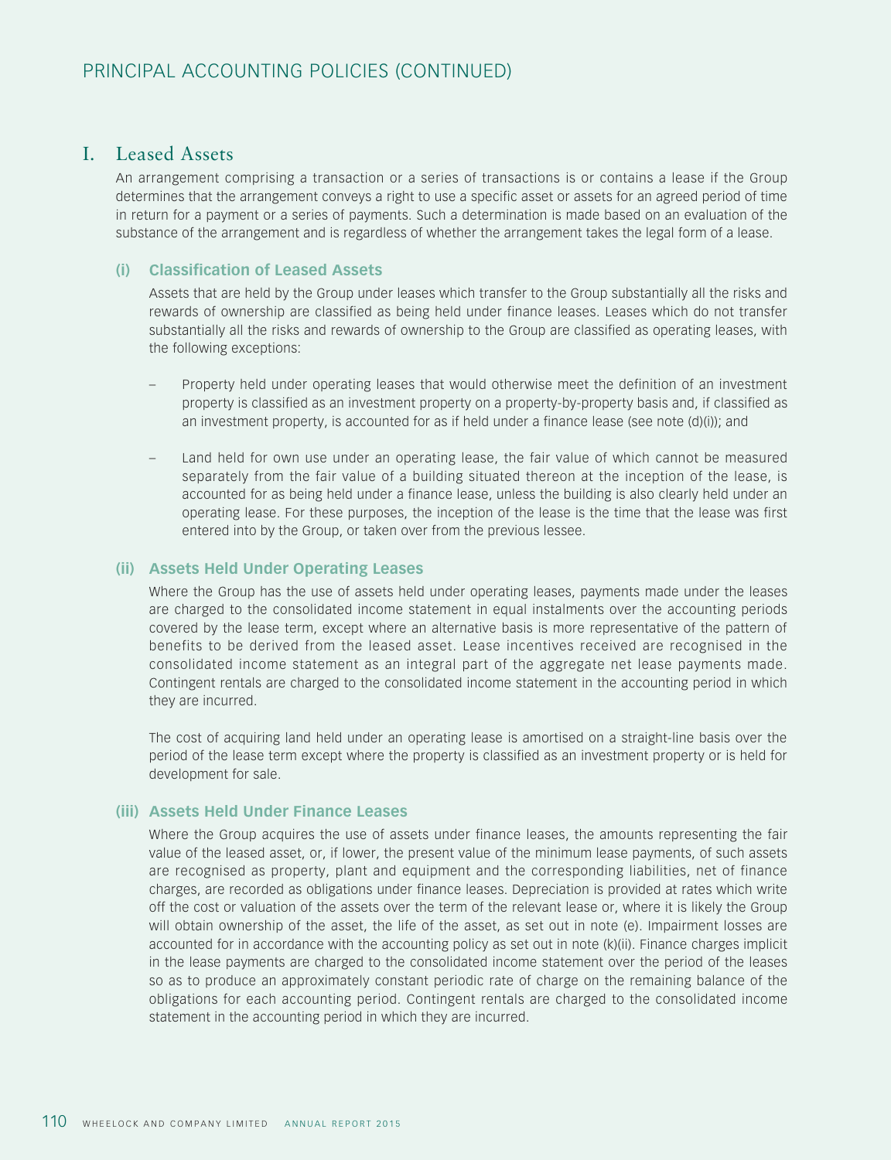## I. Leased Assets

An arrangement comprising a transaction or a series of transactions is or contains a lease if the Group determines that the arrangement conveys a right to use a specific asset or assets for an agreed period of time in return for a payment or a series of payments. Such a determination is made based on an evaluation of the substance of the arrangement and is regardless of whether the arrangement takes the legal form of a lease.

#### **(i) Classification of Leased Assets**

Assets that are held by the Group under leases which transfer to the Group substantially all the risks and rewards of ownership are classified as being held under finance leases. Leases which do not transfer substantially all the risks and rewards of ownership to the Group are classified as operating leases, with the following exceptions:

- Property held under operating leases that would otherwise meet the definition of an investment property is classified as an investment property on a property-by-property basis and, if classified as an investment property, is accounted for as if held under a finance lease (see note (d)(i)); and
- Land held for own use under an operating lease, the fair value of which cannot be measured separately from the fair value of a building situated thereon at the inception of the lease, is accounted for as being held under a finance lease, unless the building is also clearly held under an operating lease. For these purposes, the inception of the lease is the time that the lease was first entered into by the Group, or taken over from the previous lessee.

#### **(ii) Assets Held Under Operating Leases**

Where the Group has the use of assets held under operating leases, payments made under the leases are charged to the consolidated income statement in equal instalments over the accounting periods covered by the lease term, except where an alternative basis is more representative of the pattern of benefits to be derived from the leased asset. Lease incentives received are recognised in the consolidated income statement as an integral part of the aggregate net lease payments made. Contingent rentals are charged to the consolidated income statement in the accounting period in which they are incurred.

The cost of acquiring land held under an operating lease is amortised on a straight-line basis over the period of the lease term except where the property is classified as an investment property or is held for development for sale.

#### **(iii) Assets Held Under Finance Leases**

Where the Group acquires the use of assets under finance leases, the amounts representing the fair value of the leased asset, or, if lower, the present value of the minimum lease payments, of such assets are recognised as property, plant and equipment and the corresponding liabilities, net of finance charges, are recorded as obligations under finance leases. Depreciation is provided at rates which write off the cost or valuation of the assets over the term of the relevant lease or, where it is likely the Group will obtain ownership of the asset, the life of the asset, as set out in note (e). Impairment losses are accounted for in accordance with the accounting policy as set out in note (k)(ii). Finance charges implicit in the lease payments are charged to the consolidated income statement over the period of the leases so as to produce an approximately constant periodic rate of charge on the remaining balance of the obligations for each accounting period. Contingent rentals are charged to the consolidated income statement in the accounting period in which they are incurred.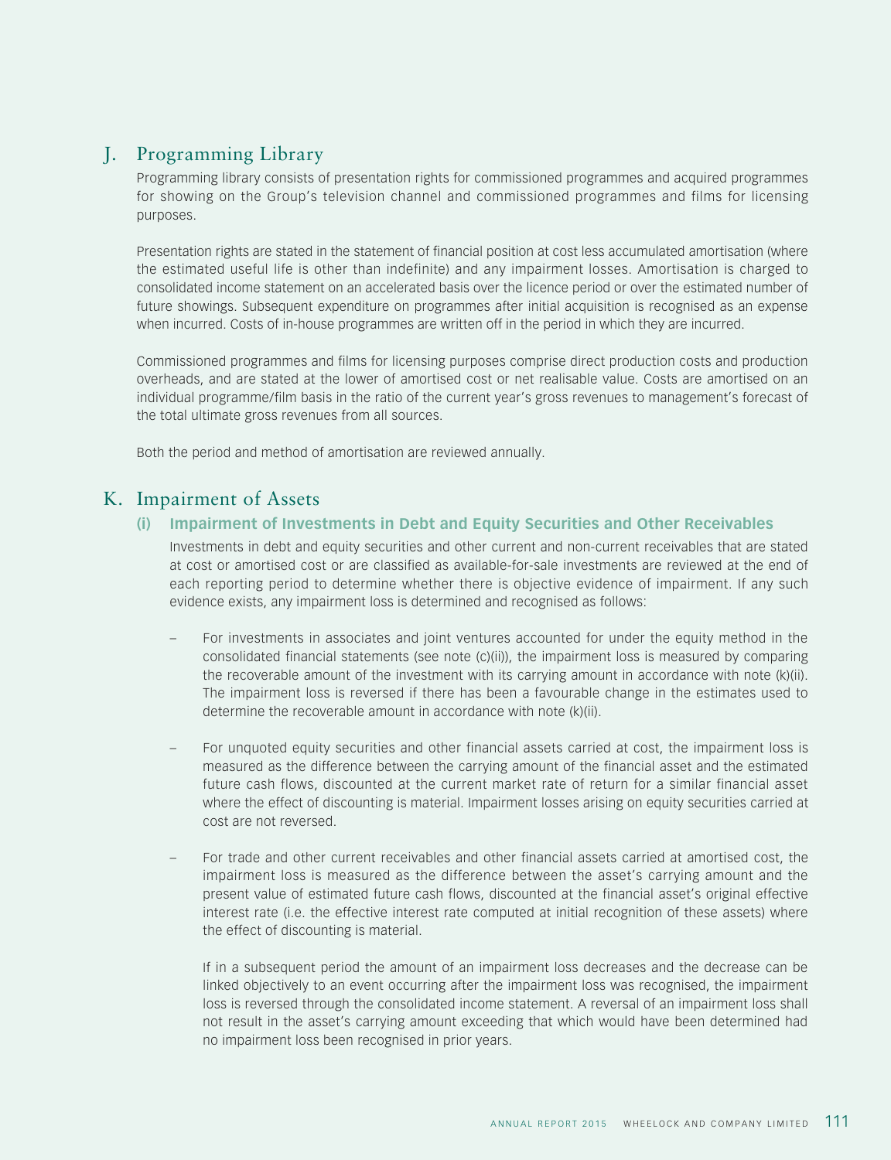## J. Programming Library

Programming library consists of presentation rights for commissioned programmes and acquired programmes for showing on the Group's television channel and commissioned programmes and films for licensing purposes.

Presentation rights are stated in the statement of financial position at cost less accumulated amortisation (where the estimated useful life is other than indefinite) and any impairment losses. Amortisation is charged to consolidated income statement on an accelerated basis over the licence period or over the estimated number of future showings. Subsequent expenditure on programmes after initial acquisition is recognised as an expense when incurred. Costs of in-house programmes are written off in the period in which they are incurred.

Commissioned programmes and films for licensing purposes comprise direct production costs and production overheads, and are stated at the lower of amortised cost or net realisable value. Costs are amortised on an individual programme/film basis in the ratio of the current year's gross revenues to management's forecast of the total ultimate gross revenues from all sources.

Both the period and method of amortisation are reviewed annually.

## K. Impairment of Assets

## **(i) Impairment of Investments in Debt and Equity Securities and Other Receivables**

Investments in debt and equity securities and other current and non-current receivables that are stated at cost or amortised cost or are classified as available-for-sale investments are reviewed at the end of each reporting period to determine whether there is objective evidence of impairment. If any such evidence exists, any impairment loss is determined and recognised as follows:

- For investments in associates and joint ventures accounted for under the equity method in the consolidated financial statements (see note (c)(ii)), the impairment loss is measured by comparing the recoverable amount of the investment with its carrying amount in accordance with note (k)(ii). The impairment loss is reversed if there has been a favourable change in the estimates used to determine the recoverable amount in accordance with note (k)(ii).
- For unquoted equity securities and other financial assets carried at cost, the impairment loss is measured as the difference between the carrying amount of the financial asset and the estimated future cash flows, discounted at the current market rate of return for a similar financial asset where the effect of discounting is material. Impairment losses arising on equity securities carried at cost are not reversed.
- For trade and other current receivables and other financial assets carried at amortised cost, the impairment loss is measured as the difference between the asset's carrying amount and the present value of estimated future cash flows, discounted at the financial asset's original effective interest rate (i.e. the effective interest rate computed at initial recognition of these assets) where the effect of discounting is material.

If in a subsequent period the amount of an impairment loss decreases and the decrease can be linked objectively to an event occurring after the impairment loss was recognised, the impairment loss is reversed through the consolidated income statement. A reversal of an impairment loss shall not result in the asset's carrying amount exceeding that which would have been determined had no impairment loss been recognised in prior years.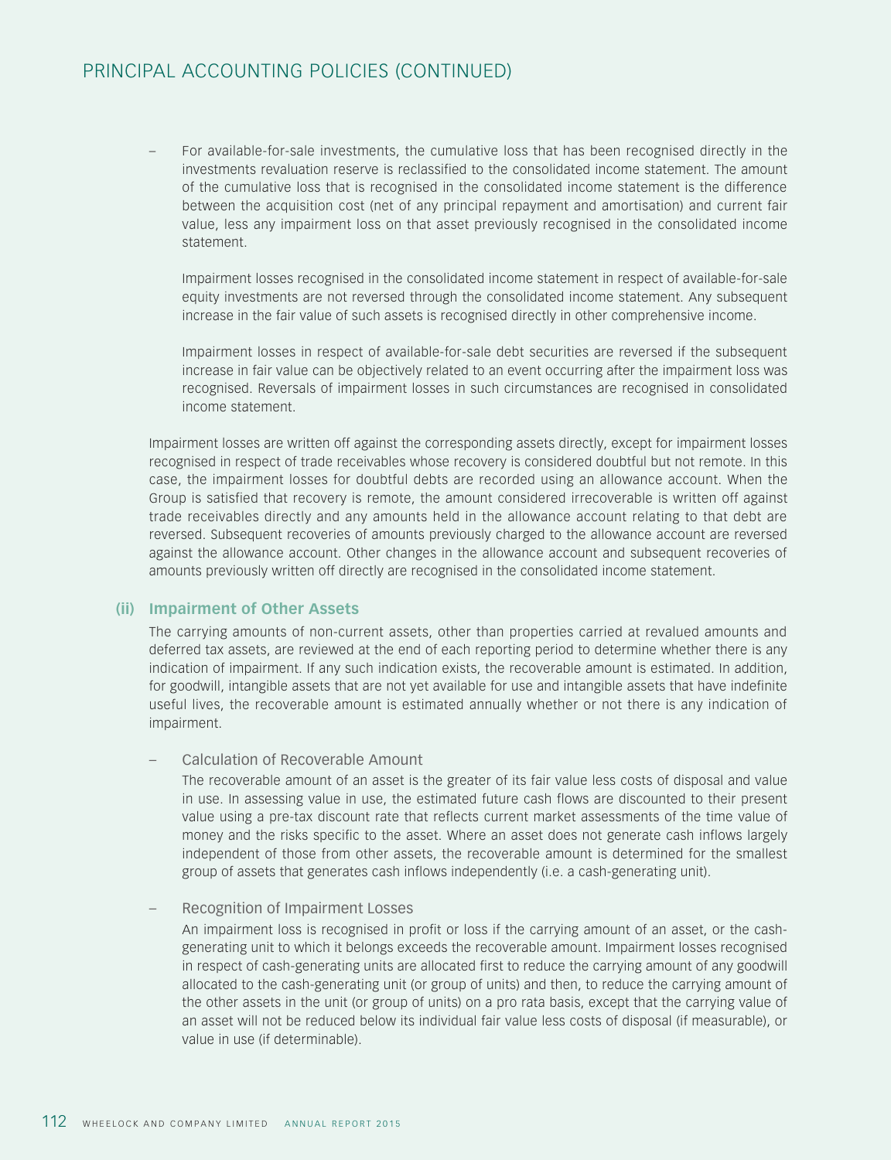## PRINCIPAL ACCOUNTING POLICIES (CONTINUED)

– For available-for-sale investments, the cumulative loss that has been recognised directly in the investments revaluation reserve is reclassified to the consolidated income statement. The amount of the cumulative loss that is recognised in the consolidated income statement is the difference between the acquisition cost (net of any principal repayment and amortisation) and current fair value, less any impairment loss on that asset previously recognised in the consolidated income statement.

Impairment losses recognised in the consolidated income statement in respect of available-for-sale equity investments are not reversed through the consolidated income statement. Any subsequent increase in the fair value of such assets is recognised directly in other comprehensive income.

Impairment losses in respect of available-for-sale debt securities are reversed if the subsequent increase in fair value can be objectively related to an event occurring after the impairment loss was recognised. Reversals of impairment losses in such circumstances are recognised in consolidated income statement.

Impairment losses are written off against the corresponding assets directly, except for impairment losses recognised in respect of trade receivables whose recovery is considered doubtful but not remote. In this case, the impairment losses for doubtful debts are recorded using an allowance account. When the Group is satisfied that recovery is remote, the amount considered irrecoverable is written off against trade receivables directly and any amounts held in the allowance account relating to that debt are reversed. Subsequent recoveries of amounts previously charged to the allowance account are reversed against the allowance account. Other changes in the allowance account and subsequent recoveries of amounts previously written off directly are recognised in the consolidated income statement.

## **(ii) Impairment of Other Assets**

The carrying amounts of non-current assets, other than properties carried at revalued amounts and deferred tax assets, are reviewed at the end of each reporting period to determine whether there is any indication of impairment. If any such indication exists, the recoverable amount is estimated. In addition, for goodwill, intangible assets that are not yet available for use and intangible assets that have indefinite useful lives, the recoverable amount is estimated annually whether or not there is any indication of impairment.

#### – Calculation of Recoverable Amount

The recoverable amount of an asset is the greater of its fair value less costs of disposal and value in use. In assessing value in use, the estimated future cash flows are discounted to their present value using a pre-tax discount rate that reflects current market assessments of the time value of money and the risks specific to the asset. Where an asset does not generate cash inflows largely independent of those from other assets, the recoverable amount is determined for the smallest group of assets that generates cash inflows independently (i.e. a cash-generating unit).

#### – Recognition of Impairment Losses

An impairment loss is recognised in profit or loss if the carrying amount of an asset, or the cashgenerating unit to which it belongs exceeds the recoverable amount. Impairment losses recognised in respect of cash-generating units are allocated first to reduce the carrying amount of any goodwill allocated to the cash-generating unit (or group of units) and then, to reduce the carrying amount of the other assets in the unit (or group of units) on a pro rata basis, except that the carrying value of an asset will not be reduced below its individual fair value less costs of disposal (if measurable), or value in use (if determinable).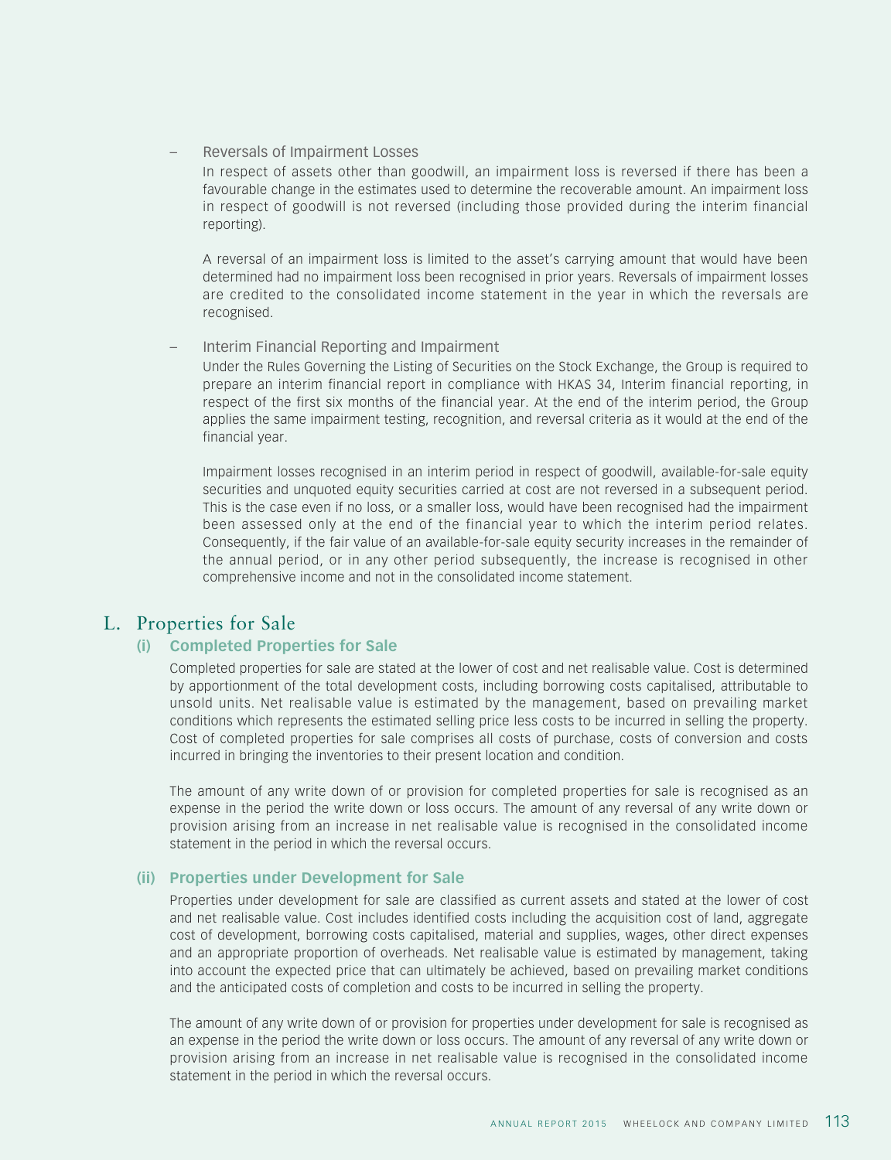#### – Reversals of Impairment Losses

In respect of assets other than goodwill, an impairment loss is reversed if there has been a favourable change in the estimates used to determine the recoverable amount. An impairment loss in respect of goodwill is not reversed (including those provided during the interim financial reporting).

A reversal of an impairment loss is limited to the asset's carrying amount that would have been determined had no impairment loss been recognised in prior years. Reversals of impairment losses are credited to the consolidated income statement in the year in which the reversals are recognised.

#### – Interim Financial Reporting and Impairment

Under the Rules Governing the Listing of Securities on the Stock Exchange, the Group is required to prepare an interim financial report in compliance with HKAS 34, Interim financial reporting, in respect of the first six months of the financial year. At the end of the interim period, the Group applies the same impairment testing, recognition, and reversal criteria as it would at the end of the financial year.

Impairment losses recognised in an interim period in respect of goodwill, available-for-sale equity securities and unquoted equity securities carried at cost are not reversed in a subsequent period. This is the case even if no loss, or a smaller loss, would have been recognised had the impairment been assessed only at the end of the financial year to which the interim period relates. Consequently, if the fair value of an available-for-sale equity security increases in the remainder of the annual period, or in any other period subsequently, the increase is recognised in other comprehensive income and not in the consolidated income statement.

## L. Properties for Sale

## **(i) Completed Properties for Sale**

Completed properties for sale are stated at the lower of cost and net realisable value. Cost is determined by apportionment of the total development costs, including borrowing costs capitalised, attributable to unsold units. Net realisable value is estimated by the management, based on prevailing market conditions which represents the estimated selling price less costs to be incurred in selling the property. Cost of completed properties for sale comprises all costs of purchase, costs of conversion and costs incurred in bringing the inventories to their present location and condition.

The amount of any write down of or provision for completed properties for sale is recognised as an expense in the period the write down or loss occurs. The amount of any reversal of any write down or provision arising from an increase in net realisable value is recognised in the consolidated income statement in the period in which the reversal occurs.

#### **(ii) Properties under Development for Sale**

Properties under development for sale are classified as current assets and stated at the lower of cost and net realisable value. Cost includes identified costs including the acquisition cost of land, aggregate cost of development, borrowing costs capitalised, material and supplies, wages, other direct expenses and an appropriate proportion of overheads. Net realisable value is estimated by management, taking into account the expected price that can ultimately be achieved, based on prevailing market conditions and the anticipated costs of completion and costs to be incurred in selling the property.

The amount of any write down of or provision for properties under development for sale is recognised as an expense in the period the write down or loss occurs. The amount of any reversal of any write down or provision arising from an increase in net realisable value is recognised in the consolidated income statement in the period in which the reversal occurs.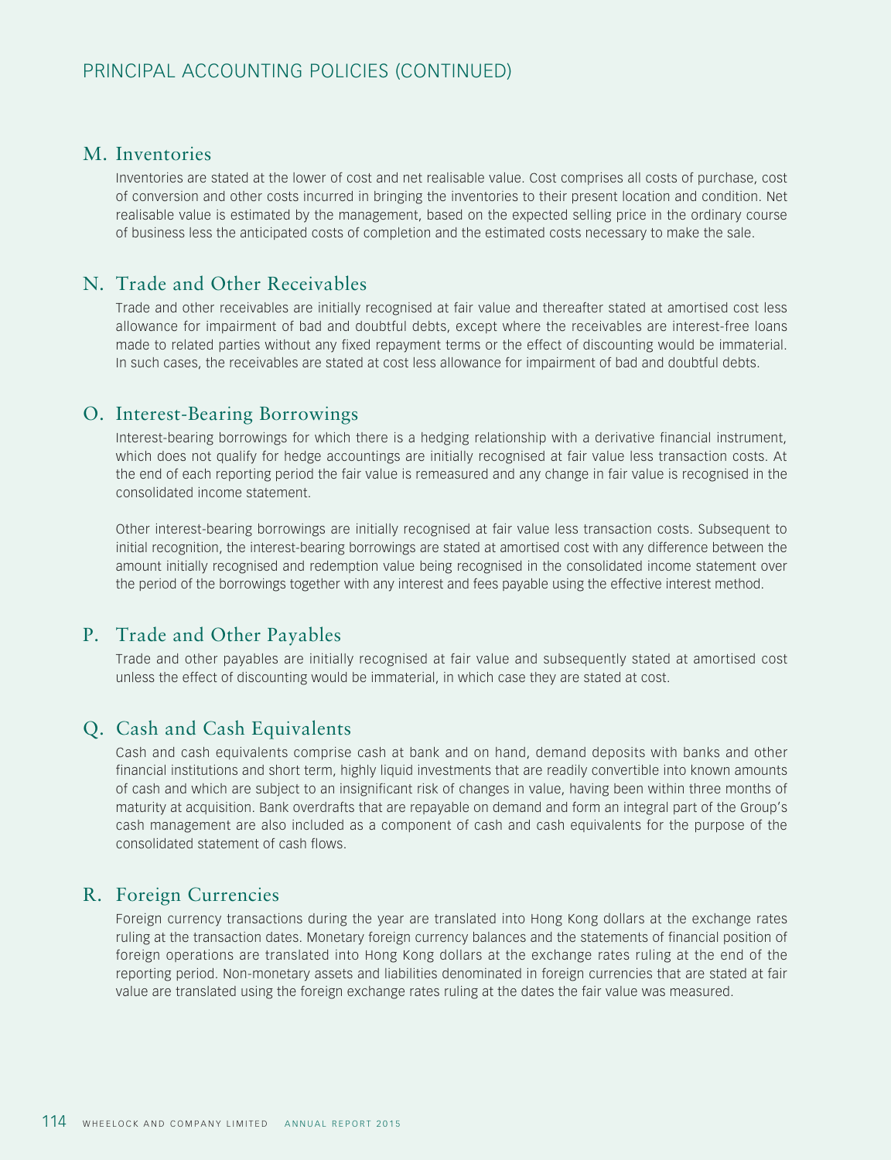## M. Inventories

Inventories are stated at the lower of cost and net realisable value. Cost comprises all costs of purchase, cost of conversion and other costs incurred in bringing the inventories to their present location and condition. Net realisable value is estimated by the management, based on the expected selling price in the ordinary course of business less the anticipated costs of completion and the estimated costs necessary to make the sale.

## N. Trade and Other Receivables

Trade and other receivables are initially recognised at fair value and thereafter stated at amortised cost less allowance for impairment of bad and doubtful debts, except where the receivables are interest-free loans made to related parties without any fixed repayment terms or the effect of discounting would be immaterial. In such cases, the receivables are stated at cost less allowance for impairment of bad and doubtful debts.

## O. Interest-Bearing Borrowings

Interest-bearing borrowings for which there is a hedging relationship with a derivative financial instrument, which does not qualify for hedge accountings are initially recognised at fair value less transaction costs. At the end of each reporting period the fair value is remeasured and any change in fair value is recognised in the consolidated income statement.

Other interest-bearing borrowings are initially recognised at fair value less transaction costs. Subsequent to initial recognition, the interest-bearing borrowings are stated at amortised cost with any difference between the amount initially recognised and redemption value being recognised in the consolidated income statement over the period of the borrowings together with any interest and fees payable using the effective interest method.

## P. Trade and Other Payables

Trade and other payables are initially recognised at fair value and subsequently stated at amortised cost unless the effect of discounting would be immaterial, in which case they are stated at cost.

## Q. Cash and Cash Equivalents

Cash and cash equivalents comprise cash at bank and on hand, demand deposits with banks and other financial institutions and short term, highly liquid investments that are readily convertible into known amounts of cash and which are subject to an insignificant risk of changes in value, having been within three months of maturity at acquisition. Bank overdrafts that are repayable on demand and form an integral part of the Group's cash management are also included as a component of cash and cash equivalents for the purpose of the consolidated statement of cash flows.

## R. Foreign Currencies

Foreign currency transactions during the year are translated into Hong Kong dollars at the exchange rates ruling at the transaction dates. Monetary foreign currency balances and the statements of financial position of foreign operations are translated into Hong Kong dollars at the exchange rates ruling at the end of the reporting period. Non-monetary assets and liabilities denominated in foreign currencies that are stated at fair value are translated using the foreign exchange rates ruling at the dates the fair value was measured.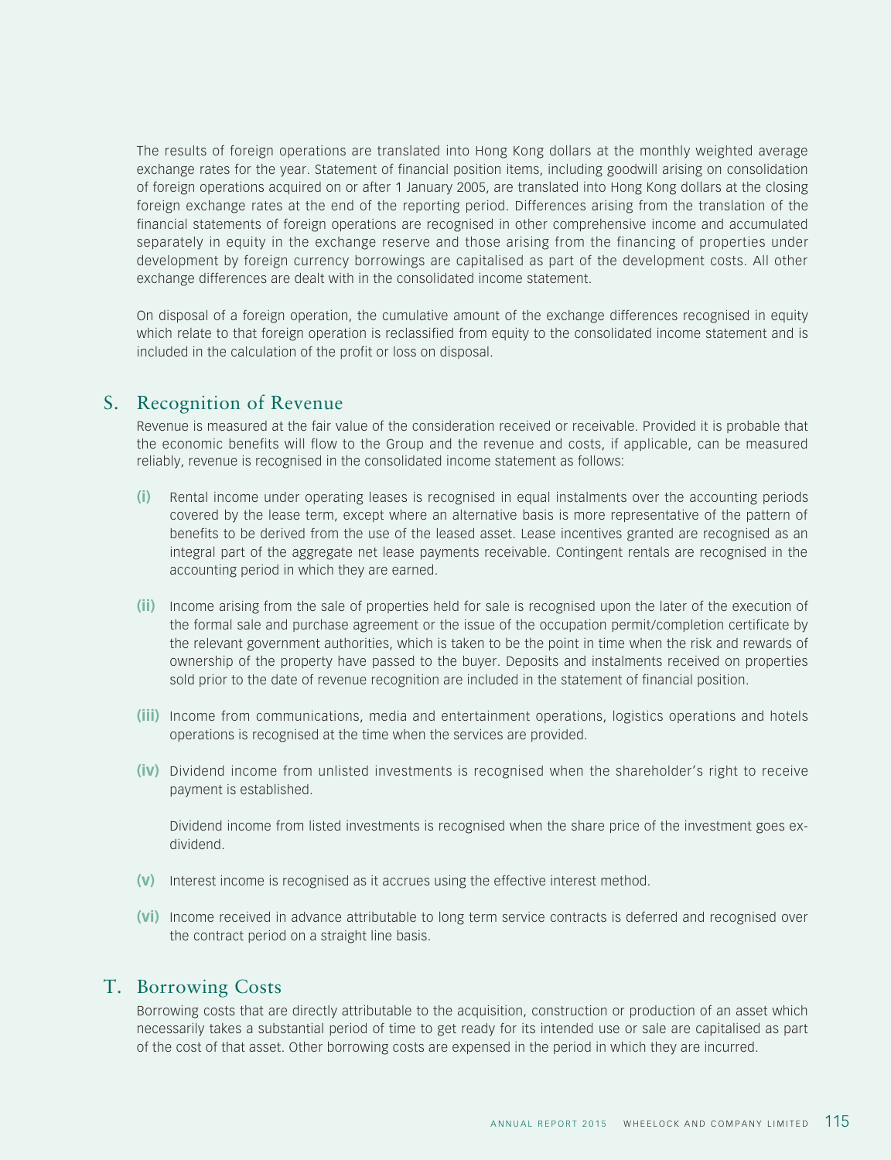The results of foreign operations are translated into Hong Kong dollars at the monthly weighted average exchange rates for the year. Statement of financial position items, including goodwill arising on consolidation of foreign operations acquired on or after 1 January 2005, are translated into Hong Kong dollars at the closing foreign exchange rates at the end of the reporting period. Differences arising from the translation of the financial statements of foreign operations are recognised in other comprehensive income and accumulated separately in equity in the exchange reserve and those arising from the financing of properties under development by foreign currency borrowings are capitalised as part of the development costs. All other exchange differences are dealt with in the consolidated income statement.

On disposal of a foreign operation, the cumulative amount of the exchange differences recognised in equity which relate to that foreign operation is reclassified from equity to the consolidated income statement and is included in the calculation of the profit or loss on disposal.

## S. Recognition of Revenue

Revenue is measured at the fair value of the consideration received or receivable. Provided it is probable that the economic benefits will flow to the Group and the revenue and costs, if applicable, can be measured reliably, revenue is recognised in the consolidated income statement as follows:

- **(i)** Rental income under operating leases is recognised in equal instalments over the accounting periods covered by the lease term, except where an alternative basis is more representative of the pattern of benefits to be derived from the use of the leased asset. Lease incentives granted are recognised as an integral part of the aggregate net lease payments receivable. Contingent rentals are recognised in the accounting period in which they are earned.
- **(ii)** Income arising from the sale of properties held for sale is recognised upon the later of the execution of the formal sale and purchase agreement or the issue of the occupation permit/completion certificate by the relevant government authorities, which is taken to be the point in time when the risk and rewards of ownership of the property have passed to the buyer. Deposits and instalments received on properties sold prior to the date of revenue recognition are included in the statement of financial position.
- **(iii)** Income from communications, media and entertainment operations, logistics operations and hotels operations is recognised at the time when the services are provided.
- **(iv)** Dividend income from unlisted investments is recognised when the shareholder's right to receive payment is established.

Dividend income from listed investments is recognised when the share price of the investment goes exdividend.

- **(v)** Interest income is recognised as it accrues using the effective interest method.
- **(vi)** Income received in advance attributable to long term service contracts is deferred and recognised over the contract period on a straight line basis.

## T. Borrowing Costs

Borrowing costs that are directly attributable to the acquisition, construction or production of an asset which necessarily takes a substantial period of time to get ready for its intended use or sale are capitalised as part of the cost of that asset. Other borrowing costs are expensed in the period in which they are incurred.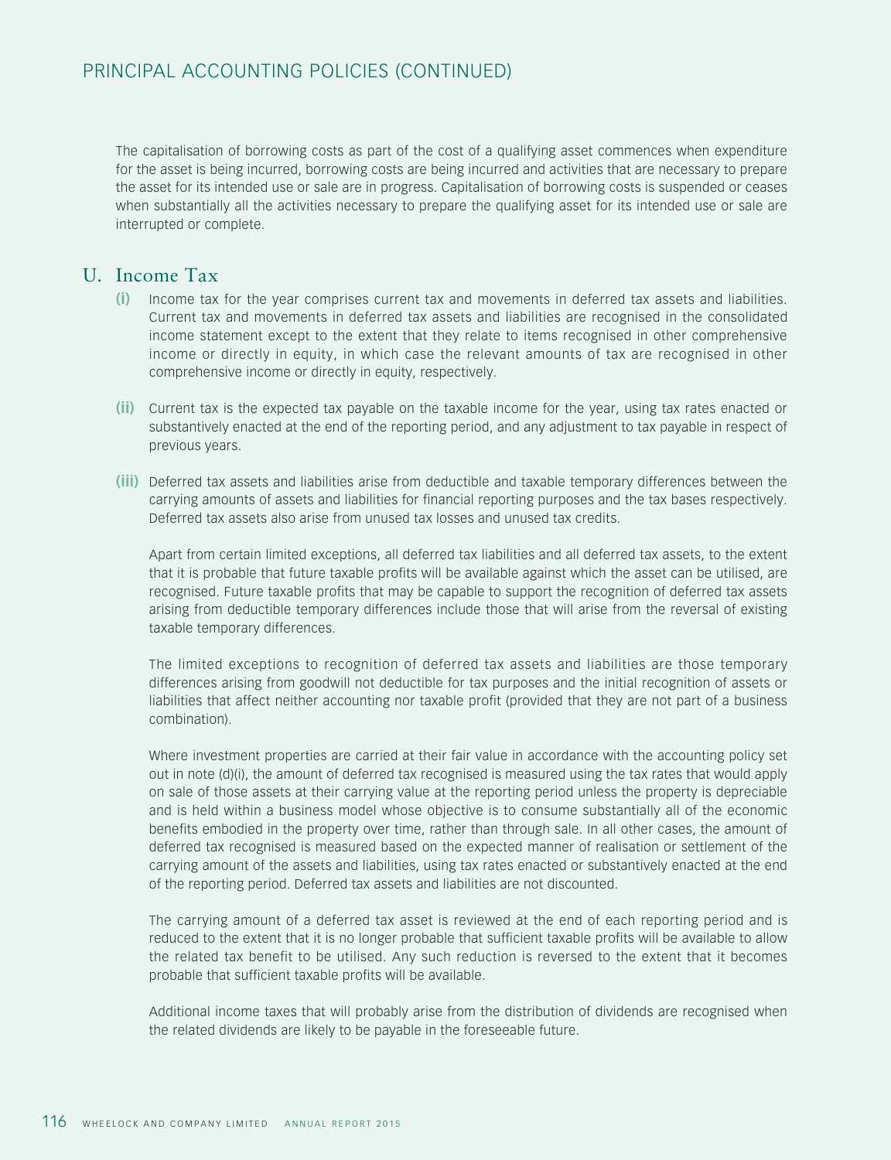The capitalisation of borrowing costs as part of the cost of a qualifying asset commences when expenditure for the asset is being incurred, borrowing costs are being incurred and activities that are necessary to prepare the asset for its intended use or sale are in progress. Capitalisation of borrowing costs is suspended or ceases when substantially all the activities necessary to prepare the qualifying asset for its intended use or sale are interrupted or complete.

## U. Income Tax

- **(i)** Income tax for the year comprises current tax and movements in deferred tax assets and liabilities. Current tax and movements in deferred tax assets and liabilities are recognised in the consolidated income statement except to the extent that they relate to items recognised in other comprehensive income or directly in equity, in which case the relevant amounts of tax are recognised in other comprehensive income or directly in equity, respectively.
- **(ii)** Current tax is the expected tax payable on the taxable income for the year, using tax rates enacted or substantively enacted at the end of the reporting period, and any adjustment to tax payable in respect of previous years.
- **(iii)** Deferred tax assets and liabilities arise from deductible and taxable temporary differences between the carrying amounts of assets and liabilities for financial reporting purposes and the tax bases respectively. Deferred tax assets also arise from unused tax losses and unused tax credits.

Apart from certain limited exceptions, all deferred tax liabilities and all deferred tax assets, to the extent that it is probable that future taxable profits will be available against which the asset can be utilised, are recognised. Future taxable profits that may be capable to support the recognition of deferred tax assets arising from deductible temporary differences include those that will arise from the reversal of existing taxable temporary differences.

The limited exceptions to recognition of deferred tax assets and liabilities are those temporary differences arising from goodwill not deductible for tax purposes and the initial recognition of assets or liabilities that affect neither accounting nor taxable profit (provided that they are not part of a business combination).

Where investment properties are carried at their fair value in accordance with the accounting policy set out in note (d)(i), the amount of deferred tax recognised is measured using the tax rates that would apply on sale of those assets at their carrying value at the reporting period unless the property is depreciable and is held within a business model whose objective is to consume substantially all of the economic benefits embodied in the property over time, rather than through sale. In all other cases, the amount of deferred tax recognised is measured based on the expected manner of realisation or settlement of the carrying amount of the assets and liabilities, using tax rates enacted or substantively enacted at the end of the reporting period. Deferred tax assets and liabilities are not discounted.

The carrying amount of a deferred tax asset is reviewed at the end of each reporting period and is reduced to the extent that it is no longer probable that sufficient taxable profits will be available to allow the related tax benefit to be utilised. Any such reduction is reversed to the extent that it becomes probable that sufficient taxable profits will be available.

Additional income taxes that will probably arise from the distribution of dividends are recognised when the related dividends are likely to be payable in the foreseeable future.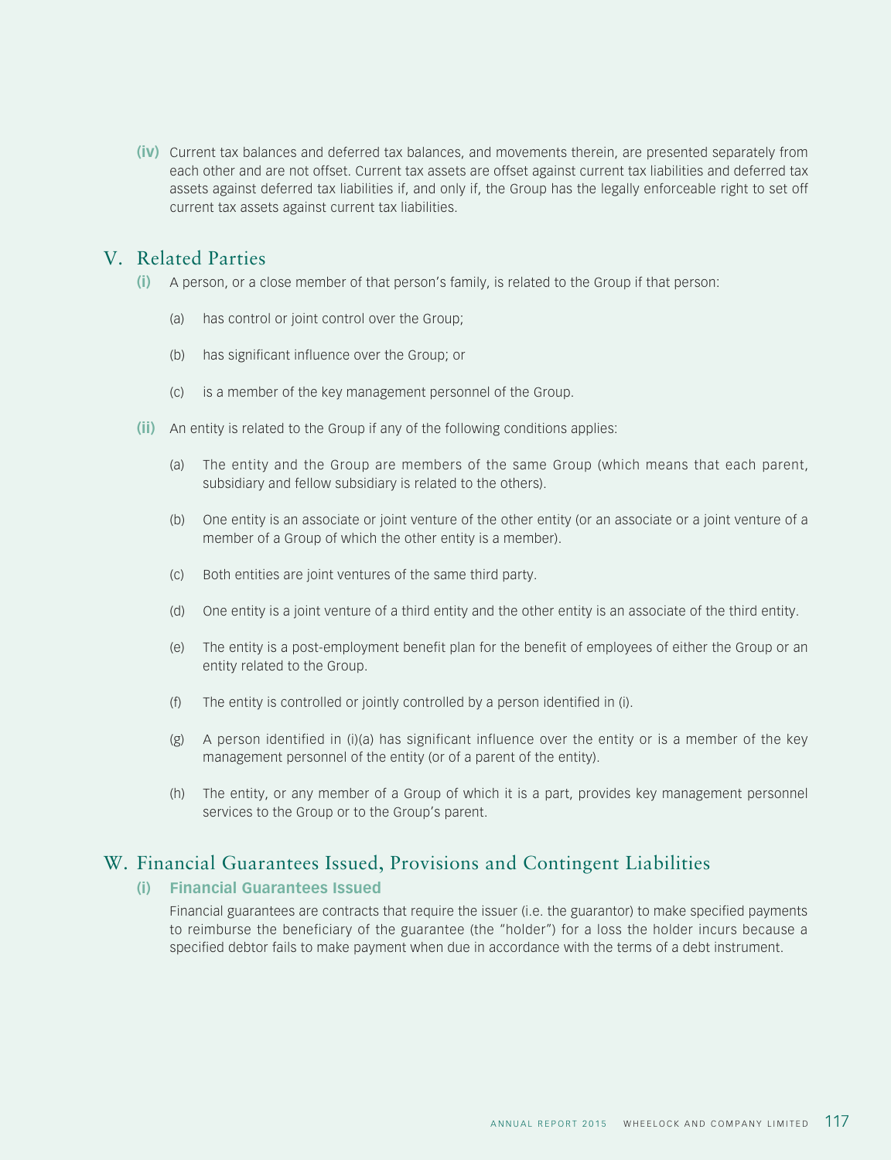**(iv)** Current tax balances and deferred tax balances, and movements therein, are presented separately from each other and are not offset. Current tax assets are offset against current tax liabilities and deferred tax assets against deferred tax liabilities if, and only if, the Group has the legally enforceable right to set off current tax assets against current tax liabilities.

## V. Related Parties

- **(i)** A person, or a close member of that person's family, is related to the Group if that person:
	- (a) has control or joint control over the Group;
	- (b) has significant influence over the Group; or
	- (c) is a member of the key management personnel of the Group.
- **(ii)** An entity is related to the Group if any of the following conditions applies:
	- (a) The entity and the Group are members of the same Group (which means that each parent, subsidiary and fellow subsidiary is related to the others).
	- (b) One entity is an associate or joint venture of the other entity (or an associate or a joint venture of a member of a Group of which the other entity is a member).
	- (c) Both entities are joint ventures of the same third party.
	- (d) One entity is a joint venture of a third entity and the other entity is an associate of the third entity.
	- (e) The entity is a post-employment benefit plan for the benefit of employees of either the Group or an entity related to the Group.
	- (f) The entity is controlled or jointly controlled by a person identified in (i).
	- (g) A person identified in (i)(a) has significant influence over the entity or is a member of the key management personnel of the entity (or of a parent of the entity).
	- (h) The entity, or any member of a Group of which it is a part, provides key management personnel services to the Group or to the Group's parent.

## W. Financial Guarantees Issued, Provisions and Contingent Liabilities

#### **(i) Financial Guarantees Issued**

Financial guarantees are contracts that require the issuer (i.e. the guarantor) to make specified payments to reimburse the beneficiary of the guarantee (the "holder") for a loss the holder incurs because a specified debtor fails to make payment when due in accordance with the terms of a debt instrument.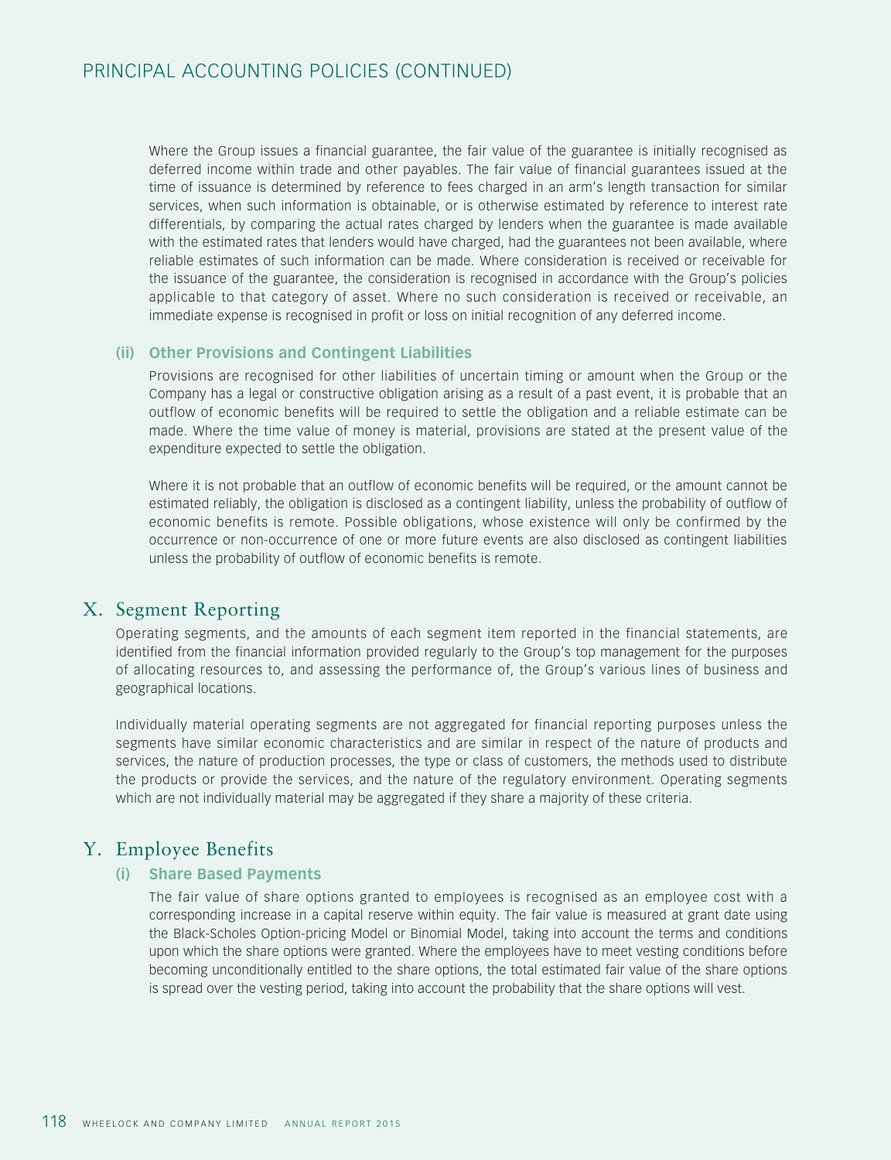Where the Group issues a financial guarantee, the fair value of the guarantee is initially recognised as deferred income within trade and other payables. The fair value of financial guarantees issued at the time of issuance is determined by reference to fees charged in an arm's length transaction for similar services, when such information is obtainable, or is otherwise estimated by reference to interest rate differentials, by comparing the actual rates charged by lenders when the guarantee is made available with the estimated rates that lenders would have charged, had the guarantees not been available, where reliable estimates of such information can be made. Where consideration is received or receivable for the issuance of the guarantee, the consideration is recognised in accordance with the Group's policies applicable to that category of asset. Where no such consideration is received or receivable, an immediate expense is recognised in profit or loss on initial recognition of any deferred income.

## **(ii) Other Provisions and Contingent Liabilities**

Provisions are recognised for other liabilities of uncertain timing or amount when the Group or the Company has a legal or constructive obligation arising as a result of a past event, it is probable that an outflow of economic benefits will be required to settle the obligation and a reliable estimate can be made. Where the time value of money is material, provisions are stated at the present value of the expenditure expected to settle the obligation.

Where it is not probable that an outflow of economic benefits will be required, or the amount cannot be estimated reliably, the obligation is disclosed as a contingent liability, unless the probability of outflow of economic benefits is remote. Possible obligations, whose existence will only be confirmed by the occurrence or non-occurrence of one or more future events are also disclosed as contingent liabilities unless the probability of outflow of economic benefits is remote.

## X. Segment Reporting

Operating segments, and the amounts of each segment item reported in the financial statements, are identified from the financial information provided regularly to the Group's top management for the purposes of allocating resources to, and assessing the performance of, the Group's various lines of business and geographical locations.

Individually material operating segments are not aggregated for financial reporting purposes unless the segments have similar economic characteristics and are similar in respect of the nature of products and services, the nature of production processes, the type or class of customers, the methods used to distribute the products or provide the services, and the nature of the regulatory environment. Operating segments which are not individually material may be aggregated if they share a majority of these criteria.

## Y. Employee Benefits

## **(i) Share Based Payments**

The fair value of share options granted to employees is recognised as an employee cost with a corresponding increase in a capital reserve within equity. The fair value is measured at grant date using the Black-Scholes Option-pricing Model or Binomial Model, taking into account the terms and conditions upon which the share options were granted. Where the employees have to meet vesting conditions before becoming unconditionally entitled to the share options, the total estimated fair value of the share options is spread over the vesting period, taking into account the probability that the share options will vest.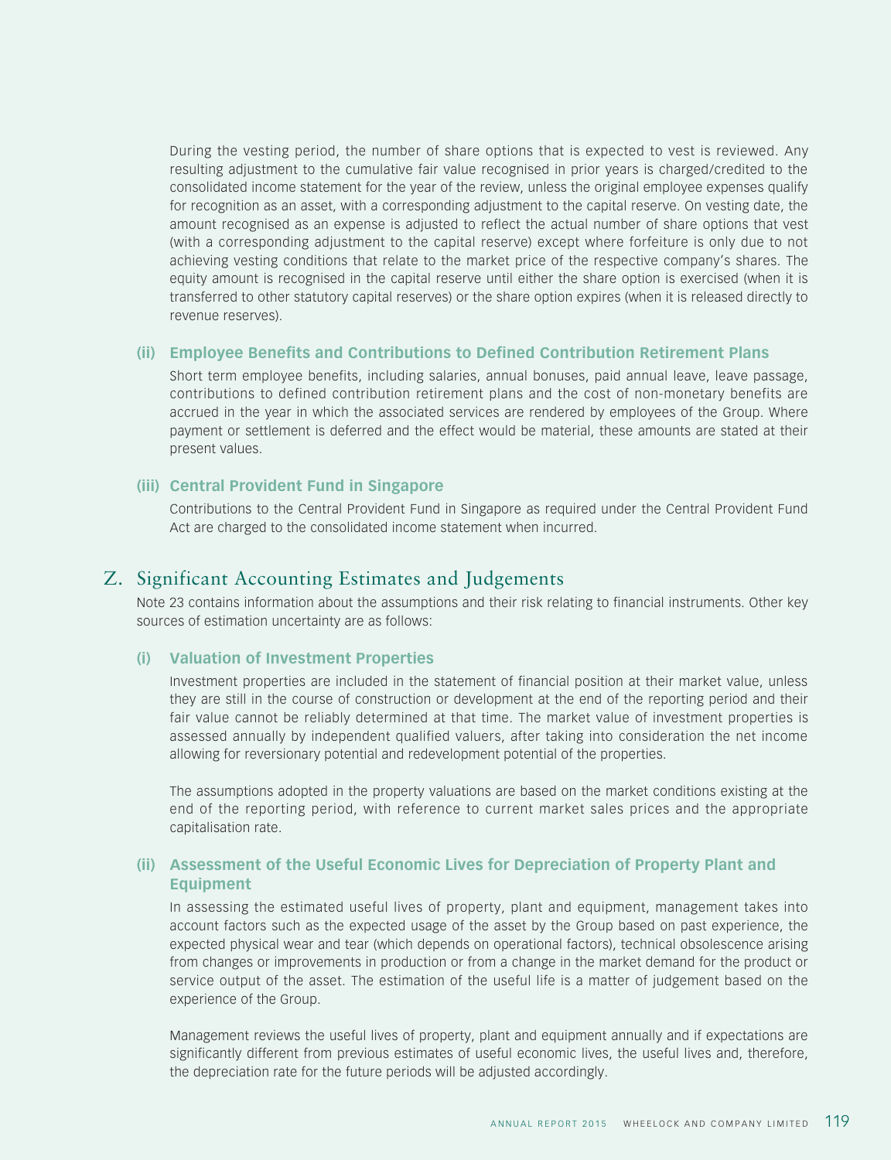During the vesting period, the number of share options that is expected to vest is reviewed. Any resulting adjustment to the cumulative fair value recognised in prior years is charged/credited to the consolidated income statement for the year of the review, unless the original employee expenses qualify for recognition as an asset, with a corresponding adjustment to the capital reserve. On vesting date, the amount recognised as an expense is adjusted to reflect the actual number of share options that vest (with a corresponding adjustment to the capital reserve) except where forfeiture is only due to not achieving vesting conditions that relate to the market price of the respective company's shares. The equity amount is recognised in the capital reserve until either the share option is exercised (when it is transferred to other statutory capital reserves) or the share option expires (when it is released directly to revenue reserves).

#### **(ii) Employee Benefits and Contributions to Defined Contribution Retirement Plans**

Short term employee benefits, including salaries, annual bonuses, paid annual leave, leave passage, contributions to defined contribution retirement plans and the cost of non-monetary benefits are accrued in the year in which the associated services are rendered by employees of the Group. Where payment or settlement is deferred and the effect would be material, these amounts are stated at their present values.

#### **(iii) Central Provident Fund in Singapore**

Contributions to the Central Provident Fund in Singapore as required under the Central Provident Fund Act are charged to the consolidated income statement when incurred.

## Z. Significant Accounting Estimates and Judgements

Note 23 contains information about the assumptions and their risk relating to financial instruments. Other key sources of estimation uncertainty are as follows:

## **(i) Valuation of Investment Properties**

Investment properties are included in the statement of financial position at their market value, unless they are still in the course of construction or development at the end of the reporting period and their fair value cannot be reliably determined at that time. The market value of investment properties is assessed annually by independent qualified valuers, after taking into consideration the net income allowing for reversionary potential and redevelopment potential of the properties.

The assumptions adopted in the property valuations are based on the market conditions existing at the end of the reporting period, with reference to current market sales prices and the appropriate capitalisation rate.

## **(ii) Assessment of the Useful Economic Lives for Depreciation of Property Plant and Equipment**

In assessing the estimated useful lives of property, plant and equipment, management takes into account factors such as the expected usage of the asset by the Group based on past experience, the expected physical wear and tear (which depends on operational factors), technical obsolescence arising from changes or improvements in production or from a change in the market demand for the product or service output of the asset. The estimation of the useful life is a matter of judgement based on the experience of the Group.

Management reviews the useful lives of property, plant and equipment annually and if expectations are significantly different from previous estimates of useful economic lives, the useful lives and, therefore, the depreciation rate for the future periods will be adjusted accordingly.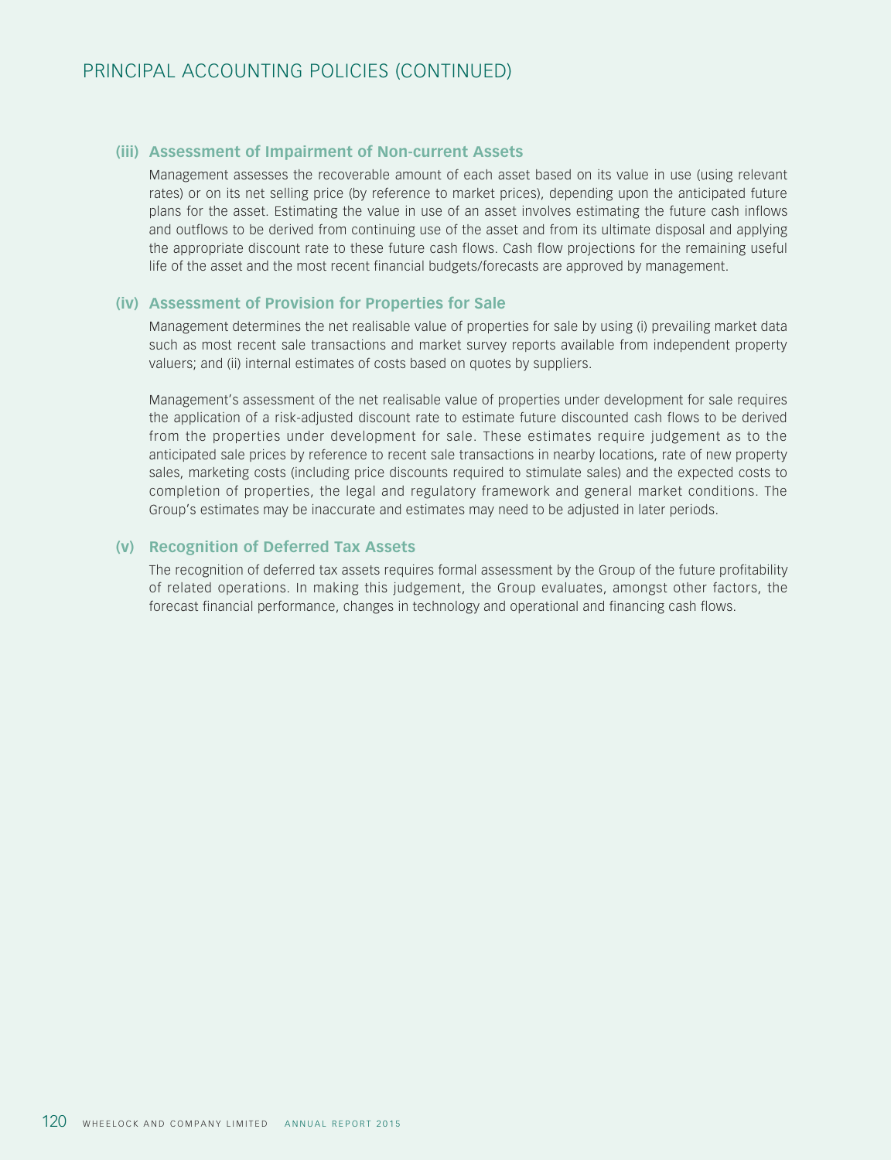## **(iii) Assessment of Impairment of Non-current Assets**

Management assesses the recoverable amount of each asset based on its value in use (using relevant rates) or on its net selling price (by reference to market prices), depending upon the anticipated future plans for the asset. Estimating the value in use of an asset involves estimating the future cash inflows and outflows to be derived from continuing use of the asset and from its ultimate disposal and applying the appropriate discount rate to these future cash flows. Cash flow projections for the remaining useful life of the asset and the most recent financial budgets/forecasts are approved by management.

#### **(iv) Assessment of Provision for Properties for Sale**

Management determines the net realisable value of properties for sale by using (i) prevailing market data such as most recent sale transactions and market survey reports available from independent property valuers; and (ii) internal estimates of costs based on quotes by suppliers.

Management's assessment of the net realisable value of properties under development for sale requires the application of a risk-adjusted discount rate to estimate future discounted cash flows to be derived from the properties under development for sale. These estimates require judgement as to the anticipated sale prices by reference to recent sale transactions in nearby locations, rate of new property sales, marketing costs (including price discounts required to stimulate sales) and the expected costs to completion of properties, the legal and regulatory framework and general market conditions. The Group's estimates may be inaccurate and estimates may need to be adjusted in later periods.

## **(v) Recognition of Deferred Tax Assets**

The recognition of deferred tax assets requires formal assessment by the Group of the future profitability of related operations. In making this judgement, the Group evaluates, amongst other factors, the forecast financial performance, changes in technology and operational and financing cash flows.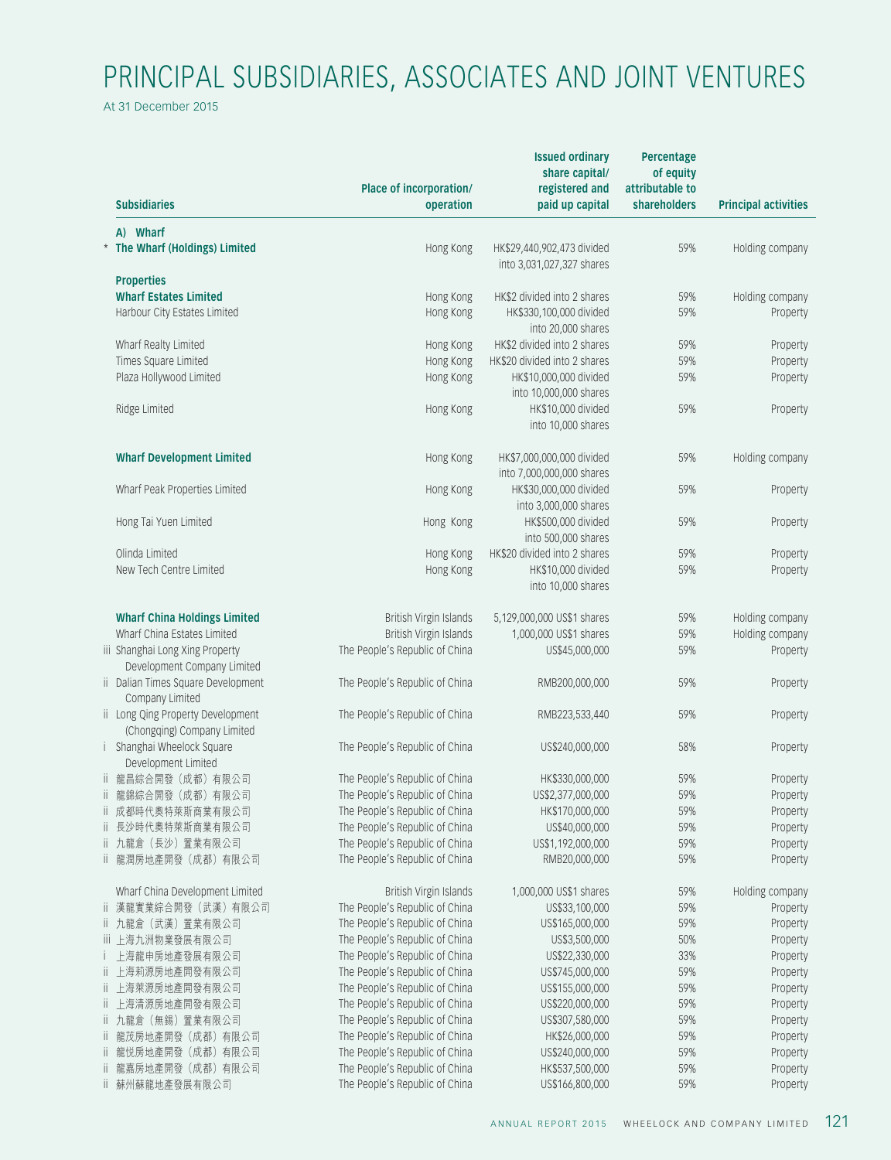# PRINCIPAL SUBSIDIARIES, ASSOCIATES AND JOINT VENTURES

At 31 December 2015

|    | <b>Subsidiaries</b>                                              | Place of incorporation/<br>operation | <b>Issued ordinary</b><br>share capital/<br>registered and<br>paid up capital | Percentage<br>of equity<br>attributable to<br>shareholders | <b>Principal activities</b> |
|----|------------------------------------------------------------------|--------------------------------------|-------------------------------------------------------------------------------|------------------------------------------------------------|-----------------------------|
|    | A) Wharf                                                         |                                      |                                                                               |                                                            |                             |
|    | * The Wharf (Holdings) Limited                                   | Hong Kong                            | HK\$29,440,902,473 divided                                                    | 59%                                                        | Holding company             |
|    | <b>Properties</b>                                                |                                      | into 3,031,027,327 shares                                                     |                                                            |                             |
|    | <b>Wharf Estates Limited</b>                                     | Hong Kong                            | HK\$2 divided into 2 shares                                                   | 59%                                                        | Holding company             |
|    | Harbour City Estates Limited                                     | Hong Kong                            | HK\$330,100,000 divided                                                       | 59%                                                        | Property                    |
|    |                                                                  |                                      | into 20,000 shares                                                            |                                                            |                             |
|    | Wharf Realty Limited                                             | Hong Kong                            | HK\$2 divided into 2 shares                                                   | 59%                                                        | Property                    |
|    | Times Square Limited                                             | Hong Kong                            | HK\$20 divided into 2 shares                                                  | 59%                                                        | Property                    |
|    | Plaza Hollywood Limited                                          | Hong Kong                            | HK\$10,000,000 divided                                                        | 59%                                                        | Property                    |
|    |                                                                  |                                      | into 10,000,000 shares                                                        |                                                            |                             |
|    | Ridge Limited                                                    | Hong Kong                            | HK\$10,000 divided<br>into 10,000 shares                                      | 59%                                                        | Property                    |
|    | <b>Wharf Development Limited</b>                                 | Hong Kong                            | HK\$7,000,000,000 divided                                                     | 59%                                                        | Holding company             |
|    |                                                                  |                                      | into 7,000,000,000 shares                                                     |                                                            |                             |
|    | Wharf Peak Properties Limited                                    | Hong Kong                            | HK\$30,000,000 divided                                                        | 59%                                                        | Property                    |
|    |                                                                  |                                      | into 3,000,000 shares                                                         |                                                            |                             |
|    | Hong Tai Yuen Limited                                            | Hong Kong                            | HK\$500,000 divided                                                           | 59%                                                        | Property                    |
|    |                                                                  |                                      | into 500,000 shares                                                           |                                                            |                             |
|    | Olinda Limited                                                   | Hong Kong                            | HK\$20 divided into 2 shares                                                  | 59%                                                        | Property                    |
|    | New Tech Centre Limited                                          | Hong Kong                            | HK\$10,000 divided<br>into 10,000 shares                                      | 59%                                                        | Property                    |
|    | <b>Wharf China Holdings Limited</b>                              | British Virgin Islands               | 5,129,000,000 US\$1 shares                                                    | 59%                                                        | Holding company             |
|    | Wharf China Estates Limited                                      | British Virgin Islands               | 1,000,000 US\$1 shares                                                        | 59%                                                        | Holding company             |
|    | iii Shanghai Long Xing Property                                  | The People's Republic of China       | US\$45,000,000                                                                | 59%                                                        | Property                    |
|    | Development Company Limited                                      |                                      |                                                                               |                                                            |                             |
|    | ii Dalian Times Square Development                               | The People's Republic of China       | RMB200,000,000                                                                | 59%                                                        | Property                    |
|    | Company Limited                                                  |                                      |                                                                               |                                                            |                             |
|    | ii Long Qing Property Development<br>(Chongqing) Company Limited | The People's Republic of China       | RMB223,533,440                                                                | 59%                                                        | Property                    |
|    | i Shanghai Wheelock Square<br>Development Limited                | The People's Republic of China       | US\$240,000,000                                                               | 58%                                                        | Property                    |
|    | ii 龍昌綜合開發 (成都) 有限公司                                              | The People's Republic of China       | HK\$330,000,000                                                               | 59%                                                        | Property                    |
|    | ii 龍錦綜合開發 (成都) 有限公司                                              | The People's Republic of China       | US\$2,377,000,000                                                             | 59%                                                        | Property                    |
|    | ii 成都時代奧特萊斯商業有限公司                                                | The People's Republic of China       | HK\$170,000,000                                                               | 59%                                                        | Property                    |
|    | ii 長沙時代奧特萊斯商業有限公司                                                | The People's Republic of China       | US\$40,000,000                                                                | 59%                                                        | Property                    |
|    | ii 九龍倉 (長沙) 置業有限公司                                               | The People's Republic of China       | US\$1,192,000,000                                                             | 59%                                                        | Property                    |
|    | ii 龍潤房地產開發 (成都) 有限公司                                             | The People's Republic of China       | RMB20,000,000                                                                 | 59%                                                        | Property                    |
|    | Wharf China Development Limited                                  | British Virgin Islands               | 1,000,000 US\$1 shares                                                        | 59%                                                        | Holding company             |
|    | ii 漢龍實業綜合開發 (武漢) 有限公司                                            | The People's Republic of China       | US\$33,100,000                                                                | 59%                                                        | Property                    |
|    | ii 九龍倉 (武漢) 置業有限公司                                               | The People's Republic of China       | US\$165,000,000                                                               | 59%                                                        | Property                    |
|    | iii 上海九洲物業發展有限公司                                                 | The People's Republic of China       | US\$3,500,000                                                                 | 50%                                                        | Property                    |
|    | 上海龍申房地產發展有限公司                                                    | The People's Republic of China       | US\$22,330,000                                                                | 33%                                                        | Property                    |
|    | ii 上海莉源房地產開發有限公司                                                 | The People's Republic of China       | US\$745,000,000                                                               | 59%                                                        | Property                    |
| Ш. | 上海萊源房地產開發有限公司                                                    | The People's Republic of China       | US\$155,000,000                                                               | 59%                                                        | Property                    |
|    | ii 上海清源房地產開發有限公司                                                 | The People's Republic of China       | US\$220,000,000                                                               | 59%                                                        | Property                    |
|    | ii 九龍倉 (無錫) 置業有限公司                                               | The People's Republic of China       | US\$307,580,000                                                               | 59%                                                        | Property                    |
| Ш. | 龍茂房地產開發(成都)有限公司                                                  | The People's Republic of China       | HK\$26,000,000                                                                | 59%                                                        | Property                    |
|    | ii 龍悦房地產開發(成都)有限公司                                               | The People's Republic of China       | US\$240,000,000                                                               | 59%                                                        | Property                    |
|    | ii 龍嘉房地產開發 (成都) 有限公司                                             | The People's Republic of China       | HK\$537,500,000                                                               | 59%                                                        | Property                    |
|    | ii 蘇州蘇龍地產發展有限公司                                                  | The People's Republic of China       | US\$166,800,000                                                               | 59%                                                        | Property                    |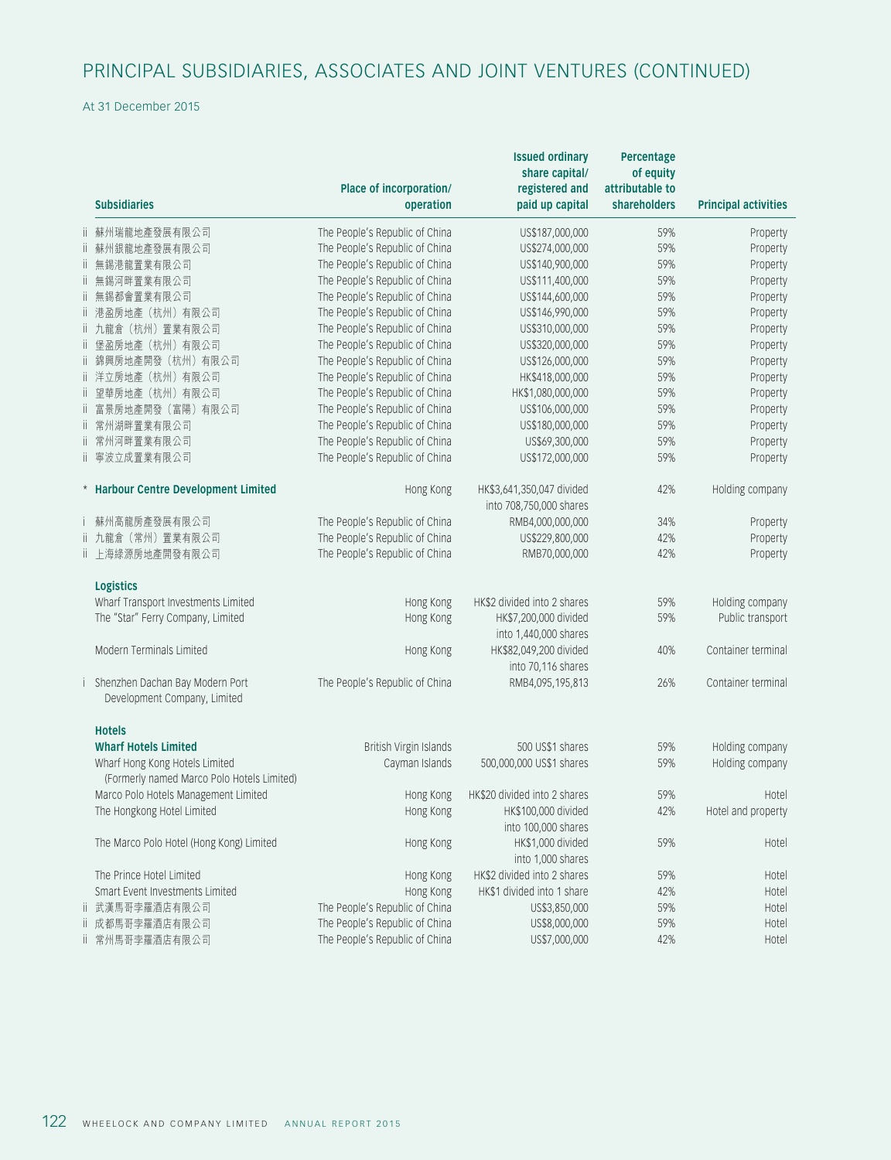# PRINCIPAL SUBSIDIARIES, ASSOCIATES AND JOINT VENTURES (CONTINUED)

At 31 December 2015

|     |                                            | Place of incorporation/                                          | <b>Issued ordinary</b><br>share capital/<br>registered and | Percentage<br>of equity<br>attributable to |                             |
|-----|--------------------------------------------|------------------------------------------------------------------|------------------------------------------------------------|--------------------------------------------|-----------------------------|
|     | <b>Subsidiaries</b>                        | operation                                                        | paid up capital                                            | <b>shareholders</b>                        | <b>Principal activities</b> |
|     | ii 蘇州瑞龍地產發展有限公司                            | The People's Republic of China                                   | US\$187,000,000                                            | 59%                                        | Property                    |
|     | ii 蘇州銀龍地產發展有限公司                            | The People's Republic of China                                   | US\$274,000,000                                            | 59%                                        | Property                    |
|     | ii 無錫港龍置業有限公司                              | The People's Republic of China                                   | US\$140,900,000                                            | 59%                                        | Property                    |
| ii. | 無錫河畔置業有限公司                                 | The People's Republic of China                                   | US\$111,400,000                                            | 59%                                        | Property                    |
| Ïİ. | 無錫都會置業有限公司                                 | The People's Republic of China                                   | US\$144,600,000                                            | 59%                                        | Property                    |
|     | ii 港盈房地產 (杭州) 有限公司                         | The People's Republic of China                                   | US\$146,990,000                                            | 59%                                        | Property                    |
|     | ii 九龍倉 (杭州) 置業有限公司                         | The People's Republic of China                                   | US\$310,000,000                                            | 59%                                        | Property                    |
|     | ii 堡盈房地產(杭州)有限公司                           | The People's Republic of China                                   | US\$320,000,000                                            | 59%                                        | Property                    |
|     | ii 錦興房地產開發 (杭州) 有限公司                       | The People's Republic of China                                   | US\$126,000,000                                            | 59%                                        | Property                    |
|     | ii 洋立房地產 (杭州) 有限公司                         | The People's Republic of China                                   | HK\$418,000,000                                            | 59%                                        | Property                    |
|     | ii 望華房地產 (杭州) 有限公司                         | The People's Republic of China                                   | HK\$1,080,000,000                                          | 59%                                        | Property                    |
|     | ii 富景房地產開發 (富陽) 有限公司                       | The People's Republic of China                                   | US\$106,000,000                                            | 59%                                        | Property                    |
|     | ii 常州湖畔置業有限公司                              | The People's Republic of China                                   | US\$180,000,000                                            | 59%                                        | Property                    |
|     | ii 常州河畔置業有限公司                              | The People's Republic of China                                   | US\$69,300,000                                             | 59%                                        | Property                    |
|     | ii 寧波立成置業有限公司                              | The People's Republic of China                                   | US\$172,000,000                                            | 59%                                        | Property                    |
|     | * Harbour Centre Development Limited       | Hong Kong                                                        | HK\$3,641,350,047 divided<br>into 708,750,000 shares       | 42%                                        | Holding company             |
|     |                                            |                                                                  | RMB4,000,000,000                                           |                                            |                             |
|     | 蘇州高龍房產發展有限公司<br>ii 九龍倉 (常州) 置業有限公司         | The People's Republic of China<br>The People's Republic of China | US\$229,800,000                                            | 34%<br>42%                                 | Property                    |
|     | ii 上海綠源房地產開發有限公司                           | The People's Republic of China                                   | RMB70,000,000                                              | 42%                                        | Property<br>Property        |
|     | <b>Logistics</b>                           |                                                                  |                                                            |                                            |                             |
|     | Wharf Transport Investments Limited        | Hong Kong                                                        | HK\$2 divided into 2 shares                                | 59%                                        | Holding company             |
|     | The "Star" Ferry Company, Limited          | Hong Kong                                                        | HK\$7,200,000 divided                                      | 59%                                        | Public transport            |
|     |                                            |                                                                  | into 1,440,000 shares                                      |                                            |                             |
|     | Modern Terminals Limited                   | Hong Kong                                                        | HK\$82,049,200 divided                                     | 40%                                        | Container terminal          |
|     |                                            |                                                                  | into 70,116 shares                                         |                                            |                             |
|     | i Shenzhen Dachan Bay Modern Port          | The People's Republic of China                                   | RMB4,095,195,813                                           | 26%                                        | Container terminal          |
|     | Development Company, Limited               |                                                                  |                                                            |                                            |                             |
|     | <b>Hotels</b>                              |                                                                  |                                                            |                                            |                             |
|     | <b>Wharf Hotels Limited</b>                | British Virgin Islands                                           | 500 US\$1 shares                                           | 59%                                        | Holding company             |
|     | Wharf Hong Kong Hotels Limited             | Cayman Islands                                                   | 500,000,000 US\$1 shares                                   | 59%                                        | Holding company             |
|     | (Formerly named Marco Polo Hotels Limited) |                                                                  |                                                            |                                            |                             |
|     | Marco Polo Hotels Management Limited       | Hong Kong                                                        | HK\$20 divided into 2 shares                               | 59%                                        | Hotel                       |
|     | The Hongkong Hotel Limited                 | Hong Kong                                                        | HK\$100,000 divided                                        | 42%                                        | Hotel and property          |
|     |                                            |                                                                  | into 100,000 shares                                        |                                            |                             |
|     | The Marco Polo Hotel (Hong Kong) Limited   | Hong Kong                                                        | HK\$1,000 divided                                          | 59%                                        | Hotel                       |
|     |                                            |                                                                  | into 1,000 shares                                          |                                            |                             |
|     | The Prince Hotel Limited                   | Hong Kong                                                        | HK\$2 divided into 2 shares                                | 59%                                        | Hotel                       |
|     | Smart Event Investments Limited            | Hong Kong                                                        | HK\$1 divided into 1 share                                 | 42%                                        | Hotel                       |
|     | ii 武漢馬哥孛羅酒店有限公司                            | The People's Republic of China                                   | US\$3,850,000                                              | 59%                                        | Hotel                       |
|     | ii 成都馬哥孛羅酒店有限公司                            | The People's Republic of China                                   | US\$8,000,000                                              | 59%                                        | Hotel                       |
| Ïİ. | 常州馬哥孛羅酒店有限公司                               | The People's Republic of China                                   | US\$7,000,000                                              | 42%                                        | Hotel                       |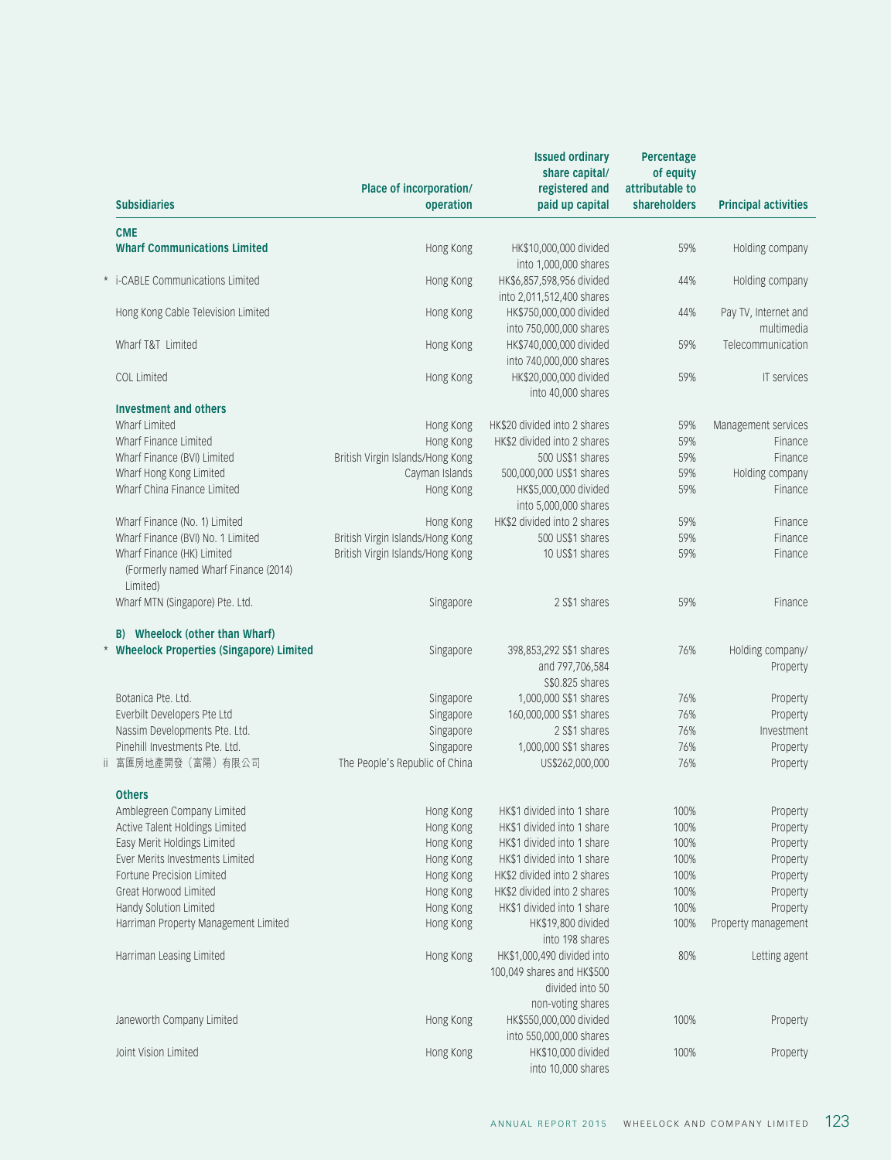| <b>Subsidiaries</b>                                                            | Place of incorporation/<br>operation | <b>Issued ordinary</b><br>share capital/<br>registered and<br>paid up capital | Percentage<br>of equity<br>attributable to<br><b>shareholders</b> | <b>Principal activities</b>        |
|--------------------------------------------------------------------------------|--------------------------------------|-------------------------------------------------------------------------------|-------------------------------------------------------------------|------------------------------------|
|                                                                                |                                      |                                                                               |                                                                   |                                    |
| <b>CME</b>                                                                     |                                      |                                                                               |                                                                   |                                    |
| <b>Wharf Communications Limited</b>                                            | Hong Kong                            | HK\$10,000,000 divided                                                        | 59%                                                               | Holding company                    |
| * i-CABLE Communications Limited                                               | Hong Kong                            | into 1,000,000 shares<br>HK\$6,857,598,956 divided                            | 44%                                                               | Holding company                    |
|                                                                                |                                      | into 2,011,512,400 shares                                                     |                                                                   |                                    |
| Hong Kong Cable Television Limited                                             | Hong Kong                            | HK\$750,000,000 divided<br>into 750,000,000 shares                            | 44%                                                               | Pay TV, Internet and<br>multimedia |
| Wharf T&T Limited                                                              | Hong Kong                            | HK\$740,000,000 divided                                                       | 59%                                                               | Telecommunication                  |
|                                                                                |                                      | into 740,000,000 shares                                                       |                                                                   |                                    |
| COL Limited                                                                    | Hong Kong                            | HK\$20,000,000 divided                                                        | 59%                                                               | IT services                        |
| <b>Investment and others</b>                                                   |                                      | into 40,000 shares                                                            |                                                                   |                                    |
| Wharf Limited                                                                  | Hong Kong                            | HK\$20 divided into 2 shares                                                  | 59%                                                               | Management services                |
| Wharf Finance Limited                                                          | Hong Kong                            | HK\$2 divided into 2 shares                                                   | 59%                                                               | Finance                            |
| Wharf Finance (BVI) Limited                                                    | British Virgin Islands/Hong Kong     | 500 US\$1 shares                                                              | 59%                                                               | Finance                            |
|                                                                                |                                      |                                                                               | 59%                                                               | Holding company                    |
| Wharf Hong Kong Limited<br>Wharf China Finance Limited                         | Cayman Islands                       | 500,000,000 US\$1 shares                                                      | 59%                                                               | Finance                            |
|                                                                                | Hong Kong                            | HK\$5,000,000 divided                                                         |                                                                   |                                    |
|                                                                                |                                      | into 5,000,000 shares                                                         |                                                                   |                                    |
| Wharf Finance (No. 1) Limited                                                  | Hong Kong                            | HK\$2 divided into 2 shares                                                   | 59%                                                               | Finance                            |
| Wharf Finance (BVI) No. 1 Limited                                              | British Virgin Islands/Hong Kong     | 500 US\$1 shares                                                              | 59%                                                               | Finance                            |
| Wharf Finance (HK) Limited<br>(Formerly named Wharf Finance (2014)<br>Limited) | British Virgin Islands/Hong Kong     | 10 US\$1 shares                                                               | 59%                                                               | Finance                            |
| Wharf MTN (Singapore) Pte. Ltd.                                                | Singapore                            | 2 S\$1 shares                                                                 | 59%                                                               | Finance                            |
| B) Wheelock (other than Wharf)                                                 |                                      |                                                                               |                                                                   |                                    |
| * Wheelock Properties (Singapore) Limited                                      | Singapore                            | 398,853,292 S\$1 shares                                                       | 76%                                                               | Holding company/                   |
|                                                                                |                                      | and 797,706,584                                                               |                                                                   | Property                           |
|                                                                                |                                      | S\$0.825 shares                                                               |                                                                   |                                    |
| Botanica Pte. Ltd.                                                             | Singapore                            | 1,000,000 S\$1 shares                                                         | 76%                                                               | Property                           |
| Everbilt Developers Pte Ltd                                                    | Singapore                            | 160,000,000 S\$1 shares                                                       | 76%                                                               | Property                           |
| Nassim Developments Pte. Ltd.                                                  | Singapore                            | 2 S\$1 shares                                                                 | 76%                                                               | Investment                         |
| Pinehill Investments Pte. Ltd.                                                 |                                      | 1,000,000 S\$1 shares                                                         | 76%                                                               |                                    |
|                                                                                | Singapore                            |                                                                               |                                                                   | Property                           |
| ii 富匯房地產開發 (富陽) 有限公司                                                           | The People's Republic of China       | US\$262,000,000                                                               | 76%                                                               | Property                           |
| <b>Others</b>                                                                  |                                      |                                                                               |                                                                   |                                    |
| Amblegreen Company Limited                                                     | Hong Kong                            | HK\$1 divided into 1 share                                                    | 100%                                                              | Property                           |
| Active Talent Holdings Limited                                                 | Hong Kong                            | HK\$1 divided into 1 share                                                    | 100%                                                              | Property                           |
| Easy Merit Holdings Limited                                                    | Hong Kong                            | HK\$1 divided into 1 share                                                    | 100%                                                              | Property                           |
| Ever Merits Investments Limited                                                | Hong Kong                            | HK\$1 divided into 1 share                                                    | 100%                                                              | Property                           |
| Fortune Precision Limited                                                      | Hong Kong                            | HK\$2 divided into 2 shares                                                   | 100%                                                              | Property                           |
| Great Horwood Limited                                                          | Hong Kong                            | HK\$2 divided into 2 shares                                                   | 100%                                                              | Property                           |
| Handy Solution Limited                                                         | Hong Kong                            | HK\$1 divided into 1 share                                                    | 100%                                                              | Property                           |
| Harriman Property Management Limited                                           | Hong Kong                            | HK\$19,800 divided                                                            | 100%                                                              | Property management                |
|                                                                                |                                      | into 198 shares                                                               |                                                                   |                                    |
| Harriman Leasing Limited                                                       | Hong Kong                            | HK\$1,000,490 divided into                                                    | 80%                                                               | Letting agent                      |
|                                                                                |                                      | 100,049 shares and HK\$500                                                    |                                                                   |                                    |
|                                                                                |                                      | divided into 50                                                               |                                                                   |                                    |
|                                                                                |                                      | non-voting shares                                                             |                                                                   |                                    |
| Janeworth Company Limited                                                      | Hong Kong                            | HK\$550,000,000 divided                                                       | 100%                                                              | Property                           |
|                                                                                |                                      | into 550,000,000 shares                                                       |                                                                   |                                    |
| Joint Vision Limited                                                           | Hong Kong                            | HK\$10,000 divided                                                            | 100%                                                              | Property                           |
|                                                                                |                                      | into 10,000 shares                                                            |                                                                   |                                    |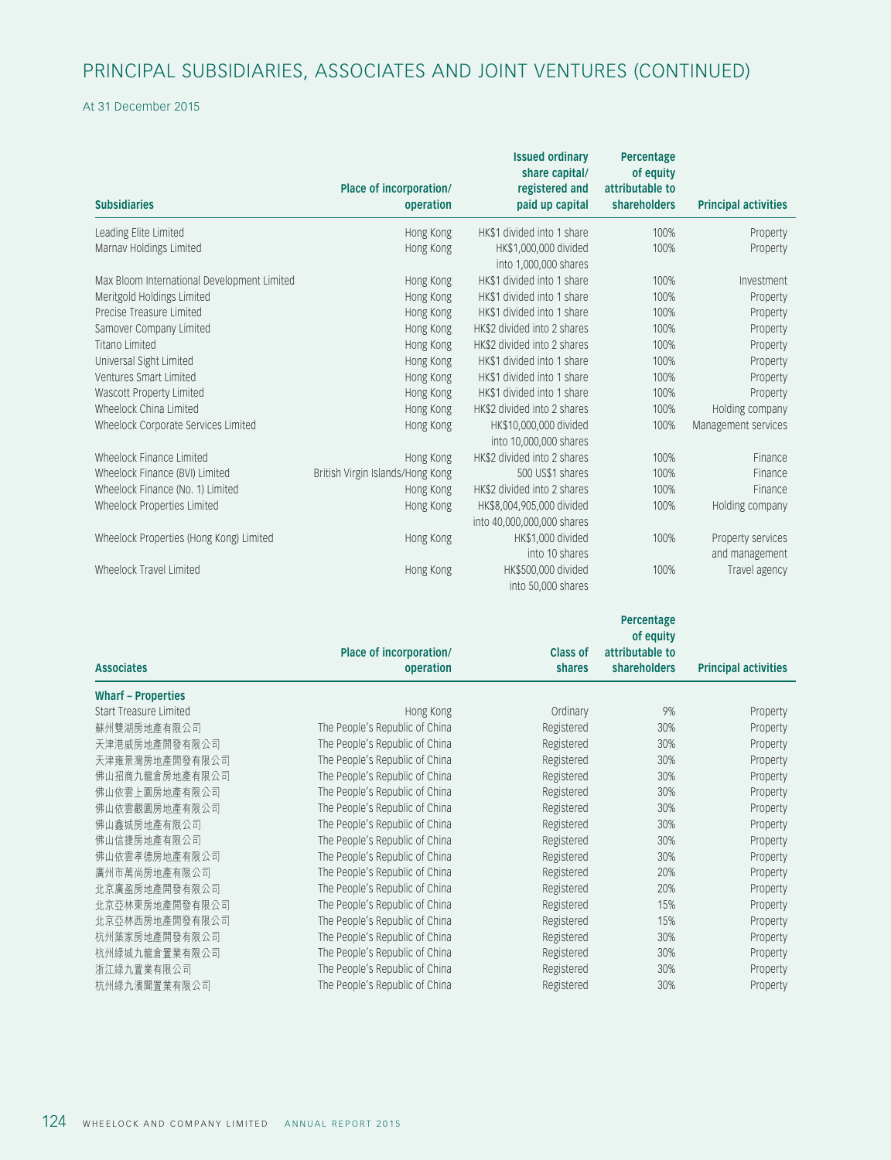# PRINCIPAL SUBSIDIARIES, ASSOCIATES AND JOINT VENTURES (CONTINUED)

#### At 31 December 2015

|                                             |                                      | <b>Issued ordinary</b><br>share capital/         | Percentage<br>of equity         |                             |
|---------------------------------------------|--------------------------------------|--------------------------------------------------|---------------------------------|-----------------------------|
| <b>Subsidiaries</b>                         | Place of incorporation/<br>operation | registered and<br>paid up capital                | attributable to<br>shareholders | <b>Principal activities</b> |
| Leading Elite Limited                       | Hong Kong                            | HK\$1 divided into 1 share                       | 100%                            | Property                    |
| Marnav Holdings Limited                     | Hong Kong                            | HK\$1,000,000 divided<br>into 1,000,000 shares   | 100%                            | Property                    |
| Max Bloom International Development Limited | Hong Kong                            | HK\$1 divided into 1 share                       | 100%                            | Investment                  |
| Meritgold Holdings Limited                  | Hong Kong                            | HK\$1 divided into 1 share                       | 100%                            | Property                    |
| Precise Treasure Limited                    | Hong Kong                            | HK\$1 divided into 1 share                       | 100%                            | Property                    |
| Samover Company Limited                     | Hong Kong                            | HK\$2 divided into 2 shares                      | 100%                            | Property                    |
| Titano Limited                              | Hong Kong                            | HK\$2 divided into 2 shares                      | 100%                            | Property                    |
| Universal Sight Limited                     | Hong Kong                            | HK\$1 divided into 1 share                       | 100%                            | Property                    |
| Ventures Smart Limited                      | Hong Kong                            | HK\$1 divided into 1 share                       | 100%                            | Property                    |
| Wascott Property Limited                    | Hong Kong                            | HK\$1 divided into 1 share                       | 100%                            | Property                    |
| Wheelock China Limited                      | Hong Kong                            | HK\$2 divided into 2 shares                      | 100%                            | Holding company             |
| Wheelock Corporate Services Limited         | Hong Kong                            | HK\$10,000,000 divided<br>into 10,000,000 shares | 100%                            | Management services         |
| Wheelock Finance Limited                    | Hong Kong                            | HK\$2 divided into 2 shares                      | 100%                            | Finance                     |
| Wheelock Finance (BVI) Limited              | British Virgin Islands/Hong Kong     | 500 US\$1 shares                                 | 100%                            | Finance                     |
| Wheelock Finance (No. 1) Limited            | Hong Kong                            | HK\$2 divided into 2 shares                      | 100%                            | Finance                     |
| Wheelock Properties Limited                 | Hong Kong                            | HK\$8,004,905,000 divided                        | 100%                            | Holding company             |
|                                             |                                      | into 40,000,000,000 shares                       |                                 |                             |
| Wheelock Properties (Hong Kong) Limited     | Hong Kong                            | HK\$1,000 divided                                | 100%                            | Property services           |
|                                             |                                      | into 10 shares                                   |                                 | and management              |
| Wheelock Travel Limited                     | Hong Kong                            | HK\$500,000 divided                              | 100%                            | Travel agency               |
|                                             |                                      | into 50,000 shares                               |                                 |                             |

|                           |                                |                 | Percentage                   |                             |
|---------------------------|--------------------------------|-----------------|------------------------------|-----------------------------|
|                           | Place of incorporation/        | <b>Class of</b> | of equity<br>attributable to |                             |
| <b>Associates</b>         | operation                      | shares          | shareholders                 | <b>Principal activities</b> |
|                           |                                |                 |                              |                             |
| <b>Wharf - Properties</b> |                                |                 |                              |                             |
| Start Treasure Limited    | Hong Kong                      | Ordinary        | 9%                           | Property                    |
| 蘇州雙湖房地產有限公司               | The People's Republic of China | Registered      | 30%                          | Property                    |
| 天津港威房地產開發有限公司             | The People's Republic of China | Registered      | 30%                          | Property                    |
| 天津雍景灣房地產開發有限公司            | The People's Republic of China | Registered      | 30%                          | Property                    |
| 佛山招商九龍倉房地產有限公司            | The People's Republic of China | Registered      | 30%                          | Property                    |
| 佛山依雲上園房地產有限公司             | The People's Republic of China | Registered      | 30%                          | Property                    |
| 佛山依雲觀園房地產有限公司             | The People's Republic of China | Registered      | 30%                          | Property                    |
| 佛山鑫城房地產有限公司               | The People's Republic of China | Registered      | 30%                          | Property                    |
| 佛山信捷房地產有限公司               | The People's Republic of China | Registered      | 30%                          | Property                    |
| 佛山依雲孝德房地產有限公司             | The People's Republic of China | Registered      | 30%                          | Property                    |
| 廣州市萬尚房地產有限公司              | The People's Republic of China | Registered      | 20%                          | Property                    |
| 北京廣盈房地產開發有限公司             | The People's Republic of China | Registered      | 20%                          | Property                    |
| 北京亞林東房地產開發有限公司            | The People's Republic of China | Registered      | 15%                          | Property                    |
| 北京亞林西房地產開發有限公司            | The People's Republic of China | Registered      | 15%                          | Property                    |
| 杭州築家房地產開發有限公司             | The People's Republic of China | Registered      | 30%                          | Property                    |
| 杭州綠城九龍倉置業有限公司             | The People's Republic of China | Registered      | 30%                          | Property                    |
| 浙江綠九置業有限公司                | The People's Republic of China | Registered      | 30%                          | Property                    |
| 杭州綠九濱聞置業有限公司              | The People's Republic of China | Registered      | 30%                          | Property                    |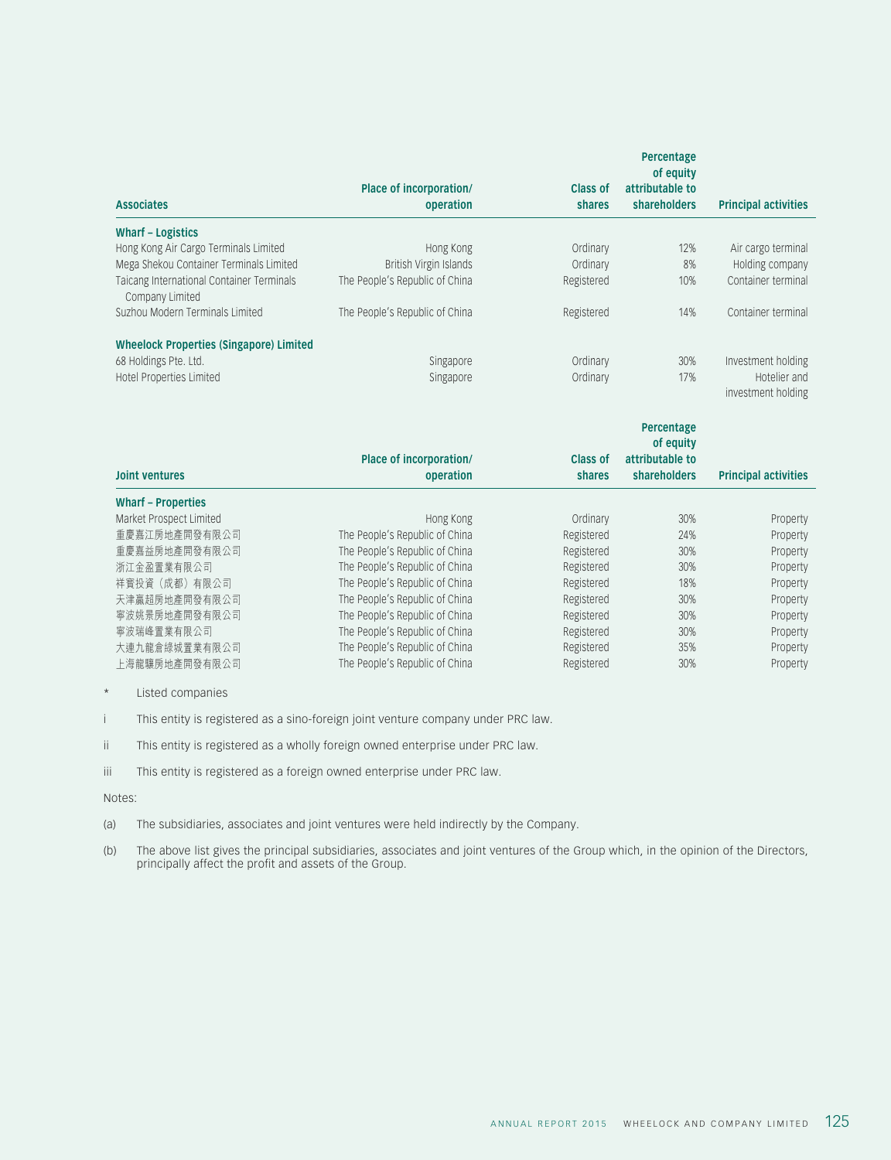|                                                              |                                                                  |                 | Percentage                   |                             |
|--------------------------------------------------------------|------------------------------------------------------------------|-----------------|------------------------------|-----------------------------|
|                                                              | Place of incorporation/                                          | <b>Class of</b> | of equity<br>attributable to |                             |
| <b>Associates</b>                                            | operation                                                        | shares          | <b>shareholders</b>          | <b>Principal activities</b> |
| <b>Wharf - Logistics</b>                                     |                                                                  |                 |                              |                             |
| Hong Kong Air Cargo Terminals Limited                        | Hong Kong                                                        | Ordinary        | 12%                          | Air cargo terminal          |
| Mega Shekou Container Terminals Limited                      | British Virgin Islands                                           | Ordinary        | 8%                           | Holding company             |
| Taicang International Container Terminals<br>Company Limited | The People's Republic of China                                   | Registered      | 10%                          | Container terminal          |
| Suzhou Modern Terminals Limited                              | The People's Republic of China                                   | Registered      | 14%                          | Container terminal          |
| <b>Wheelock Properties (Singapore) Limited</b>               |                                                                  |                 |                              |                             |
| 68 Holdings Pte. Ltd.                                        | Singapore                                                        | Ordinary        | 30%                          | Investment holding          |
| Hotel Properties Limited                                     | Singapore                                                        | Ordinary        | 17%                          | Hotelier and                |
|                                                              |                                                                  |                 |                              | investment holding          |
|                                                              |                                                                  |                 | Percentage                   |                             |
|                                                              |                                                                  |                 |                              |                             |
|                                                              |                                                                  |                 | of equity                    |                             |
|                                                              | Place of incorporation/                                          | <b>Class of</b> | attributable to              |                             |
| <b>Joint ventures</b>                                        | operation                                                        | shares          | shareholders                 | <b>Principal activities</b> |
| <b>Wharf - Properties</b>                                    |                                                                  |                 |                              |                             |
| Market Prospect Limited                                      | Hong Kong                                                        | Ordinary        | 30%                          | Property                    |
| 重慶嘉江房地產開發有限公司                                                | The People's Republic of China                                   | Registered      | 24%                          | Property                    |
| 重慶嘉益房地產開發有限公司                                                | The People's Republic of China                                   | Registered      | 30%                          | Property                    |
| 浙江金盈置業有限公司                                                   | The People's Republic of China                                   | Registered      | 30%                          | Property                    |
| 祥寳投資 (成都) 有限公司                                               | The People's Republic of China                                   | Registered      | 18%                          | Property                    |
| 天津贏超房地產開發有限公司                                                | The People's Republic of China                                   | Registered      | 30%                          | Property                    |
| 寧波姚景房地產開發有限公司                                                | The People's Republic of China                                   | Registered      | 30%                          | Property                    |
| 寧波瑞峰置業有限公司                                                   | The People's Republic of China                                   | Registered      | 30%                          | Property                    |
| 大連九龍倉綠城置業有限公司                                                | The People's Republic of China<br>The People's Republic of China | Registered      | 35%<br>30%                   | Property                    |

\* Listed companies

i This entity is registered as a sino-foreign joint venture company under PRC law.

ii This entity is registered as a wholly foreign owned enterprise under PRC law.

iii This entity is registered as a foreign owned enterprise under PRC law.

Notes:

(a) The subsidiaries, associates and joint ventures were held indirectly by the Company.

(b) The above list gives the principal subsidiaries, associates and joint ventures of the Group which, in the opinion of the Directors, principally affect the profit and assets of the Group.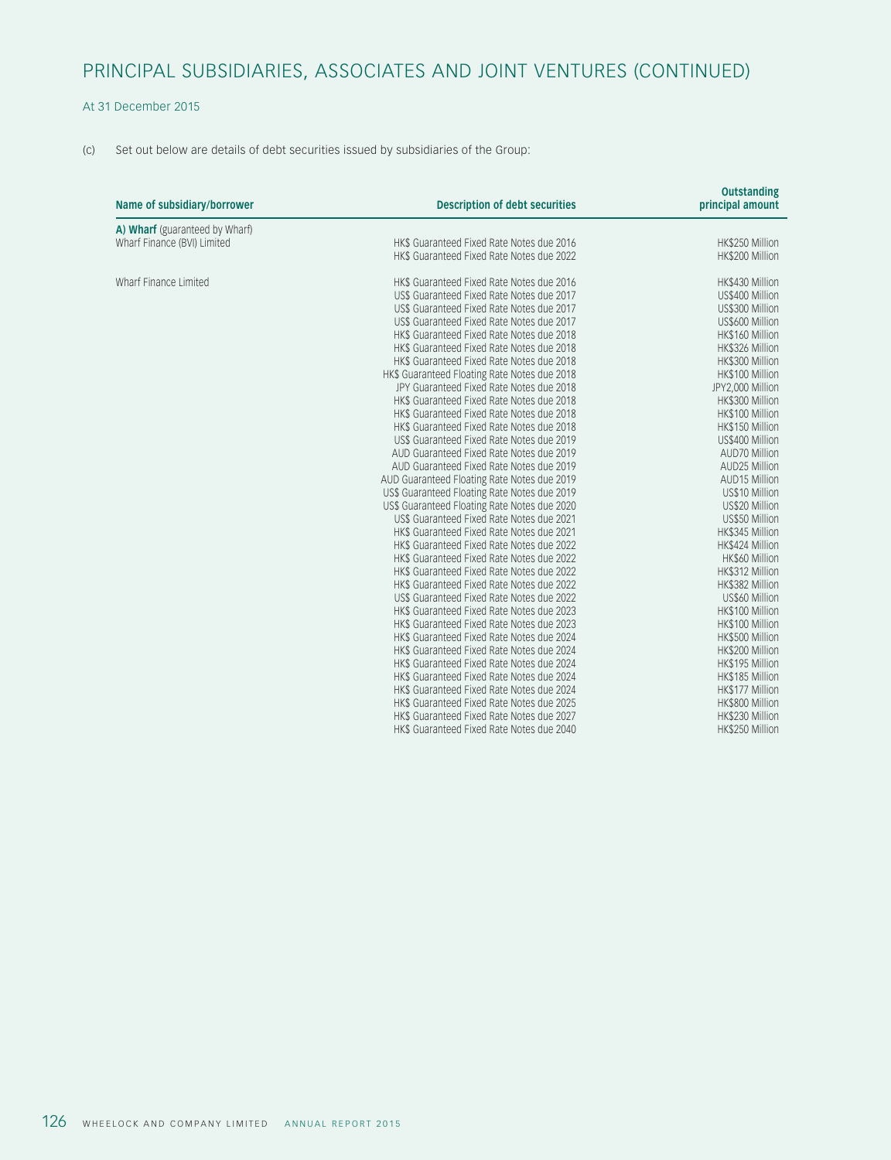## PRINCIPAL SUBSIDIARIES, ASSOCIATES AND JOINT VENTURES (CONTINUED)

### At 31 December 2015

(c) Set out below are details of debt securities issued by subsidiaries of the Group:

| Name of subsidiary/borrower    | <b>Description of debt securities</b>        | <b>Outstanding</b><br>principal amount |
|--------------------------------|----------------------------------------------|----------------------------------------|
| A) Wharf (guaranteed by Wharf) |                                              |                                        |
| Wharf Finance (BVI) Limited    | HK\$ Guaranteed Fixed Rate Notes due 2016    | HK\$250 Million                        |
|                                | HK\$ Guaranteed Fixed Rate Notes due 2022    | HK\$200 Million                        |
| Wharf Finance Limited          | HK\$ Guaranteed Fixed Rate Notes due 2016    | HK\$430 Million                        |
|                                | US\$ Guaranteed Fixed Rate Notes due 2017    | US\$400 Million                        |
|                                | US\$ Guaranteed Fixed Rate Notes due 2017    | US\$300 Million                        |
|                                | US\$ Guaranteed Fixed Rate Notes due 2017    | US\$600 Million                        |
|                                | HK\$ Guaranteed Fixed Rate Notes due 2018    | HK\$160 Million                        |
|                                | HK\$ Guaranteed Fixed Rate Notes due 2018    | HK\$326 Million                        |
|                                | HK\$ Guaranteed Fixed Rate Notes due 2018    | HK\$300 Million                        |
|                                | HK\$ Guaranteed Floating Rate Notes due 2018 | HK\$100 Million                        |
|                                | JPY Guaranteed Fixed Rate Notes due 2018     | JPY2,000 Million                       |
|                                | HK\$ Guaranteed Fixed Rate Notes due 2018    | HK\$300 Million                        |
|                                | HK\$ Guaranteed Fixed Rate Notes due 2018    | HK\$100 Million                        |
|                                | HK\$ Guaranteed Fixed Rate Notes due 2018    | HK\$150 Million                        |
|                                | US\$ Guaranteed Fixed Rate Notes due 2019    | US\$400 Million                        |
|                                | AUD Guaranteed Fixed Rate Notes due 2019     | AUD70 Million                          |
|                                | AUD Guaranteed Fixed Rate Notes due 2019     | AUD25 Million                          |
|                                | AUD Guaranteed Floating Rate Notes due 2019  | <b>AUD15 Million</b>                   |
|                                | US\$ Guaranteed Floating Rate Notes due 2019 | US\$10 Million                         |
|                                | US\$ Guaranteed Floating Rate Notes due 2020 | US\$20 Million                         |
|                                | US\$ Guaranteed Fixed Rate Notes due 2021    | US\$50 Million                         |
|                                | HK\$ Guaranteed Fixed Rate Notes due 2021    | HK\$345 Million                        |
|                                | HK\$ Guaranteed Fixed Rate Notes due 2022    | HK\$424 Million                        |
|                                | HK\$ Guaranteed Fixed Rate Notes due 2022    | HK\$60 Million                         |
|                                | HK\$ Guaranteed Fixed Rate Notes due 2022    | HK\$312 Million                        |
|                                | HK\$ Guaranteed Fixed Rate Notes due 2022    | HK\$382 Million                        |
|                                | US\$ Guaranteed Fixed Rate Notes due 2022    | US\$60 Million                         |
|                                | HK\$ Guaranteed Fixed Rate Notes due 2023    | HK\$100 Million                        |
|                                | HK\$ Guaranteed Fixed Rate Notes due 2023    | HK\$100 Million                        |
|                                | HK\$ Guaranteed Fixed Rate Notes due 2024    | HK\$500 Million                        |
|                                | HK\$ Guaranteed Fixed Rate Notes due 2024    | HK\$200 Million                        |
|                                | HK\$ Guaranteed Fixed Rate Notes due 2024    | HK\$195 Million                        |
|                                | HK\$ Guaranteed Fixed Rate Notes due 2024    | HK\$185 Million                        |
|                                | HK\$ Guaranteed Fixed Rate Notes due 2024    | HK\$177 Million                        |
|                                | HK\$ Guaranteed Fixed Rate Notes due 2025    | HK\$800 Million                        |
|                                | HK\$ Guaranteed Fixed Rate Notes due 2027    | HK\$230 Million                        |
|                                | HK\$ Guaranteed Fixed Rate Notes due 2040    | HK\$250 Million                        |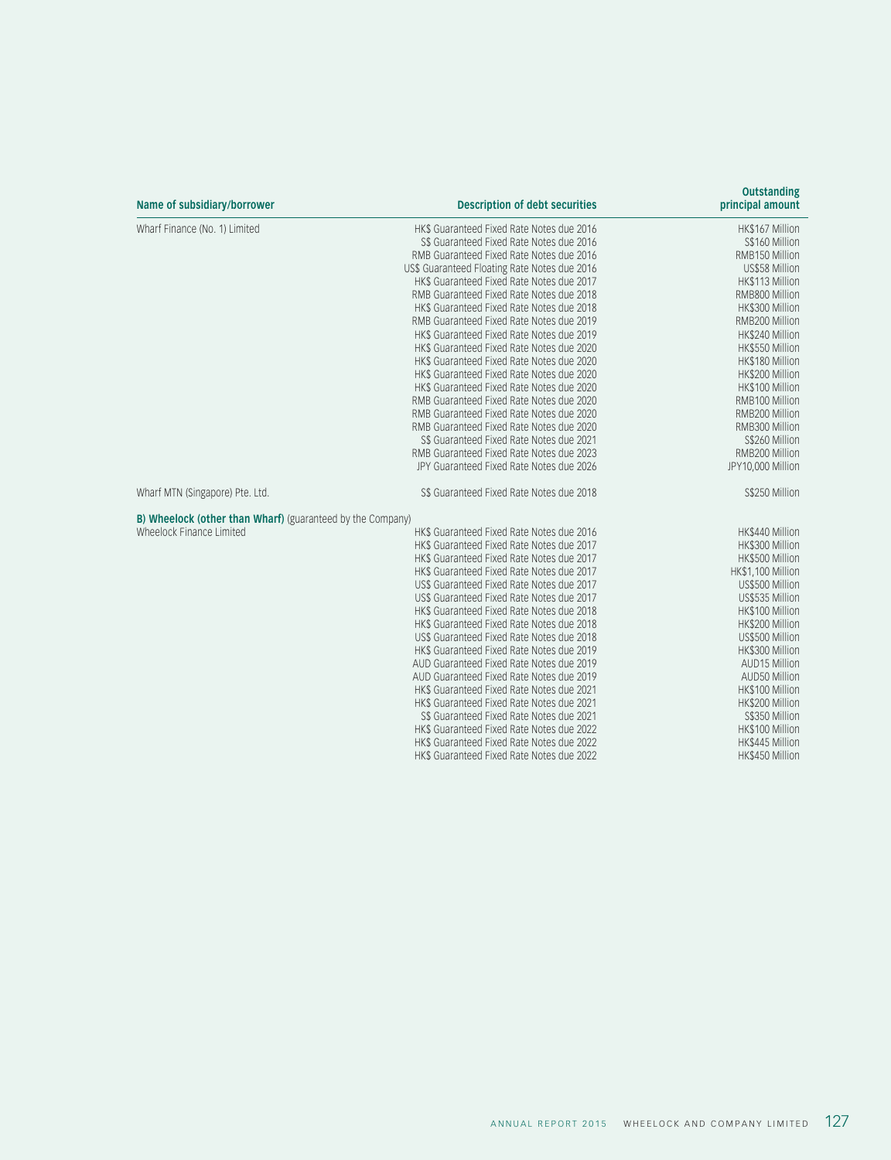| Name of subsidiary/borrower                                | <b>Description of debt securities</b>        | <b>Outstanding</b><br>principal amount |
|------------------------------------------------------------|----------------------------------------------|----------------------------------------|
| Wharf Finance (No. 1) Limited                              | HK\$ Guaranteed Fixed Rate Notes due 2016    | HK\$167 Million                        |
|                                                            | S\$ Guaranteed Fixed Rate Notes due 2016     | S\$160 Million                         |
|                                                            | RMB Guaranteed Fixed Rate Notes due 2016     | RMB150 Million                         |
|                                                            | US\$ Guaranteed Floating Rate Notes due 2016 | US\$58 Million                         |
|                                                            | HK\$ Guaranteed Fixed Rate Notes due 2017    | HK\$113 Million                        |
|                                                            | RMB Guaranteed Fixed Rate Notes due 2018     | RMB800 Million                         |
|                                                            | HK\$ Guaranteed Fixed Rate Notes due 2018    | HK\$300 Million                        |
|                                                            | RMB Guaranteed Fixed Rate Notes due 2019     | RMB200 Million                         |
|                                                            | HK\$ Guaranteed Fixed Rate Notes due 2019    | HK\$240 Million                        |
|                                                            | HK\$ Guaranteed Fixed Rate Notes due 2020    | HK\$550 Million                        |
|                                                            | HK\$ Guaranteed Fixed Rate Notes due 2020    | HK\$180 Million                        |
|                                                            | HK\$ Guaranteed Fixed Rate Notes due 2020    | HK\$200 Million                        |
|                                                            | HK\$ Guaranteed Fixed Rate Notes due 2020    | HK\$100 Million                        |
|                                                            | RMB Guaranteed Fixed Rate Notes due 2020     | RMB100 Million                         |
|                                                            | RMB Guaranteed Fixed Rate Notes due 2020     | RMB200 Million                         |
|                                                            | RMB Guaranteed Fixed Rate Notes due 2020     | RMB300 Million                         |
|                                                            | S\$ Guaranteed Fixed Rate Notes due 2021     | S\$260 Million                         |
|                                                            | RMB Guaranteed Fixed Rate Notes due 2023     | RMB200 Million                         |
|                                                            | JPY Guaranteed Fixed Rate Notes due 2026     | JPY10,000 Million                      |
| Wharf MTN (Singapore) Pte. Ltd.                            | S\$ Guaranteed Fixed Rate Notes due 2018     | S\$250 Million                         |
| B) Wheelock (other than Wharf) (guaranteed by the Company) |                                              |                                        |
| Wheelock Finance Limited                                   | HK\$ Guaranteed Fixed Rate Notes due 2016    | HK\$440 Million                        |
|                                                            | HK\$ Guaranteed Fixed Rate Notes due 2017    | HK\$300 Million                        |
|                                                            | HK\$ Guaranteed Fixed Rate Notes due 2017    | HK\$500 Million                        |
|                                                            | HK\$ Guaranteed Fixed Rate Notes due 2017    | HK\$1,100 Million                      |
|                                                            | US\$ Guaranteed Fixed Rate Notes due 2017    | US\$500 Million                        |
|                                                            | US\$ Guaranteed Fixed Rate Notes due 2017    | US\$535 Million                        |
|                                                            | HK\$ Guaranteed Fixed Rate Notes due 2018    | HK\$100 Million                        |
|                                                            | HK\$ Guaranteed Fixed Rate Notes due 2018    | HK\$200 Million                        |
|                                                            | US\$ Guaranteed Fixed Rate Notes due 2018    | US\$500 Million                        |
|                                                            | HK\$ Guaranteed Fixed Rate Notes due 2019    | HK\$300 Million                        |
|                                                            | AUD Guaranteed Fixed Rate Notes due 2019     | AUD15 Million                          |
|                                                            | AUD Guaranteed Fixed Rate Notes due 2019     | AUD50 Million                          |
|                                                            | HK\$ Guaranteed Fixed Rate Notes due 2021    | HK\$100 Million                        |
|                                                            | HK\$ Guaranteed Fixed Rate Notes due 2021    | HK\$200 Million                        |
|                                                            | S\$ Guaranteed Fixed Rate Notes due 2021     | S\$350 Million                         |
|                                                            | HK\$ Guaranteed Fixed Rate Notes due 2022    | HK\$100 Million                        |
|                                                            | HK\$ Guaranteed Fixed Rate Notes due 2022    | HK\$445 Million                        |
|                                                            | HK\$ Guaranteed Fixed Rate Notes due 2022    | HK\$450 Million                        |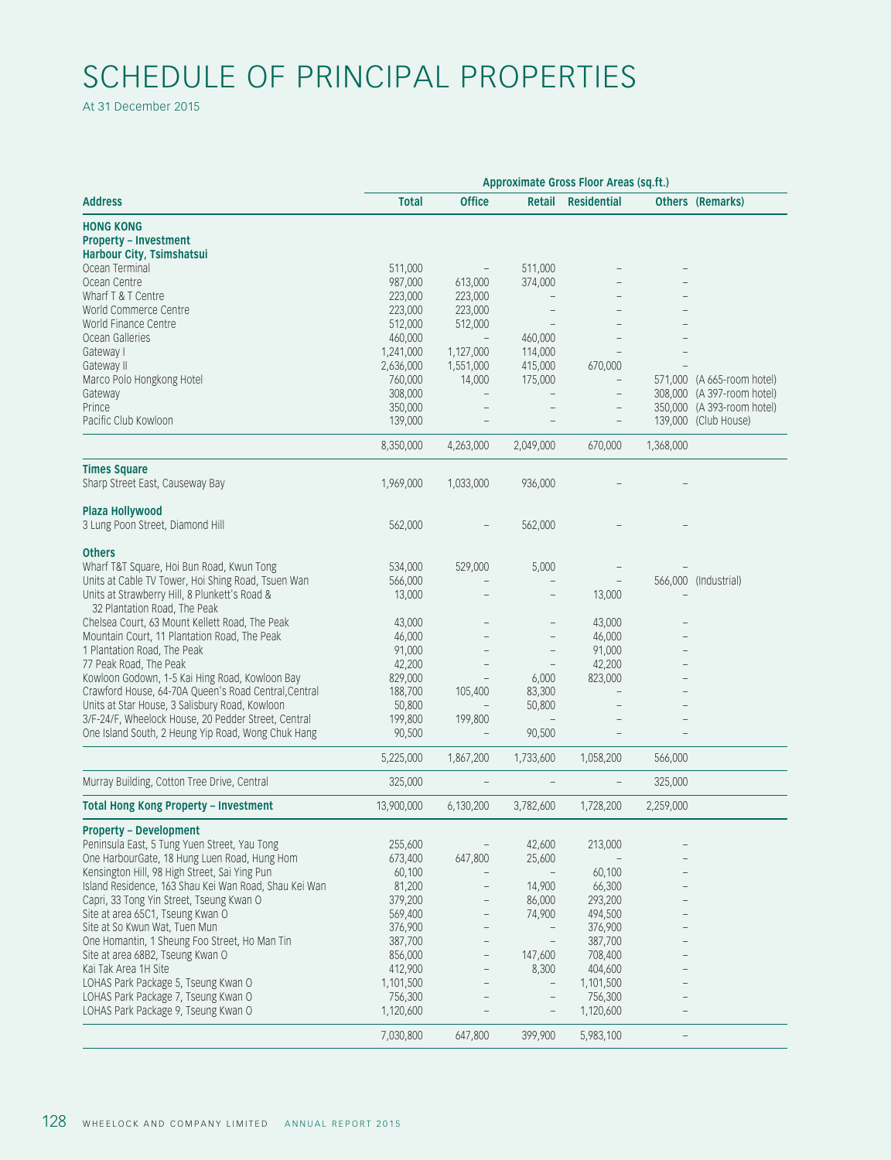# SCHEDULE OF PRINCIPAL PROPERTIES

At 31 December 2015

|                                                                               | Approximate Gross Floor Areas (sq.ft.) |                                 |                                   |                                 |                                 |  |  |  |
|-------------------------------------------------------------------------------|----------------------------------------|---------------------------------|-----------------------------------|---------------------------------|---------------------------------|--|--|--|
| <b>Address</b>                                                                | <b>Total</b>                           | <b>Office</b>                   |                                   | Retail Residential              | <b>Others (Remarks)</b>         |  |  |  |
| <b>HONG KONG</b><br><b>Property - Investment</b><br>Harbour City, Tsimshatsui |                                        |                                 |                                   |                                 |                                 |  |  |  |
| Ocean Terminal                                                                | 511,000                                | $\hspace{0.1mm}-\hspace{0.1mm}$ | 511,000                           |                                 |                                 |  |  |  |
| Ocean Centre                                                                  | 987,000                                | 613,000                         | 374,000                           |                                 |                                 |  |  |  |
| Wharf T & T Centre                                                            | 223,000                                | 223,000                         | $\overline{\phantom{a}}$          |                                 |                                 |  |  |  |
| World Commerce Centre                                                         | 223,000                                | 223,000                         | $\hspace{0.1mm}-\hspace{0.1mm}$   |                                 |                                 |  |  |  |
| World Finance Centre                                                          | 512,000                                | 512,000                         | $\hspace{0.1mm}$ $\hspace{0.1mm}$ |                                 |                                 |  |  |  |
| Ocean Galleries                                                               | 460,000                                | $\overline{\phantom{a}}$        | 460,000                           |                                 |                                 |  |  |  |
| Gateway I                                                                     | 1,241,000                              | 1,127,000                       | 114,000                           | $\overline{\phantom{a}}$        |                                 |  |  |  |
| Gateway II                                                                    | 2,636,000                              | 1,551,000                       | 415,000                           | 670,000                         |                                 |  |  |  |
| Marco Polo Hongkong Hotel                                                     | 760,000                                | 14,000                          | 175,000                           | $\overline{\phantom{0}}$        | 571,000 (A 665-room hotel)      |  |  |  |
|                                                                               |                                        |                                 |                                   |                                 | 308,000 (A 397-room hotel)      |  |  |  |
| Gateway                                                                       | 308,000                                | $\hspace{0.1mm}-\hspace{0.1mm}$ | $\hspace{0.1mm}-\hspace{0.1mm}$   |                                 |                                 |  |  |  |
| Prince                                                                        | 350,000                                |                                 |                                   | $\qquad \qquad -$               | 350,000 (A 393-room hotel)      |  |  |  |
| Pacific Club Kowloon                                                          | 139,000                                |                                 |                                   | $\overline{\phantom{m}}$        | 139,000 (Club House)            |  |  |  |
|                                                                               | 8,350,000                              | 4,263,000                       | 2,049,000                         | 670,000                         | 1,368,000                       |  |  |  |
| <b>Times Square</b>                                                           |                                        |                                 |                                   |                                 |                                 |  |  |  |
| Sharp Street East, Causeway Bay                                               | 1,969,000                              | 1,033,000                       | 936,000                           |                                 |                                 |  |  |  |
|                                                                               |                                        |                                 |                                   |                                 |                                 |  |  |  |
| Plaza Hollywood                                                               |                                        |                                 |                                   |                                 |                                 |  |  |  |
| 3 Lung Poon Street, Diamond Hill                                              | 562,000                                |                                 | 562,000                           |                                 |                                 |  |  |  |
|                                                                               |                                        |                                 |                                   |                                 |                                 |  |  |  |
| <b>Others</b>                                                                 |                                        |                                 |                                   |                                 |                                 |  |  |  |
| Wharf T&T Square, Hoi Bun Road, Kwun Tong                                     | 534,000                                | 529,000                         | 5,000                             |                                 |                                 |  |  |  |
| Units at Cable TV Tower, Hoi Shing Road, Tsuen Wan                            | 566,000                                | $\hspace{0.1mm}-\hspace{0.1mm}$ |                                   | $\overline{\phantom{0}}$        | 566,000 (Industrial)            |  |  |  |
| Units at Strawberry Hill, 8 Plunkett's Road &                                 | 13,000                                 |                                 |                                   | 13,000                          |                                 |  |  |  |
| 32 Plantation Road, The Peak                                                  |                                        |                                 |                                   |                                 |                                 |  |  |  |
| Chelsea Court, 63 Mount Kellett Road, The Peak                                | 43,000                                 |                                 |                                   | 43,000                          |                                 |  |  |  |
| Mountain Court, 11 Plantation Road, The Peak                                  | 46,000                                 |                                 |                                   | 46,000                          |                                 |  |  |  |
| 1 Plantation Road, The Peak                                                   | 91,000                                 | $\overline{\phantom{a}}$        | $\overline{\phantom{a}}$          | 91,000                          |                                 |  |  |  |
| 77 Peak Road, The Peak                                                        | 42,200                                 | $-$                             |                                   | 42,200                          |                                 |  |  |  |
| Kowloon Godown, 1-5 Kai Hing Road, Kowloon Bay                                | 829,000                                | $\hspace{0.1mm}-\hspace{0.1mm}$ | 6,000                             | 823,000                         |                                 |  |  |  |
| Crawford House, 64-70A Queen's Road Central, Central                          | 188,700                                | 105,400                         | 83,300                            | $\overline{\phantom{0}}$        |                                 |  |  |  |
| Units at Star House, 3 Salisbury Road, Kowloon                                | 50,800                                 | $\hspace{0.1cm} -$              | 50,800                            |                                 |                                 |  |  |  |
|                                                                               |                                        |                                 |                                   |                                 |                                 |  |  |  |
| 3/F-24/F, Wheelock House, 20 Pedder Street, Central                           | 199,800                                | 199,800                         | $\overline{\phantom{0}}$          |                                 |                                 |  |  |  |
| One Island South, 2 Heung Yip Road, Wong Chuk Hang                            | 90,500                                 | $\hspace{0.1cm} -$              | 90,500                            |                                 |                                 |  |  |  |
|                                                                               | 5,225,000                              | 1,867,200                       | 1,733,600                         | 1,058,200                       | 566,000                         |  |  |  |
| Murray Building, Cotton Tree Drive, Central                                   | 325,000                                |                                 |                                   | $\overline{\phantom{a}}$        | 325,000                         |  |  |  |
| <b>Total Hong Kong Property - Investment</b>                                  | 13,900,000                             | 6,130,200                       | 3,782,600                         | 1,728,200                       | 2,259,000                       |  |  |  |
| <b>Property - Development</b>                                                 |                                        |                                 |                                   |                                 |                                 |  |  |  |
| Peninsula East, 5 Tung Yuen Street, Yau Tong                                  | 255,600                                | $\hspace{0.1mm}-\hspace{0.1mm}$ | 42,600                            | 213,000                         |                                 |  |  |  |
| One HarbourGate, 18 Hung Luen Road, Hung Hom                                  | 673,400                                | 647,800                         | 25,600                            | $\hspace{0.1mm}-\hspace{0.1mm}$ |                                 |  |  |  |
|                                                                               | 60,100                                 |                                 |                                   | 60,100                          |                                 |  |  |  |
| Kensington Hill, 98 High Street, Sai Ying Pun                                 |                                        | $\hspace{0.1mm}-\hspace{0.1mm}$ | $\hspace{0.1cm} -$                |                                 |                                 |  |  |  |
| Island Residence, 163 Shau Kei Wan Road, Shau Kei Wan                         | 81,200                                 | $\overline{\phantom{a}}$        | 14,900                            | 66,300                          |                                 |  |  |  |
| Capri, 33 Tong Yin Street, Tseung Kwan O                                      | 379,200                                |                                 | 86,000                            | 293,200                         |                                 |  |  |  |
| Site at area 65C1, Tseung Kwan O                                              | 569,400                                | $\overline{\phantom{a}}$        | 74,900                            | 494,500                         |                                 |  |  |  |
| Site at So Kwun Wat, Tuen Mun                                                 | 376,900                                | $\overline{\phantom{a}}$        | $\overline{\phantom{0}}$          | 376,900                         |                                 |  |  |  |
| One Homantin, 1 Sheung Foo Street, Ho Man Tin                                 | 387,700                                | $\overline{\phantom{a}}$        | $\overline{\phantom{a}}$          | 387,700                         |                                 |  |  |  |
| Site at area 68B2, Tseung Kwan O                                              | 856,000                                | $\overline{\phantom{a}}$        | 147,600                           | 708,400                         |                                 |  |  |  |
| Kai Tak Area 1H Site                                                          | 412,900                                | $\overline{\phantom{a}}$        | 8,300                             | 404,600                         |                                 |  |  |  |
| LOHAS Park Package 5, Tseung Kwan O                                           | 1,101,500                              | $\overline{\phantom{a}}$        |                                   | 1,101,500                       |                                 |  |  |  |
| LOHAS Park Package 7, Tseung Kwan O                                           | 756,300                                |                                 |                                   | 756,300                         |                                 |  |  |  |
| LOHAS Park Package 9, Tseung Kwan O                                           | 1,120,600                              | $ \,$                           |                                   | 1,120,600                       | $\hspace{0.1mm}-\hspace{0.1mm}$ |  |  |  |
|                                                                               |                                        |                                 |                                   |                                 |                                 |  |  |  |
|                                                                               | 7,030,800                              | 647,800                         | 399,900                           | 5,983,100                       | $\sim$                          |  |  |  |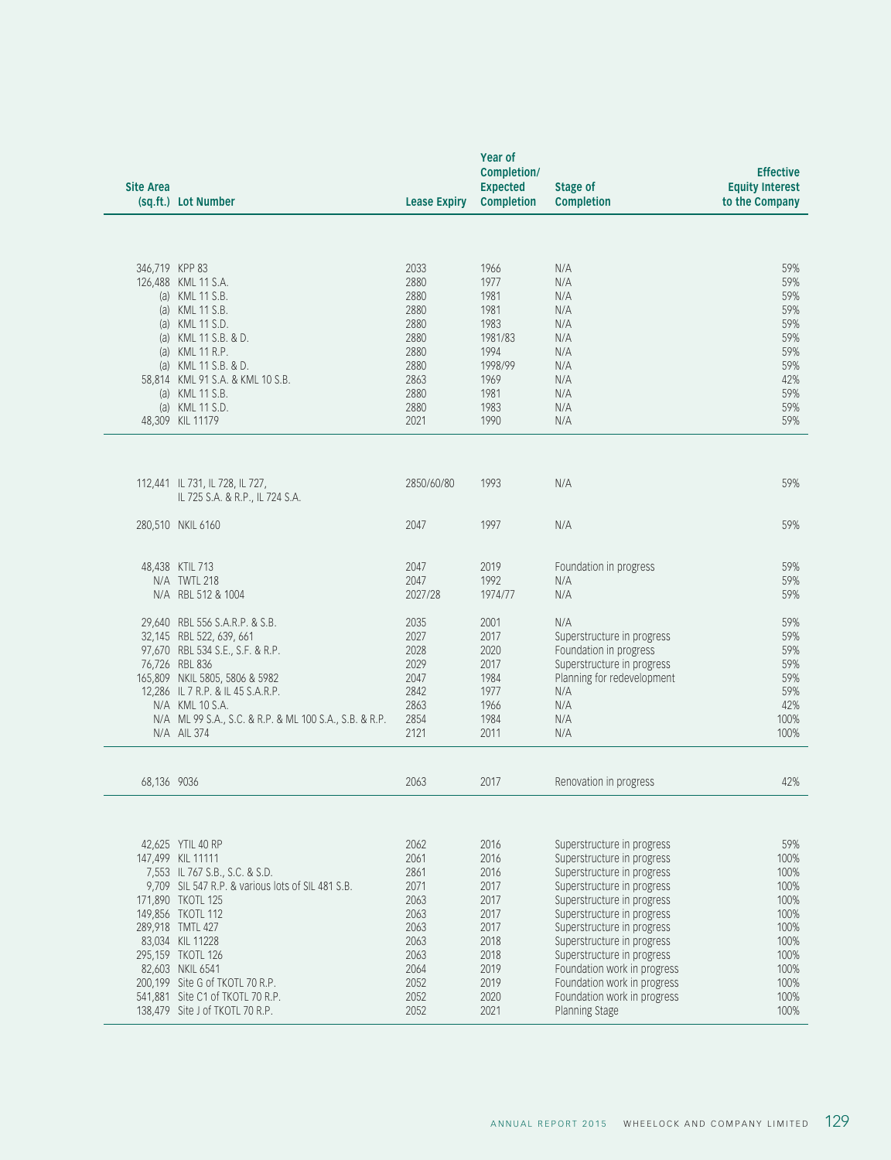| 346,719 KPP 83<br>2033<br>1966<br>N/A<br>2880<br>1977<br>126,488 KML 11 S.A.<br>N/A<br>(a) KML 11 S.B.<br>2880<br>1981<br>N/A<br>(a) KML 11 S.B.<br>2880<br>1981<br>N/A<br>(a) KML 11 S.D.<br>1983<br>2880<br>N/A<br>(a) KML 11 S.B. & D.<br>2880<br>1981/83<br>N/A<br>N/A<br>(a) KML 11 R.P.<br>2880<br>1994<br>2880<br>1998/99<br>(a) KML 11 S.B. & D.<br>N/A<br>N/A<br>58,814 KML 91 S.A. & KML 10 S.B.<br>2863<br>1969<br>(a) KML 11 S.B.<br>2880<br>N/A<br>1981<br>(a) KML 11 S.D.<br>2880<br>1983<br>N/A<br>48,309 KIL 11179<br>2021<br>1990<br>N/A<br>2850/60/80<br>1993<br>N/A<br>112,441 IL 731, IL 728, IL 727,<br>IL 725 S.A. & R.P., IL 724 S.A.<br>1997<br>280,510 NKIL 6160<br>2047<br>N/A<br>2019<br>48,438 KTIL 713<br>2047<br>Foundation in progress<br>N/A TWTL 218<br>2047<br>1992<br>N/A<br>N/A RBL 512 & 1004<br>2027/28<br>1974/77<br>N/A<br>29,640 RBL 556 S.A.R.P. & S.B.<br>2035<br>2001<br>N/A<br>2017<br>32,145 RBL 522, 639, 661<br>2027<br>Superstructure in progress<br>97,670 RBL 534 S.E., S.F. & R.P.<br>2028<br>2020<br>Foundation in progress<br>76,726 RBL 836<br>2029<br>2017<br>Superstructure in progress<br>165,809 NKIL 5805, 5806 & 5982<br>2047<br>1984<br>Planning for redevelopment<br>12,286 IL 7 R.P. & IL 45 S.A.R.P.<br>2842<br>1977<br>N/A<br>2863<br>1966<br>N/A<br>N/A KML 10 S.A.<br>2854<br>1984<br>N/A<br>N/A ML 99 S.A., S.C. & R.P. & ML 100 S.A., S.B. & R.P.<br>2121<br>2011<br>N/A<br>N/A AIL 374<br>2063<br>2017<br>68,136 9036<br>Renovation in progress<br>42,625 YTIL 40 RP<br>2062<br>2016<br>Superstructure in progress<br>147,499 KIL 11111<br>2061<br>2016<br>Superstructure in progress<br>2016<br>7,553 IL 767 S.B., S.C. & S.D.<br>2861<br>Superstructure in progress<br>9,709 SIL 547 R.P. & various lots of SIL 481 S.B.<br>2071<br>2017<br>Superstructure in progress<br>2063<br>2017<br>171,890 TKOTL 125<br>Superstructure in progress<br>2063<br>2017<br>149,856 TKOTL 112<br>Superstructure in progress<br>289,918 TMTL 427<br>2063<br>2017<br>Superstructure in progress<br>83,034 KIL 11228<br>2063<br>2018<br>Superstructure in progress<br>295,159 TKOTL 126<br>2063<br>2018<br>Superstructure in progress<br>2064<br>2019<br>82,603 NKIL 6541<br>Foundation work in progress<br>2052<br>2019<br>200,199 Site G of TKOTL 70 R.P.<br>Foundation work in progress<br>541,881 Site C1 of TKOTL 70 R.P.<br>2052<br>2020<br>Foundation work in progress<br>2052<br>2021<br>138,479 Site J of TKOTL 70 R.P.<br>Planning Stage | <b>Site Area</b><br>(sq.ft.) Lot Number | Year of<br>Completion/<br>Expected<br><b>Stage of</b><br><b>Lease Expiry Completion</b><br><b>Completion</b> | <b>Effective</b><br><b>Equity Interest</b><br>to the Company |
|-----------------------------------------------------------------------------------------------------------------------------------------------------------------------------------------------------------------------------------------------------------------------------------------------------------------------------------------------------------------------------------------------------------------------------------------------------------------------------------------------------------------------------------------------------------------------------------------------------------------------------------------------------------------------------------------------------------------------------------------------------------------------------------------------------------------------------------------------------------------------------------------------------------------------------------------------------------------------------------------------------------------------------------------------------------------------------------------------------------------------------------------------------------------------------------------------------------------------------------------------------------------------------------------------------------------------------------------------------------------------------------------------------------------------------------------------------------------------------------------------------------------------------------------------------------------------------------------------------------------------------------------------------------------------------------------------------------------------------------------------------------------------------------------------------------------------------------------------------------------------------------------------------------------------------------------------------------------------------------------------------------------------------------------------------------------------------------------------------------------------------------------------------------------------------------------------------------------------------------------------------------------------------------------------------------------------------------------------------------------------------------------------------------------------------------------------------------------------------------------------------------|-----------------------------------------|--------------------------------------------------------------------------------------------------------------|--------------------------------------------------------------|
|                                                                                                                                                                                                                                                                                                                                                                                                                                                                                                                                                                                                                                                                                                                                                                                                                                                                                                                                                                                                                                                                                                                                                                                                                                                                                                                                                                                                                                                                                                                                                                                                                                                                                                                                                                                                                                                                                                                                                                                                                                                                                                                                                                                                                                                                                                                                                                                                                                                                                                           |                                         |                                                                                                              |                                                              |
|                                                                                                                                                                                                                                                                                                                                                                                                                                                                                                                                                                                                                                                                                                                                                                                                                                                                                                                                                                                                                                                                                                                                                                                                                                                                                                                                                                                                                                                                                                                                                                                                                                                                                                                                                                                                                                                                                                                                                                                                                                                                                                                                                                                                                                                                                                                                                                                                                                                                                                           |                                         |                                                                                                              | 59%                                                          |
|                                                                                                                                                                                                                                                                                                                                                                                                                                                                                                                                                                                                                                                                                                                                                                                                                                                                                                                                                                                                                                                                                                                                                                                                                                                                                                                                                                                                                                                                                                                                                                                                                                                                                                                                                                                                                                                                                                                                                                                                                                                                                                                                                                                                                                                                                                                                                                                                                                                                                                           |                                         |                                                                                                              | 59%                                                          |
|                                                                                                                                                                                                                                                                                                                                                                                                                                                                                                                                                                                                                                                                                                                                                                                                                                                                                                                                                                                                                                                                                                                                                                                                                                                                                                                                                                                                                                                                                                                                                                                                                                                                                                                                                                                                                                                                                                                                                                                                                                                                                                                                                                                                                                                                                                                                                                                                                                                                                                           |                                         |                                                                                                              | 59%<br>59%                                                   |
|                                                                                                                                                                                                                                                                                                                                                                                                                                                                                                                                                                                                                                                                                                                                                                                                                                                                                                                                                                                                                                                                                                                                                                                                                                                                                                                                                                                                                                                                                                                                                                                                                                                                                                                                                                                                                                                                                                                                                                                                                                                                                                                                                                                                                                                                                                                                                                                                                                                                                                           |                                         |                                                                                                              | 59%                                                          |
|                                                                                                                                                                                                                                                                                                                                                                                                                                                                                                                                                                                                                                                                                                                                                                                                                                                                                                                                                                                                                                                                                                                                                                                                                                                                                                                                                                                                                                                                                                                                                                                                                                                                                                                                                                                                                                                                                                                                                                                                                                                                                                                                                                                                                                                                                                                                                                                                                                                                                                           |                                         |                                                                                                              | 59%                                                          |
|                                                                                                                                                                                                                                                                                                                                                                                                                                                                                                                                                                                                                                                                                                                                                                                                                                                                                                                                                                                                                                                                                                                                                                                                                                                                                                                                                                                                                                                                                                                                                                                                                                                                                                                                                                                                                                                                                                                                                                                                                                                                                                                                                                                                                                                                                                                                                                                                                                                                                                           |                                         |                                                                                                              | 59%                                                          |
|                                                                                                                                                                                                                                                                                                                                                                                                                                                                                                                                                                                                                                                                                                                                                                                                                                                                                                                                                                                                                                                                                                                                                                                                                                                                                                                                                                                                                                                                                                                                                                                                                                                                                                                                                                                                                                                                                                                                                                                                                                                                                                                                                                                                                                                                                                                                                                                                                                                                                                           |                                         |                                                                                                              | 59%                                                          |
|                                                                                                                                                                                                                                                                                                                                                                                                                                                                                                                                                                                                                                                                                                                                                                                                                                                                                                                                                                                                                                                                                                                                                                                                                                                                                                                                                                                                                                                                                                                                                                                                                                                                                                                                                                                                                                                                                                                                                                                                                                                                                                                                                                                                                                                                                                                                                                                                                                                                                                           |                                         |                                                                                                              | 42%<br>59%                                                   |
|                                                                                                                                                                                                                                                                                                                                                                                                                                                                                                                                                                                                                                                                                                                                                                                                                                                                                                                                                                                                                                                                                                                                                                                                                                                                                                                                                                                                                                                                                                                                                                                                                                                                                                                                                                                                                                                                                                                                                                                                                                                                                                                                                                                                                                                                                                                                                                                                                                                                                                           |                                         |                                                                                                              | 59%                                                          |
|                                                                                                                                                                                                                                                                                                                                                                                                                                                                                                                                                                                                                                                                                                                                                                                                                                                                                                                                                                                                                                                                                                                                                                                                                                                                                                                                                                                                                                                                                                                                                                                                                                                                                                                                                                                                                                                                                                                                                                                                                                                                                                                                                                                                                                                                                                                                                                                                                                                                                                           |                                         |                                                                                                              | 59%                                                          |
|                                                                                                                                                                                                                                                                                                                                                                                                                                                                                                                                                                                                                                                                                                                                                                                                                                                                                                                                                                                                                                                                                                                                                                                                                                                                                                                                                                                                                                                                                                                                                                                                                                                                                                                                                                                                                                                                                                                                                                                                                                                                                                                                                                                                                                                                                                                                                                                                                                                                                                           |                                         |                                                                                                              |                                                              |
|                                                                                                                                                                                                                                                                                                                                                                                                                                                                                                                                                                                                                                                                                                                                                                                                                                                                                                                                                                                                                                                                                                                                                                                                                                                                                                                                                                                                                                                                                                                                                                                                                                                                                                                                                                                                                                                                                                                                                                                                                                                                                                                                                                                                                                                                                                                                                                                                                                                                                                           |                                         |                                                                                                              | 59%                                                          |
|                                                                                                                                                                                                                                                                                                                                                                                                                                                                                                                                                                                                                                                                                                                                                                                                                                                                                                                                                                                                                                                                                                                                                                                                                                                                                                                                                                                                                                                                                                                                                                                                                                                                                                                                                                                                                                                                                                                                                                                                                                                                                                                                                                                                                                                                                                                                                                                                                                                                                                           |                                         |                                                                                                              |                                                              |
|                                                                                                                                                                                                                                                                                                                                                                                                                                                                                                                                                                                                                                                                                                                                                                                                                                                                                                                                                                                                                                                                                                                                                                                                                                                                                                                                                                                                                                                                                                                                                                                                                                                                                                                                                                                                                                                                                                                                                                                                                                                                                                                                                                                                                                                                                                                                                                                                                                                                                                           |                                         |                                                                                                              | 59%                                                          |
|                                                                                                                                                                                                                                                                                                                                                                                                                                                                                                                                                                                                                                                                                                                                                                                                                                                                                                                                                                                                                                                                                                                                                                                                                                                                                                                                                                                                                                                                                                                                                                                                                                                                                                                                                                                                                                                                                                                                                                                                                                                                                                                                                                                                                                                                                                                                                                                                                                                                                                           |                                         |                                                                                                              | 59%                                                          |
|                                                                                                                                                                                                                                                                                                                                                                                                                                                                                                                                                                                                                                                                                                                                                                                                                                                                                                                                                                                                                                                                                                                                                                                                                                                                                                                                                                                                                                                                                                                                                                                                                                                                                                                                                                                                                                                                                                                                                                                                                                                                                                                                                                                                                                                                                                                                                                                                                                                                                                           |                                         |                                                                                                              | 59%                                                          |
|                                                                                                                                                                                                                                                                                                                                                                                                                                                                                                                                                                                                                                                                                                                                                                                                                                                                                                                                                                                                                                                                                                                                                                                                                                                                                                                                                                                                                                                                                                                                                                                                                                                                                                                                                                                                                                                                                                                                                                                                                                                                                                                                                                                                                                                                                                                                                                                                                                                                                                           |                                         |                                                                                                              | 59%                                                          |
|                                                                                                                                                                                                                                                                                                                                                                                                                                                                                                                                                                                                                                                                                                                                                                                                                                                                                                                                                                                                                                                                                                                                                                                                                                                                                                                                                                                                                                                                                                                                                                                                                                                                                                                                                                                                                                                                                                                                                                                                                                                                                                                                                                                                                                                                                                                                                                                                                                                                                                           |                                         |                                                                                                              |                                                              |
|                                                                                                                                                                                                                                                                                                                                                                                                                                                                                                                                                                                                                                                                                                                                                                                                                                                                                                                                                                                                                                                                                                                                                                                                                                                                                                                                                                                                                                                                                                                                                                                                                                                                                                                                                                                                                                                                                                                                                                                                                                                                                                                                                                                                                                                                                                                                                                                                                                                                                                           |                                         |                                                                                                              | 59%<br>59%                                                   |
|                                                                                                                                                                                                                                                                                                                                                                                                                                                                                                                                                                                                                                                                                                                                                                                                                                                                                                                                                                                                                                                                                                                                                                                                                                                                                                                                                                                                                                                                                                                                                                                                                                                                                                                                                                                                                                                                                                                                                                                                                                                                                                                                                                                                                                                                                                                                                                                                                                                                                                           |                                         |                                                                                                              | 59%                                                          |
|                                                                                                                                                                                                                                                                                                                                                                                                                                                                                                                                                                                                                                                                                                                                                                                                                                                                                                                                                                                                                                                                                                                                                                                                                                                                                                                                                                                                                                                                                                                                                                                                                                                                                                                                                                                                                                                                                                                                                                                                                                                                                                                                                                                                                                                                                                                                                                                                                                                                                                           |                                         |                                                                                                              | 59%                                                          |
|                                                                                                                                                                                                                                                                                                                                                                                                                                                                                                                                                                                                                                                                                                                                                                                                                                                                                                                                                                                                                                                                                                                                                                                                                                                                                                                                                                                                                                                                                                                                                                                                                                                                                                                                                                                                                                                                                                                                                                                                                                                                                                                                                                                                                                                                                                                                                                                                                                                                                                           |                                         |                                                                                                              | 59%                                                          |
|                                                                                                                                                                                                                                                                                                                                                                                                                                                                                                                                                                                                                                                                                                                                                                                                                                                                                                                                                                                                                                                                                                                                                                                                                                                                                                                                                                                                                                                                                                                                                                                                                                                                                                                                                                                                                                                                                                                                                                                                                                                                                                                                                                                                                                                                                                                                                                                                                                                                                                           |                                         |                                                                                                              | 59%                                                          |
|                                                                                                                                                                                                                                                                                                                                                                                                                                                                                                                                                                                                                                                                                                                                                                                                                                                                                                                                                                                                                                                                                                                                                                                                                                                                                                                                                                                                                                                                                                                                                                                                                                                                                                                                                                                                                                                                                                                                                                                                                                                                                                                                                                                                                                                                                                                                                                                                                                                                                                           |                                         |                                                                                                              | 42%                                                          |
|                                                                                                                                                                                                                                                                                                                                                                                                                                                                                                                                                                                                                                                                                                                                                                                                                                                                                                                                                                                                                                                                                                                                                                                                                                                                                                                                                                                                                                                                                                                                                                                                                                                                                                                                                                                                                                                                                                                                                                                                                                                                                                                                                                                                                                                                                                                                                                                                                                                                                                           |                                         |                                                                                                              | 100%<br>100%                                                 |
|                                                                                                                                                                                                                                                                                                                                                                                                                                                                                                                                                                                                                                                                                                                                                                                                                                                                                                                                                                                                                                                                                                                                                                                                                                                                                                                                                                                                                                                                                                                                                                                                                                                                                                                                                                                                                                                                                                                                                                                                                                                                                                                                                                                                                                                                                                                                                                                                                                                                                                           |                                         |                                                                                                              |                                                              |
|                                                                                                                                                                                                                                                                                                                                                                                                                                                                                                                                                                                                                                                                                                                                                                                                                                                                                                                                                                                                                                                                                                                                                                                                                                                                                                                                                                                                                                                                                                                                                                                                                                                                                                                                                                                                                                                                                                                                                                                                                                                                                                                                                                                                                                                                                                                                                                                                                                                                                                           |                                         |                                                                                                              | 42%                                                          |
|                                                                                                                                                                                                                                                                                                                                                                                                                                                                                                                                                                                                                                                                                                                                                                                                                                                                                                                                                                                                                                                                                                                                                                                                                                                                                                                                                                                                                                                                                                                                                                                                                                                                                                                                                                                                                                                                                                                                                                                                                                                                                                                                                                                                                                                                                                                                                                                                                                                                                                           |                                         |                                                                                                              |                                                              |
|                                                                                                                                                                                                                                                                                                                                                                                                                                                                                                                                                                                                                                                                                                                                                                                                                                                                                                                                                                                                                                                                                                                                                                                                                                                                                                                                                                                                                                                                                                                                                                                                                                                                                                                                                                                                                                                                                                                                                                                                                                                                                                                                                                                                                                                                                                                                                                                                                                                                                                           |                                         |                                                                                                              | 59%                                                          |
|                                                                                                                                                                                                                                                                                                                                                                                                                                                                                                                                                                                                                                                                                                                                                                                                                                                                                                                                                                                                                                                                                                                                                                                                                                                                                                                                                                                                                                                                                                                                                                                                                                                                                                                                                                                                                                                                                                                                                                                                                                                                                                                                                                                                                                                                                                                                                                                                                                                                                                           |                                         |                                                                                                              | 100%                                                         |
|                                                                                                                                                                                                                                                                                                                                                                                                                                                                                                                                                                                                                                                                                                                                                                                                                                                                                                                                                                                                                                                                                                                                                                                                                                                                                                                                                                                                                                                                                                                                                                                                                                                                                                                                                                                                                                                                                                                                                                                                                                                                                                                                                                                                                                                                                                                                                                                                                                                                                                           |                                         |                                                                                                              | 100%<br>100%                                                 |
|                                                                                                                                                                                                                                                                                                                                                                                                                                                                                                                                                                                                                                                                                                                                                                                                                                                                                                                                                                                                                                                                                                                                                                                                                                                                                                                                                                                                                                                                                                                                                                                                                                                                                                                                                                                                                                                                                                                                                                                                                                                                                                                                                                                                                                                                                                                                                                                                                                                                                                           |                                         |                                                                                                              | 100%                                                         |
|                                                                                                                                                                                                                                                                                                                                                                                                                                                                                                                                                                                                                                                                                                                                                                                                                                                                                                                                                                                                                                                                                                                                                                                                                                                                                                                                                                                                                                                                                                                                                                                                                                                                                                                                                                                                                                                                                                                                                                                                                                                                                                                                                                                                                                                                                                                                                                                                                                                                                                           |                                         |                                                                                                              | 100%                                                         |
|                                                                                                                                                                                                                                                                                                                                                                                                                                                                                                                                                                                                                                                                                                                                                                                                                                                                                                                                                                                                                                                                                                                                                                                                                                                                                                                                                                                                                                                                                                                                                                                                                                                                                                                                                                                                                                                                                                                                                                                                                                                                                                                                                                                                                                                                                                                                                                                                                                                                                                           |                                         |                                                                                                              | 100%                                                         |
|                                                                                                                                                                                                                                                                                                                                                                                                                                                                                                                                                                                                                                                                                                                                                                                                                                                                                                                                                                                                                                                                                                                                                                                                                                                                                                                                                                                                                                                                                                                                                                                                                                                                                                                                                                                                                                                                                                                                                                                                                                                                                                                                                                                                                                                                                                                                                                                                                                                                                                           |                                         |                                                                                                              | 100%                                                         |
|                                                                                                                                                                                                                                                                                                                                                                                                                                                                                                                                                                                                                                                                                                                                                                                                                                                                                                                                                                                                                                                                                                                                                                                                                                                                                                                                                                                                                                                                                                                                                                                                                                                                                                                                                                                                                                                                                                                                                                                                                                                                                                                                                                                                                                                                                                                                                                                                                                                                                                           |                                         |                                                                                                              | 100%                                                         |
|                                                                                                                                                                                                                                                                                                                                                                                                                                                                                                                                                                                                                                                                                                                                                                                                                                                                                                                                                                                                                                                                                                                                                                                                                                                                                                                                                                                                                                                                                                                                                                                                                                                                                                                                                                                                                                                                                                                                                                                                                                                                                                                                                                                                                                                                                                                                                                                                                                                                                                           |                                         |                                                                                                              | 100%<br>100%                                                 |
|                                                                                                                                                                                                                                                                                                                                                                                                                                                                                                                                                                                                                                                                                                                                                                                                                                                                                                                                                                                                                                                                                                                                                                                                                                                                                                                                                                                                                                                                                                                                                                                                                                                                                                                                                                                                                                                                                                                                                                                                                                                                                                                                                                                                                                                                                                                                                                                                                                                                                                           |                                         |                                                                                                              | 100%                                                         |
|                                                                                                                                                                                                                                                                                                                                                                                                                                                                                                                                                                                                                                                                                                                                                                                                                                                                                                                                                                                                                                                                                                                                                                                                                                                                                                                                                                                                                                                                                                                                                                                                                                                                                                                                                                                                                                                                                                                                                                                                                                                                                                                                                                                                                                                                                                                                                                                                                                                                                                           |                                         |                                                                                                              | 100%                                                         |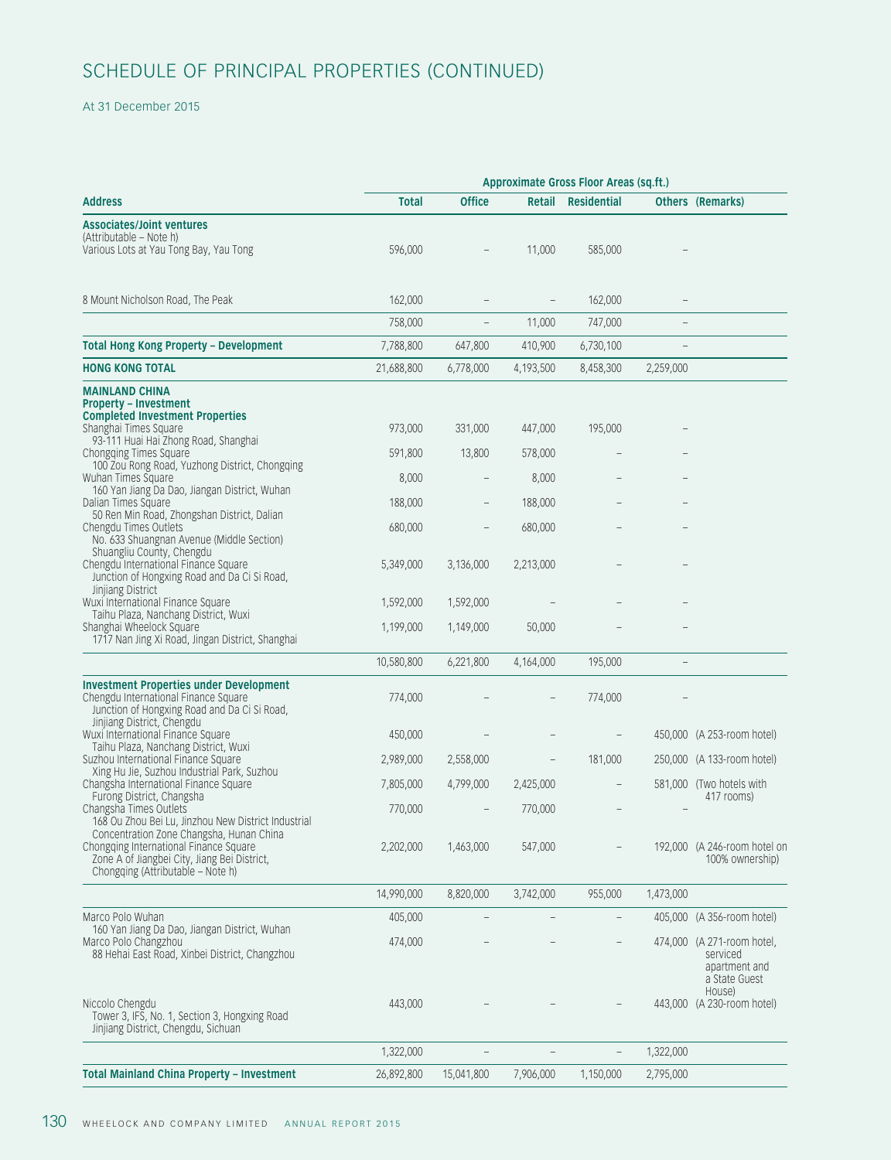### At 31 December 2015

|                                                                                                                                                                         |              | Approximate Gross Floor Areas (sq.ft.) |                          |                                 |                                                                          |  |  |  |  |
|-------------------------------------------------------------------------------------------------------------------------------------------------------------------------|--------------|----------------------------------------|--------------------------|---------------------------------|--------------------------------------------------------------------------|--|--|--|--|
| <b>Address</b>                                                                                                                                                          | <b>Total</b> | <b>Office</b>                          |                          | Retail Residential              | <b>Others (Remarks)</b>                                                  |  |  |  |  |
| <b>Associates/Joint ventures</b><br>(Attributable – Note h)<br>Various Lots at Yau Tong Bay, Yau Tong                                                                   | 596,000      |                                        | 11,000                   | 585,000                         |                                                                          |  |  |  |  |
| 8 Mount Nicholson Road, The Peak                                                                                                                                        | 162,000      |                                        |                          | 162,000                         |                                                                          |  |  |  |  |
|                                                                                                                                                                         | 758,000      | $\hspace{0.1mm}-\hspace{0.1mm}$        | 11,000                   | 747,000                         | $\hspace{0.1mm}-\hspace{0.1mm}$                                          |  |  |  |  |
| <b>Total Hong Kong Property - Development</b>                                                                                                                           | 7,788,800    | 647,800                                | 410,900                  | 6,730,100                       | $\hspace{0.1mm}-\hspace{0.1mm}$                                          |  |  |  |  |
| <b>HONG KONG TOTAL</b>                                                                                                                                                  | 21,688,800   | 6,778,000                              | 4,193,500                | 8,458,300                       | 2,259,000                                                                |  |  |  |  |
| <b>MAINLAND CHINA</b><br><b>Property - Investment</b><br><b>Completed Investment Properties</b><br>Shanghai Times Square<br>93-111 Huai Hai Zhong Road, Shanghai        | 973,000      | 331,000                                | 447,000                  | 195,000                         |                                                                          |  |  |  |  |
| Chongqing Times Square<br>100 Zou Rong Road, Yuzhong District, Chongqing                                                                                                | 591,800      | 13,800                                 | 578,000                  |                                 |                                                                          |  |  |  |  |
| Wuhan Times Square<br>160 Yan Jiang Da Dao, Jiangan District, Wuhan                                                                                                     | 8,000        |                                        | 8,000                    |                                 |                                                                          |  |  |  |  |
| Dalian Times Square<br>50 Ren Min Road, Zhongshan District, Dalian                                                                                                      | 188,000      | $-$                                    | 188,000                  |                                 |                                                                          |  |  |  |  |
| Chengdu Times Outlets<br>No. 633 Shuangnan Avenue (Middle Section)                                                                                                      | 680,000      | $\overline{\phantom{m}}$               | 680,000                  |                                 |                                                                          |  |  |  |  |
| Shuangliu County, Chengdu<br>Chengdu International Finance Square<br>Junction of Hongxing Road and Da Ci Si Road,                                                       | 5,349,000    | 3,136,000                              | 2,213,000                |                                 |                                                                          |  |  |  |  |
| Jinjiang District<br>Wuxi International Finance Square                                                                                                                  | 1,592,000    | 1,592,000                              |                          |                                 |                                                                          |  |  |  |  |
| Taihu Plaza, Nanchang District, Wuxi<br>Shanghai Wheelock Square<br>1717 Nan Jing Xi Road, Jingan District, Shanghai                                                    | 1,199,000    | 1,149,000                              | 50,000                   |                                 |                                                                          |  |  |  |  |
|                                                                                                                                                                         | 10,580,800   | 6,221,800                              | 4,164,000                | 195,000                         |                                                                          |  |  |  |  |
| <b>Investment Properties under Development</b><br>Chengdu International Finance Square<br>Junction of Hongxing Road and Da Ci Si Road,<br>Jinjiang District, Chengdu    | 774,000      |                                        |                          | 774,000                         |                                                                          |  |  |  |  |
| Wuxi International Finance Square<br>Taihu Plaza, Nanchang District, Wuxi                                                                                               | 450,000      |                                        |                          |                                 | 450,000 (A 253-room hotel)                                               |  |  |  |  |
| Suzhou International Finance Square<br>Xing Hu Jie, Suzhou Industrial Park, Suzhou                                                                                      | 2,989,000    | 2,558,000                              | $-$                      | 181,000                         | 250,000 (A 133-room hotel)                                               |  |  |  |  |
| Changsha International Finance Square<br>Furong District, Changsha                                                                                                      | 7,805,000    | 4,799,000                              | 2,425,000                | $\hspace{0.1mm}-\hspace{0.1mm}$ | 581,000 (Two hotels with<br>417 rooms)                                   |  |  |  |  |
| Changsha Times Outlets<br>168 Ou Zhou Bei Lu, Jinzhou New District Industrial                                                                                           | 770,000      |                                        | 770,000                  | $-$                             |                                                                          |  |  |  |  |
| Concentration Zone Changsha, Hunan China<br>Chongqing International Finance Square<br>Zone A of Jiangbei City, Jiang Bei District,<br>Chongqing (Attributable - Note h) | 2,202,000    | 1,463,000                              | 547,000                  |                                 | 192,000 (A 246-room hotel on<br>100% ownership)                          |  |  |  |  |
|                                                                                                                                                                         | 14,990,000   | 8,820,000                              | 3,742,000                | 955,000                         | 1,473,000                                                                |  |  |  |  |
| Marco Polo Wuhan                                                                                                                                                        | 405,000      |                                        | $\overline{\phantom{a}}$ | $-$                             | 405,000 (A 356-room hotel)                                               |  |  |  |  |
| 160 Yan Jiang Da Dao, Jiangan District, Wuhan<br>Marco Polo Changzhou<br>88 Hehai East Road, Xinbei District, Changzhou                                                 | 474,000      |                                        |                          |                                 | 474,000 (A 271-room hotel,<br>serviced<br>apartment and<br>a State Guest |  |  |  |  |
| Niccolo Chengdu<br>Tower 3, IFS, No. 1, Section 3, Hongxing Road<br>Jinjiang District, Chengdu, Sichuan                                                                 | 443,000      |                                        |                          |                                 | House)<br>443,000 (A 230-room hotel)                                     |  |  |  |  |
|                                                                                                                                                                         | 1,322,000    |                                        | $\overline{\phantom{a}}$ | $\sim$                          | 1,322,000                                                                |  |  |  |  |
| <b>Total Mainland China Property - Investment</b>                                                                                                                       | 26,892,800   | 15,041,800                             | 7,906,000                | 1,150,000                       | 2,795,000                                                                |  |  |  |  |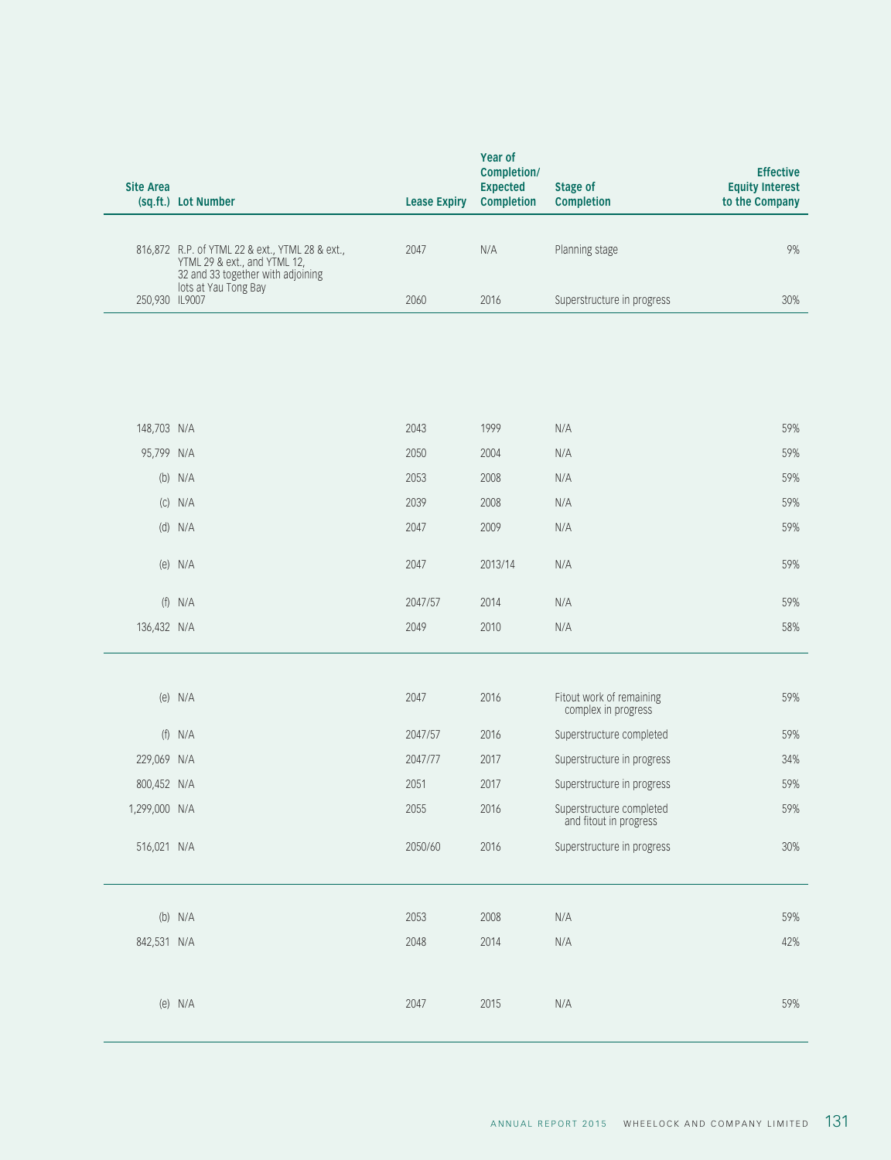| 816,872 R.P. of YTML 22 & ext., YTML 28 & ext.,<br>2047<br>N/A<br>Planning stage<br>YTML 29 & ext., and YTML 12,<br>32 and 33 together with adjoining<br>lots at Yau Tong Bay<br>250,930 IL9007<br>2060<br>2016<br>Superstructure in progress<br>1999<br>148,703 N/A<br>2043<br>N/A<br>95,799 N/A<br>2050<br>2004<br>N/A<br>$(b)$ N/A<br>2053<br>2008<br>N/A<br>$(C)$ N/A<br>2039<br>2008<br>N/A<br>$(d)$ N/A<br>2047<br>2009<br>N/A<br>$(e)$ N/A<br>2047<br>2013/14<br>N/A<br>$(f)$ N/A<br>2047/57<br>2014<br>N/A<br>2010<br>136,432 N/A<br>2049<br>N/A<br>(e) $N/A$<br>2047<br>2016<br>Fitout work of remaining<br>complex in progress<br>$(f)$ N/A<br>2016<br>2047/57<br>Superstructure completed<br>229,069 N/A<br>2017<br>2047/77<br>Superstructure in progress<br>800,452 N/A<br>2051<br>2017<br>Superstructure in progress<br>1,299,000 N/A<br>2055<br>2016<br>Superstructure completed<br>and fitout in progress<br>516,021 N/A<br>2050/60<br>2016<br>Superstructure in progress<br>2008<br>59%<br>$(b)$ N/A<br>2053<br>N/A | 2014<br>842,531 N/A<br>2048<br>N/A<br>(e) $N/A$<br>2047<br>2015<br>N/A | Site Area<br>(sq.ft.) Lot Number | Year of<br>Completion/<br>Expected<br><b>Lease Expiry Completion</b> | <b>Stage of</b><br>Completion | <b>Effective</b><br><b>Equity Interest</b><br>to the Company |
|-------------------------------------------------------------------------------------------------------------------------------------------------------------------------------------------------------------------------------------------------------------------------------------------------------------------------------------------------------------------------------------------------------------------------------------------------------------------------------------------------------------------------------------------------------------------------------------------------------------------------------------------------------------------------------------------------------------------------------------------------------------------------------------------------------------------------------------------------------------------------------------------------------------------------------------------------------------------------------------------------------------------------------------|------------------------------------------------------------------------|----------------------------------|----------------------------------------------------------------------|-------------------------------|--------------------------------------------------------------|
|                                                                                                                                                                                                                                                                                                                                                                                                                                                                                                                                                                                                                                                                                                                                                                                                                                                                                                                                                                                                                                     |                                                                        |                                  |                                                                      |                               | 9%                                                           |
|                                                                                                                                                                                                                                                                                                                                                                                                                                                                                                                                                                                                                                                                                                                                                                                                                                                                                                                                                                                                                                     |                                                                        |                                  |                                                                      |                               | 30%                                                          |
|                                                                                                                                                                                                                                                                                                                                                                                                                                                                                                                                                                                                                                                                                                                                                                                                                                                                                                                                                                                                                                     |                                                                        |                                  |                                                                      |                               |                                                              |
|                                                                                                                                                                                                                                                                                                                                                                                                                                                                                                                                                                                                                                                                                                                                                                                                                                                                                                                                                                                                                                     |                                                                        |                                  |                                                                      |                               | 59%                                                          |
|                                                                                                                                                                                                                                                                                                                                                                                                                                                                                                                                                                                                                                                                                                                                                                                                                                                                                                                                                                                                                                     |                                                                        |                                  |                                                                      |                               | 59%                                                          |
|                                                                                                                                                                                                                                                                                                                                                                                                                                                                                                                                                                                                                                                                                                                                                                                                                                                                                                                                                                                                                                     |                                                                        |                                  |                                                                      |                               | 59%                                                          |
|                                                                                                                                                                                                                                                                                                                                                                                                                                                                                                                                                                                                                                                                                                                                                                                                                                                                                                                                                                                                                                     |                                                                        |                                  |                                                                      |                               | 59%                                                          |
|                                                                                                                                                                                                                                                                                                                                                                                                                                                                                                                                                                                                                                                                                                                                                                                                                                                                                                                                                                                                                                     |                                                                        |                                  |                                                                      |                               | 59%                                                          |
|                                                                                                                                                                                                                                                                                                                                                                                                                                                                                                                                                                                                                                                                                                                                                                                                                                                                                                                                                                                                                                     |                                                                        |                                  |                                                                      |                               | 59%                                                          |
|                                                                                                                                                                                                                                                                                                                                                                                                                                                                                                                                                                                                                                                                                                                                                                                                                                                                                                                                                                                                                                     |                                                                        |                                  |                                                                      |                               | 59%                                                          |
|                                                                                                                                                                                                                                                                                                                                                                                                                                                                                                                                                                                                                                                                                                                                                                                                                                                                                                                                                                                                                                     |                                                                        |                                  |                                                                      |                               | 58%                                                          |
|                                                                                                                                                                                                                                                                                                                                                                                                                                                                                                                                                                                                                                                                                                                                                                                                                                                                                                                                                                                                                                     |                                                                        |                                  |                                                                      |                               | 59%                                                          |
|                                                                                                                                                                                                                                                                                                                                                                                                                                                                                                                                                                                                                                                                                                                                                                                                                                                                                                                                                                                                                                     |                                                                        |                                  |                                                                      |                               | 59%                                                          |
|                                                                                                                                                                                                                                                                                                                                                                                                                                                                                                                                                                                                                                                                                                                                                                                                                                                                                                                                                                                                                                     |                                                                        |                                  |                                                                      |                               | 34%                                                          |
|                                                                                                                                                                                                                                                                                                                                                                                                                                                                                                                                                                                                                                                                                                                                                                                                                                                                                                                                                                                                                                     |                                                                        |                                  |                                                                      |                               | 59%                                                          |
|                                                                                                                                                                                                                                                                                                                                                                                                                                                                                                                                                                                                                                                                                                                                                                                                                                                                                                                                                                                                                                     |                                                                        |                                  |                                                                      |                               | 59%                                                          |
|                                                                                                                                                                                                                                                                                                                                                                                                                                                                                                                                                                                                                                                                                                                                                                                                                                                                                                                                                                                                                                     |                                                                        |                                  |                                                                      |                               | 30%                                                          |
|                                                                                                                                                                                                                                                                                                                                                                                                                                                                                                                                                                                                                                                                                                                                                                                                                                                                                                                                                                                                                                     |                                                                        |                                  |                                                                      |                               |                                                              |
|                                                                                                                                                                                                                                                                                                                                                                                                                                                                                                                                                                                                                                                                                                                                                                                                                                                                                                                                                                                                                                     |                                                                        |                                  |                                                                      |                               | 42%                                                          |
|                                                                                                                                                                                                                                                                                                                                                                                                                                                                                                                                                                                                                                                                                                                                                                                                                                                                                                                                                                                                                                     |                                                                        |                                  |                                                                      |                               | 59%                                                          |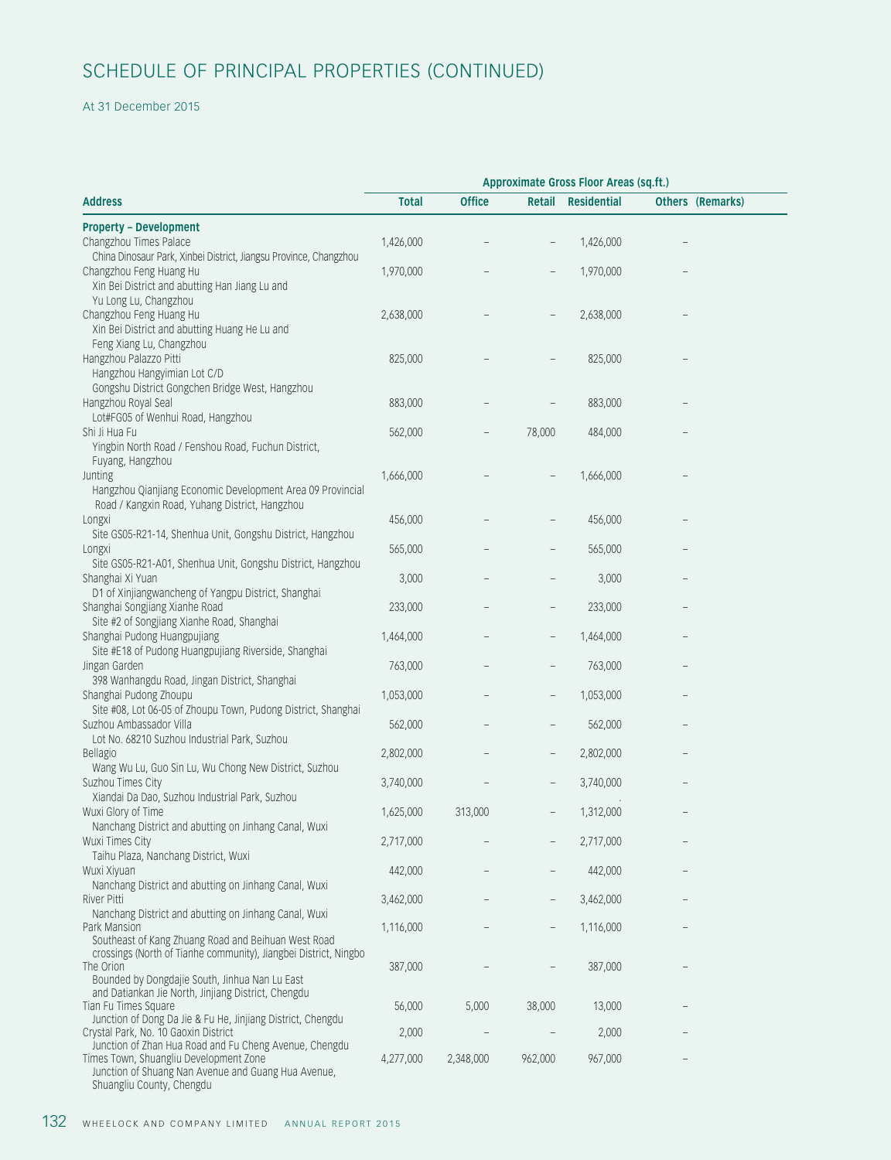### At 31 December 2015

|                                                                               | Approximate Gross Floor Areas (sq.ft.) |               |                          |           |                                 |  |  |  |
|-------------------------------------------------------------------------------|----------------------------------------|---------------|--------------------------|-----------|---------------------------------|--|--|--|
| <b>Address</b>                                                                | <b>Total</b>                           | <b>Office</b> | Retail Residential       |           | Others (Remarks)                |  |  |  |
| <b>Property - Development</b>                                                 |                                        |               |                          |           |                                 |  |  |  |
| Changzhou Times Palace                                                        | 1,426,000                              |               |                          | 1,426,000 |                                 |  |  |  |
| China Dinosaur Park, Xinbei District, Jiangsu Province, Changzhou             |                                        |               |                          |           |                                 |  |  |  |
| Changzhou Feng Huang Hu                                                       | 1,970,000                              |               | $\qquad \qquad -$        | 1,970,000 | $\hspace{0.1mm}-\hspace{0.1mm}$ |  |  |  |
| Xin Bei District and abutting Han Jiang Lu and                                |                                        |               |                          |           |                                 |  |  |  |
| Yu Long Lu, Changzhou                                                         |                                        |               |                          |           |                                 |  |  |  |
| Changzhou Feng Huang Hu                                                       | 2,638,000                              |               | $-$                      | 2,638,000 |                                 |  |  |  |
| Xin Bei District and abutting Huang He Lu and                                 |                                        |               |                          |           |                                 |  |  |  |
| Feng Xiang Lu, Changzhou<br>Hangzhou Palazzo Pitti                            | 825,000                                |               |                          | 825,000   |                                 |  |  |  |
| Hangzhou Hangyimian Lot C/D                                                   |                                        |               |                          |           |                                 |  |  |  |
| Gongshu District Gongchen Bridge West, Hangzhou                               |                                        |               |                          |           |                                 |  |  |  |
| Hangzhou Royal Seal                                                           | 883,000                                |               |                          | 883,000   |                                 |  |  |  |
| Lot#FG05 of Wenhui Road, Hangzhou                                             |                                        |               |                          |           |                                 |  |  |  |
| Shi Ji Hua Fu                                                                 | 562,000                                |               | 78,000                   | 484,000   |                                 |  |  |  |
| Yingbin North Road / Fenshou Road, Fuchun District,                           |                                        |               |                          |           |                                 |  |  |  |
| Fuyang, Hangzhou                                                              |                                        |               |                          |           |                                 |  |  |  |
| Junting                                                                       | 1,666,000                              |               |                          | 1,666,000 | $-$                             |  |  |  |
| Hangzhou Qianjiang Economic Development Area 09 Provincial                    |                                        |               |                          |           |                                 |  |  |  |
| Road / Kangxin Road, Yuhang District, Hangzhou                                |                                        |               |                          |           |                                 |  |  |  |
| Longxi                                                                        | 456,000                                |               |                          | 456,000   |                                 |  |  |  |
| Site GS05-R21-14, Shenhua Unit, Gongshu District, Hangzhou                    |                                        |               |                          |           |                                 |  |  |  |
| Longxi                                                                        | 565,000                                |               |                          | 565,000   | $\hspace{0.1mm}-\hspace{0.1mm}$ |  |  |  |
| Site GS05-R21-A01, Shenhua Unit, Gongshu District, Hangzhou                   |                                        |               |                          |           |                                 |  |  |  |
| Shanghai Xi Yuan                                                              | 3,000                                  |               |                          | 3,000     | $\hspace{0.1mm}-\hspace{0.1mm}$ |  |  |  |
| D1 of Xinjiangwancheng of Yangpu District, Shanghai                           |                                        |               |                          |           |                                 |  |  |  |
| Shanghai Songjiang Xianhe Road                                                | 233,000                                |               |                          | 233,000   | $\hspace{0.1mm}-\hspace{0.1mm}$ |  |  |  |
| Site #2 of Songjiang Xianhe Road, Shanghai                                    |                                        |               |                          |           |                                 |  |  |  |
| Shanghai Pudong Huangpujiang                                                  | 1,464,000                              |               | -                        | 1,464,000 | $\hspace{0.1mm}-\hspace{0.1mm}$ |  |  |  |
| Site #E18 of Pudong Huangpujiang Riverside, Shanghai                          |                                        |               |                          |           |                                 |  |  |  |
| Jingan Garden                                                                 | 763,000                                |               | $\qquad \qquad -$        | 763,000   | $\overline{\phantom{0}}$        |  |  |  |
| 398 Wanhangdu Road, Jingan District, Shanghai                                 |                                        |               |                          |           |                                 |  |  |  |
| Shanghai Pudong Zhoupu                                                        | 1,053,000                              |               | $\overline{\phantom{a}}$ | 1,053,000 | $\hspace{0.1mm}-\hspace{0.1mm}$ |  |  |  |
| Site #08, Lot 06-05 of Zhoupu Town, Pudong District, Shanghai                 |                                        |               |                          |           |                                 |  |  |  |
| Suzhou Ambassador Villa<br>Lot No. 68210 Suzhou Industrial Park, Suzhou       | 562,000                                |               |                          | 562,000   | $\overline{\phantom{a}}$        |  |  |  |
|                                                                               | 2,802,000                              |               |                          | 2,802,000 |                                 |  |  |  |
| Bellagio<br>Wang Wu Lu, Guo Sin Lu, Wu Chong New District, Suzhou             |                                        | $-$           | $\qquad \qquad -$        |           | $\hspace{0.1mm}-\hspace{0.1mm}$ |  |  |  |
| Suzhou Times City                                                             | 3,740,000                              |               | $\qquad \qquad -$        | 3,740,000 | $\hspace{0.1mm}-\hspace{0.1mm}$ |  |  |  |
| Xiandai Da Dao, Suzhou Industrial Park, Suzhou                                |                                        |               |                          |           |                                 |  |  |  |
| Wuxi Glory of Time                                                            | 1,625,000                              | 313,000       | $ \,$                    | 1,312,000 |                                 |  |  |  |
| Nanchang District and abutting on Jinhang Canal, Wuxi                         |                                        |               |                          |           |                                 |  |  |  |
| Wuxi Times City                                                               | 2,717,000                              |               | $ \,$                    | 2,717,000 | $\hspace{0.1mm}-\hspace{0.1mm}$ |  |  |  |
| Taihu Plaza, Nanchang District, Wuxi                                          |                                        |               |                          |           |                                 |  |  |  |
| Wuxi Xiyuan                                                                   | 442,000                                |               | $-$                      | 442,000   | $\hspace{0.1mm}-\hspace{0.1mm}$ |  |  |  |
| Nanchang District and abutting on Jinhang Canal, Wuxi                         |                                        |               |                          |           |                                 |  |  |  |
| River Pitti                                                                   | 3,462,000                              |               | $ \,$                    | 3,462,000 | $\hspace{0.1mm}-\hspace{0.1mm}$ |  |  |  |
| Nanchang District and abutting on Jinhang Canal, Wuxi                         |                                        |               |                          |           |                                 |  |  |  |
| Park Mansion                                                                  | 1,116,000                              |               | $ \,$                    | 1,116,000 | $\hspace{0.1mm}-\hspace{0.1mm}$ |  |  |  |
| Southeast of Kang Zhuang Road and Beihuan West Road                           |                                        |               |                          |           |                                 |  |  |  |
| crossings (North of Tianhe community), Jiangbei District, Ningbo<br>The Orion | 387,000                                |               | $\overline{\phantom{0}}$ | 387,000   | $\hspace{0.1mm}-\hspace{0.1mm}$ |  |  |  |
| Bounded by Dongdajie South, Jinhua Nan Lu East                                |                                        |               |                          |           |                                 |  |  |  |
| and Datiankan Jie North, Jinjiang District, Chengdu                           |                                        |               |                          |           |                                 |  |  |  |
| Tian Fu Times Square                                                          | 56,000                                 | 5,000         | 38,000                   | 13,000    |                                 |  |  |  |
| Junction of Dong Da Jie & Fu He, Jinjiang District, Chengdu                   |                                        |               |                          |           |                                 |  |  |  |
| Crystal Park, No. 10 Gaoxin District                                          | 2,000                                  |               |                          | 2,000     | $\hspace{0.1mm}-\hspace{0.1mm}$ |  |  |  |
| Junction of Zhan Hua Road and Fu Cheng Avenue, Chengdu                        |                                        |               |                          |           |                                 |  |  |  |
| Times Town, Shuangliu Development Zone                                        | 4,277,000                              | 2,348,000     | 962,000                  | 967,000   | $\hspace{0.1mm}-\hspace{0.1mm}$ |  |  |  |
| Junction of Shuang Nan Avenue and Guang Hua Avenue,                           |                                        |               |                          |           |                                 |  |  |  |

Shuangliu County, Chengdu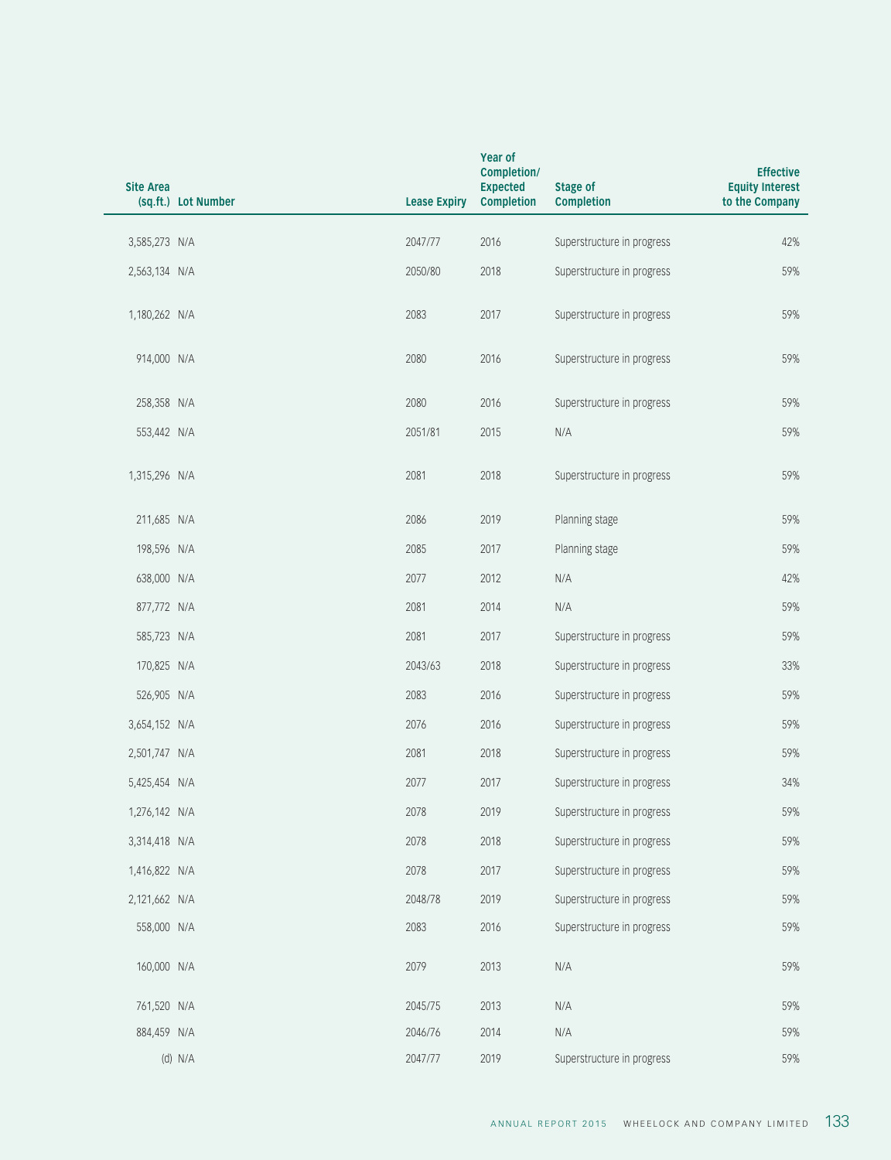| Site Area<br>(sq.ft.) Lot Number |         | Year of<br>Completion/<br>Expected<br><b>Lease Expiry Completion</b> | <b>Stage of</b><br>Completion | <b>Effective</b><br><b>Equity Interest</b><br>to the Company |
|----------------------------------|---------|----------------------------------------------------------------------|-------------------------------|--------------------------------------------------------------|
| 3,585,273 N/A                    | 2047/77 | 2016                                                                 | Superstructure in progress    | 42%                                                          |
| 2,563,134 N/A                    | 2050/80 | 2018                                                                 | Superstructure in progress    | 59%                                                          |
| 1,180,262 N/A                    | 2083    | 2017                                                                 | Superstructure in progress    | 59%                                                          |
| 914,000 N/A                      | 2080    | 2016                                                                 | Superstructure in progress    | 59%                                                          |
| 258,358 N/A                      | 2080    | 2016                                                                 | Superstructure in progress    | 59%                                                          |
| 553,442 N/A                      | 2051/81 | 2015                                                                 | N/A                           | 59%                                                          |
| 1,315,296 N/A                    | 2081    | 2018                                                                 | Superstructure in progress    | 59%                                                          |
| 211,685 N/A                      | 2086    | 2019                                                                 | Planning stage                | 59%                                                          |
| 198,596 N/A                      | 2085    | 2017                                                                 | Planning stage                | 59%                                                          |
| 638,000 N/A                      | 2077    | 2012                                                                 | N/A                           | 42%                                                          |
| 877,772 N/A                      | 2081    | 2014                                                                 | N/A                           | 59%                                                          |
| 585,723 N/A                      | 2081    | 2017                                                                 | Superstructure in progress    | 59%                                                          |
| 170,825 N/A                      | 2043/63 | 2018                                                                 | Superstructure in progress    | 33%                                                          |
| 526,905 N/A                      | 2083    | 2016                                                                 | Superstructure in progress    | 59%                                                          |
| 3,654,152 N/A                    | 2076    | 2016                                                                 | Superstructure in progress    | 59%                                                          |
| 2,501,747 N/A                    | 2081    | 2018                                                                 | Superstructure in progress    | 59%                                                          |
| 5,425,454 N/A                    | 2077    | 2017                                                                 | Superstructure in progress    | 34%                                                          |
| 1,276,142 N/A                    | 2078    | 2019                                                                 | Superstructure in progress    | 59%                                                          |
| 3,314,418 N/A                    | 2078    | 2018                                                                 | Superstructure in progress    | 59%                                                          |
| 1,416,822 N/A                    | 2078    | 2017                                                                 | Superstructure in progress    | 59%                                                          |
| 2,121,662 N/A                    | 2048/78 | 2019                                                                 | Superstructure in progress    | 59%                                                          |
| 558,000 N/A                      | 2083    | 2016                                                                 | Superstructure in progress    | 59%                                                          |
| 160,000 N/A                      | 2079    | 2013                                                                 | N/A                           | 59%                                                          |
| 761,520 N/A                      | 2045/75 | 2013                                                                 | N/A                           | 59%                                                          |
| 884,459 N/A                      | 2046/76 | 2014                                                                 | N/A                           | 59%                                                          |
| (d) $N/A$                        | 2047/77 | 2019                                                                 | Superstructure in progress    | 59%                                                          |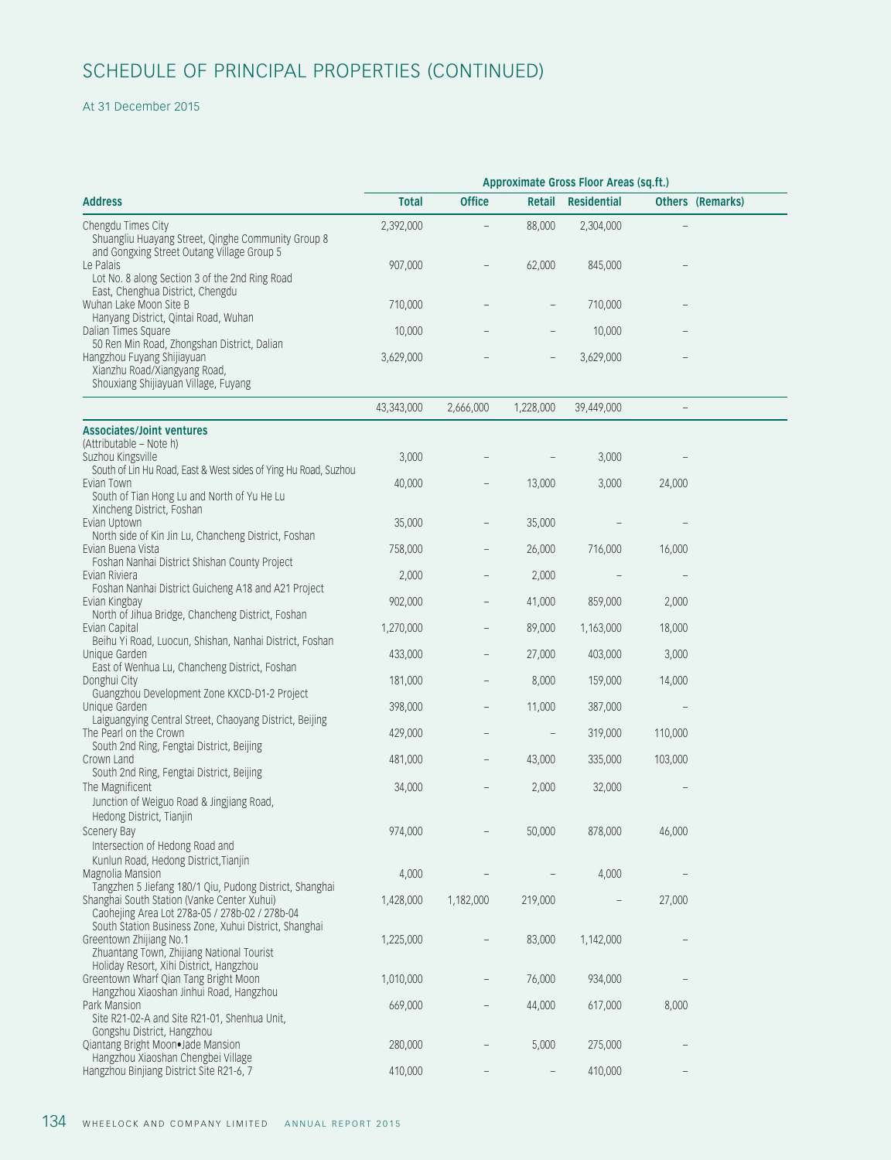### At 31 December 2015

|                                                                                                                                                          | Approximate Gross Floor Areas (sq.ft.) |                                                      |                 |                                     |                                            |  |  |  |
|----------------------------------------------------------------------------------------------------------------------------------------------------------|----------------------------------------|------------------------------------------------------|-----------------|-------------------------------------|--------------------------------------------|--|--|--|
| <b>Address</b>                                                                                                                                           | <b>Total</b>                           | <b>Office</b>                                        | Retail          | Residential                         | Others (Remarks)                           |  |  |  |
| Chengdu Times City<br>Shuangliu Huayang Street, Qinghe Community Group 8                                                                                 | 2,392,000                              |                                                      | 88,000          | 2,304,000                           | $\hspace{0.1mm}-\hspace{0.1mm}$            |  |  |  |
| and Gongxing Street Outang Village Group 5<br>Le Palais<br>Lot No. 8 along Section 3 of the 2nd Ring Road                                                | 907,000                                |                                                      | 62,000          | 845,000                             | $-$                                        |  |  |  |
| East, Chenghua District, Chengdu<br>Wuhan Lake Moon Site B<br>Hanyang District, Qintai Road, Wuhan                                                       | 710,000                                | $\overline{\phantom{m}}$                             |                 | 710,000                             | $-$                                        |  |  |  |
| Dalian Times Square<br>50 Ren Min Road, Zhongshan District, Dalian                                                                                       | 10,000                                 |                                                      |                 | 10,000                              | $-$                                        |  |  |  |
| Hangzhou Fuyang Shijiayuan<br>Xianzhu Road/Xiangyang Road,<br>Shouxiang Shijiayuan Village, Fuyang                                                       | 3,629,000                              | $\hspace{1.0cm} - \hspace{1.0cm}$                    | $-$             | 3,629,000                           | $\overline{\phantom{a}}$                   |  |  |  |
|                                                                                                                                                          | 43,343,000                             | 2,666,000                                            | 1,228,000       | 39,449,000                          | $\overline{\phantom{a}}$                   |  |  |  |
| <b>Associates/Joint ventures</b><br>(Attributable – Note h)<br>Suzhou Kingsville<br>South of Lin Hu Road, East & West sides of Ying Hu Road, Suzhou      | 3,000                                  |                                                      |                 | 3,000                               | $\hspace{0.1mm}-\hspace{0.1mm}$            |  |  |  |
| Evian Town<br>South of Tian Hong Lu and North of Yu He Lu<br>Xincheng District, Foshan                                                                   | 40,000                                 | $\overline{\phantom{m}}$                             | 13,000          | 3,000                               | 24,000                                     |  |  |  |
| Evian Uptown<br>North side of Kin Jin Lu, Chancheng District, Foshan                                                                                     | 35,000                                 | $\overline{\phantom{m}}$                             | 35,000          |                                     | $\hspace{0.1mm}-\hspace{0.1mm}$            |  |  |  |
| Evian Buena Vista<br>Foshan Nanhai District Shishan County Project                                                                                       | 758,000                                | $-$                                                  | 26,000<br>2,000 | 716,000                             | 16,000                                     |  |  |  |
| Evian Riviera<br>Foshan Nanhai District Guicheng A18 and A21 Project<br>Evian Kingbay                                                                    | 2,000<br>902,000                       | $\overline{\phantom{m}}$<br>$\overline{\phantom{m}}$ | 41,000          | $\overline{\phantom{a}}$<br>859,000 | $\hspace{0.1mm}$ $\hspace{0.1mm}$<br>2,000 |  |  |  |
| North of Jihua Bridge, Chancheng District, Foshan<br>Evian Capital                                                                                       | 1,270,000                              | $\hspace{0.1mm}-\hspace{0.1mm}$                      | 89,000          | 1,163,000                           | 18,000                                     |  |  |  |
| Beihu Yi Road, Luocun, Shishan, Nanhai District, Foshan<br>Unique Garden                                                                                 | 433,000                                | $\overline{\phantom{m}}$                             | 27,000          | 403,000                             | 3,000                                      |  |  |  |
| East of Wenhua Lu, Chancheng District, Foshan<br>Donghui City                                                                                            | 181,000                                | $\hspace{0.1mm}-\hspace{0.1mm}$                      | 8,000           | 159,000                             | 14,000                                     |  |  |  |
| Guangzhou Development Zone KXCD-D1-2 Project<br>Unique Garden                                                                                            | 398,000                                |                                                      | 11,000          | 387,000                             | $-$                                        |  |  |  |
| Laiguangying Central Street, Chaoyang District, Beijing<br>The Pearl on the Crown                                                                        | 429,000                                |                                                      |                 | 319,000                             | 110,000                                    |  |  |  |
| South 2nd Ring, Fengtai District, Beijing<br>Crown Land                                                                                                  | 481,000                                |                                                      | 43,000          | 335,000                             | 103,000                                    |  |  |  |
| South 2nd Ring, Fengtai District, Beijing<br>The Magnificent<br>Junction of Weiguo Road & Jingjiang Road,                                                | 34,000                                 |                                                      | 2,000           | 32,000                              | $\hspace{0.1mm}-\hspace{0.1mm}$            |  |  |  |
| Hedong District, Tianjin<br>Scenery Bay                                                                                                                  | 974,000                                | $-$                                                  | 50,000          | 878,000                             | 46,000                                     |  |  |  |
| Intersection of Hedong Road and<br>Kunlun Road, Hedong District, Tianjin<br>Magnolia Mansion                                                             | 4,000                                  |                                                      |                 | 4,000                               | $\hspace{0.1mm}-\hspace{0.1mm}$            |  |  |  |
| Tangzhen 5 Jiefang 180/1 Qiu, Pudong District, Shanghai<br>Shanghai South Station (Vanke Center Xuhui)<br>Caohejing Area Lot 278a-05 / 278b-02 / 278b-04 | 1,428,000                              | 1,182,000                                            | 219,000         | $\overline{\phantom{a}}$            | 27,000                                     |  |  |  |
| South Station Business Zone, Xuhui District, Shanghai<br>Greentown Zhijiang No.1<br>Zhuantang Town, Zhijiang National Tourist                            | 1,225,000                              | $-$                                                  | 83,000          | 1,142,000                           | $-$                                        |  |  |  |
| Holiday Resort, Xihi District, Hangzhou<br>Greentown Wharf Qian Tang Bright Moon                                                                         | 1,010,000                              | $ \,$                                                | 76,000          | 934,000                             | $\hspace{0.1mm}-\hspace{0.1mm}$            |  |  |  |
| Hangzhou Xiaoshan Jinhui Road, Hangzhou<br>Park Mansion<br>Site R21-02-A and Site R21-01, Shenhua Unit,                                                  | 669,000                                | $\overline{\phantom{m}}$                             | 44,000          | 617,000                             | 8,000                                      |  |  |  |
| Gongshu District, Hangzhou<br>Qiantang Bright Moon. Jade Mansion                                                                                         | 280,000                                | $-$                                                  | 5,000           | 275,000                             | $\overline{\phantom{a}}$                   |  |  |  |
| Hangzhou Xiaoshan Chengbei Village<br>Hangzhou Binjiang District Site R21-6, 7                                                                           | 410,000                                | $-$                                                  | $-$             | 410,000                             | $ \,$                                      |  |  |  |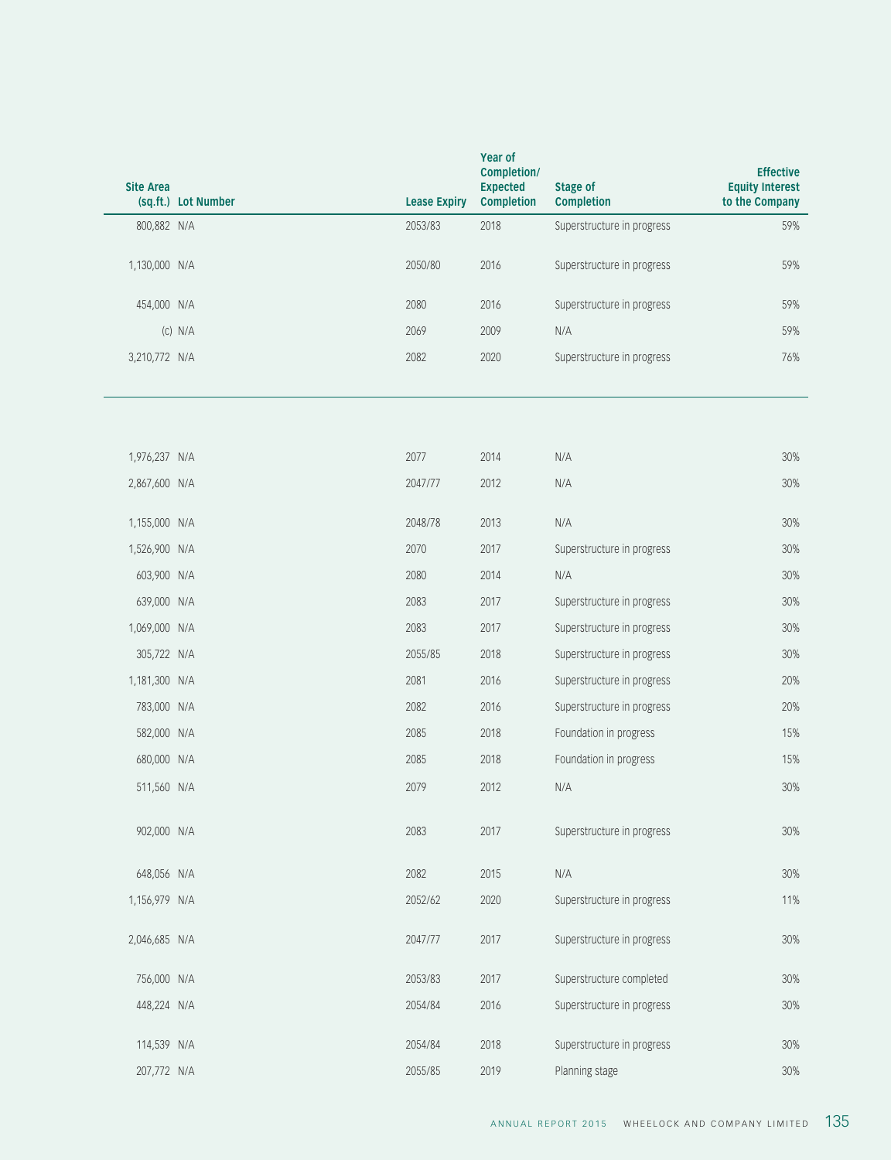| Effective<br><b>Equity Interest</b><br>to the Company | <b>Stage of</b><br>Completion | <b>Year of</b><br>Completion/<br>Expected<br><b>Completion</b> | <b>Lease Expiry</b> | Site Area<br>(sq.ft.) Lot Number |
|-------------------------------------------------------|-------------------------------|----------------------------------------------------------------|---------------------|----------------------------------|
| 59%                                                   | Superstructure in progress    | 2018                                                           | 2053/83             | 800,882 N/A                      |
| 59%                                                   | Superstructure in progress    | 2016                                                           | 2050/80             | 1,130,000 N/A                    |
| 59%                                                   | Superstructure in progress    | 2016                                                           | 2080                | 454,000 N/A                      |
| 59%                                                   | N/A                           | 2009                                                           | 2069                | $(C)$ N/A                        |
| 76%                                                   | Superstructure in progress    | 2020                                                           | 2082                | 3,210,772 N/A                    |
|                                                       |                               |                                                                |                     |                                  |
| 30%                                                   | N/A                           | 2014                                                           | 2077                | 1,976,237 N/A                    |
| 30%                                                   | N/A                           | 2012                                                           | 2047/77             | 2,867,600 N/A                    |
| 30%                                                   | N/A                           | 2013                                                           | 2048/78             | 1,155,000 N/A                    |
| 30%                                                   | Superstructure in progress    | 2017                                                           | 2070                | 1,526,900 N/A                    |
| 30%                                                   | N/A                           | 2014                                                           | 2080                | 603,900 N/A                      |
| 30%                                                   | Superstructure in progress    | 2017                                                           | 2083                | 639,000 N/A                      |
| 30%                                                   | Superstructure in progress    | 2017                                                           | 2083                | 1,069,000 N/A                    |
|                                                       | Superstructure in progress    | 2018                                                           | 2055/85             | 305,722 N/A                      |
| 30%<br>20%                                            | Superstructure in progress    | 2016                                                           | 2081                | 1,181,300 N/A                    |
| 20%                                                   | Superstructure in progress    | 2016                                                           | 2082                | 783,000 N/A                      |
|                                                       | Foundation in progress        | 2018                                                           | 2085                | 582,000 N/A                      |
| 15%<br>15%                                            | Foundation in progress        | 2018                                                           | 2085                | 680,000 N/A                      |
| 30%                                                   | N/A                           | 2012                                                           | 2079                | 511,560 N/A                      |
| 30%                                                   | Superstructure in progress    | 2017                                                           | 2083                | 902,000 N/A                      |
| 30%                                                   | N/A                           | 2015                                                           | 2082                | 648,056 N/A                      |
| 11%                                                   | Superstructure in progress    | 2020                                                           | 2052/62             | 1,156,979 N/A                    |
| 30%                                                   | Superstructure in progress    | 2017                                                           | 2047/77             | 2,046,685 N/A                    |
| 30%                                                   | Superstructure completed      | 2017                                                           | 2053/83             | 756,000 N/A                      |
| 30%                                                   | Superstructure in progress    | 2016                                                           | 2054/84             | 448,224 N/A                      |
| 30%                                                   | Superstructure in progress    | 2018                                                           | 2054/84             | 114,539 N/A                      |
| 30%                                                   | Planning stage                | 2019                                                           | 2055/85             | 207,772 N/A                      |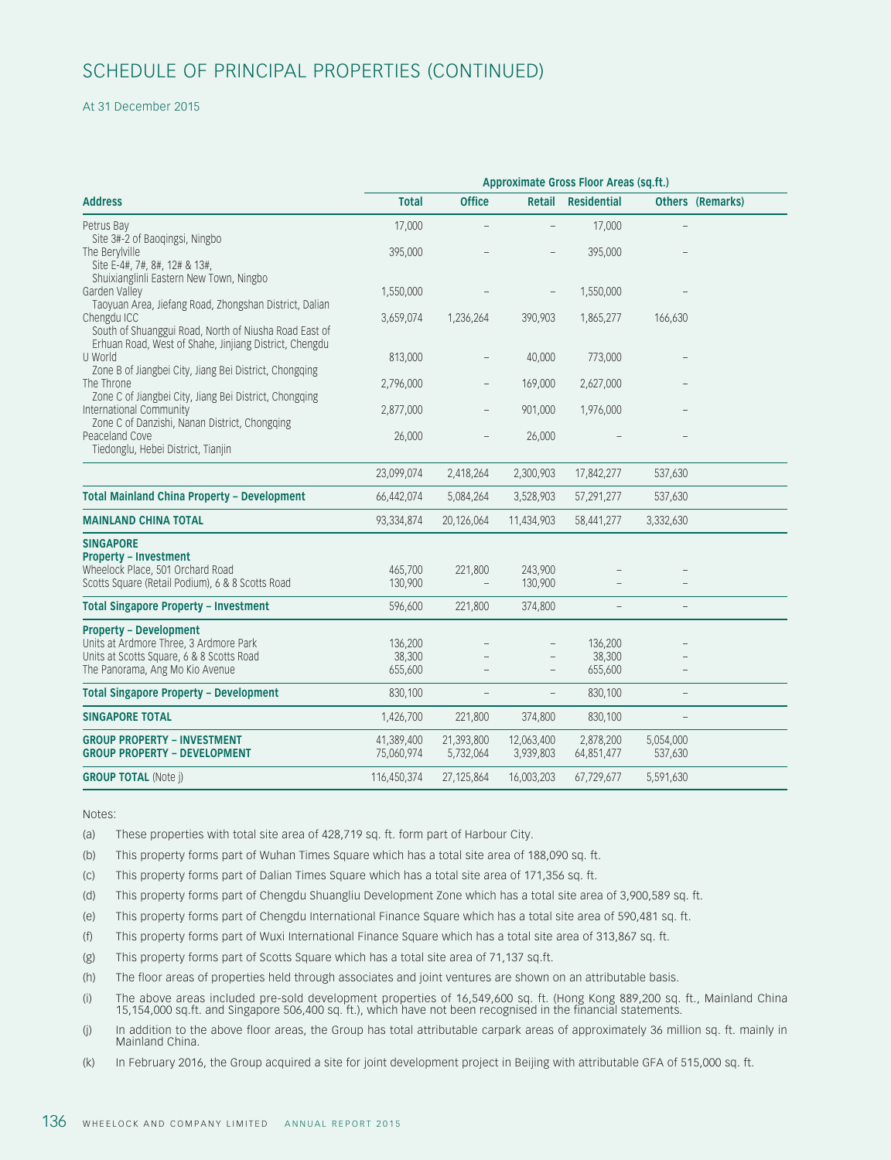#### At 31 December 2015

|                                                                                                                                                         | Approximate Gross Floor Areas (sq.ft.) |                          |                          |                              |                                 |  |  |  |
|---------------------------------------------------------------------------------------------------------------------------------------------------------|----------------------------------------|--------------------------|--------------------------|------------------------------|---------------------------------|--|--|--|
| <b>Address</b>                                                                                                                                          | <b>Total</b>                           | Office                   |                          | Retail Residential           | Others (Remarks)                |  |  |  |
| Petrus Bay<br>Site 3#-2 of Baoqingsi, Ningbo                                                                                                            | 17,000                                 |                          |                          | 17,000                       |                                 |  |  |  |
| The Berylville<br>Site E-4#, 7#, 8#, 12# & 13#,<br>Shuixianglinli Eastern New Town, Ningbo                                                              | 395,000                                |                          |                          | 395,000                      |                                 |  |  |  |
| Garden Valley<br>Taoyuan Area, Jiefang Road, Zhongshan District, Dalian                                                                                 | 1,550,000                              |                          |                          | 1,550,000                    | $\hspace{0.1mm}-\hspace{0.1mm}$ |  |  |  |
| Chengdu ICC<br>South of Shuanggui Road, North of Niusha Road East of<br>Erhuan Road, West of Shahe, Jinjiang District, Chengdu                          | 3,659,074                              | 1,236,264                | 390,903                  | 1,865,277                    | 166,630                         |  |  |  |
| U World<br>Zone B of Jiangbei City, Jiang Bei District, Chongqing                                                                                       | 813,000                                |                          | 40,000                   | 773,000                      | $-$                             |  |  |  |
| The Throne<br>Zone C of Jiangbei City, Jiang Bei District, Chongqing                                                                                    | 2,796,000                              | $\overline{\phantom{m}}$ | 169,000                  | 2,627,000                    | $\hspace{0.1mm}-\hspace{0.1mm}$ |  |  |  |
| International Community                                                                                                                                 | 2,877,000                              | $ \,$                    | 901,000                  | 1,976,000                    | $\hspace{0.1mm}-\hspace{0.1mm}$ |  |  |  |
| Zone C of Danzishi, Nanan District, Chongqing<br>Peaceland Cove<br>Tiedonglu, Hebei District, Tianjin                                                   | 26,000                                 |                          | 26,000                   |                              |                                 |  |  |  |
|                                                                                                                                                         | 23,099,074                             | 2,418,264                | 2,300,903                | 17,842,277                   | 537,630                         |  |  |  |
| <b>Total Mainland China Property - Development</b>                                                                                                      | 66,442,074                             | 5,084,264                | 3,528,903                | 57,291,277                   | 537,630                         |  |  |  |
| <b>MAINLAND CHINA TOTAL</b>                                                                                                                             | 93,334,874                             | 20,126,064               | 11,434,903               | 58,441,277                   | 3,332,630                       |  |  |  |
| <b>SINGAPORE</b><br><b>Property - Investment</b><br>Wheelock Place, 501 Orchard Road<br>Scotts Square (Retail Podium), 6 & 8 Scotts Road                | 465,700<br>130,900                     | 221,800                  | 243,900<br>130,900       |                              |                                 |  |  |  |
| <b>Total Singapore Property - Investment</b>                                                                                                            | 596,600                                | 221,800                  | 374,800                  | $\overline{\phantom{m}}$     |                                 |  |  |  |
| <b>Property - Development</b><br>Units at Ardmore Three, 3 Ardmore Park<br>Units at Scotts Square, 6 & 8 Scotts Road<br>The Panorama, Ang Mo Kio Avenue | 136,200<br>38,300<br>655,600           | $\overline{\phantom{m}}$ | $\overline{\phantom{a}}$ | 136,200<br>38,300<br>655,600 | $\hspace{0.1mm}-\hspace{0.1mm}$ |  |  |  |
| <b>Total Singapore Property - Development</b>                                                                                                           | 830,100                                | $-$                      |                          | 830,100                      | $ \,$                           |  |  |  |
| <b>SINGAPORE TOTAL</b>                                                                                                                                  | 1,426,700                              | 221,800                  | 374,800                  | 830,100                      | $\hspace{0.1mm}-\hspace{0.1mm}$ |  |  |  |
| <b>GROUP PROPERTY - INVESTMENT</b><br><b>GROUP PROPERTY - DEVELOPMENT</b>                                                                               | 41,389,400<br>75,060,974               | 21,393,800<br>5,732,064  | 12,063,400<br>3,939,803  | 2,878,200<br>64,851,477      | 5,054,000<br>537,630            |  |  |  |
| <b>GROUP TOTAL (Note j)</b>                                                                                                                             | 116,450,374                            | 27,125,864               | 16,003,203               | 67,729,677                   | 5,591,630                       |  |  |  |

Notes:

(a) These properties with total site area of 428,719 sq. ft. form part of Harbour City.

- (b) This property forms part of Wuhan Times Square which has a total site area of 188,090 sq. ft.
- (c) This property forms part of Dalian Times Square which has a total site area of 171,356 sq. ft.
- (d) This property forms part of Chengdu Shuangliu Development Zone which has a total site area of 3,900,589 sq. ft.
- (e) This property forms part of Chengdu International Finance Square which has a total site area of 590,481 sq. ft.
- (f) This property forms part of Wuxi International Finance Square which has a total site area of 313,867 sq. ft.
- (g) This property forms part of Scotts Square which has a total site area of 71,137 sq.ft.
- (h) The floor areas of properties held through associates and joint ventures are shown on an attributable basis.
- (i) The above areas included pre-sold development properties of 16,549,600 sq. ft. (Hong Kong 889,200 sq. ft., Mainland China 15,154,000 sq.ft. and Singapore 506,400 sq. ft.), which have not been recognised in the financial statements.
- (j) In addition to the above floor areas, the Group has total attributable carpark areas of approximately 36 million sq. ft. mainly in Mainland China.
- (k) In February 2016, the Group acquired a site for joint development project in Beijing with attributable GFA of 515,000 sq. ft.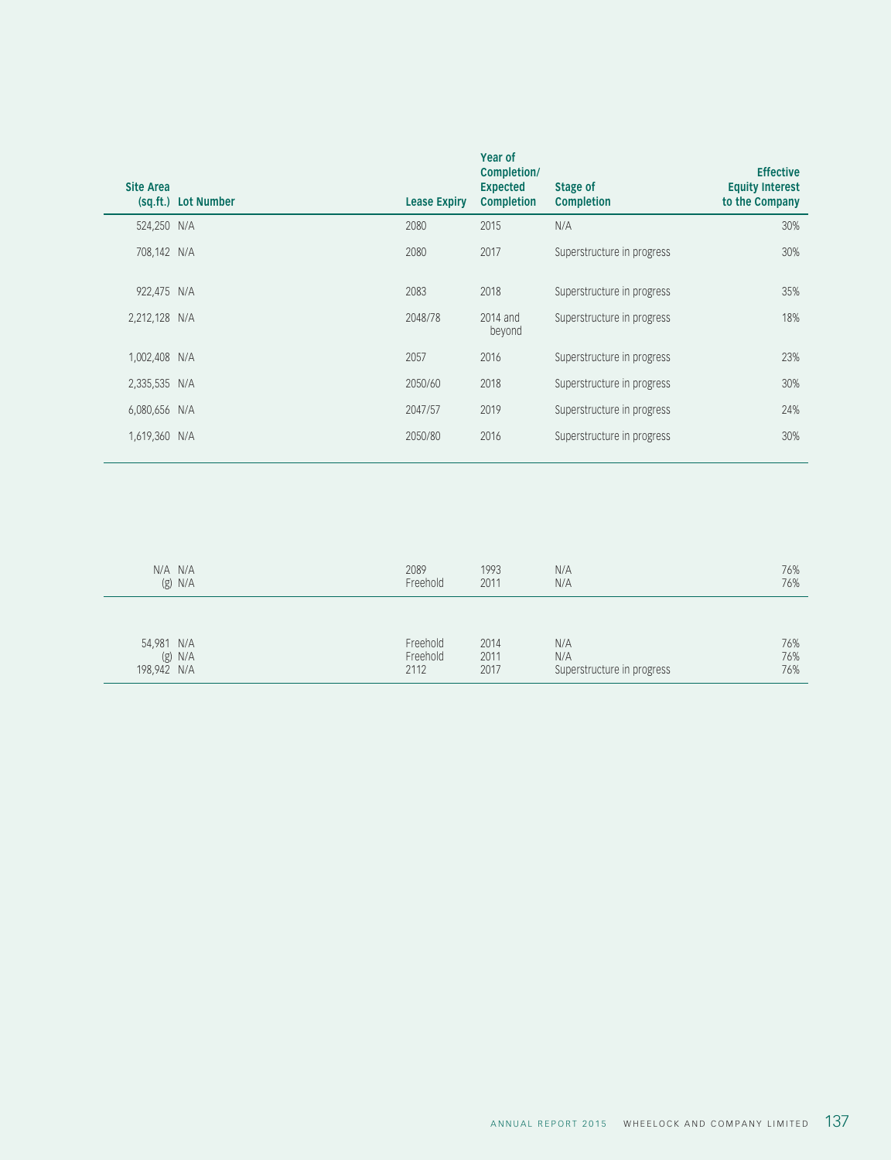| <b>Site Area</b><br>(sq.ft.) Lot Number | <b>Lease Expiry</b> | Year of<br>Completion/<br><b>Expected</b><br><b>Completion</b> | Stage of<br><b>Completion</b> | <b>Effective</b><br><b>Equity Interest</b><br>to the Company |
|-----------------------------------------|---------------------|----------------------------------------------------------------|-------------------------------|--------------------------------------------------------------|
| 524,250 N/A                             | 2080                | 2015                                                           | N/A                           | 30%                                                          |
| 708,142 N/A                             | 2080                | 2017                                                           | Superstructure in progress    | 30%                                                          |
| 922,475 N/A                             | 2083                | 2018                                                           | Superstructure in progress    | 35%                                                          |
| 2,212,128 N/A                           | 2048/78             | 2014 and<br>beyond                                             | Superstructure in progress    | 18%                                                          |
| 1,002,408 N/A                           | 2057                | 2016                                                           | Superstructure in progress    | 23%                                                          |
| 2,335,535 N/A                           | 2050/60             | 2018                                                           | Superstructure in progress    | 30%                                                          |
| 6,080,656 N/A                           | 2047/57             | 2019                                                           | Superstructure in progress    | 24%                                                          |
| 1,619,360 N/A                           | 2050/80             | 2016                                                           | Superstructure in progress    | 30%                                                          |
|                                         |                     |                                                                |                               |                                                              |

| N/A N/A<br>$(g)$ N/A                   | 2089<br>Freehold             | 1993<br>2011         | N/A<br>N/A                               | 76%<br>76%        |
|----------------------------------------|------------------------------|----------------------|------------------------------------------|-------------------|
| 54,981 N/A<br>$(g)$ N/A<br>198,942 N/A | Freehold<br>Freehold<br>2112 | 2014<br>2011<br>2017 | N/A<br>N/A<br>Superstructure in progress | 76%<br>76%<br>76% |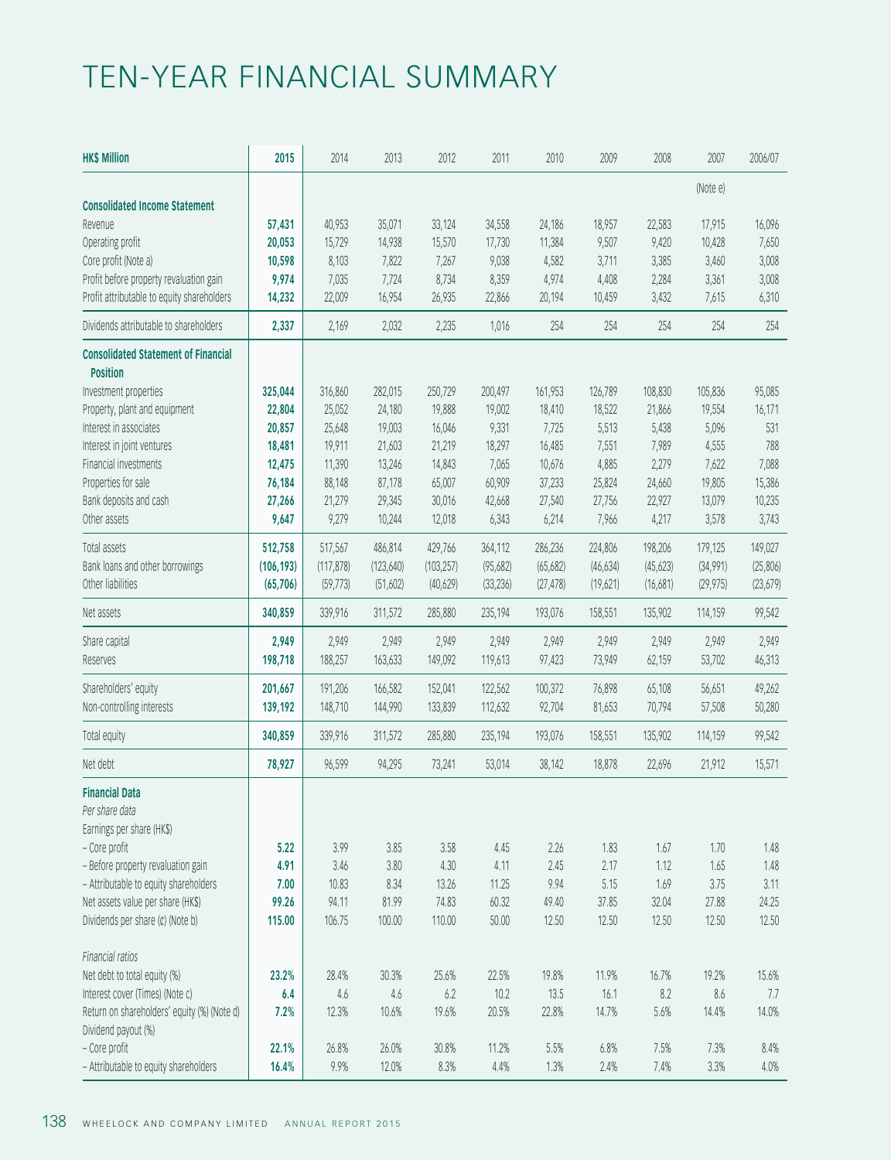# TEN-YEAR FINANCIAL SUMMARY

| (Note e)<br>40,953<br>35,071<br>33,124<br>34,558<br>24,186<br>18,957<br>16,096<br>Revenue<br>57,431<br>22,583<br>17,915<br>9,507<br>Operating profit<br>20,053<br>15,729<br>14,938<br>15,570<br>17,730<br>11,384<br>9,420<br>10,428<br>7,650<br>Core profit (Note a)<br>8,103<br>9,038<br>3,385<br>10,598<br>7,822<br>7,267<br>4,582<br>3,711<br>3,460<br>3,008<br>Profit before property revaluation gain<br>9,974<br>8,359<br>7,035<br>7,724<br>8,734<br>4,974<br>4,408<br>2,284<br>3,361<br>3,008<br>14,232<br>22,009<br>26,935<br>22,866<br>20,194<br>10,459<br>3,432<br>16,954<br>7,615<br>6,310<br>2,337<br>2,169<br>2,032<br>2,235<br>1,016<br>254<br>254<br>254<br>254<br>254<br><b>Position</b><br>325,044<br>316,860<br>282,015<br>250,729<br>200,497<br>161,953<br>126,789<br>108,830<br>105,836<br>95,085<br>22,804<br>25,052<br>24,180<br>19,888<br>19,002<br>18,410<br>18,522<br>21,866<br>19,554<br>16,171<br>9,331<br>20,857<br>25,648<br>19,003<br>16,046<br>7,725<br>5,513<br>5,438<br>5,096<br>531<br>19,911<br>21,603<br>21,219<br>18,297<br>16,485<br>7,551<br>7,989<br>4,555<br>788<br>18,481<br>14,843<br>7,065<br>4,885<br>2,279<br>12,475<br>11,390<br>13,246<br>10,676<br>7,622<br>7,088<br>Properties for sale<br>65,007<br>60,909<br>37,233<br>25,824<br>19,805<br>76,184<br>88,148<br>87,178<br>24,660<br>15,386<br>Bank deposits and cash<br>29,345<br>30,016<br>27,756<br>22,927<br>27,266<br>21,279<br>42,668<br>27,540<br>13,079<br>10,235<br>9,279<br>Other assets<br>9,647<br>10,244<br>12,018<br>6,343<br>6,214<br>7,966<br>4,217<br>3,578<br>3,743<br>512,758<br>517,567<br>486,814<br>429,766<br>364,112<br>286,236<br>224,806<br>198,206<br>179,125<br>149,027<br>(117, 878)<br>(103, 257)<br>(95,682)<br>(46, 634)<br>(45, 623)<br>(34,991)<br>(25,806)<br>(106, 193)<br>(123, 640)<br>(65,682)<br>(33, 236)<br>(23, 679)<br>(65, 706)<br>(59, 773)<br>(51,602)<br>(40,629)<br>(27, 478)<br>(19,621)<br>(16,681)<br>(29, 975)<br>340,859<br>339,916<br>311,572<br>285,880<br>235,194<br>193,076<br>158,551<br>135,902<br>114,159<br>99,542<br>2,949<br>2,949<br>2,949<br>2,949<br>2,949<br>2,949<br>2,949<br>2,949<br>2,949<br>2,949<br>149,092<br>198,718<br>188,257<br>163,633<br>119,613<br>97,423<br>73,949<br>62,159<br>53,702<br>46,313<br>Shareholders' equity<br>201,667<br>191,206<br>166,582<br>152,041<br>122,562<br>100,372<br>76,898<br>65,108<br>49,262<br>56,651<br>144,990<br>133,839<br>112,632<br>92,704<br>81,653<br>50,280<br>139,192<br>148,710<br>70,794<br>57,508<br>340,859<br>339,916<br>311,572<br>285,880<br>235,194<br>193,076<br>158,551<br>135,902<br>99,542<br>114,159<br>78,927<br>96,599<br>94,295<br>73,241<br>53,014<br>18,878<br>38,142<br>22,696<br>21,912<br>15,571<br>Earnings per share (HK\$)<br>5.22<br>3.99<br>3.85<br>3.58<br>2.26<br>1.83<br>1.67<br>4.45<br>1.70<br>1.48<br>4.91<br>3.46<br>3.80<br>4.30<br>4.11<br>2.45<br>2.17<br>1.12<br>1.65<br>1.48<br>10.83<br>8.34<br>13.26<br>11.25<br>9.94<br>5.15<br>1.69<br>3.75<br>3.11<br>7.00 | <b>HK\$ Million</b>                         | 2015 | 2014 | 2013 | 2012 | 2011 | 2010 | 2009 | 2008 | 2007 | 2006/07 |
|-----------------------------------------------------------------------------------------------------------------------------------------------------------------------------------------------------------------------------------------------------------------------------------------------------------------------------------------------------------------------------------------------------------------------------------------------------------------------------------------------------------------------------------------------------------------------------------------------------------------------------------------------------------------------------------------------------------------------------------------------------------------------------------------------------------------------------------------------------------------------------------------------------------------------------------------------------------------------------------------------------------------------------------------------------------------------------------------------------------------------------------------------------------------------------------------------------------------------------------------------------------------------------------------------------------------------------------------------------------------------------------------------------------------------------------------------------------------------------------------------------------------------------------------------------------------------------------------------------------------------------------------------------------------------------------------------------------------------------------------------------------------------------------------------------------------------------------------------------------------------------------------------------------------------------------------------------------------------------------------------------------------------------------------------------------------------------------------------------------------------------------------------------------------------------------------------------------------------------------------------------------------------------------------------------------------------------------------------------------------------------------------------------------------------------------------------------------------------------------------------------------------------------------------------------------------------------------------------------------------------------------------------------------------------------------------------------------------------------------------------------------------------------------------------------------------------------------------------------------------------------------------------------------------------------------------------------------------------------------------------------------------------------------|---------------------------------------------|------|------|------|------|------|------|------|------|------|---------|
|                                                                                                                                                                                                                                                                                                                                                                                                                                                                                                                                                                                                                                                                                                                                                                                                                                                                                                                                                                                                                                                                                                                                                                                                                                                                                                                                                                                                                                                                                                                                                                                                                                                                                                                                                                                                                                                                                                                                                                                                                                                                                                                                                                                                                                                                                                                                                                                                                                                                                                                                                                                                                                                                                                                                                                                                                                                                                                                                                                                                                                   | <b>Consolidated Income Statement</b>        |      |      |      |      |      |      |      |      |      |         |
|                                                                                                                                                                                                                                                                                                                                                                                                                                                                                                                                                                                                                                                                                                                                                                                                                                                                                                                                                                                                                                                                                                                                                                                                                                                                                                                                                                                                                                                                                                                                                                                                                                                                                                                                                                                                                                                                                                                                                                                                                                                                                                                                                                                                                                                                                                                                                                                                                                                                                                                                                                                                                                                                                                                                                                                                                                                                                                                                                                                                                                   |                                             |      |      |      |      |      |      |      |      |      |         |
|                                                                                                                                                                                                                                                                                                                                                                                                                                                                                                                                                                                                                                                                                                                                                                                                                                                                                                                                                                                                                                                                                                                                                                                                                                                                                                                                                                                                                                                                                                                                                                                                                                                                                                                                                                                                                                                                                                                                                                                                                                                                                                                                                                                                                                                                                                                                                                                                                                                                                                                                                                                                                                                                                                                                                                                                                                                                                                                                                                                                                                   |                                             |      |      |      |      |      |      |      |      |      |         |
|                                                                                                                                                                                                                                                                                                                                                                                                                                                                                                                                                                                                                                                                                                                                                                                                                                                                                                                                                                                                                                                                                                                                                                                                                                                                                                                                                                                                                                                                                                                                                                                                                                                                                                                                                                                                                                                                                                                                                                                                                                                                                                                                                                                                                                                                                                                                                                                                                                                                                                                                                                                                                                                                                                                                                                                                                                                                                                                                                                                                                                   |                                             |      |      |      |      |      |      |      |      |      |         |
|                                                                                                                                                                                                                                                                                                                                                                                                                                                                                                                                                                                                                                                                                                                                                                                                                                                                                                                                                                                                                                                                                                                                                                                                                                                                                                                                                                                                                                                                                                                                                                                                                                                                                                                                                                                                                                                                                                                                                                                                                                                                                                                                                                                                                                                                                                                                                                                                                                                                                                                                                                                                                                                                                                                                                                                                                                                                                                                                                                                                                                   | Profit attributable to equity shareholders  |      |      |      |      |      |      |      |      |      |         |
|                                                                                                                                                                                                                                                                                                                                                                                                                                                                                                                                                                                                                                                                                                                                                                                                                                                                                                                                                                                                                                                                                                                                                                                                                                                                                                                                                                                                                                                                                                                                                                                                                                                                                                                                                                                                                                                                                                                                                                                                                                                                                                                                                                                                                                                                                                                                                                                                                                                                                                                                                                                                                                                                                                                                                                                                                                                                                                                                                                                                                                   | Dividends attributable to shareholders      |      |      |      |      |      |      |      |      |      |         |
|                                                                                                                                                                                                                                                                                                                                                                                                                                                                                                                                                                                                                                                                                                                                                                                                                                                                                                                                                                                                                                                                                                                                                                                                                                                                                                                                                                                                                                                                                                                                                                                                                                                                                                                                                                                                                                                                                                                                                                                                                                                                                                                                                                                                                                                                                                                                                                                                                                                                                                                                                                                                                                                                                                                                                                                                                                                                                                                                                                                                                                   | <b>Consolidated Statement of Financial</b>  |      |      |      |      |      |      |      |      |      |         |
|                                                                                                                                                                                                                                                                                                                                                                                                                                                                                                                                                                                                                                                                                                                                                                                                                                                                                                                                                                                                                                                                                                                                                                                                                                                                                                                                                                                                                                                                                                                                                                                                                                                                                                                                                                                                                                                                                                                                                                                                                                                                                                                                                                                                                                                                                                                                                                                                                                                                                                                                                                                                                                                                                                                                                                                                                                                                                                                                                                                                                                   | Investment properties                       |      |      |      |      |      |      |      |      |      |         |
|                                                                                                                                                                                                                                                                                                                                                                                                                                                                                                                                                                                                                                                                                                                                                                                                                                                                                                                                                                                                                                                                                                                                                                                                                                                                                                                                                                                                                                                                                                                                                                                                                                                                                                                                                                                                                                                                                                                                                                                                                                                                                                                                                                                                                                                                                                                                                                                                                                                                                                                                                                                                                                                                                                                                                                                                                                                                                                                                                                                                                                   | Property, plant and equipment               |      |      |      |      |      |      |      |      |      |         |
|                                                                                                                                                                                                                                                                                                                                                                                                                                                                                                                                                                                                                                                                                                                                                                                                                                                                                                                                                                                                                                                                                                                                                                                                                                                                                                                                                                                                                                                                                                                                                                                                                                                                                                                                                                                                                                                                                                                                                                                                                                                                                                                                                                                                                                                                                                                                                                                                                                                                                                                                                                                                                                                                                                                                                                                                                                                                                                                                                                                                                                   | Interest in associates                      |      |      |      |      |      |      |      |      |      |         |
|                                                                                                                                                                                                                                                                                                                                                                                                                                                                                                                                                                                                                                                                                                                                                                                                                                                                                                                                                                                                                                                                                                                                                                                                                                                                                                                                                                                                                                                                                                                                                                                                                                                                                                                                                                                                                                                                                                                                                                                                                                                                                                                                                                                                                                                                                                                                                                                                                                                                                                                                                                                                                                                                                                                                                                                                                                                                                                                                                                                                                                   | Interest in joint ventures                  |      |      |      |      |      |      |      |      |      |         |
|                                                                                                                                                                                                                                                                                                                                                                                                                                                                                                                                                                                                                                                                                                                                                                                                                                                                                                                                                                                                                                                                                                                                                                                                                                                                                                                                                                                                                                                                                                                                                                                                                                                                                                                                                                                                                                                                                                                                                                                                                                                                                                                                                                                                                                                                                                                                                                                                                                                                                                                                                                                                                                                                                                                                                                                                                                                                                                                                                                                                                                   | Financial investments                       |      |      |      |      |      |      |      |      |      |         |
|                                                                                                                                                                                                                                                                                                                                                                                                                                                                                                                                                                                                                                                                                                                                                                                                                                                                                                                                                                                                                                                                                                                                                                                                                                                                                                                                                                                                                                                                                                                                                                                                                                                                                                                                                                                                                                                                                                                                                                                                                                                                                                                                                                                                                                                                                                                                                                                                                                                                                                                                                                                                                                                                                                                                                                                                                                                                                                                                                                                                                                   |                                             |      |      |      |      |      |      |      |      |      |         |
|                                                                                                                                                                                                                                                                                                                                                                                                                                                                                                                                                                                                                                                                                                                                                                                                                                                                                                                                                                                                                                                                                                                                                                                                                                                                                                                                                                                                                                                                                                                                                                                                                                                                                                                                                                                                                                                                                                                                                                                                                                                                                                                                                                                                                                                                                                                                                                                                                                                                                                                                                                                                                                                                                                                                                                                                                                                                                                                                                                                                                                   |                                             |      |      |      |      |      |      |      |      |      |         |
|                                                                                                                                                                                                                                                                                                                                                                                                                                                                                                                                                                                                                                                                                                                                                                                                                                                                                                                                                                                                                                                                                                                                                                                                                                                                                                                                                                                                                                                                                                                                                                                                                                                                                                                                                                                                                                                                                                                                                                                                                                                                                                                                                                                                                                                                                                                                                                                                                                                                                                                                                                                                                                                                                                                                                                                                                                                                                                                                                                                                                                   |                                             |      |      |      |      |      |      |      |      |      |         |
|                                                                                                                                                                                                                                                                                                                                                                                                                                                                                                                                                                                                                                                                                                                                                                                                                                                                                                                                                                                                                                                                                                                                                                                                                                                                                                                                                                                                                                                                                                                                                                                                                                                                                                                                                                                                                                                                                                                                                                                                                                                                                                                                                                                                                                                                                                                                                                                                                                                                                                                                                                                                                                                                                                                                                                                                                                                                                                                                                                                                                                   | Total assets                                |      |      |      |      |      |      |      |      |      |         |
|                                                                                                                                                                                                                                                                                                                                                                                                                                                                                                                                                                                                                                                                                                                                                                                                                                                                                                                                                                                                                                                                                                                                                                                                                                                                                                                                                                                                                                                                                                                                                                                                                                                                                                                                                                                                                                                                                                                                                                                                                                                                                                                                                                                                                                                                                                                                                                                                                                                                                                                                                                                                                                                                                                                                                                                                                                                                                                                                                                                                                                   | Bank loans and other borrowings             |      |      |      |      |      |      |      |      |      |         |
|                                                                                                                                                                                                                                                                                                                                                                                                                                                                                                                                                                                                                                                                                                                                                                                                                                                                                                                                                                                                                                                                                                                                                                                                                                                                                                                                                                                                                                                                                                                                                                                                                                                                                                                                                                                                                                                                                                                                                                                                                                                                                                                                                                                                                                                                                                                                                                                                                                                                                                                                                                                                                                                                                                                                                                                                                                                                                                                                                                                                                                   | Other liabilities                           |      |      |      |      |      |      |      |      |      |         |
|                                                                                                                                                                                                                                                                                                                                                                                                                                                                                                                                                                                                                                                                                                                                                                                                                                                                                                                                                                                                                                                                                                                                                                                                                                                                                                                                                                                                                                                                                                                                                                                                                                                                                                                                                                                                                                                                                                                                                                                                                                                                                                                                                                                                                                                                                                                                                                                                                                                                                                                                                                                                                                                                                                                                                                                                                                                                                                                                                                                                                                   | Net assets                                  |      |      |      |      |      |      |      |      |      |         |
|                                                                                                                                                                                                                                                                                                                                                                                                                                                                                                                                                                                                                                                                                                                                                                                                                                                                                                                                                                                                                                                                                                                                                                                                                                                                                                                                                                                                                                                                                                                                                                                                                                                                                                                                                                                                                                                                                                                                                                                                                                                                                                                                                                                                                                                                                                                                                                                                                                                                                                                                                                                                                                                                                                                                                                                                                                                                                                                                                                                                                                   | Share capital                               |      |      |      |      |      |      |      |      |      |         |
|                                                                                                                                                                                                                                                                                                                                                                                                                                                                                                                                                                                                                                                                                                                                                                                                                                                                                                                                                                                                                                                                                                                                                                                                                                                                                                                                                                                                                                                                                                                                                                                                                                                                                                                                                                                                                                                                                                                                                                                                                                                                                                                                                                                                                                                                                                                                                                                                                                                                                                                                                                                                                                                                                                                                                                                                                                                                                                                                                                                                                                   | Reserves                                    |      |      |      |      |      |      |      |      |      |         |
|                                                                                                                                                                                                                                                                                                                                                                                                                                                                                                                                                                                                                                                                                                                                                                                                                                                                                                                                                                                                                                                                                                                                                                                                                                                                                                                                                                                                                                                                                                                                                                                                                                                                                                                                                                                                                                                                                                                                                                                                                                                                                                                                                                                                                                                                                                                                                                                                                                                                                                                                                                                                                                                                                                                                                                                                                                                                                                                                                                                                                                   |                                             |      |      |      |      |      |      |      |      |      |         |
|                                                                                                                                                                                                                                                                                                                                                                                                                                                                                                                                                                                                                                                                                                                                                                                                                                                                                                                                                                                                                                                                                                                                                                                                                                                                                                                                                                                                                                                                                                                                                                                                                                                                                                                                                                                                                                                                                                                                                                                                                                                                                                                                                                                                                                                                                                                                                                                                                                                                                                                                                                                                                                                                                                                                                                                                                                                                                                                                                                                                                                   | Non-controlling interests                   |      |      |      |      |      |      |      |      |      |         |
|                                                                                                                                                                                                                                                                                                                                                                                                                                                                                                                                                                                                                                                                                                                                                                                                                                                                                                                                                                                                                                                                                                                                                                                                                                                                                                                                                                                                                                                                                                                                                                                                                                                                                                                                                                                                                                                                                                                                                                                                                                                                                                                                                                                                                                                                                                                                                                                                                                                                                                                                                                                                                                                                                                                                                                                                                                                                                                                                                                                                                                   | Total equity                                |      |      |      |      |      |      |      |      |      |         |
|                                                                                                                                                                                                                                                                                                                                                                                                                                                                                                                                                                                                                                                                                                                                                                                                                                                                                                                                                                                                                                                                                                                                                                                                                                                                                                                                                                                                                                                                                                                                                                                                                                                                                                                                                                                                                                                                                                                                                                                                                                                                                                                                                                                                                                                                                                                                                                                                                                                                                                                                                                                                                                                                                                                                                                                                                                                                                                                                                                                                                                   | Net debt                                    |      |      |      |      |      |      |      |      |      |         |
|                                                                                                                                                                                                                                                                                                                                                                                                                                                                                                                                                                                                                                                                                                                                                                                                                                                                                                                                                                                                                                                                                                                                                                                                                                                                                                                                                                                                                                                                                                                                                                                                                                                                                                                                                                                                                                                                                                                                                                                                                                                                                                                                                                                                                                                                                                                                                                                                                                                                                                                                                                                                                                                                                                                                                                                                                                                                                                                                                                                                                                   | <b>Financial Data</b><br>Per share data     |      |      |      |      |      |      |      |      |      |         |
|                                                                                                                                                                                                                                                                                                                                                                                                                                                                                                                                                                                                                                                                                                                                                                                                                                                                                                                                                                                                                                                                                                                                                                                                                                                                                                                                                                                                                                                                                                                                                                                                                                                                                                                                                                                                                                                                                                                                                                                                                                                                                                                                                                                                                                                                                                                                                                                                                                                                                                                                                                                                                                                                                                                                                                                                                                                                                                                                                                                                                                   | - Core profit                               |      |      |      |      |      |      |      |      |      |         |
|                                                                                                                                                                                                                                                                                                                                                                                                                                                                                                                                                                                                                                                                                                                                                                                                                                                                                                                                                                                                                                                                                                                                                                                                                                                                                                                                                                                                                                                                                                                                                                                                                                                                                                                                                                                                                                                                                                                                                                                                                                                                                                                                                                                                                                                                                                                                                                                                                                                                                                                                                                                                                                                                                                                                                                                                                                                                                                                                                                                                                                   | - Before property revaluation gain          |      |      |      |      |      |      |      |      |      |         |
|                                                                                                                                                                                                                                                                                                                                                                                                                                                                                                                                                                                                                                                                                                                                                                                                                                                                                                                                                                                                                                                                                                                                                                                                                                                                                                                                                                                                                                                                                                                                                                                                                                                                                                                                                                                                                                                                                                                                                                                                                                                                                                                                                                                                                                                                                                                                                                                                                                                                                                                                                                                                                                                                                                                                                                                                                                                                                                                                                                                                                                   | - Attributable to equity shareholders       |      |      |      |      |      |      |      |      |      |         |
| 99.26<br>94.11<br>74.83<br>60.32<br>37.85<br>32.04<br>27.88<br>81.99<br>49.40<br>24.25                                                                                                                                                                                                                                                                                                                                                                                                                                                                                                                                                                                                                                                                                                                                                                                                                                                                                                                                                                                                                                                                                                                                                                                                                                                                                                                                                                                                                                                                                                                                                                                                                                                                                                                                                                                                                                                                                                                                                                                                                                                                                                                                                                                                                                                                                                                                                                                                                                                                                                                                                                                                                                                                                                                                                                                                                                                                                                                                            | Net assets value per share (HK\$)           |      |      |      |      |      |      |      |      |      |         |
| 106.75<br>50.00<br>100.00<br>110.00<br>12.50<br>12.50<br>12.50<br>12.50<br>12.50<br>115.00                                                                                                                                                                                                                                                                                                                                                                                                                                                                                                                                                                                                                                                                                                                                                                                                                                                                                                                                                                                                                                                                                                                                                                                                                                                                                                                                                                                                                                                                                                                                                                                                                                                                                                                                                                                                                                                                                                                                                                                                                                                                                                                                                                                                                                                                                                                                                                                                                                                                                                                                                                                                                                                                                                                                                                                                                                                                                                                                        | Dividends per share (c) (Note b)            |      |      |      |      |      |      |      |      |      |         |
|                                                                                                                                                                                                                                                                                                                                                                                                                                                                                                                                                                                                                                                                                                                                                                                                                                                                                                                                                                                                                                                                                                                                                                                                                                                                                                                                                                                                                                                                                                                                                                                                                                                                                                                                                                                                                                                                                                                                                                                                                                                                                                                                                                                                                                                                                                                                                                                                                                                                                                                                                                                                                                                                                                                                                                                                                                                                                                                                                                                                                                   | Financial ratios                            |      |      |      |      |      |      |      |      |      |         |
| 23.2%<br>28.4%<br>30.3%<br>25.6%<br>22.5%<br>19.8%<br>11.9%<br>16.7%<br>19.2%<br>15.6%                                                                                                                                                                                                                                                                                                                                                                                                                                                                                                                                                                                                                                                                                                                                                                                                                                                                                                                                                                                                                                                                                                                                                                                                                                                                                                                                                                                                                                                                                                                                                                                                                                                                                                                                                                                                                                                                                                                                                                                                                                                                                                                                                                                                                                                                                                                                                                                                                                                                                                                                                                                                                                                                                                                                                                                                                                                                                                                                            | Net debt to total equity (%)                |      |      |      |      |      |      |      |      |      |         |
| $6.2\,$<br>10.2<br>13.5<br>16.1<br>8.2<br>$8.6\,$<br>6.4<br>4.6<br>4.6<br>7.7                                                                                                                                                                                                                                                                                                                                                                                                                                                                                                                                                                                                                                                                                                                                                                                                                                                                                                                                                                                                                                                                                                                                                                                                                                                                                                                                                                                                                                                                                                                                                                                                                                                                                                                                                                                                                                                                                                                                                                                                                                                                                                                                                                                                                                                                                                                                                                                                                                                                                                                                                                                                                                                                                                                                                                                                                                                                                                                                                     | Interest cover (Times) (Note c)             |      |      |      |      |      |      |      |      |      |         |
| 12.3%<br>10.6%<br>20.5%<br>7.2%<br>19.6%<br>22.8%<br>14.7%<br>5.6%<br>14.4%<br>14.0%                                                                                                                                                                                                                                                                                                                                                                                                                                                                                                                                                                                                                                                                                                                                                                                                                                                                                                                                                                                                                                                                                                                                                                                                                                                                                                                                                                                                                                                                                                                                                                                                                                                                                                                                                                                                                                                                                                                                                                                                                                                                                                                                                                                                                                                                                                                                                                                                                                                                                                                                                                                                                                                                                                                                                                                                                                                                                                                                              | Return on shareholders' equity (%) (Note d) |      |      |      |      |      |      |      |      |      |         |
|                                                                                                                                                                                                                                                                                                                                                                                                                                                                                                                                                                                                                                                                                                                                                                                                                                                                                                                                                                                                                                                                                                                                                                                                                                                                                                                                                                                                                                                                                                                                                                                                                                                                                                                                                                                                                                                                                                                                                                                                                                                                                                                                                                                                                                                                                                                                                                                                                                                                                                                                                                                                                                                                                                                                                                                                                                                                                                                                                                                                                                   | Dividend payout (%)                         |      |      |      |      |      |      |      |      |      |         |
| 30.8%<br>11.2%<br>6.8%<br>22.1%<br>26.8%<br>26.0%<br>5.5%<br>7.5%<br>7.3%<br>8.4%                                                                                                                                                                                                                                                                                                                                                                                                                                                                                                                                                                                                                                                                                                                                                                                                                                                                                                                                                                                                                                                                                                                                                                                                                                                                                                                                                                                                                                                                                                                                                                                                                                                                                                                                                                                                                                                                                                                                                                                                                                                                                                                                                                                                                                                                                                                                                                                                                                                                                                                                                                                                                                                                                                                                                                                                                                                                                                                                                 | - Core profit                               |      |      |      |      |      |      |      |      |      |         |
| 9.9%<br>8.3%<br>4.4%<br>1.3%<br>2.4%<br>3.3%<br>16.4%<br>12.0%<br>7.4%<br>4.0%                                                                                                                                                                                                                                                                                                                                                                                                                                                                                                                                                                                                                                                                                                                                                                                                                                                                                                                                                                                                                                                                                                                                                                                                                                                                                                                                                                                                                                                                                                                                                                                                                                                                                                                                                                                                                                                                                                                                                                                                                                                                                                                                                                                                                                                                                                                                                                                                                                                                                                                                                                                                                                                                                                                                                                                                                                                                                                                                                    | - Attributable to equity shareholders       |      |      |      |      |      |      |      |      |      |         |